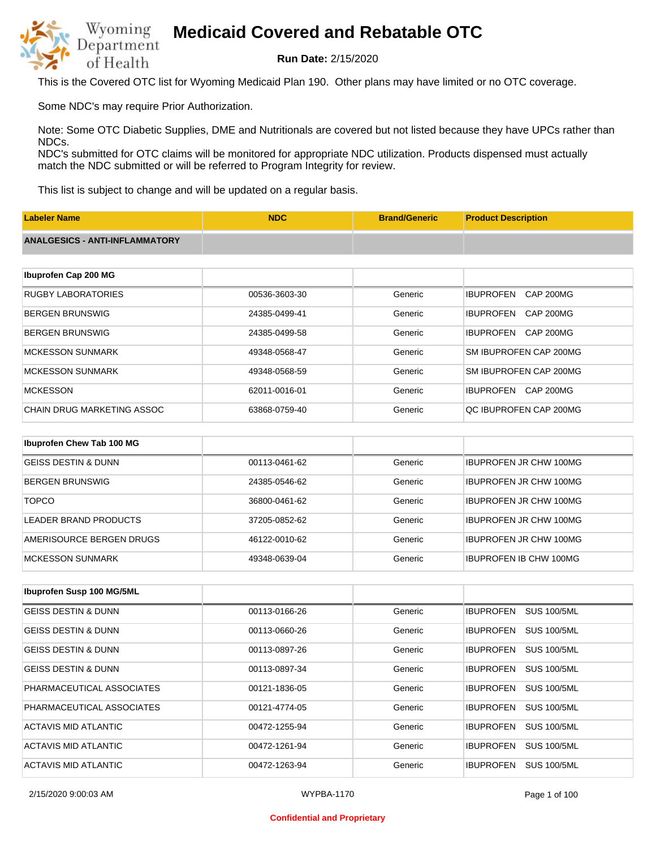

**Run Date:** 2/15/2020

This is the Covered OTC list for Wyoming Medicaid Plan 190. Other plans may have limited or no OTC coverage.

Some NDC's may require Prior Authorization.

Note: Some OTC Diabetic Supplies, DME and Nutritionals are covered but not listed because they have UPCs rather than NDCs.

NDC's submitted for OTC claims will be monitored for appropriate NDC utilization. Products dispensed must actually match the NDC submitted or will be referred to Program Integrity for review.

This list is subject to change and will be updated on a regular basis.

| <b>Labeler Name</b>                   | <b>NDC</b>    | <b>Brand/Generic</b> | <b>Product Description</b>           |
|---------------------------------------|---------------|----------------------|--------------------------------------|
| <b>ANALGESICS - ANTI-INFLAMMATORY</b> |               |                      |                                      |
|                                       |               |                      |                                      |
| Ibuprofen Cap 200 MG                  |               |                      |                                      |
| <b>RUGBY LABORATORIES</b>             | 00536-3603-30 | Generic              | <b>IBUPROFEN</b><br><b>CAP 200MG</b> |
| <b>BERGEN BRUNSWIG</b>                | 24385-0499-41 | Generic              | <b>IBUPROFEN</b><br><b>CAP 200MG</b> |
| <b>BERGEN BRUNSWIG</b>                | 24385-0499-58 | Generic              | <b>IBUPROFEN</b><br>CAP 200MG        |
| <b>MCKESSON SUNMARK</b>               | 49348-0568-47 | Generic              | SM IBUPROFEN CAP 200MG               |
| <b>MCKESSON SUNMARK</b>               | 49348-0568-59 | Generic              | SM IBUPROFEN CAP 200MG               |
| <b>MCKESSON</b>                       | 62011-0016-01 | Generic              | <b>IBUPROFEN</b><br>CAP 200MG        |
| <b>CHAIN DRUG MARKETING ASSOC</b>     | 63868-0759-40 | Generic              | QC IBUPROFEN CAP 200MG               |
|                                       |               |                      |                                      |
| Ibuprofen Chew Tab 100 MG             |               |                      |                                      |
| <b>GEISS DESTIN &amp; DUNN</b>        | 00113-0461-62 | Generic              | <b>IBUPROFEN JR CHW 100MG</b>        |
| <b>BERGEN BRUNSWIG</b>                | 24385-0546-62 | Generic              | <b>IBUPROFEN JR CHW 100MG</b>        |

| <b>TOPCO</b>             | 36800-0461-62 | Generic | IBUPROFEN JR CHW 100MG        |
|--------------------------|---------------|---------|-------------------------------|
| LEADER BRAND PRODUCTS    | 37205-0852-62 | Generic | <b>IBUPROFEN JR CHW 100MG</b> |
| AMERISOURCE BERGEN DRUGS | 46122-0010-62 | Generic | <b>IBUPROFEN JR CHW 100MG</b> |
| IMCKESSON SUNMARK        | 49348-0639-04 | Generic | IBUPROFEN IB CHW 100MG        |

| <b>Ibuprofen Susp 100 MG/5ML</b> |               |         |                                        |
|----------------------------------|---------------|---------|----------------------------------------|
| GEISS DESTIN & DUNN              | 00113-0166-26 | Generic | <b>SUS 100/5ML</b><br><b>IBUPROFEN</b> |
| <b>GEISS DESTIN &amp; DUNN</b>   | 00113-0660-26 | Generic | <b>SUS 100/5ML</b><br><b>IBUPROFEN</b> |
| <b>GEISS DESTIN &amp; DUNN</b>   | 00113-0897-26 | Generic | <b>SUS 100/5ML</b><br><b>IBUPROFEN</b> |
| <b>GEISS DESTIN &amp; DUNN</b>   | 00113-0897-34 | Generic | <b>SUS 100/5ML</b><br><b>IBUPROFEN</b> |
| PHARMACEUTICAL ASSOCIATES        | 00121-1836-05 | Generic | <b>IBUPROFEN</b><br><b>SUS 100/5ML</b> |
| PHARMACEUTICAL ASSOCIATES        | 00121-4774-05 | Generic | <b>SUS 100/5ML</b><br><b>IBUPROFEN</b> |
| ACTAVIS MID ATLANTIC             | 00472-1255-94 | Generic | <b>SUS 100/5ML</b><br><b>IBUPROFEN</b> |
| ACTAVIS MID ATLANTIC             | 00472-1261-94 | Generic | <b>SUS 100/5ML</b><br><b>IBUPROFEN</b> |
| ACTAVIS MID ATLANTIC             | 00472-1263-94 | Generic | <b>IBUPROFEN</b><br><b>SUS 100/5ML</b> |

2/15/2020 9:00:03 AM WYPBA-1170 Page 1 of 100

#### **Confidential and Proprietary**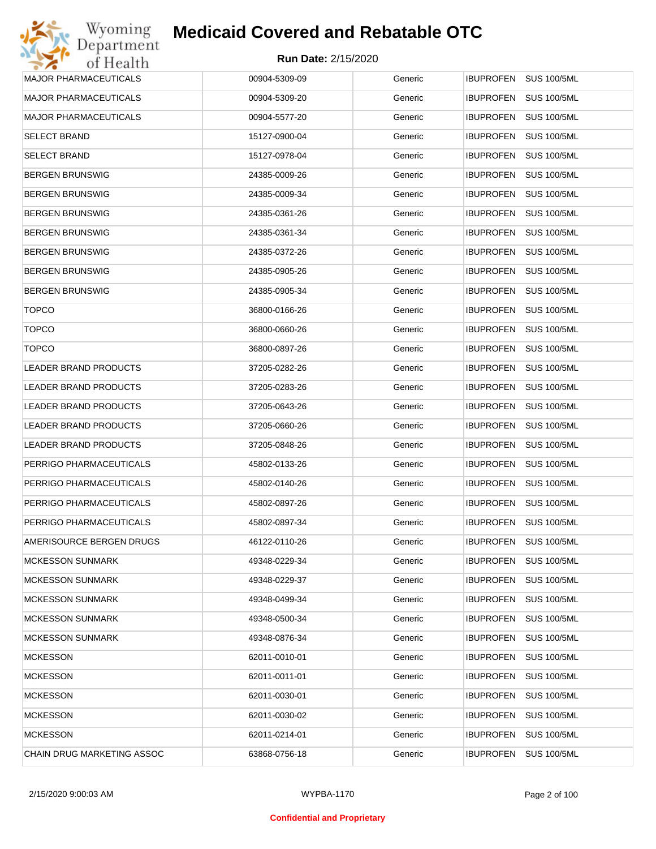| Wyoming                      | <b>Medicaid Covered and Rebatable OTC</b> |         |                                        |
|------------------------------|-------------------------------------------|---------|----------------------------------------|
| Department<br>of Health      | <b>Run Date: 2/15/2020</b>                |         |                                        |
| MAJOR PHARMACEUTICALS        | 00904-5309-09                             | Generic | <b>IBUPROFEN</b><br><b>SUS 100/5ML</b> |
| MAJOR PHARMACEUTICALS        | 00904-5309-20                             | Generic | <b>IBUPROFEN</b><br><b>SUS 100/5ML</b> |
| <b>MAJOR PHARMACEUTICALS</b> | 00904-5577-20                             | Generic | <b>SUS 100/5ML</b><br><b>IBUPROFEN</b> |
| <b>SELECT BRAND</b>          | 15127-0900-04                             | Generic | <b>IBUPROFEN</b><br><b>SUS 100/5ML</b> |
| SELECT BRAND                 | 15127-0978-04                             | Generic | <b>IBUPROFEN</b><br><b>SUS 100/5ML</b> |
| BERGEN BRUNSWIG              | 24385-0009-26                             | Generic | <b>IBUPROFEN</b><br><b>SUS 100/5ML</b> |
| BERGEN BRUNSWIG              | 24385-0009-34                             | Generic | <b>IBUPROFEN</b><br><b>SUS 100/5ML</b> |
| BERGEN BRUNSWIG              | 24385-0361-26                             | Generic | <b>IBUPROFEN</b><br><b>SUS 100/5ML</b> |
| BERGEN BRUNSWIG              | 24385-0361-34                             | Generic | <b>IBUPROFEN</b><br><b>SUS 100/5ML</b> |
| BERGEN BRUNSWIG              | 24385-0372-26                             | Generic | <b>IBUPROFEN</b><br><b>SUS 100/5ML</b> |
| BERGEN BRUNSWIG              | 24385-0905-26                             | Generic | <b>IBUPROFEN</b><br><b>SUS 100/5ML</b> |
| BERGEN BRUNSWIG              | 24385-0905-34                             | Generic | <b>IBUPROFEN</b><br><b>SUS 100/5ML</b> |
| <b>TOPCO</b>                 | 36800-0166-26                             | Generic | <b>IBUPROFEN</b><br><b>SUS 100/5ML</b> |
| <b>TOPCO</b>                 | 36800-0660-26                             | Generic | <b>IBUPROFEN</b><br><b>SUS 100/5ML</b> |
| <b>TOPCO</b>                 | 36800-0897-26                             | Generic | <b>SUS 100/5ML</b><br><b>IBUPROFEN</b> |
| LEADER BRAND PRODUCTS        | 37205-0282-26                             | Generic | <b>IBUPROFEN</b><br><b>SUS 100/5ML</b> |
| LEADER BRAND PRODUCTS        | 37205-0283-26                             | Generic | <b>SUS 100/5ML</b><br><b>IBUPROFEN</b> |
| LEADER BRAND PRODUCTS        | 37205-0643-26                             | Generic | <b>IBUPROFEN</b><br><b>SUS 100/5ML</b> |
| LEADER BRAND PRODUCTS        | 37205-0660-26                             | Generic | <b>SUS 100/5ML</b><br><b>IBUPROFEN</b> |
| LEADER BRAND PRODUCTS        | 37205-0848-26                             | Generic | <b>IBUPROFEN</b><br><b>SUS 100/5ML</b> |
| PERRIGO PHARMACEUTICALS      | 45802-0133-26                             | Generic | <b>SUS 100/5ML</b><br><b>IBUPROFEN</b> |
| PERRIGO PHARMACEUTICALS      | 45802-0140-26                             | Generic | IBUPROFEN<br><b>SUS 100/5ML</b>        |
| PERRIGO PHARMACEUTICALS      | 45802-0897-26                             | Generic | IBUPROFEN SUS 100/5ML                  |
| PERRIGO PHARMACEUTICALS      | 45802-0897-34                             | Generic | <b>IBUPROFEN</b><br><b>SUS 100/5ML</b> |
| AMERISOURCE BERGEN DRUGS     | 46122-0110-26                             | Generic | <b>IBUPROFEN</b><br><b>SUS 100/5ML</b> |
| MCKESSON SUNMARK             | 49348-0229-34                             | Generic | <b>IBUPROFEN</b><br><b>SUS 100/5ML</b> |
| MCKESSON SUNMARK             | 49348-0229-37                             | Generic | <b>IBUPROFEN</b><br><b>SUS 100/5ML</b> |
| MCKESSON SUNMARK             | 49348-0499-34                             | Generic | <b>IBUPROFEN</b><br><b>SUS 100/5ML</b> |
| MCKESSON SUNMARK             | 49348-0500-34                             | Generic | <b>IBUPROFEN</b><br><b>SUS 100/5ML</b> |
| <b>MCKESSON SUNMARK</b>      | 49348-0876-34                             | Generic | <b>IBUPROFEN</b><br><b>SUS 100/5ML</b> |
| <b>MCKESSON</b>              | 62011-0010-01                             | Generic | <b>IBUPROFEN</b><br><b>SUS 100/5ML</b> |
| <b>MCKESSON</b>              | 62011-0011-01                             | Generic | <b>SUS 100/5ML</b><br><b>IBUPROFEN</b> |
| <b>MCKESSON</b>              | 62011-0030-01                             | Generic | <b>IBUPROFEN</b><br><b>SUS 100/5ML</b> |
| <b>MCKESSON</b>              | 62011-0030-02                             | Generic | <b>SUS 100/5ML</b><br><b>IBUPROFEN</b> |
| MCKESSON                     | 62011-0214-01                             | Generic | <b>SUS 100/5ML</b><br><b>IBUPROFEN</b> |
| CHAIN DRUG MARKETING ASSOC   | 63868-0756-18                             | Generic | <b>SUS 100/5ML</b><br><b>IBUPROFEN</b> |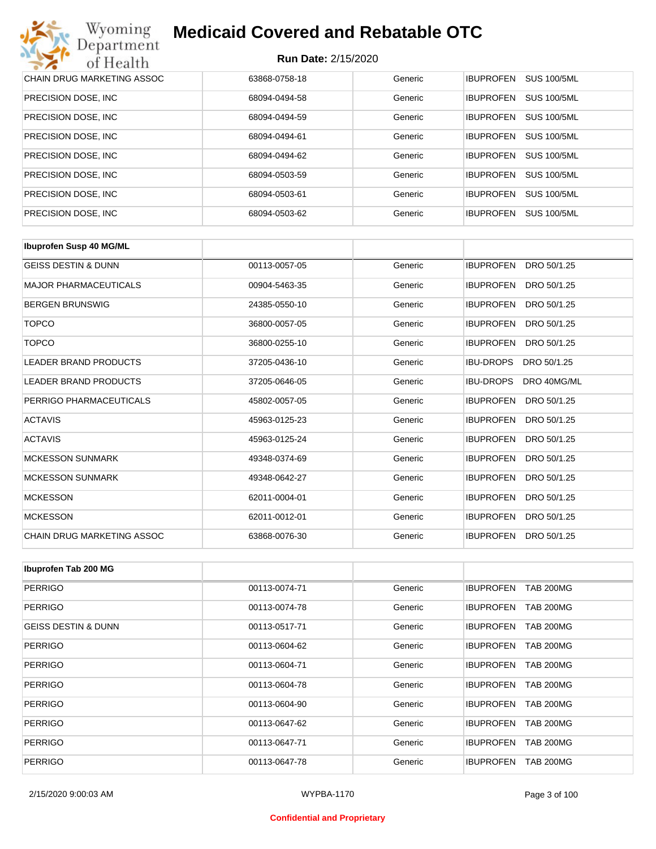| Wyoming<br><b>Medicaid Covered and Rebatable OTC</b><br>Department |                            |         |                  |                    |  |
|--------------------------------------------------------------------|----------------------------|---------|------------------|--------------------|--|
| of Health                                                          | <b>Run Date: 2/15/2020</b> |         |                  |                    |  |
| <b>CHAIN DRUG MARKETING ASSOC</b>                                  | 63868-0758-18              | Generic | <b>IBUPROFEN</b> | <b>SUS 100/5ML</b> |  |
| PRECISION DOSE, INC.                                               | 68094-0494-58              | Generic | <b>IBUPROFEN</b> | <b>SUS 100/5ML</b> |  |
| PRECISION DOSE, INC.                                               | 68094-0494-59              | Generic | <b>IBUPROFEN</b> | <b>SUS 100/5ML</b> |  |
| PRECISION DOSE, INC.                                               | 68094-0494-61              | Generic | <b>IBUPROFEN</b> | <b>SUS 100/5ML</b> |  |
| PRECISION DOSE, INC.                                               | 68094-0494-62              | Generic | <b>IBUPROFEN</b> | <b>SUS 100/5ML</b> |  |
| PRECISION DOSE, INC.                                               | 68094-0503-59              | Generic | <b>IBUPROFEN</b> | <b>SUS 100/5ML</b> |  |
| PRECISION DOSE, INC.                                               | 68094-0503-61              | Generic | <b>IBUPROFEN</b> | <b>SUS 100/5ML</b> |  |
| PRECISION DOSE, INC.                                               | 68094-0503-62              | Generic | <b>IBUPROFEN</b> | <b>SUS 100/5ML</b> |  |

| <b>Ibuprofen Susp 40 MG/ML</b> |               |         |                                 |
|--------------------------------|---------------|---------|---------------------------------|
| <b>GEISS DESTIN &amp; DUNN</b> | 00113-0057-05 | Generic | <b>IBUPROFEN</b><br>DRO 50/1.25 |
| <b>MAJOR PHARMACEUTICALS</b>   | 00904-5463-35 | Generic | <b>IBUPROFEN</b><br>DRO 50/1.25 |
| <b>BERGEN BRUNSWIG</b>         | 24385-0550-10 | Generic | <b>IBUPROFEN</b><br>DRO 50/1.25 |
| <b>TOPCO</b>                   | 36800-0057-05 | Generic | <b>IBUPROFEN</b><br>DRO 50/1.25 |
| <b>TOPCO</b>                   | 36800-0255-10 | Generic | <b>IBUPROFEN</b><br>DRO 50/1.25 |
| <b>LEADER BRAND PRODUCTS</b>   | 37205-0436-10 | Generic | <b>IBU-DROPS</b><br>DRO 50/1.25 |
| <b>LEADER BRAND PRODUCTS</b>   | 37205-0646-05 | Generic | <b>IBU-DROPS</b><br>DRO 40MG/ML |
| PERRIGO PHARMACEUTICALS        | 45802-0057-05 | Generic | <b>IBUPROFEN</b><br>DRO 50/1.25 |
| <b>ACTAVIS</b>                 | 45963-0125-23 | Generic | <b>IBUPROFEN</b><br>DRO 50/1.25 |
| <b>ACTAVIS</b>                 | 45963-0125-24 | Generic | <b>IBUPROFEN</b><br>DRO 50/1.25 |
| <b>MCKESSON SUNMARK</b>        | 49348-0374-69 | Generic | <b>IBUPROFEN</b><br>DRO 50/1.25 |
| <b>MCKESSON SUNMARK</b>        | 49348-0642-27 | Generic | <b>IBUPROFEN</b><br>DRO 50/1.25 |
| <b>MCKESSON</b>                | 62011-0004-01 | Generic | <b>IBUPROFEN</b><br>DRO 50/1.25 |
| <b>MCKESSON</b>                | 62011-0012-01 | Generic | <b>IBUPROFEN</b><br>DRO 50/1.25 |
| CHAIN DRUG MARKETING ASSOC     | 63868-0076-30 | Generic | <b>IBUPROFEN</b><br>DRO 50/1.25 |

| Ibuprofen Tab 200 MG           |               |         |                                      |
|--------------------------------|---------------|---------|--------------------------------------|
| <b>PERRIGO</b>                 | 00113-0074-71 | Generic | <b>IBUPROFEN</b><br><b>TAB 200MG</b> |
| <b>PERRIGO</b>                 | 00113-0074-78 | Generic | <b>IBUPROFEN</b><br><b>TAB 200MG</b> |
| <b>GEISS DESTIN &amp; DUNN</b> | 00113-0517-71 | Generic | <b>TAB 200MG</b><br><b>IBUPROFEN</b> |
| <b>PERRIGO</b>                 | 00113-0604-62 | Generic | <b>IBUPROFEN</b><br><b>TAB 200MG</b> |
| <b>PERRIGO</b>                 | 00113-0604-71 | Generic | <b>IBUPROFEN</b><br><b>TAB 200MG</b> |
| <b>PERRIGO</b>                 | 00113-0604-78 | Generic | <b>TAB 200MG</b><br><b>IBUPROFEN</b> |
| PERRIGO                        | 00113-0604-90 | Generic | <b>IBUPROFEN</b><br><b>TAB 200MG</b> |
| <b>PERRIGO</b>                 | 00113-0647-62 | Generic | <b>TAB 200MG</b><br><b>IBUPROFEN</b> |
| PERRIGO                        | 00113-0647-71 | Generic | <b>IBUPROFEN</b><br><b>TAB 200MG</b> |
| PERRIGO                        | 00113-0647-78 | Generic | <b>IBUPROFEN</b><br><b>TAB 200MG</b> |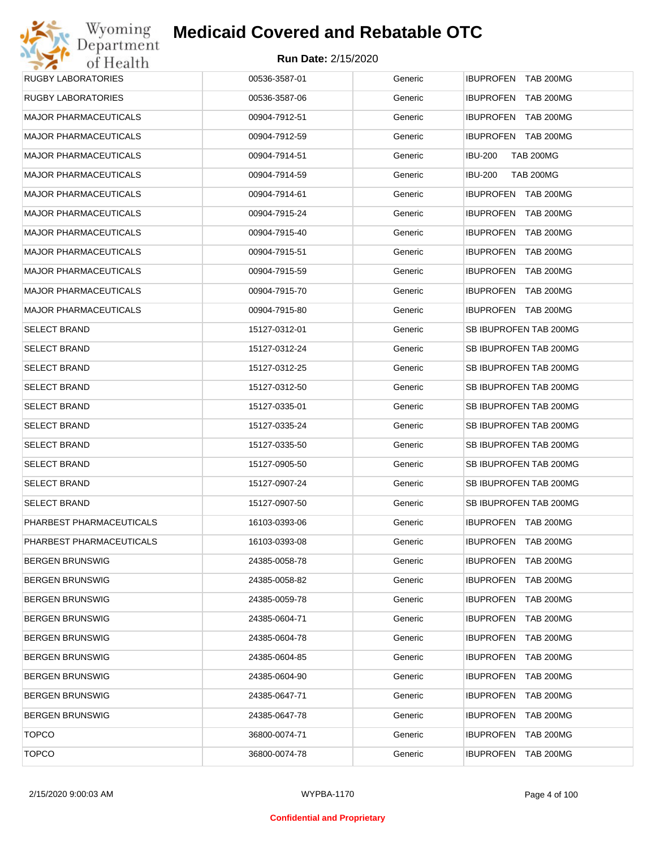| <b>RUGBY LABORATORIES</b>    | 00536-3587-01 | Generic | IBUPROFEN TAB 200MG                |
|------------------------------|---------------|---------|------------------------------------|
| RUGBY LABORATORIES           | 00536-3587-06 | Generic | IBUPROFEN TAB 200MG                |
| <b>MAJOR PHARMACEUTICALS</b> | 00904-7912-51 | Generic | IBUPROFEN TAB 200MG                |
| <b>MAJOR PHARMACEUTICALS</b> | 00904-7912-59 | Generic | IBUPROFEN TAB 200MG                |
| <b>MAJOR PHARMACEUTICALS</b> | 00904-7914-51 | Generic | <b>IBU-200</b><br><b>TAB 200MG</b> |
| <b>MAJOR PHARMACEUTICALS</b> | 00904-7914-59 | Generic | <b>IBU-200</b><br><b>TAB 200MG</b> |
| <b>MAJOR PHARMACEUTICALS</b> | 00904-7914-61 | Generic | IBUPROFEN TAB 200MG                |
| <b>MAJOR PHARMACEUTICALS</b> | 00904-7915-24 | Generic | IBUPROFEN TAB 200MG                |
| <b>MAJOR PHARMACEUTICALS</b> | 00904-7915-40 | Generic | IBUPROFEN TAB 200MG                |
| <b>MAJOR PHARMACEUTICALS</b> | 00904-7915-51 | Generic | IBUPROFEN TAB 200MG                |
| <b>MAJOR PHARMACEUTICALS</b> | 00904-7915-59 | Generic | IBUPROFEN TAB 200MG                |
| <b>MAJOR PHARMACEUTICALS</b> | 00904-7915-70 | Generic | IBUPROFEN TAB 200MG                |
| <b>MAJOR PHARMACEUTICALS</b> | 00904-7915-80 | Generic | IBUPROFEN TAB 200MG                |
| <b>SELECT BRAND</b>          | 15127-0312-01 | Generic | SB IBUPROFEN TAB 200MG             |
| <b>SELECT BRAND</b>          | 15127-0312-24 | Generic | SB IBUPROFEN TAB 200MG             |
| <b>SELECT BRAND</b>          | 15127-0312-25 | Generic | SB IBUPROFEN TAB 200MG             |
| <b>SELECT BRAND</b>          | 15127-0312-50 | Generic | SB IBUPROFEN TAB 200MG             |
| <b>SELECT BRAND</b>          | 15127-0335-01 | Generic | SB IBUPROFEN TAB 200MG             |
| <b>SELECT BRAND</b>          | 15127-0335-24 | Generic | SB IBUPROFEN TAB 200MG             |
| <b>SELECT BRAND</b>          | 15127-0335-50 | Generic | SB IBUPROFEN TAB 200MG             |
| <b>SELECT BRAND</b>          | 15127-0905-50 | Generic | SB IBUPROFEN TAB 200MG             |
| <b>SELECT BRAND</b>          | 15127-0907-24 | Generic | SB IBUPROFEN TAB 200MG             |
| <b>SELECT BRAND</b>          | 15127-0907-50 | Generic | SB IBUPROFEN TAB 200MG             |
| PHARBEST PHARMACEUTICALS     | 16103-0393-06 | Generic | IBUPROFEN TAB 200MG                |
| PHARBEST PHARMACEUTICALS     | 16103-0393-08 | Generic | IBUPROFEN TAB 200MG                |
| <b>BERGEN BRUNSWIG</b>       | 24385-0058-78 | Generic | <b>IBUPROFEN TAB 200MG</b>         |
| <b>BERGEN BRUNSWIG</b>       | 24385-0058-82 | Generic | IBUPROFEN TAB 200MG                |
| <b>BERGEN BRUNSWIG</b>       | 24385-0059-78 | Generic | IBUPROFEN TAB 200MG                |
| <b>BERGEN BRUNSWIG</b>       | 24385-0604-71 | Generic | IBUPROFEN TAB 200MG                |
| <b>BERGEN BRUNSWIG</b>       | 24385-0604-78 | Generic | <b>IBUPROFEN TAB 200MG</b>         |
| <b>BERGEN BRUNSWIG</b>       | 24385-0604-85 | Generic | IBUPROFEN TAB 200MG                |
| <b>BERGEN BRUNSWIG</b>       | 24385-0604-90 | Generic | <b>IBUPROFEN TAB 200MG</b>         |
| <b>BERGEN BRUNSWIG</b>       | 24385-0647-71 | Generic | IBUPROFEN TAB 200MG                |
| <b>BERGEN BRUNSWIG</b>       | 24385-0647-78 | Generic | <b>IBUPROFEN TAB 200MG</b>         |
| <b>TOPCO</b>                 | 36800-0074-71 | Generic | IBUPROFEN TAB 200MG                |
| <b>TOPCO</b>                 | 36800-0074-78 | Generic | <b>IBUPROFEN TAB 200MG</b>         |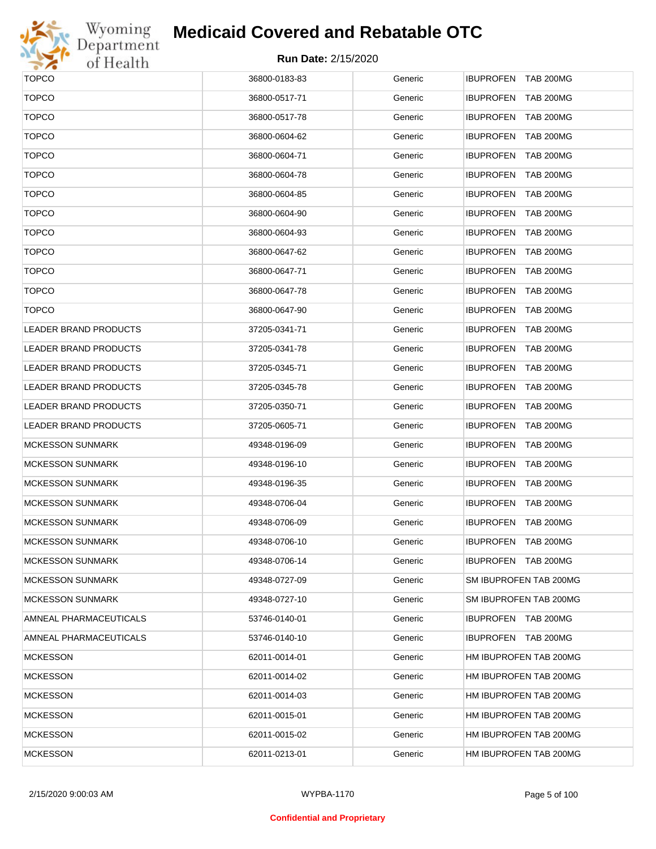

## **Medicaid Covered and Rebatable OTC**

| <b>TOPCO</b>                 | 36800-0183-83 | Generic | IBUPROFEN TAB 200MG                  |
|------------------------------|---------------|---------|--------------------------------------|
| <b>TOPCO</b>                 | 36800-0517-71 | Generic | <b>IBUPROFEN</b><br><b>TAB 200MG</b> |
| <b>TOPCO</b>                 | 36800-0517-78 | Generic | IBUPROFEN TAB 200MG                  |
| <b>TOPCO</b>                 | 36800-0604-62 | Generic | <b>IBUPROFEN</b><br><b>TAB 200MG</b> |
| <b>TOPCO</b>                 | 36800-0604-71 | Generic | IBUPROFEN TAB 200MG                  |
| <b>TOPCO</b>                 | 36800-0604-78 | Generic | <b>IBUPROFEN</b><br><b>TAB 200MG</b> |
| <b>TOPCO</b>                 | 36800-0604-85 | Generic | IBUPROFEN TAB 200MG                  |
| <b>TOPCO</b>                 | 36800-0604-90 | Generic | <b>IBUPROFEN</b><br><b>TAB 200MG</b> |
| <b>TOPCO</b>                 | 36800-0604-93 | Generic | IBUPROFEN TAB 200MG                  |
| <b>TOPCO</b>                 | 36800-0647-62 | Generic | <b>IBUPROFEN</b><br><b>TAB 200MG</b> |
| <b>TOPCO</b>                 | 36800-0647-71 | Generic | IBUPROFEN TAB 200MG                  |
| <b>TOPCO</b>                 | 36800-0647-78 | Generic | <b>IBUPROFEN</b><br><b>TAB 200MG</b> |
| <b>TOPCO</b>                 | 36800-0647-90 | Generic | IBUPROFEN TAB 200MG                  |
| <b>LEADER BRAND PRODUCTS</b> | 37205-0341-71 | Generic | <b>IBUPROFEN</b><br><b>TAB 200MG</b> |
| <b>LEADER BRAND PRODUCTS</b> | 37205-0341-78 | Generic | IBUPROFEN TAB 200MG                  |
| <b>LEADER BRAND PRODUCTS</b> | 37205-0345-71 | Generic | <b>IBUPROFEN</b><br><b>TAB 200MG</b> |
| <b>LEADER BRAND PRODUCTS</b> | 37205-0345-78 | Generic | IBUPROFEN TAB 200MG                  |
| <b>LEADER BRAND PRODUCTS</b> | 37205-0350-71 | Generic | <b>IBUPROFEN</b><br><b>TAB 200MG</b> |
| <b>LEADER BRAND PRODUCTS</b> | 37205-0605-71 | Generic | IBUPROFEN TAB 200MG                  |
| <b>MCKESSON SUNMARK</b>      | 49348-0196-09 | Generic | <b>IBUPROFEN</b><br><b>TAB 200MG</b> |
| <b>MCKESSON SUNMARK</b>      | 49348-0196-10 | Generic | IBUPROFEN TAB 200MG                  |
| <b>MCKESSON SUNMARK</b>      | 49348-0196-35 | Generic | <b>IBUPROFEN</b><br><b>TAB 200MG</b> |
| <b>MCKESSON SUNMARK</b>      | 49348-0706-04 | Generic | IBUPROFEN TAB 200MG                  |
| <b>MCKESSON SUNMARK</b>      | 49348-0706-09 | Generic | IBUPROFEN TAB 200MG                  |
| <b>MCKESSON SUNMARK</b>      | 49348-0706-10 | Generic | IBUPROFEN TAB 200MG                  |
| <b>MCKESSON SUNMARK</b>      | 49348-0706-14 | Generic | IBUPROFEN TAB 200MG                  |
| <b>MCKESSON SUNMARK</b>      | 49348-0727-09 | Generic | SM IBUPROFEN TAB 200MG               |
| <b>MCKESSON SUNMARK</b>      | 49348-0727-10 | Generic | SM IBUPROFEN TAB 200MG               |
| AMNEAL PHARMACEUTICALS       | 53746-0140-01 | Generic | IBUPROFEN TAB 200MG                  |
| AMNEAL PHARMACEUTICALS       | 53746-0140-10 | Generic | IBUPROFEN TAB 200MG                  |
| <b>MCKESSON</b>              | 62011-0014-01 | Generic | HM IBUPROFEN TAB 200MG               |
| <b>MCKESSON</b>              | 62011-0014-02 | Generic | HM IBUPROFEN TAB 200MG               |
| <b>MCKESSON</b>              | 62011-0014-03 | Generic | HM IBUPROFEN TAB 200MG               |
| <b>MCKESSON</b>              | 62011-0015-01 | Generic | HM IBUPROFEN TAB 200MG               |
| <b>MCKESSON</b>              | 62011-0015-02 | Generic | HM IBUPROFEN TAB 200MG               |
| <b>MCKESSON</b>              | 62011-0213-01 | Generic | HM IBUPROFEN TAB 200MG               |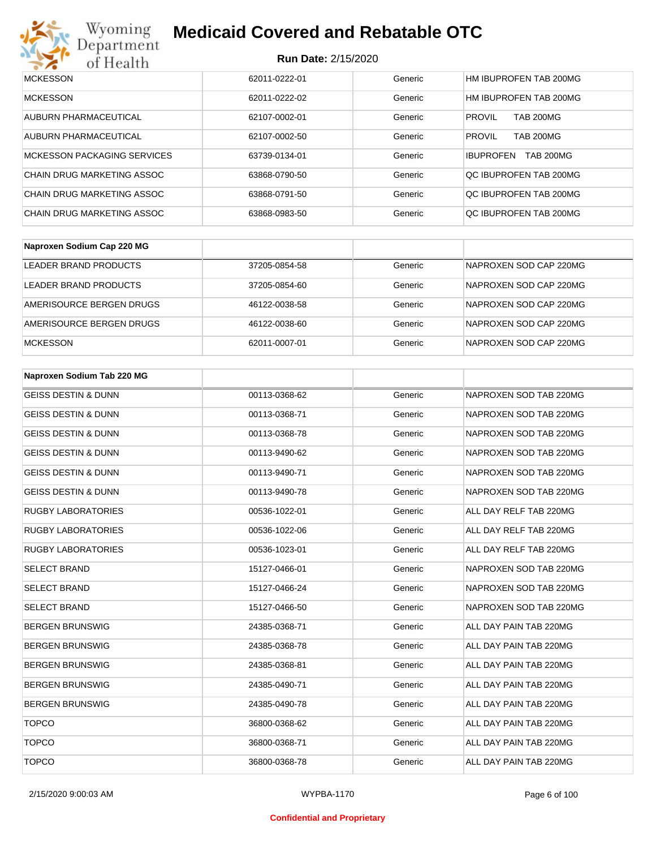

## **Medicaid Covered and Rebatable OTC**

| <b>MCKESSON</b>                    | 62011-0222-01 | Generic | HM IBUPROFEN TAB 200MG               |
|------------------------------------|---------------|---------|--------------------------------------|
| <b>MCKESSON</b>                    | 62011-0222-02 | Generic | HM IBUPROFEN TAB 200MG               |
| AUBURN PHARMACEUTICAL              | 62107-0002-01 | Generic | <b>PROVIL</b><br><b>TAB 200MG</b>    |
| AUBURN PHARMACEUTICAL              | 62107-0002-50 | Generic | <b>TAB 200MG</b><br><b>PROVIL</b>    |
| <b>MCKESSON PACKAGING SERVICES</b> | 63739-0134-01 | Generic | <b>TAB 200MG</b><br><b>IBUPROFEN</b> |
| CHAIN DRUG MARKETING ASSOC         | 63868-0790-50 | Generic | QC IBUPROFEN TAB 200MG               |
| CHAIN DRUG MARKETING ASSOC         | 63868-0791-50 | Generic | OC IBUPROFEN TAB 200MG               |
| CHAIN DRUG MARKETING ASSOC         | 63868-0983-50 | Generic | OC IBUPROFEN TAB 200MG               |

| Naproxen Sodium Cap 220 MG |               |         |                        |
|----------------------------|---------------|---------|------------------------|
| LEADER BRAND PRODUCTS      | 37205-0854-58 | Generic | NAPROXEN SOD CAP 220MG |
| LEADER BRAND PRODUCTS      | 37205-0854-60 | Generic | NAPROXEN SOD CAP 220MG |
| AMERISOURCE BERGEN DRUGS   | 46122-0038-58 | Generic | NAPROXEN SOD CAP 220MG |
| AMERISOURCE BERGEN DRUGS   | 46122-0038-60 | Generic | NAPROXEN SOD CAP 220MG |
| <b>MCKESSON</b>            | 62011-0007-01 | Generic | NAPROXEN SOD CAP 220MG |

| Naproxen Sodium Tab 220 MG     |               |         |                        |
|--------------------------------|---------------|---------|------------------------|
| <b>GEISS DESTIN &amp; DUNN</b> | 00113-0368-62 | Generic | NAPROXEN SOD TAB 220MG |
| <b>GEISS DESTIN &amp; DUNN</b> | 00113-0368-71 | Generic | NAPROXEN SOD TAB 220MG |
| <b>GEISS DESTIN &amp; DUNN</b> | 00113-0368-78 | Generic | NAPROXEN SOD TAB 220MG |
| <b>GEISS DESTIN &amp; DUNN</b> | 00113-9490-62 | Generic | NAPROXEN SOD TAB 220MG |
| <b>GEISS DESTIN &amp; DUNN</b> | 00113-9490-71 | Generic | NAPROXEN SOD TAB 220MG |
| <b>GEISS DESTIN &amp; DUNN</b> | 00113-9490-78 | Generic | NAPROXEN SOD TAB 220MG |
| <b>RUGBY LABORATORIES</b>      | 00536-1022-01 | Generic | ALL DAY RELF TAB 220MG |
| <b>RUGBY LABORATORIES</b>      | 00536-1022-06 | Generic | ALL DAY RELF TAB 220MG |
| <b>RUGBY LABORATORIES</b>      | 00536-1023-01 | Generic | ALL DAY RELF TAB 220MG |
| <b>SELECT BRAND</b>            | 15127-0466-01 | Generic | NAPROXEN SOD TAB 220MG |
| <b>SELECT BRAND</b>            | 15127-0466-24 | Generic | NAPROXEN SOD TAB 220MG |
| <b>SELECT BRAND</b>            | 15127-0466-50 | Generic | NAPROXEN SOD TAB 220MG |
| <b>BERGEN BRUNSWIG</b>         | 24385-0368-71 | Generic | ALL DAY PAIN TAB 220MG |
| <b>BERGEN BRUNSWIG</b>         | 24385-0368-78 | Generic | ALL DAY PAIN TAB 220MG |
| <b>BERGEN BRUNSWIG</b>         | 24385-0368-81 | Generic | ALL DAY PAIN TAB 220MG |
| <b>BERGEN BRUNSWIG</b>         | 24385-0490-71 | Generic | ALL DAY PAIN TAB 220MG |
| <b>BERGEN BRUNSWIG</b>         | 24385-0490-78 | Generic | ALL DAY PAIN TAB 220MG |
| <b>TOPCO</b>                   | 36800-0368-62 | Generic | ALL DAY PAIN TAB 220MG |
| <b>TOPCO</b>                   | 36800-0368-71 | Generic | ALL DAY PAIN TAB 220MG |
| <b>TOPCO</b>                   | 36800-0368-78 | Generic | ALL DAY PAIN TAB 220MG |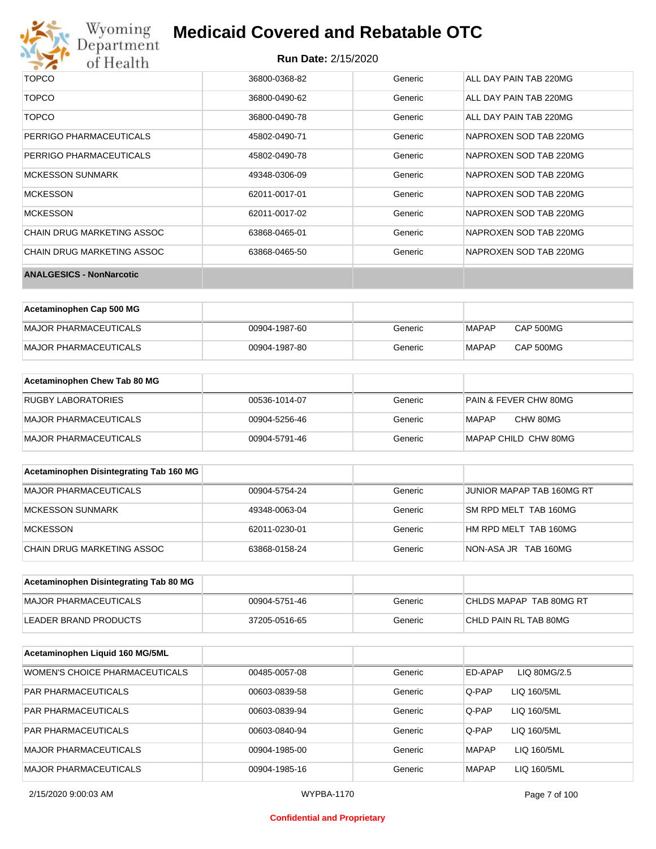

## **Medicaid Covered and Rebatable OTC**

| <b>TOPCO</b>                    | 36800-0368-82 | Generic | ALL DAY PAIN TAB 220MG |
|---------------------------------|---------------|---------|------------------------|
| <b>TOPCO</b>                    | 36800-0490-62 | Generic | ALL DAY PAIN TAB 220MG |
| <b>TOPCO</b>                    | 36800-0490-78 | Generic | ALL DAY PAIN TAB 220MG |
| PERRIGO PHARMACEUTICALS         | 45802-0490-71 | Generic | NAPROXEN SOD TAB 220MG |
| PERRIGO PHARMACEUTICALS         | 45802-0490-78 | Generic | NAPROXEN SOD TAB 220MG |
| <b>MCKESSON SUNMARK</b>         | 49348-0306-09 | Generic | NAPROXEN SOD TAB 220MG |
| <b>MCKESSON</b>                 | 62011-0017-01 | Generic | NAPROXEN SOD TAB 220MG |
| <b>MCKESSON</b>                 | 62011-0017-02 | Generic | NAPROXEN SOD TAB 220MG |
| CHAIN DRUG MARKETING ASSOC      | 63868-0465-01 | Generic | NAPROXEN SOD TAB 220MG |
| CHAIN DRUG MARKETING ASSOC      | 63868-0465-50 | Generic | NAPROXEN SOD TAB 220MG |
| <b>ANALGESICS - NonNarcotic</b> |               |         |                        |

| Acetaminophen Cap 500 MG |               |         |              |           |
|--------------------------|---------------|---------|--------------|-----------|
| MAJOR PHARMACEUTICALS    | 00904-1987-60 | Generic | <b>MAPAP</b> | CAP 500MG |
| MAJOR PHARMACEUTICALS    | 00904-1987-80 | Generic | <b>MAPAP</b> | CAP 500MG |

| Acetaminophen Chew Tab 80 MG |               |         |                                  |
|------------------------------|---------------|---------|----------------------------------|
| <b>RUGBY LABORATORIES</b>    | 00536-1014-07 | Generic | <b>PAIN &amp; FEVER CHW 80MG</b> |
| MAJOR PHARMACEUTICALS        | 00904-5256-46 | Generic | CHW 80MG<br>MAPAP                |
| MAJOR PHARMACEUTICALS        | 00904-5791-46 | Generic | MAPAP CHILD CHW 80MG             |

| Acetaminophen Disintegrating Tab 160 MG |               |         |                           |
|-----------------------------------------|---------------|---------|---------------------------|
| MAJOR PHARMACEUTICALS                   | 00904-5754-24 | Generic | JUNIOR MAPAP TAB 160MG RT |
| MCKESSON SUNMARK                        | 49348-0063-04 | Generic | SM RPD MELT TAB 160MG     |
| MCKESSON                                | 62011-0230-01 | Generic | HM RPD MELT TAB 160MG     |
| CHAIN DRUG MARKETING ASSOC              | 63868-0158-24 | Generic | NON-ASA JR TAB 160MG      |

| Acetaminophen Disintegrating Tab 80 MG |               |         |                         |
|----------------------------------------|---------------|---------|-------------------------|
| MAJOR PHARMACEUTICALS                  | 00904-5751-46 | Generic | CHLDS MAPAP TAB 80MG RT |
| LEADER BRAND PRODUCTS                  | 37205-0516-65 | Generic | CHLD PAIN RL TAB 80MG   |

| Acetaminophen Liquid 160 MG/5ML |               |         |                             |
|---------------------------------|---------------|---------|-----------------------------|
| WOMEN'S CHOICE PHARMACEUTICALS  | 00485-0057-08 | Generic | ED-APAP<br>LIQ 80MG/2.5     |
| <b>PAR PHARMACEUTICALS</b>      | 00603-0839-58 | Generic | Q-PAP<br>LIQ 160/5ML        |
| <b>PAR PHARMACEUTICALS</b>      | 00603-0839-94 | Generic | Q-PAP<br>LIQ 160/5ML        |
| <b>PAR PHARMACEUTICALS</b>      | 00603-0840-94 | Generic | Q-PAP<br>LIQ 160/5ML        |
| MAJOR PHARMACEUTICALS           | 00904-1985-00 | Generic | <b>MAPAP</b><br>LIQ 160/5ML |
| <b>MAJOR PHARMACEUTICALS</b>    | 00904-1985-16 | Generic | LIQ 160/5ML<br><b>MAPAP</b> |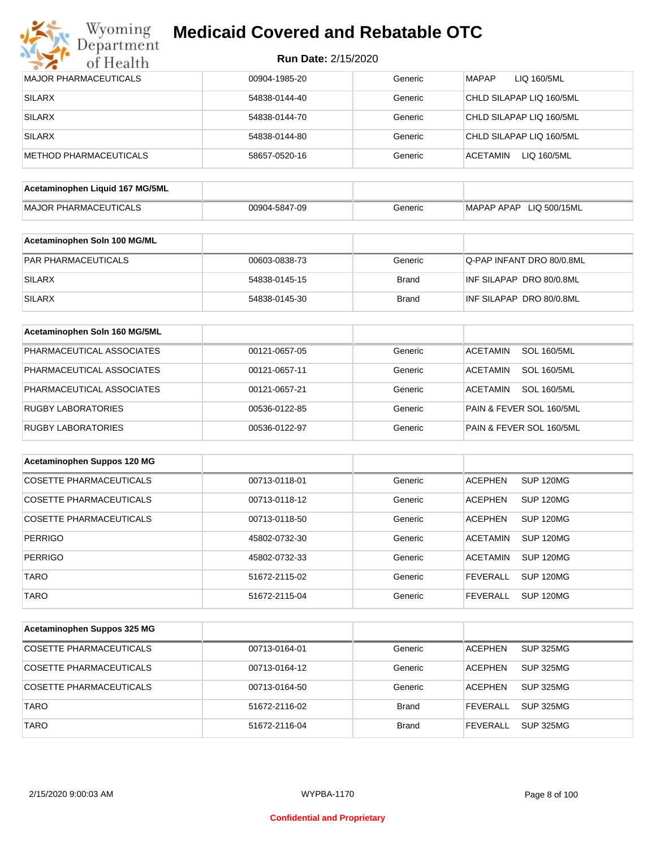

| <b>Run Date: 2/15/2020</b> |  |
|----------------------------|--|
|----------------------------|--|

| <b>MAJOR PHARMACEUTICALS</b>    | 00904-1985-20 | Generic      | <b>MAPAP</b><br>LIQ 160/5ML           |
|---------------------------------|---------------|--------------|---------------------------------------|
| <b>SILARX</b>                   | 54838-0144-40 | Generic      | CHLD SILAPAP LIQ 160/5ML              |
| <b>SILARX</b>                   | 54838-0144-70 | Generic      | CHLD SILAPAP LIQ 160/5ML              |
| <b>SILARX</b>                   | 54838-0144-80 | Generic      | CHLD SILAPAP LIQ 160/5ML              |
| <b>METHOD PHARMACEUTICALS</b>   | 58657-0520-16 | Generic      | <b>ACETAMIN</b><br>LIQ 160/5ML        |
| Acetaminophen Liquid 167 MG/5ML |               |              |                                       |
| <b>MAJOR PHARMACEUTICALS</b>    |               | Generic      | MAPAP APAP LIQ 500/15ML               |
|                                 | 00904-5847-09 |              |                                       |
| Acetaminophen Soln 100 MG/ML    |               |              |                                       |
| PAR PHARMACEUTICALS             | 00603-0838-73 | Generic      | Q-PAP INFANT DRO 80/0.8ML             |
| <b>SILARX</b>                   | 54838-0145-15 | <b>Brand</b> | INF SILAPAP DRO 80/0.8ML              |
| <b>SILARX</b>                   | 54838-0145-30 | <b>Brand</b> | INF SILAPAP DRO 80/0.8ML              |
| Acetaminophen Soln 160 MG/5ML   |               |              |                                       |
| PHARMACEUTICAL ASSOCIATES       |               | Generic      | <b>SOL 160/5ML</b><br><b>ACETAMIN</b> |
|                                 | 00121-0657-05 |              |                                       |
| PHARMACEUTICAL ASSOCIATES       | 00121-0657-11 | Generic      | <b>ACETAMIN</b><br><b>SOL 160/5ML</b> |
| PHARMACEUTICAL ASSOCIATES       | 00121-0657-21 | Generic      | <b>ACETAMIN</b><br><b>SOL 160/5ML</b> |
| <b>RUGBY LABORATORIES</b>       | 00536-0122-85 | Generic      | PAIN & FEVER SOL 160/5ML              |
| <b>RUGBY LABORATORIES</b>       | 00536-0122-97 | Generic      | PAIN & FEVER SOL 160/5ML              |
| Acetaminophen Suppos 120 MG     |               |              |                                       |
| <b>COSETTE PHARMACEUTICALS</b>  | 00713-0118-01 | Generic      | <b>ACEPHEN</b><br><b>SUP 120MG</b>    |
| <b>COSETTE PHARMACEUTICALS</b>  | 00713-0118-12 | Generic      | <b>SUP 120MG</b><br><b>ACEPHEN</b>    |
|                                 |               |              |                                       |
| <b>COSETTE PHARMACEUTICALS</b>  | 00713-0118-50 | Generic      | <b>ACEPHEN</b><br><b>SUP 120MG</b>    |
| <b>PERRIGO</b>                  | 45802-0732-30 | Generic      | <b>SUP 120MG</b><br><b>ACETAMIN</b>   |
| <b>PERRIGO</b>                  | 45802-0732-33 | Generic      | <b>ACETAMIN</b><br><b>SUP 120MG</b>   |
| <b>TARO</b>                     | 51672-2115-02 | Generic      | <b>SUP 120MG</b><br><b>FEVERALL</b>   |
| <b>TARO</b>                     | 51672-2115-04 | Generic      | <b>SUP 120MG</b><br><b>FEVERALL</b>   |
| Acetaminophen Suppos 325 MG     |               |              |                                       |
| <b>COSETTE PHARMACEUTICALS</b>  | 00713-0164-01 | Generic      | <b>SUP 325MG</b><br><b>ACEPHEN</b>    |
| <b>COSETTE PHARMACEUTICALS</b>  | 00713-0164-12 | Generic      | <b>ACEPHEN</b><br><b>SUP 325MG</b>    |
| <b>COSETTE PHARMACEUTICALS</b>  | 00713-0164-50 | Generic      | <b>ACEPHEN</b><br><b>SUP 325MG</b>    |
| <b>TARO</b>                     | 51672-2116-02 | <b>Brand</b> | <b>FEVERALL</b><br><b>SUP 325MG</b>   |
| <b>TARO</b>                     | 51672-2116-04 | <b>Brand</b> | <b>SUP 325MG</b><br><b>FEVERALL</b>   |
|                                 |               |              |                                       |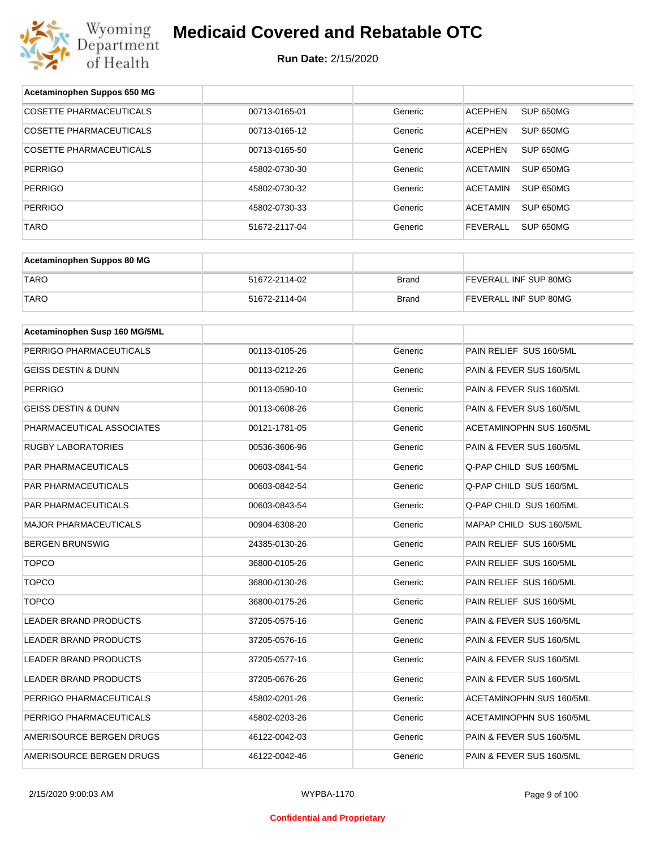

| Acetaminophen Suppos 650 MG    |               |              |                                     |
|--------------------------------|---------------|--------------|-------------------------------------|
| <b>COSETTE PHARMACEUTICALS</b> | 00713-0165-01 | Generic      | SUP 650MG<br><b>ACEPHEN</b>         |
| COSETTE PHARMACEUTICALS        | 00713-0165-12 | Generic      | <b>ACEPHEN</b><br>SUP 650MG         |
| COSETTE PHARMACEUTICALS        | 00713-0165-50 | Generic      | <b>ACEPHEN</b><br>SUP 650MG         |
| <b>PERRIGO</b>                 | 45802-0730-30 | Generic      | <b>ACETAMIN</b><br>SUP 650MG        |
| <b>PERRIGO</b>                 | 45802-0730-32 | Generic      | <b>ACETAMIN</b><br>SUP 650MG        |
| <b>PERRIGO</b>                 | 45802-0730-33 | Generic      | <b>ACETAMIN</b><br>SUP 650MG        |
| <b>TARO</b>                    | 51672-2117-04 | Generic      | <b>FEVERALL</b><br><b>SUP 650MG</b> |
|                                |               |              |                                     |
| Acetaminophen Suppos 80 MG     |               |              |                                     |
| <b>TARO</b>                    | 51672-2114-02 | <b>Brand</b> | FEVERALL INF SUP 80MG               |
| <b>TARO</b>                    | 51672-2114-04 | <b>Brand</b> | FEVERALL INF SUP 80MG               |
|                                |               |              |                                     |
| Acetaminophen Susp 160 MG/5ML  |               |              |                                     |
| PERRIGO PHARMACEUTICALS        | 00113-0105-26 | Generic      | PAIN RELIEF SUS 160/5ML             |
| GEISS DESTIN & DUNN            | 00113-0212-26 | Generic      | PAIN & FEVER SUS 160/5ML            |
| <b>PERRIGO</b>                 | 00113-0590-10 | Generic      | PAIN & FEVER SUS 160/5ML            |
| <b>GEISS DESTIN &amp; DUNN</b> | 00113-0608-26 | Generic      | PAIN & FEVER SUS 160/5ML            |
| PHARMACEUTICAL ASSOCIATES      | 00121-1781-05 | Generic      | ACETAMINOPHN SUS 160/5ML            |
| RUGBY LABORATORIES             | 00536-3606-96 | Generic      | PAIN & FEVER SUS 160/5ML            |
| PAR PHARMACEUTICALS            | 00603-0841-54 | Generic      | Q-PAP CHILD SUS 160/5ML             |
| PAR PHARMACEUTICALS            | 00603-0842-54 | Generic      | Q-PAP CHILD SUS 160/5ML             |
| <b>PAR PHARMACEUTICALS</b>     | 00603-0843-54 | Generic      | Q-PAP CHILD SUS 160/5ML             |
| <b>MAJOR PHARMACEUTICALS</b>   | 00904-6308-20 | Generic      | MAPAP CHILD SUS 160/5ML             |
| <b>BERGEN BRUNSWIG</b>         | 24385-0130-26 | Generic      | PAIN RELIEF SUS 160/5ML             |
| <b>TOPCO</b>                   | 36800-0105-26 | Generic      | PAIN RELIEF SUS 160/5ML             |
| <b>TOPCO</b>                   | 36800-0130-26 | Generic      | PAIN RELIEF SUS 160/5ML             |
| <b>TOPCO</b>                   | 36800-0175-26 | Generic      | PAIN RELIEF SUS 160/5ML             |
| LEADER BRAND PRODUCTS          | 37205-0575-16 | Generic      | PAIN & FEVER SUS 160/5ML            |
| LEADER BRAND PRODUCTS          | 37205-0576-16 | Generic      | PAIN & FEVER SUS 160/5ML            |
| LEADER BRAND PRODUCTS          | 37205-0577-16 | Generic      | PAIN & FEVER SUS 160/5ML            |
| LEADER BRAND PRODUCTS          | 37205-0676-26 | Generic      | PAIN & FEVER SUS 160/5ML            |
| PERRIGO PHARMACEUTICALS        | 45802-0201-26 | Generic      | ACETAMINOPHN SUS 160/5ML            |
| PERRIGO PHARMACEUTICALS        | 45802-0203-26 | Generic      | ACETAMINOPHN SUS 160/5ML            |
| AMERISOURCE BERGEN DRUGS       | 46122-0042-03 | Generic      | PAIN & FEVER SUS 160/5ML            |
| AMERISOURCE BERGEN DRUGS       | 46122-0042-46 | Generic      | PAIN & FEVER SUS 160/5ML            |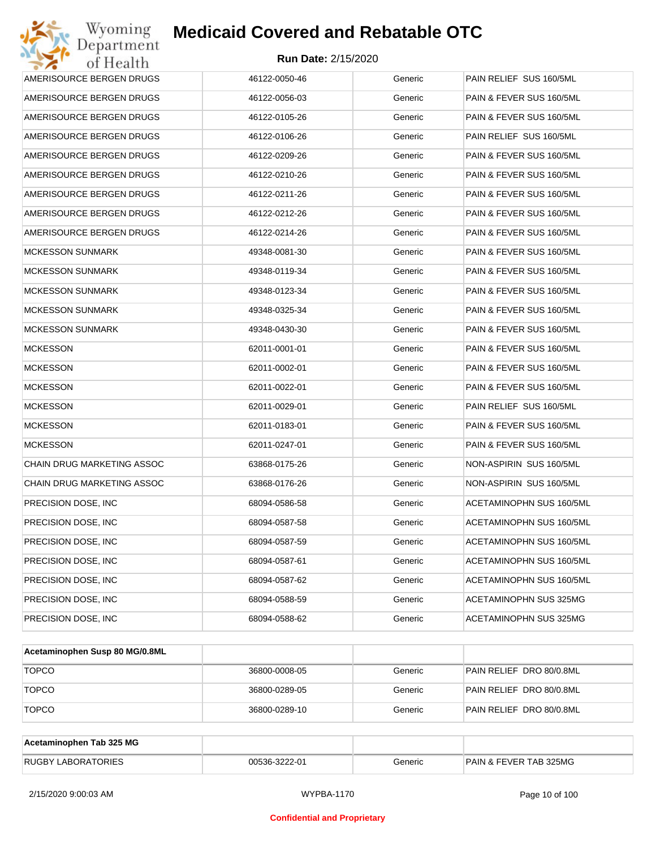| Wyoming<br>Department                   | <b>Medicaid Covered and Rebatable OTC</b> |         |                          |  |  |
|-----------------------------------------|-------------------------------------------|---------|--------------------------|--|--|
| <b>Run Date: 2/15/2020</b><br>of Health |                                           |         |                          |  |  |
| AMERISOURCE BERGEN DRUGS                | 46122-0050-46                             | Generic | PAIN RELIEF SUS 160/5ML  |  |  |
| AMERISOURCE BERGEN DRUGS                | 46122-0056-03                             | Generic | PAIN & FEVER SUS 160/5ML |  |  |
| AMERISOURCE BERGEN DRUGS                | 46122-0105-26                             | Generic | PAIN & FEVER SUS 160/5ML |  |  |
| AMERISOURCE BERGEN DRUGS                | 46122-0106-26                             | Generic | PAIN RELIEF SUS 160/5ML  |  |  |
| AMERISOURCE BERGEN DRUGS                | 46122-0209-26                             | Generic | PAIN & FEVER SUS 160/5ML |  |  |
| AMERISOURCE BERGEN DRUGS                | 46122-0210-26                             | Generic | PAIN & FEVER SUS 160/5ML |  |  |
| AMERISOURCE BERGEN DRUGS                | 46122-0211-26                             | Generic | PAIN & FEVER SUS 160/5ML |  |  |
| AMERISOURCE BERGEN DRUGS                | 46122-0212-26                             | Generic | PAIN & FEVER SUS 160/5ML |  |  |
| AMERISOURCE BERGEN DRUGS                | 46122-0214-26                             | Generic | PAIN & FEVER SUS 160/5ML |  |  |
| MCKESSON SUNMARK                        | 49348-0081-30                             | Generic | PAIN & FEVER SUS 160/5ML |  |  |
| MCKESSON SUNMARK                        | 49348-0119-34                             | Generic | PAIN & FEVER SUS 160/5ML |  |  |
| MCKESSON SUNMARK                        | 49348-0123-34                             | Generic | PAIN & FEVER SUS 160/5ML |  |  |
| <b>MCKESSON SUNMARK</b>                 | 49348-0325-34                             | Generic | PAIN & FEVER SUS 160/5ML |  |  |
| MCKESSON SUNMARK                        | 49348-0430-30                             | Generic | PAIN & FEVER SUS 160/5ML |  |  |
| <b>MCKESSON</b>                         | 62011-0001-01                             | Generic | PAIN & FEVER SUS 160/5ML |  |  |
| MCKESSON                                | 62011-0002-01                             | Generic | PAIN & FEVER SUS 160/5ML |  |  |
| <b>MCKESSON</b>                         | 62011-0022-01                             | Generic | PAIN & FEVER SUS 160/5ML |  |  |
| <b>MCKESSON</b>                         | 62011-0029-01                             | Generic | PAIN RELIEF SUS 160/5ML  |  |  |
| <b>MCKESSON</b>                         | 62011-0183-01                             | Generic | PAIN & FEVER SUS 160/5ML |  |  |
| <b>MCKESSON</b>                         | 62011-0247-01                             | Generic | PAIN & FEVER SUS 160/5ML |  |  |
| CHAIN DRUG MARKETING ASSOC              | 63868-0175-26                             | Generic | NON-ASPIRIN SUS 160/5ML  |  |  |
| CHAIN DRUG MARKETING ASSOC              | 63868-0176-26                             | Generic | NON-ASPIRIN SUS 160/5ML  |  |  |
| PRECISION DOSE, INC                     | 68094-0586-58                             | Generic | ACETAMINOPHN SUS 160/5ML |  |  |
| PRECISION DOSE, INC                     | 68094-0587-58                             | Generic | ACETAMINOPHN SUS 160/5ML |  |  |
| PRECISION DOSE, INC.                    | 68094-0587-59                             | Generic | ACETAMINOPHN SUS 160/5ML |  |  |
| PRECISION DOSE, INC.                    | 68094-0587-61                             | Generic | ACETAMINOPHN SUS 160/5ML |  |  |
| PRECISION DOSE, INC.                    | 68094-0587-62                             | Generic | ACETAMINOPHN SUS 160/5ML |  |  |
| PRECISION DOSE, INC.                    | 68094-0588-59                             | Generic | ACETAMINOPHN SUS 325MG   |  |  |
| PRECISION DOSE, INC.                    | 68094-0588-62                             | Generic | ACETAMINOPHN SUS 325MG   |  |  |

| Acetaminophen Susp 80 MG/0.8ML |               |         |                          |
|--------------------------------|---------------|---------|--------------------------|
| <b>TOPCO</b>                   | 36800-0008-05 | Generic | PAIN RELIEF DRO 80/0.8ML |
| <b>TOPCO</b>                   | 36800-0289-05 | Generic | PAIN RELIEF DRO 80/0.8ML |
| <b>TOPCO</b>                   | 36800-0289-10 | Generic | PAIN RELIEF DRO 80/0.8ML |

| Acetaminophen Tab 325 MG  |               |         |                                   |
|---------------------------|---------------|---------|-----------------------------------|
| <b>RUGBY LABORATORIES</b> | 00536-3222-01 | Beneric | <b>PAIN &amp; FEVER TAB 325MG</b> |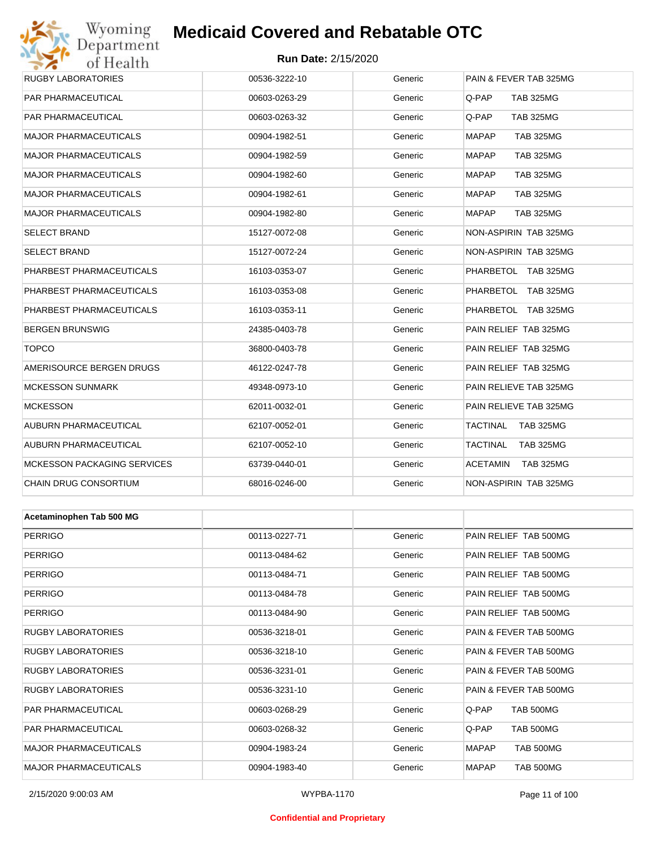## **Medicaid Covered and Rebatable OTC**

#### **Run Date:** 2/15/2020

| 011100111                          |               |         |                                  |
|------------------------------------|---------------|---------|----------------------------------|
| <b>RUGBY LABORATORIES</b>          | 00536-3222-10 | Generic | PAIN & FEVER TAB 325MG           |
| PAR PHARMACEUTICAL                 | 00603-0263-29 | Generic | Q-PAP<br><b>TAB 325MG</b>        |
| PAR PHARMACEUTICAL                 | 00603-0263-32 | Generic | Q-PAP<br><b>TAB 325MG</b>        |
| <b>MAJOR PHARMACEUTICALS</b>       | 00904-1982-51 | Generic | <b>MAPAP</b><br><b>TAB 325MG</b> |
| <b>MAJOR PHARMACEUTICALS</b>       | 00904-1982-59 | Generic | <b>MAPAP</b><br><b>TAB 325MG</b> |
| <b>MAJOR PHARMACEUTICALS</b>       | 00904-1982-60 | Generic | <b>MAPAP</b><br><b>TAB 325MG</b> |
| <b>MAJOR PHARMACEUTICALS</b>       | 00904-1982-61 | Generic | <b>MAPAP</b><br><b>TAB 325MG</b> |
| <b>MAJOR PHARMACEUTICALS</b>       | 00904-1982-80 | Generic | <b>MAPAP</b><br><b>TAB 325MG</b> |
| <b>SELECT BRAND</b>                | 15127-0072-08 | Generic | NON-ASPIRIN TAB 325MG            |
| <b>SELECT BRAND</b>                | 15127-0072-24 | Generic | NON-ASPIRIN TAB 325MG            |
| PHARBEST PHARMACEUTICALS           | 16103-0353-07 | Generic | PHARBETOL TAB 325MG              |
| PHARBEST PHARMACEUTICALS           | 16103-0353-08 | Generic | PHARBETOL TAB 325MG              |
| PHARBEST PHARMACEUTICALS           | 16103-0353-11 | Generic | PHARBETOL TAB 325MG              |
| <b>BERGEN BRUNSWIG</b>             | 24385-0403-78 | Generic | PAIN RELIEF TAB 325MG            |
| <b>TOPCO</b>                       | 36800-0403-78 | Generic | PAIN RELIEF TAB 325MG            |
| AMERISOURCE BERGEN DRUGS           | 46122-0247-78 | Generic | PAIN RELIEF TAB 325MG            |
| <b>MCKESSON SUNMARK</b>            | 49348-0973-10 | Generic | PAIN RELIEVE TAB 325MG           |
| <b>MCKESSON</b>                    | 62011-0032-01 | Generic | PAIN RELIEVE TAB 325MG           |
| AUBURN PHARMACEUTICAL              | 62107-0052-01 | Generic | TACTINAL<br><b>TAB 325MG</b>     |
| AUBURN PHARMACEUTICAL              | 62107-0052-10 | Generic | TACTINAL<br><b>TAB 325MG</b>     |
| <b>MCKESSON PACKAGING SERVICES</b> | 63739-0440-01 | Generic | ACETAMIN<br>TAB 325MG            |
| CHAIN DRUG CONSORTIUM              | 68016-0246-00 | Generic | NON-ASPIRIN TAB 325MG            |
|                                    |               |         |                                  |
| Acetaminophen Tab 500 MG           |               |         |                                  |
| <b>PERRIGO</b>                     | 00113-0227-71 | Generic | PAIN RELIEF TAB 500MG            |
| <b>PERRIGO</b>                     | 00113-0484-62 | Generic | PAIN RELIEF TAB 500MG            |
| <b>PERRIGO</b>                     | 00113-0484-71 | Generic | PAIN RELIEF TAB 500MG            |
| <b>PERRIGO</b>                     | 00113-0484-78 | Generic | PAIN RELIEF TAB 500MG            |
| <b>PERRIGO</b>                     | 00113-0484-90 | Generic | PAIN RELIEF TAB 500MG            |
| <b>RUGBY LABORATORIES</b>          | 00536-3218-01 | Generic | PAIN & FEVER TAB 500MG           |
| RUGBY LABORATORIES                 | 00536-3218-10 | Generic | PAIN & FEVER TAB 500MG           |
| <b>RUGBY LABORATORIES</b>          | 00536-3231-01 | Generic | PAIN & FEVER TAB 500MG           |

RUGBY LABORATORIES **12.2 COMPOS 12.3 COMPOS 12.31-10** Generic PAIN & FEVER TAB 500MG PAR PHARMACEUTICAL **DOG03-0268-29** OO603-0268-29 Generic Q-PAP TAB 500MG PAR PHARMACEUTICAL **DOG03-0268-32** Generic Q-PAP TAB 500MG MAJOR PHARMACEUTICALS 00904-1983-24 Generic MAPAP TAB 500MG MAJOR PHARMACEUTICALS 00904-1983-40 Generic MAPAP TAB 500MG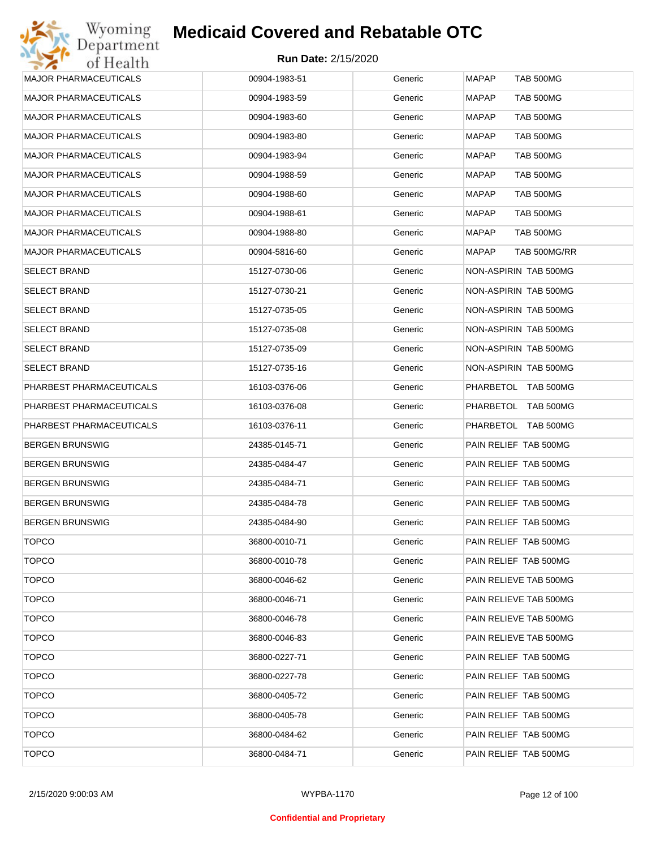| Wyoming                      | <b>Medicaid Covered and Rebatable OTC</b> |         |                                  |  |
|------------------------------|-------------------------------------------|---------|----------------------------------|--|
| Department<br>of Health      | <b>Run Date: 2/15/2020</b>                |         |                                  |  |
| MAJOR PHARMACEUTICALS        | 00904-1983-51                             | Generic | <b>MAPAP</b><br><b>TAB 500MG</b> |  |
| <b>MAJOR PHARMACEUTICALS</b> | 00904-1983-59                             | Generic | <b>MAPAP</b><br><b>TAB 500MG</b> |  |
| <b>MAJOR PHARMACEUTICALS</b> | 00904-1983-60                             | Generic | <b>TAB 500MG</b><br>MAPAP        |  |
| MAJOR PHARMACEUTICALS        | 00904-1983-80                             | Generic | <b>TAB 500MG</b><br>MAPAP        |  |
| <b>MAJOR PHARMACEUTICALS</b> | 00904-1983-94                             | Generic | <b>TAB 500MG</b><br>MAPAP        |  |
| MAJOR PHARMACEUTICALS        | 00904-1988-59                             | Generic | <b>TAB 500MG</b><br>MAPAP        |  |
| <b>MAJOR PHARMACEUTICALS</b> | 00904-1988-60                             | Generic | <b>TAB 500MG</b><br>MAPAP        |  |
| MAJOR PHARMACEUTICALS        | 00904-1988-61                             | Generic | <b>TAB 500MG</b><br>MAPAP        |  |
| <b>MAJOR PHARMACEUTICALS</b> | 00904-1988-80                             | Generic | <b>TAB 500MG</b><br>MAPAP        |  |
| MAJOR PHARMACEUTICALS        | 00904-5816-60                             | Generic | TAB 500MG/RR<br>MAPAP            |  |
| <b>SELECT BRAND</b>          | 15127-0730-06                             | Generic | NON-ASPIRIN TAB 500MG            |  |
| SELECT BRAND                 | 15127-0730-21                             | Generic | NON-ASPIRIN TAB 500MG            |  |
| SELECT BRAND                 | 15127-0735-05                             | Generic | NON-ASPIRIN TAB 500MG            |  |
| SELECT BRAND                 | 15127-0735-08                             | Generic | NON-ASPIRIN TAB 500MG            |  |
| SELECT BRAND                 | 15127-0735-09                             | Generic | NON-ASPIRIN TAB 500MG            |  |
| <b>SELECT BRAND</b>          | 15127-0735-16                             | Generic | NON-ASPIRIN TAB 500MG            |  |
| PHARBEST PHARMACEUTICALS     | 16103-0376-06                             | Generic | PHARBETOL TAB 500MG              |  |
| PHARBEST PHARMACEUTICALS     | 16103-0376-08                             | Generic | PHARBETOL TAB 500MG              |  |
| PHARBEST PHARMACEUTICALS     | 16103-0376-11                             | Generic | PHARBETOL TAB 500MG              |  |
| BERGEN BRUNSWIG              | 24385-0145-71                             | Generic | PAIN RELIEF TAB 500MG            |  |
| BERGEN BRUNSWIG              | 24385-0484-47                             | Generic | PAIN RELIEF TAB 500MG            |  |
| BERGEN BRUNSWIG              | 24385-0484-71                             | Generic | PAIN RELIEF TAB 500MG            |  |
| BERGEN BRUNSWIG              | 24385-0484-78                             | Generic | PAIN RELIEF TAB 500MG            |  |
| BERGEN BRUNSWIG              | 24385-0484-90                             | Generic | PAIN RELIEF TAB 500MG            |  |
| <b>TOPCO</b>                 | 36800-0010-71                             | Generic | PAIN RELIEF TAB 500MG            |  |
| <b>TOPCO</b>                 | 36800-0010-78                             | Generic | PAIN RELIEF TAB 500MG            |  |
| <b>TOPCO</b>                 | 36800-0046-62                             | Generic | PAIN RELIEVE TAB 500MG           |  |
| <b>TOPCO</b>                 | 36800-0046-71                             | Generic | PAIN RELIEVE TAB 500MG           |  |
| <b>TOPCO</b>                 | 36800-0046-78                             | Generic | PAIN RELIEVE TAB 500MG           |  |
| <b>TOPCO</b>                 | 36800-0046-83                             | Generic | PAIN RELIEVE TAB 500MG           |  |
| <b>TOPCO</b>                 | 36800-0227-71                             | Generic | PAIN RELIEF TAB 500MG            |  |
| <b>TOPCO</b>                 | 36800-0227-78                             | Generic | PAIN RELIEF TAB 500MG            |  |
| <b>TOPCO</b>                 | 36800-0405-72                             | Generic | PAIN RELIEF TAB 500MG            |  |
| <b>TOPCO</b>                 | 36800-0405-78                             | Generic | PAIN RELIEF TAB 500MG            |  |
| <b>TOPCO</b>                 | 36800-0484-62                             | Generic | PAIN RELIEF TAB 500MG            |  |
| <b>TOPCO</b>                 | 36800-0484-71                             | Generic | PAIN RELIEF TAB 500MG            |  |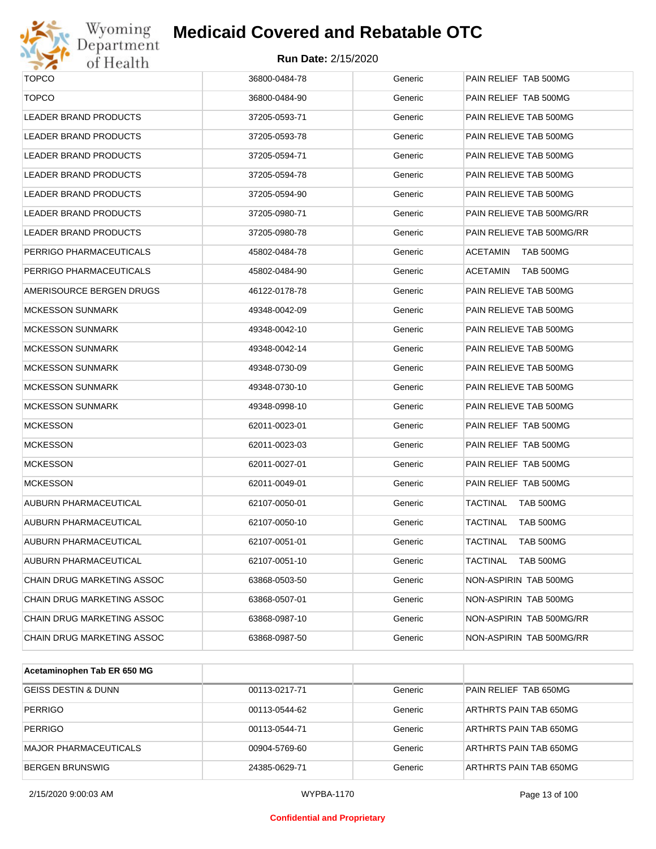

## **Medicaid Covered and Rebatable OTC**

| <b>TOPCO</b>                 | 36800-0484-78 | Generic | PAIN RELIEF TAB 500MG        |
|------------------------------|---------------|---------|------------------------------|
| <b>TOPCO</b>                 | 36800-0484-90 | Generic | PAIN RELIEF TAB 500MG        |
| LEADER BRAND PRODUCTS        | 37205-0593-71 | Generic | PAIN RELIEVE TAB 500MG       |
| <b>LEADER BRAND PRODUCTS</b> | 37205-0593-78 | Generic | PAIN RELIEVE TAB 500MG       |
| LEADER BRAND PRODUCTS        | 37205-0594-71 | Generic | PAIN RELIEVE TAB 500MG       |
| LEADER BRAND PRODUCTS        | 37205-0594-78 | Generic | PAIN RELIEVE TAB 500MG       |
| LEADER BRAND PRODUCTS        | 37205-0594-90 | Generic | PAIN RELIEVE TAB 500MG       |
| LEADER BRAND PRODUCTS        | 37205-0980-71 | Generic | PAIN RELIEVE TAB 500MG/RR    |
| LEADER BRAND PRODUCTS        | 37205-0980-78 | Generic | PAIN RELIEVE TAB 500MG/RR    |
| PERRIGO PHARMACEUTICALS      | 45802-0484-78 | Generic | <b>ACETAMIN</b><br>TAB 500MG |
| PERRIGO PHARMACEUTICALS      | 45802-0484-90 | Generic | <b>ACETAMIN</b><br>TAB 500MG |
| AMERISOURCE BERGEN DRUGS     | 46122-0178-78 | Generic | PAIN RELIEVE TAB 500MG       |
| <b>MCKESSON SUNMARK</b>      | 49348-0042-09 | Generic | PAIN RELIEVE TAB 500MG       |
| <b>MCKESSON SUNMARK</b>      | 49348-0042-10 | Generic | PAIN RELIEVE TAB 500MG       |
| <b>MCKESSON SUNMARK</b>      | 49348-0042-14 | Generic | PAIN RELIEVE TAB 500MG       |
| <b>MCKESSON SUNMARK</b>      | 49348-0730-09 | Generic | PAIN RELIEVE TAB 500MG       |
| <b>MCKESSON SUNMARK</b>      | 49348-0730-10 | Generic | PAIN RELIEVE TAB 500MG       |
| <b>MCKESSON SUNMARK</b>      | 49348-0998-10 | Generic | PAIN RELIEVE TAB 500MG       |
| <b>MCKESSON</b>              | 62011-0023-01 | Generic | PAIN RELIEF TAB 500MG        |
| <b>MCKESSON</b>              | 62011-0023-03 | Generic | PAIN RELIEF TAB 500MG        |
| <b>MCKESSON</b>              | 62011-0027-01 | Generic | PAIN RELIEF TAB 500MG        |
| <b>MCKESSON</b>              | 62011-0049-01 | Generic | PAIN RELIEF TAB 500MG        |
| AUBURN PHARMACEUTICAL        | 62107-0050-01 | Generic | <b>TACTINAL</b><br>TAB 500MG |
| AUBURN PHARMACEUTICAL        | 62107-0050-10 | Generic | <b>TACTINAL</b><br>TAB 500MG |
| AUBURN PHARMACEUTICAL        | 62107-0051-01 | Generic | TACTINAL<br>TAB 500MG        |
| AUBURN PHARMACEUTICAL        | 62107-0051-10 | Generic | TACTINAL<br>TAB 500MG        |
| CHAIN DRUG MARKETING ASSOC   | 63868-0503-50 | Generic | NON-ASPIRIN TAB 500MG        |
| CHAIN DRUG MARKETING ASSOC   | 63868-0507-01 | Generic | NON-ASPIRIN TAB 500MG        |
| CHAIN DRUG MARKETING ASSOC   | 63868-0987-10 | Generic | NON-ASPIRIN TAB 500MG/RR     |
| CHAIN DRUG MARKETING ASSOC   | 63868-0987-50 | Generic | NON-ASPIRIN TAB 500MG/RR     |
|                              |               |         |                              |

| Acetaminophen Tab ER 650 MG    |               |         |                        |
|--------------------------------|---------------|---------|------------------------|
| <b>GEISS DESTIN &amp; DUNN</b> | 00113-0217-71 | Generic | PAIN RELIEF TAB 650MG  |
| <b>PERRIGO</b>                 | 00113-0544-62 | Generic | ARTHRTS PAIN TAB 650MG |
| PERRIGO                        | 00113-0544-71 | Generic | ARTHRTS PAIN TAB 650MG |
| MAJOR PHARMACEUTICALS          | 00904-5769-60 | Generic | ARTHRTS PAIN TAB 650MG |
| <b>BERGEN BRUNSWIG</b>         | 24385-0629-71 | Generic | ARTHRTS PAIN TAB 650MG |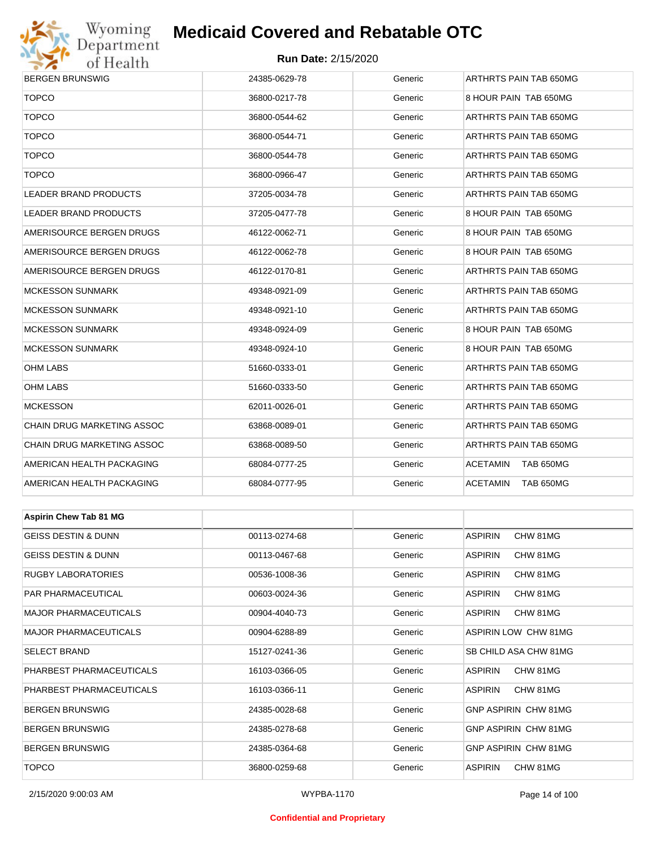

### **Run Date:** 2/15/2020

| <b>BERGEN BRUNSWIG</b>         | 24385-0629-78 | Generic | ARTHRTS PAIN TAB 650MG     |  |  |
|--------------------------------|---------------|---------|----------------------------|--|--|
| <b>TOPCO</b>                   | 36800-0217-78 | Generic | 8 HOUR PAIN TAB 650MG      |  |  |
| <b>TOPCO</b>                   | 36800-0544-62 | Generic | ARTHRTS PAIN TAB 650MG     |  |  |
| <b>TOPCO</b>                   | 36800-0544-71 | Generic | ARTHRTS PAIN TAB 650MG     |  |  |
| <b>TOPCO</b>                   | 36800-0544-78 | Generic | ARTHRTS PAIN TAB 650MG     |  |  |
| <b>TOPCO</b>                   | 36800-0966-47 | Generic | ARTHRTS PAIN TAB 650MG     |  |  |
| LEADER BRAND PRODUCTS          | 37205-0034-78 | Generic | ARTHRTS PAIN TAB 650MG     |  |  |
| LEADER BRAND PRODUCTS          | 37205-0477-78 | Generic | 8 HOUR PAIN TAB 650MG      |  |  |
| AMERISOURCE BERGEN DRUGS       | 46122-0062-71 | Generic | 8 HOUR PAIN TAB 650MG      |  |  |
| AMERISOURCE BERGEN DRUGS       | 46122-0062-78 | Generic | 8 HOUR PAIN TAB 650MG      |  |  |
| AMERISOURCE BERGEN DRUGS       | 46122-0170-81 | Generic | ARTHRTS PAIN TAB 650MG     |  |  |
| <b>MCKESSON SUNMARK</b>        | 49348-0921-09 | Generic | ARTHRTS PAIN TAB 650MG     |  |  |
| <b>MCKESSON SUNMARK</b>        | 49348-0921-10 | Generic | ARTHRTS PAIN TAB 650MG     |  |  |
| <b>MCKESSON SUNMARK</b>        | 49348-0924-09 | Generic | 8 HOUR PAIN TAB 650MG      |  |  |
| <b>MCKESSON SUNMARK</b>        | 49348-0924-10 | Generic | 8 HOUR PAIN TAB 650MG      |  |  |
| <b>OHM LABS</b>                | 51660-0333-01 | Generic | ARTHRTS PAIN TAB 650MG     |  |  |
| <b>OHM LABS</b>                | 51660-0333-50 | Generic | ARTHRTS PAIN TAB 650MG     |  |  |
| <b>MCKESSON</b>                | 62011-0026-01 | Generic | ARTHRTS PAIN TAB 650MG     |  |  |
| CHAIN DRUG MARKETING ASSOC     | 63868-0089-01 | Generic | ARTHRTS PAIN TAB 650MG     |  |  |
| CHAIN DRUG MARKETING ASSOC     | 63868-0089-50 | Generic | ARTHRTS PAIN TAB 650MG     |  |  |
| AMERICAN HEALTH PACKAGING      | 68084-0777-25 | Generic | ACETAMIN<br>TAB 650MG      |  |  |
| AMERICAN HEALTH PACKAGING      | 68084-0777-95 | Generic | ACETAMIN<br>TAB 650MG      |  |  |
|                                |               |         |                            |  |  |
| <b>Aspirin Chew Tab 81 MG</b>  |               |         |                            |  |  |
| <b>GEISS DESTIN &amp; DUNN</b> | 00113-0274-68 | Generic | <b>ASPIRIN</b><br>CHW 81MG |  |  |
| <b>GEISS DESTIN &amp; DUNN</b> | 00113-0467-68 | Generic | <b>ASPIRIN</b><br>CHW 81MG |  |  |
| <b>RUGBY LABORATORIES</b>      | 00536-1008-36 | Generic | <b>ASPIRIN</b><br>CHW 81MG |  |  |
| PAR PHARMACEUTICAL             | 00603-0024-36 | Generic | ASPIRIN<br>CHW 81MG        |  |  |
| <b>MAJOR PHARMACEUTICALS</b>   | 00904-4040-73 | Generic | ASPIRIN<br>CHW 81MG        |  |  |
| MAIOR PHARMACELITICALS         | 00904-6288-89 | Generic | ASPIRIN LOW CHW 81MG       |  |  |

| <b>MAJOR PHARMACEUTICALS</b> | 00904-4040-73 | Generic | ASPIRIN<br>CHW 81MG          |
|------------------------------|---------------|---------|------------------------------|
| <b>MAJOR PHARMACEUTICALS</b> | 00904-6288-89 | Generic | ASPIRIN LOW CHW 81MG         |
| <b>SELECT BRAND</b>          | 15127-0241-36 | Generic | <b>SB CHILD ASA CHW 81MG</b> |
| PHARBEST PHARMACEUTICALS     | 16103-0366-05 | Generic | CHW 81MG<br><b>ASPIRIN</b>   |
| PHARBEST PHARMACEUTICALS     | 16103-0366-11 | Generic | <b>ASPIRIN</b><br>CHW 81MG   |
| <b>BERGEN BRUNSWIG</b>       | 24385-0028-68 | Generic | <b>GNP ASPIRIN CHW 81MG</b>  |
| <b>BERGEN BRUNSWIG</b>       | 24385-0278-68 | Generic | <b>GNP ASPIRIN CHW 81MG</b>  |
| <b>BERGEN BRUNSWIG</b>       | 24385-0364-68 | Generic | <b>GNP ASPIRIN CHW 81MG</b>  |
| <b>TOPCO</b>                 | 36800-0259-68 | Generic | CHW 81MG<br><b>ASPIRIN</b>   |

#### **Confidential and Proprietary**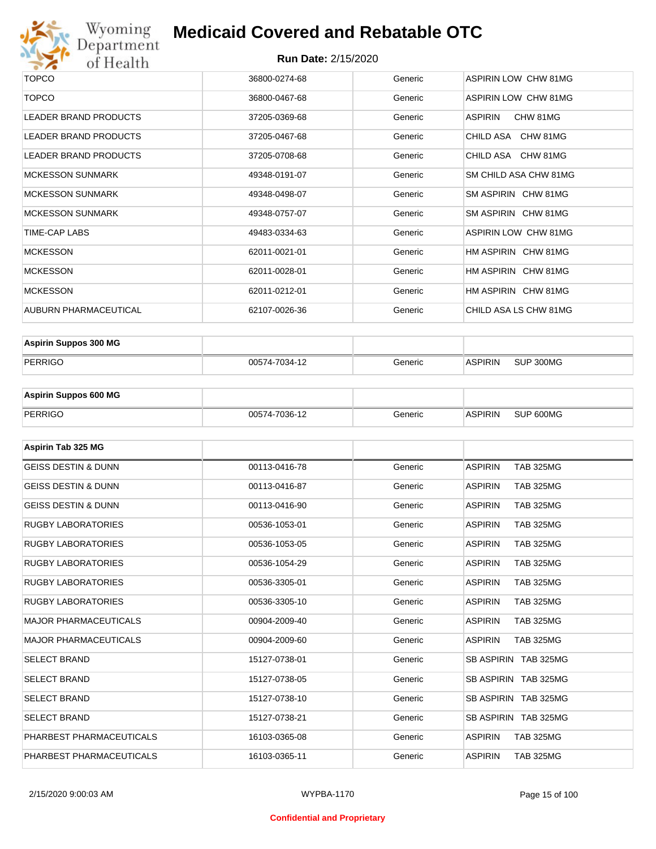

| <b>TOPCO</b>                 | 36800-0274-68 | Generic | ASPIRIN LOW CHW 81MG        |
|------------------------------|---------------|---------|-----------------------------|
| <b>TOPCO</b>                 | 36800-0467-68 | Generic | <b>ASPIRIN LOW CHW 81MG</b> |
| <b>LEADER BRAND PRODUCTS</b> | 37205-0369-68 | Generic | ASPIRIN<br>CHW 81MG         |
| LEADER BRAND PRODUCTS        | 37205-0467-68 | Generic | CHILD ASA CHW 81MG          |
| <b>LEADER BRAND PRODUCTS</b> | 37205-0708-68 | Generic | CHILD ASA CHW 81MG          |
| <b>MCKESSON SUNMARK</b>      | 49348-0191-07 | Generic | SM CHILD ASA CHW 81MG       |
| <b>MCKESSON SUNMARK</b>      | 49348-0498-07 | Generic | SM ASPIRIN CHW 81MG         |
| <b>MCKESSON SUNMARK</b>      | 49348-0757-07 | Generic | SM ASPIRIN CHW 81MG         |
| TIME-CAP LABS                | 49483-0334-63 | Generic | ASPIRIN LOW CHW 81MG        |
| <b>MCKESSON</b>              | 62011-0021-01 | Generic | HM ASPIRIN CHW 81MG         |
| <b>MCKESSON</b>              | 62011-0028-01 | Generic | HM ASPIRIN CHW 81MG         |
| <b>MCKESSON</b>              | 62011-0212-01 | Generic | HM ASPIRIN CHW 81MG         |
| AUBURN PHARMACEUTICAL        | 62107-0026-36 | Generic | CHILD ASA LS CHW 81MG       |

| <b>Aspirin Suppos 300 MG</b> |               |         |                |           |
|------------------------------|---------------|---------|----------------|-----------|
| PERRIGO                      | 00574-7034-12 | Beneric | <b>ASPIRIN</b> | SUP 300MG |

| <b>Aspirin Suppos 600 MG</b> |               |         |                |           |
|------------------------------|---------------|---------|----------------|-----------|
| PERRIGO                      | 00574-7036-12 | Generic | <b>ASPIRIN</b> | SUP 600MG |

| Aspirin Tab 325 MG             |               |         |                                    |
|--------------------------------|---------------|---------|------------------------------------|
| <b>GEISS DESTIN &amp; DUNN</b> | 00113-0416-78 | Generic | <b>ASPIRIN</b><br><b>TAB 325MG</b> |
| <b>GEISS DESTIN &amp; DUNN</b> | 00113-0416-87 | Generic | <b>ASPIRIN</b><br><b>TAB 325MG</b> |
| <b>GEISS DESTIN &amp; DUNN</b> | 00113-0416-90 | Generic | <b>ASPIRIN</b><br><b>TAB 325MG</b> |
| <b>RUGBY LABORATORIES</b>      | 00536-1053-01 | Generic | <b>TAB 325MG</b><br><b>ASPIRIN</b> |
| <b>RUGBY LABORATORIES</b>      | 00536-1053-05 | Generic | <b>ASPIRIN</b><br><b>TAB 325MG</b> |
| <b>RUGBY LABORATORIES</b>      | 00536-1054-29 | Generic | <b>ASPIRIN</b><br><b>TAB 325MG</b> |
| <b>RUGBY LABORATORIES</b>      | 00536-3305-01 | Generic | <b>ASPIRIN</b><br><b>TAB 325MG</b> |
| <b>RUGBY LABORATORIES</b>      | 00536-3305-10 | Generic | <b>ASPIRIN</b><br><b>TAB 325MG</b> |
| <b>MAJOR PHARMACEUTICALS</b>   | 00904-2009-40 | Generic | <b>TAB 325MG</b><br><b>ASPIRIN</b> |
| <b>MAJOR PHARMACEUTICALS</b>   | 00904-2009-60 | Generic | <b>ASPIRIN</b><br><b>TAB 325MG</b> |
| <b>SELECT BRAND</b>            | 15127-0738-01 | Generic | SB ASPIRIN TAB 325MG               |
| <b>SELECT BRAND</b>            | 15127-0738-05 | Generic | SB ASPIRIN TAB 325MG               |
| <b>SELECT BRAND</b>            | 15127-0738-10 | Generic | SB ASPIRIN TAB 325MG               |
| <b>SELECT BRAND</b>            | 15127-0738-21 | Generic | SB ASPIRIN TAB 325MG               |
| PHARBEST PHARMACEUTICALS       | 16103-0365-08 | Generic | <b>ASPIRIN</b><br><b>TAB 325MG</b> |
| PHARBEST PHARMACEUTICALS       | 16103-0365-11 | Generic | <b>ASPIRIN</b><br><b>TAB 325MG</b> |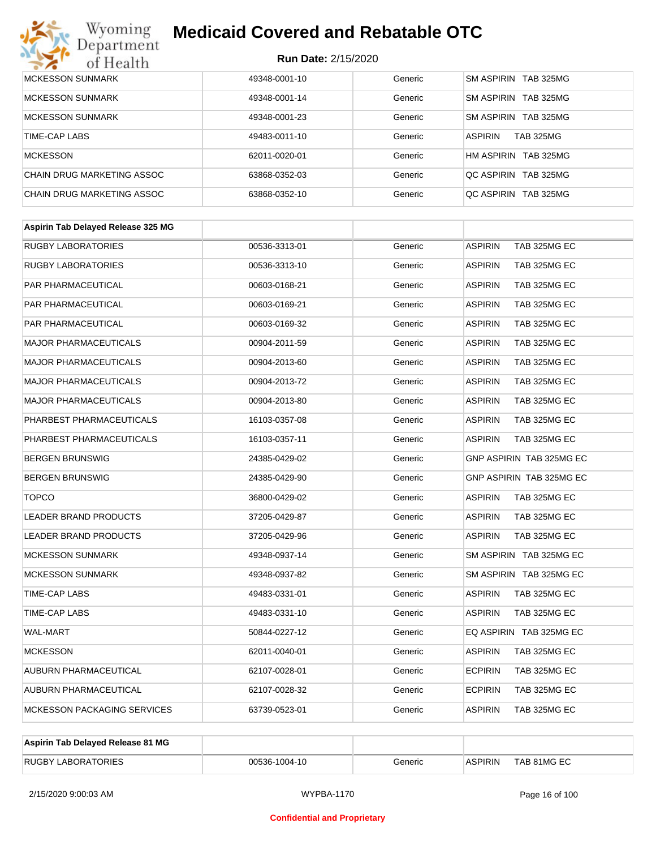## **Medicaid Covered and Rebatable OTC**

| <b>MCKESSON SUNMARK</b>    | 49348-0001-10 | Generic | SM ASPIRIN TAB 325MG               |
|----------------------------|---------------|---------|------------------------------------|
| <b>MCKESSON SUNMARK</b>    | 49348-0001-14 | Generic | SM ASPIRIN TAB 325MG               |
| <b>MCKESSON SUNMARK</b>    | 49348-0001-23 | Generic | SM ASPIRIN TAB 325MG               |
| TIME-CAP LABS              | 49483-0011-10 | Generic | <b>ASPIRIN</b><br><b>TAB 325MG</b> |
| <b>MCKESSON</b>            | 62011-0020-01 | Generic | HM ASPIRIN TAB 325MG               |
| CHAIN DRUG MARKETING ASSOC | 63868-0352-03 | Generic | OC ASPIRIN TAB 325MG               |
| CHAIN DRUG MARKETING ASSOC | 63868-0352-10 | Generic | OC ASPIRIN TAB 325MG               |

| Aspirin Tab Delayed Release 325 MG |               |         |                                       |
|------------------------------------|---------------|---------|---------------------------------------|
| <b>RUGBY LABORATORIES</b>          | 00536-3313-01 | Generic | <b>ASPIRIN</b><br>TAB 325MG EC        |
| <b>RUGBY LABORATORIES</b>          | 00536-3313-10 | Generic | <b>ASPIRIN</b><br>TAB 325MG EC        |
| PAR PHARMACEUTICAL                 | 00603-0168-21 | Generic | <b>ASPIRIN</b><br>TAB 325MG EC        |
| PAR PHARMACEUTICAL                 | 00603-0169-21 | Generic | <b>ASPIRIN</b><br>TAB 325MG EC        |
| PAR PHARMACEUTICAL                 | 00603-0169-32 | Generic | <b>ASPIRIN</b><br>TAB 325MG EC        |
| <b>MAJOR PHARMACEUTICALS</b>       | 00904-2011-59 | Generic | <b>ASPIRIN</b><br>TAB 325MG EC        |
| <b>MAJOR PHARMACEUTICALS</b>       | 00904-2013-60 | Generic | <b>ASPIRIN</b><br>TAB 325MG EC        |
| <b>MAJOR PHARMACEUTICALS</b>       | 00904-2013-72 | Generic | <b>ASPIRIN</b><br>TAB 325MG EC        |
| <b>MAJOR PHARMACEUTICALS</b>       | 00904-2013-80 | Generic | <b>ASPIRIN</b><br>TAB 325MG EC        |
| PHARBEST PHARMACEUTICALS           | 16103-0357-08 | Generic | <b>ASPIRIN</b><br>TAB 325MG EC        |
| PHARBEST PHARMACEUTICALS           | 16103-0357-11 | Generic | <b>ASPIRIN</b><br>TAB 325MG EC        |
| <b>BERGEN BRUNSWIG</b>             | 24385-0429-02 | Generic | GNP ASPIRIN TAB 325MG EC              |
| <b>BERGEN BRUNSWIG</b>             | 24385-0429-90 | Generic | GNP ASPIRIN TAB 325MG EC              |
| <b>TOPCO</b>                       | 36800-0429-02 | Generic | <b>ASPIRIN</b><br>TAB 325MG EC        |
| <b>LEADER BRAND PRODUCTS</b>       | 37205-0429-87 | Generic | <b>ASPIRIN</b><br>TAB 325MG EC        |
| <b>LEADER BRAND PRODUCTS</b>       | 37205-0429-96 | Generic | <b>ASPIRIN</b><br>TAB 325MG EC        |
| <b>MCKESSON SUNMARK</b>            | 49348-0937-14 | Generic | SM ASPIRIN TAB 325MG EC               |
| <b>MCKESSON SUNMARK</b>            | 49348-0937-82 | Generic | SM ASPIRIN TAB 325MG EC               |
| TIME-CAP LABS                      | 49483-0331-01 | Generic | <b>ASPIRIN</b><br>TAB 325MG EC        |
| TIME-CAP LABS                      | 49483-0331-10 | Generic | <b>ASPIRIN</b><br>TAB 325MG EC        |
| <b>WAL-MART</b>                    | 50844-0227-12 | Generic | EQ ASPIRIN TAB 325MG EC               |
| <b>MCKESSON</b>                    | 62011-0040-01 | Generic | <b>ASPIRIN</b><br>TAB 325MG EC        |
| AUBURN PHARMACEUTICAL              | 62107-0028-01 | Generic | <b>ECPIRIN</b><br>TAB 325MG EC        |
| <b>AUBURN PHARMACEUTICAL</b>       | 62107-0028-32 | Generic | <b>ECPIRIN</b><br><b>TAB 325MG EC</b> |
| <b>MCKESSON PACKAGING SERVICES</b> | 63739-0523-01 | Generic | <b>ASPIRIN</b><br>TAB 325MG EC        |
|                                    |               |         |                                       |

| Aspirin Tab Delayed Release 81 MG |               |         |                |             |
|-----------------------------------|---------------|---------|----------------|-------------|
| <b>RUGBY LABORATORIES</b>         | 00536-1004-10 | Generic | <b>ASPIRIN</b> | TAB 81MG EC |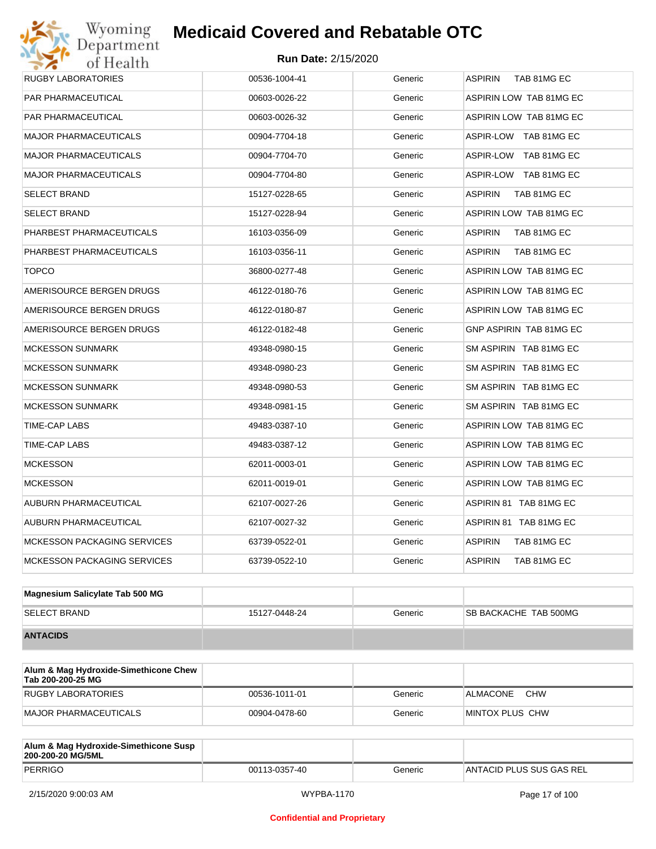## Wyoming<br>Department<br>of Health **Medicaid Covered and Rebatable OTC**

| RUGBY LABORATORIES                 | 00536-1004-41 | Generic | <b>ASPIRIN</b><br>TAB 81MG EC  |
|------------------------------------|---------------|---------|--------------------------------|
| PAR PHARMACEUTICAL                 | 00603-0026-22 | Generic | ASPIRIN LOW TAB 81MG EC        |
| PAR PHARMACEUTICAL                 | 00603-0026-32 | Generic | ASPIRIN LOW TAB 81MG EC        |
| <b>MAJOR PHARMACEUTICALS</b>       | 00904-7704-18 | Generic | ASPIR-LOW TAB 81MG EC          |
| <b>MAJOR PHARMACEUTICALS</b>       | 00904-7704-70 | Generic | ASPIR-LOW TAB 81MG EC          |
| <b>MAJOR PHARMACEUTICALS</b>       | 00904-7704-80 | Generic | ASPIR-LOW TAB 81MG EC          |
| <b>SELECT BRAND</b>                | 15127-0228-65 | Generic | <b>ASPIRIN</b><br>TAB 81MG EC  |
| SELECT BRAND                       | 15127-0228-94 | Generic | ASPIRIN LOW TAB 81MG EC        |
| PHARBEST PHARMACEUTICALS           | 16103-0356-09 | Generic | <b>ASPIRIN</b><br>TAB 81MG EC  |
| PHARBEST PHARMACEUTICALS           | 16103-0356-11 | Generic | <b>ASPIRIN</b><br>TAB 81MG EC  |
| <b>TOPCO</b>                       | 36800-0277-48 | Generic | ASPIRIN LOW TAB 81MG EC        |
| AMERISOURCE BERGEN DRUGS           | 46122-0180-76 | Generic | ASPIRIN LOW TAB 81MG EC        |
| AMERISOURCE BERGEN DRUGS           | 46122-0180-87 | Generic | ASPIRIN LOW TAB 81MG EC        |
| AMERISOURCE BERGEN DRUGS           | 46122-0182-48 | Generic | <b>GNP ASPIRIN TAB 81MG EC</b> |
| <b>MCKESSON SUNMARK</b>            | 49348-0980-15 | Generic | SM ASPIRIN TAB 81MG EC         |
| <b>MCKESSON SUNMARK</b>            | 49348-0980-23 | Generic | SM ASPIRIN TAB 81MG EC         |
| <b>MCKESSON SUNMARK</b>            | 49348-0980-53 | Generic | SM ASPIRIN TAB 81MG EC         |
| <b>MCKESSON SUNMARK</b>            | 49348-0981-15 | Generic | SM ASPIRIN TAB 81MG EC         |
| TIME-CAP LABS                      | 49483-0387-10 | Generic | ASPIRIN LOW TAB 81MG EC        |
| TIME-CAP LABS                      | 49483-0387-12 | Generic | ASPIRIN LOW TAB 81MG EC        |
| <b>MCKESSON</b>                    | 62011-0003-01 | Generic | ASPIRIN LOW TAB 81MG EC        |
| <b>MCKESSON</b>                    | 62011-0019-01 | Generic | ASPIRIN LOW TAB 81MG EC        |
| AUBURN PHARMACEUTICAL              | 62107-0027-26 | Generic | ASPIRIN 81 TAB 81MG EC         |
| AUBURN PHARMACEUTICAL              | 62107-0027-32 | Generic | ASPIRIN 81 TAB 81MG EC         |
| <b>MCKESSON PACKAGING SERVICES</b> | 63739-0522-01 | Generic | ASPIRIN<br>TAB 81MG EC         |
| <b>MCKESSON PACKAGING SERVICES</b> | 63739-0522-10 | Generic | <b>ASPIRIN</b><br>TAB 81MG EC  |
|                                    |               |         |                                |
| Magnesium Salicylate Tab 500 MG    |               |         |                                |

| m                   |               |         |                              |
|---------------------|---------------|---------|------------------------------|
| <b>SELECT BRAND</b> | 15127-0448-24 | Generic | <b>SB BACKACHE TAB 500MG</b> |
| <b>ANTACIDS</b>     |               |         |                              |

| Alum & Mag Hydroxide-Simethicone Chew<br>Tab 200-200-25 MG |               |         |                        |
|------------------------------------------------------------|---------------|---------|------------------------|
| RUGBY LABORATORIES                                         | 00536-1011-01 | Generic | <b>CHW</b><br>ALMACONE |
| MAJOR PHARMACEUTICALS                                      | 00904-0478-60 | Generic | MINTOX PLUS CHW        |

| Alum & Mag Hydroxide-Simethicone Susp<br>200-200-20 MG/5ML |               |         |                          |
|------------------------------------------------------------|---------------|---------|--------------------------|
| PERRIGO                                                    | 00113-0357-40 | Generic | ANTACID PLUS SUS GAS REL |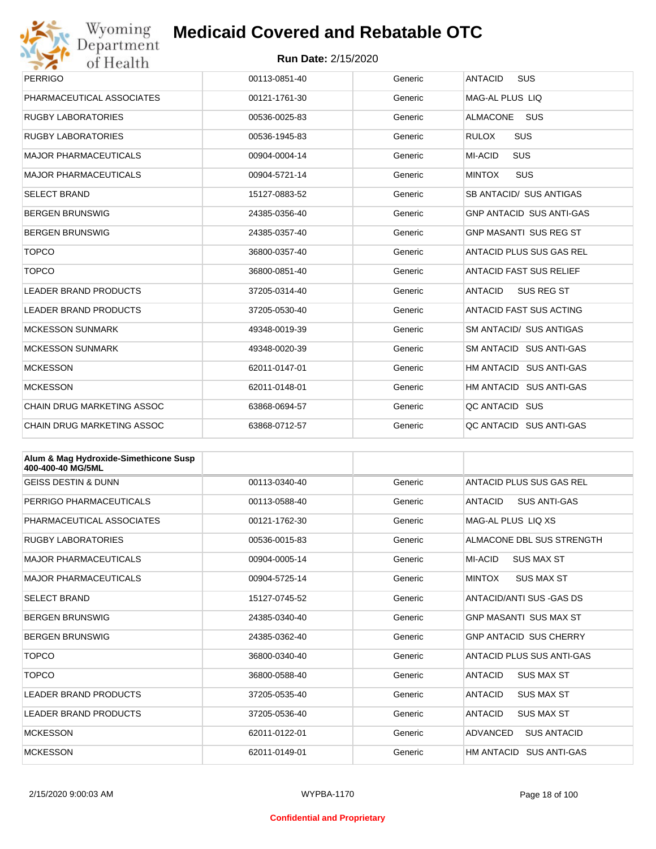

| Wyoming                           | <b>Medicaid Covered and Rebatable OTC</b> |         |                                     |  |
|-----------------------------------|-------------------------------------------|---------|-------------------------------------|--|
| Department<br>of Health           | <b>Run Date: 2/15/2020</b>                |         |                                     |  |
| <b>PERRIGO</b>                    | 00113-0851-40                             | Generic | <b>ANTACID</b><br>SUS               |  |
| PHARMACEUTICAL ASSOCIATES         | 00121-1761-30                             | Generic | MAG-AL PLUS LIQ                     |  |
| <b>RUGBY LABORATORIES</b>         | 00536-0025-83                             | Generic | <b>ALMACONE</b><br><b>SUS</b>       |  |
| <b>RUGBY LABORATORIES</b>         | 00536-1945-83                             | Generic | <b>SUS</b><br><b>RULOX</b>          |  |
| <b>MAJOR PHARMACEUTICALS</b>      | 00904-0004-14                             | Generic | SUS<br><b>MI-ACID</b>               |  |
| <b>MAJOR PHARMACEUTICALS</b>      | 00904-5721-14                             | Generic | <b>MINTOX</b><br><b>SUS</b>         |  |
| <b>SELECT BRAND</b>               | 15127-0883-52                             | Generic | SB ANTACID/ SUS ANTIGAS             |  |
| <b>BERGEN BRUNSWIG</b>            | 24385-0356-40                             | Generic | <b>GNP ANTACID SUS ANTI-GAS</b>     |  |
| <b>BERGEN BRUNSWIG</b>            | 24385-0357-40                             | Generic | <b>GNP MASANTI SUS REG ST</b>       |  |
| <b>TOPCO</b>                      | 36800-0357-40                             | Generic | ANTACID PLUS SUS GAS REL            |  |
| <b>TOPCO</b>                      | 36800-0851-40                             | Generic | <b>ANTACID FAST SUS RELIEF</b>      |  |
| <b>LEADER BRAND PRODUCTS</b>      | 37205-0314-40                             | Generic | <b>ANTACID</b><br><b>SUS REG ST</b> |  |
| <b>LEADER BRAND PRODUCTS</b>      | 37205-0530-40                             | Generic | <b>ANTACID FAST SUS ACTING</b>      |  |
| <b>MCKESSON SUNMARK</b>           | 49348-0019-39                             | Generic | <b>SM ANTACID/ SUS ANTIGAS</b>      |  |
| <b>MCKESSON SUNMARK</b>           | 49348-0020-39                             | Generic | SM ANTACID SUS ANTI-GAS             |  |
| <b>MCKESSON</b>                   | 62011-0147-01                             | Generic | HM ANTACID SUS ANTI-GAS             |  |
| <b>MCKESSON</b>                   | 62011-0148-01                             | Generic | HM ANTACID SUS ANTI-GAS             |  |
| <b>CHAIN DRUG MARKETING ASSOC</b> | 63868-0694-57                             | Generic | QC ANTACID SUS                      |  |
| <b>CHAIN DRUG MARKETING ASSOC</b> | 63868-0712-57                             | Generic | QC ANTACID SUS ANTI-GAS             |  |

| Alum & Mag Hydroxide-Simethicone Susp<br>400-400-40 MG/5ML |               |         |                                       |
|------------------------------------------------------------|---------------|---------|---------------------------------------|
| <b>GEISS DESTIN &amp; DUNN</b>                             | 00113-0340-40 | Generic | ANTACID PLUS SUS GAS REL              |
| PERRIGO PHARMACEUTICALS                                    | 00113-0588-40 | Generic | <b>SUS ANTI-GAS</b><br>ANTACID        |
| PHARMACEUTICAL ASSOCIATES                                  | 00121-1762-30 | Generic | MAG-AL PLUS LIQ XS                    |
| <b>RUGBY LABORATORIES</b>                                  | 00536-0015-83 | Generic | ALMACONE DBL SUS STRENGTH             |
| <b>MAJOR PHARMACEUTICALS</b>                               | 00904-0005-14 | Generic | MI-ACID<br><b>SUS MAX ST</b>          |
| <b>MAJOR PHARMACEUTICALS</b>                               | 00904-5725-14 | Generic | <b>MINTOX</b><br><b>SUS MAX ST</b>    |
| <b>SELECT BRAND</b>                                        | 15127-0745-52 | Generic | ANTACID/ANTI SUS - GAS DS             |
| <b>BERGEN BRUNSWIG</b>                                     | 24385-0340-40 | Generic | <b>GNP MASANTI SUS MAX ST</b>         |
| <b>BERGEN BRUNSWIG</b>                                     | 24385-0362-40 | Generic | <b>GNP ANTACID SUS CHERRY</b>         |
| <b>TOPCO</b>                                               | 36800-0340-40 | Generic | ANTACID PLUS SUS ANTI-GAS             |
| <b>TOPCO</b>                                               | 36800-0588-40 | Generic | <b>ANTACID</b><br><b>SUS MAX ST</b>   |
| <b>LEADER BRAND PRODUCTS</b>                               | 37205-0535-40 | Generic | ANTACID<br><b>SUS MAX ST</b>          |
| <b>LEADER BRAND PRODUCTS</b>                               | 37205-0536-40 | Generic | <b>ANTACID</b><br><b>SUS MAX ST</b>   |
| <b>MCKESSON</b>                                            | 62011-0122-01 | Generic | <b>ADVANCED</b><br><b>SUS ANTACID</b> |
| <b>MCKESSON</b>                                            | 62011-0149-01 | Generic | HM ANTACID<br><b>SUS ANTI-GAS</b>     |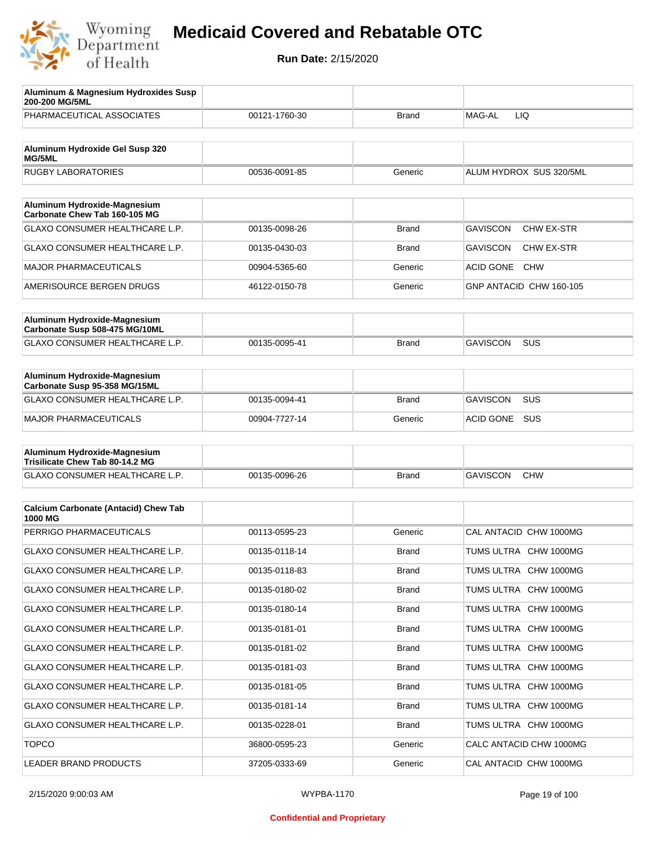

| Aluminum & Magnesium Hydroxides Susp<br>200-200 MG/5ML                  |               |              |                                      |
|-------------------------------------------------------------------------|---------------|--------------|--------------------------------------|
| PHARMACEUTICAL ASSOCIATES                                               | 00121-1760-30 | Brand        | MAG-AL<br><b>LIQ</b>                 |
| Aluminum Hydroxide Gel Susp 320<br>MG/5ML                               |               |              |                                      |
| <b>RUGBY LABORATORIES</b>                                               | 00536-0091-85 | Generic      | ALUM HYDROX SUS 320/5ML              |
|                                                                         |               |              |                                      |
| Aluminum Hydroxide-Magnesium<br>Carbonate Chew Tab 160-105 MG           |               |              |                                      |
| <b>GLAXO CONSUMER HEALTHCARE L.P.</b>                                   | 00135-0098-26 | <b>Brand</b> | CHW EX-STR<br><b>GAVISCON</b>        |
| GLAXO CONSUMER HEALTHCARE L.P.                                          | 00135-0430-03 | <b>Brand</b> | <b>GAVISCON</b><br><b>CHW EX-STR</b> |
| <b>MAJOR PHARMACEUTICALS</b>                                            | 00904-5365-60 | Generic      | <b>ACID GONE</b><br><b>CHW</b>       |
| AMERISOURCE BERGEN DRUGS                                                | 46122-0150-78 | Generic      | GNP ANTACID CHW 160-105              |
| Aluminum Hydroxide-Magnesium                                            |               |              |                                      |
| Carbonate Susp 508-475 MG/10ML<br><b>GLAXO CONSUMER HEALTHCARE L.P.</b> | 00135-0095-41 | <b>Brand</b> | <b>SUS</b><br><b>GAVISCON</b>        |
|                                                                         |               |              |                                      |
| Aluminum Hydroxide-Magnesium<br>Carbonate Susp 95-358 MG/15ML           |               |              |                                      |
| <b>GLAXO CONSUMER HEALTHCARE L.P.</b>                                   | 00135-0094-41 | <b>Brand</b> | <b>GAVISCON</b><br><b>SUS</b>        |
| <b>MAJOR PHARMACEUTICALS</b>                                            | 00904-7727-14 | Generic      | <b>SUS</b><br><b>ACID GONE</b>       |
| Aluminum Hydroxide-Magnesium                                            |               |              |                                      |
| Trisilicate Chew Tab 80-14.2 MG                                         |               |              |                                      |
| GLAXO CONSUMER HEALTHCARE L.P.                                          | 00135-0096-26 | <b>Brand</b> | <b>GAVISCON</b><br><b>CHW</b>        |
| <b>Calcium Carbonate (Antacid) Chew Tab</b>                             |               |              |                                      |
| 1000 MG                                                                 |               |              |                                      |
| PERRIGO PHARMACEUTICALS                                                 | 00113-0595-23 | Generic      | CAL ANTACID CHW 1000MG               |
| GLAXO CONSUMER HEALTHCARE L.P.                                          | 00135-0118-14 | <b>Brand</b> | TUMS ULTRA CHW 1000MG                |
| GLAXO CONSUMER HEALTHCARE L.P.                                          | 00135-0118-83 | <b>Brand</b> | TUMS ULTRA CHW 1000MG                |
| GLAXO CONSUMER HEALTHCARE L.P.                                          | 00135-0180-02 | <b>Brand</b> | TUMS ULTRA CHW 1000MG                |
| GLAXO CONSUMER HEALTHCARE L.P.                                          | 00135-0180-14 | <b>Brand</b> | TUMS ULTRA CHW 1000MG                |
| GLAXO CONSUMER HEALTHCARE L.P.                                          | 00135-0181-01 | <b>Brand</b> | TUMS ULTRA CHW 1000MG                |
| GLAXO CONSUMER HEALTHCARE L.P.                                          | 00135-0181-02 | <b>Brand</b> | TUMS ULTRA CHW 1000MG                |
| GLAXO CONSUMER HEALTHCARE L.P.                                          | 00135-0181-03 | <b>Brand</b> | TUMS ULTRA CHW 1000MG                |
| GLAXO CONSUMER HEALTHCARE L.P.                                          | 00135-0181-05 | <b>Brand</b> | TUMS ULTRA CHW 1000MG                |
| GLAXO CONSUMER HEALTHCARE L.P.                                          | 00135-0181-14 | <b>Brand</b> | TUMS ULTRA CHW 1000MG                |
| GLAXO CONSUMER HEALTHCARE L.P.                                          | 00135-0228-01 | <b>Brand</b> | TUMS ULTRA CHW 1000MG                |
| <b>TOPCO</b>                                                            | 36800-0595-23 | Generic      | CALC ANTACID CHW 1000MG              |
| LEADER BRAND PRODUCTS                                                   | 37205-0333-69 | Generic      | CAL ANTACID CHW 1000MG               |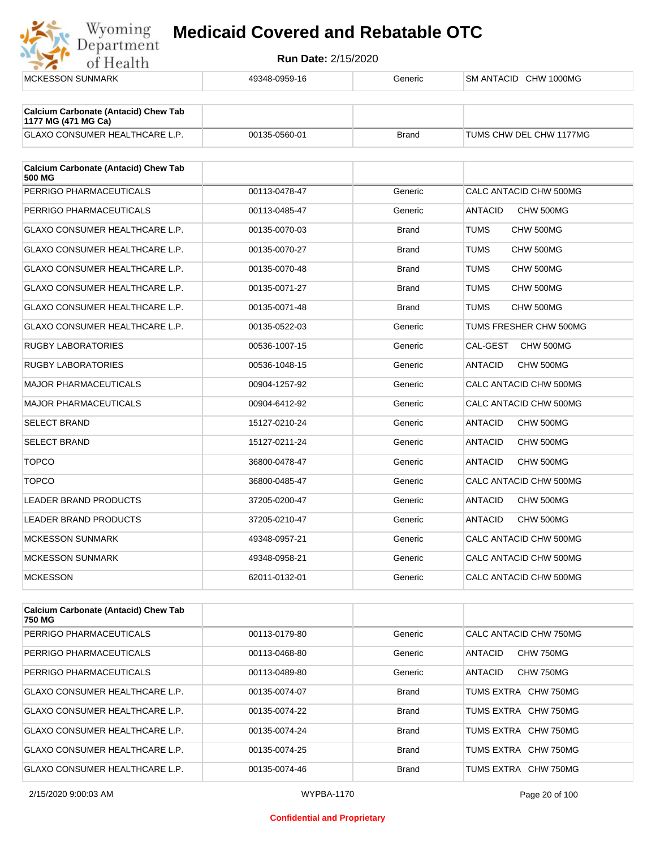

| <b>MCKESSON SUNMARK</b>                                            | 49348-0959-16 | Generic      | SM ANTACID CHW 1000MG       |
|--------------------------------------------------------------------|---------------|--------------|-----------------------------|
|                                                                    |               |              |                             |
| <b>Calcium Carbonate (Antacid) Chew Tab</b><br>1177 MG (471 MG Ca) |               |              |                             |
| <b>GLAXO CONSUMER HEALTHCARE L.P.</b>                              | 00135-0560-01 | <b>Brand</b> | TUMS CHW DEL CHW 1177MG     |
|                                                                    |               |              |                             |
| <b>Calcium Carbonate (Antacid) Chew Tab</b><br>500 MG              |               |              |                             |
| PERRIGO PHARMACEUTICALS                                            | 00113-0478-47 | Generic      | CALC ANTACID CHW 500MG      |
| PERRIGO PHARMACEUTICALS                                            | 00113-0485-47 | Generic      | <b>ANTACID</b><br>CHW 500MG |
| <b>GLAXO CONSUMER HEALTHCARE L.P.</b>                              | 00135-0070-03 | <b>Brand</b> | <b>TUMS</b><br>CHW 500MG    |
| GLAXO CONSUMER HEALTHCARE L.P.                                     | 00135-0070-27 | <b>Brand</b> | <b>TUMS</b><br>CHW 500MG    |
| <b>GLAXO CONSUMER HEALTHCARE L.P.</b>                              | 00135-0070-48 | <b>Brand</b> | <b>TUMS</b><br>CHW 500MG    |
| <b>GLAXO CONSUMER HEALTHCARE L.P.</b>                              | 00135-0071-27 | <b>Brand</b> | <b>TUMS</b><br>CHW 500MG    |
| GLAXO CONSUMER HEALTHCARE L.P.                                     | 00135-0071-48 | <b>Brand</b> | <b>TUMS</b><br>CHW 500MG    |
| <b>GLAXO CONSUMER HEALTHCARE L.P.</b>                              | 00135-0522-03 | Generic      | TUMS FRESHER CHW 500MG      |
| <b>RUGBY LABORATORIES</b>                                          | 00536-1007-15 | Generic      | CHW 500MG<br>CAL-GEST       |
| <b>RUGBY LABORATORIES</b>                                          | 00536-1048-15 | Generic      | <b>ANTACID</b><br>CHW 500MG |
| <b>MAJOR PHARMACEUTICALS</b>                                       | 00904-1257-92 | Generic      | CALC ANTACID CHW 500MG      |
| <b>MAJOR PHARMACEUTICALS</b>                                       | 00904-6412-92 | Generic      | CALC ANTACID CHW 500MG      |
| <b>SELECT BRAND</b>                                                | 15127-0210-24 | Generic      | <b>ANTACID</b><br>CHW 500MG |
| <b>SELECT BRAND</b>                                                | 15127-0211-24 | Generic      | <b>ANTACID</b><br>CHW 500MG |
| <b>TOPCO</b>                                                       | 36800-0478-47 | Generic      | <b>ANTACID</b><br>CHW 500MG |
| <b>TOPCO</b>                                                       | 36800-0485-47 | Generic      | CALC ANTACID CHW 500MG      |
| <b>LEADER BRAND PRODUCTS</b>                                       | 37205-0200-47 | Generic      | <b>ANTACID</b><br>CHW 500MG |
| LEADER BRAND PRODUCTS                                              | 37205-0210-47 | Generic      | <b>ANTACID</b><br>CHW 500MG |
| <b>MCKESSON SUNMARK</b>                                            | 49348-0957-21 | Generic      | CALC ANTACID CHW 500MG      |
| <b>MCKESSON SUNMARK</b>                                            | 49348-0958-21 | Generic      | CALC ANTACID CHW 500MG      |
| <b>MCKESSON</b>                                                    | 62011-0132-01 | Generic      | CALC ANTACID CHW 500MG      |
|                                                                    |               |              |                             |

| <b>Calcium Carbonate (Antacid) Chew Tab</b><br>750 MG |               |              |                        |
|-------------------------------------------------------|---------------|--------------|------------------------|
| PERRIGO PHARMACEUTICALS                               | 00113-0179-80 | Generic      | CALC ANTACID CHW 750MG |
| PERRIGO PHARMACEUTICALS                               | 00113-0468-80 | Generic      | CHW 750MG<br>ANTACID   |
| PERRIGO PHARMACEUTICALS                               | 00113-0489-80 | Generic      | CHW 750MG<br>ANTACID   |
| <b>GLAXO CONSUMER HEALTHCARE L.P.</b>                 | 00135-0074-07 | <b>Brand</b> | TUMS EXTRA CHW 750MG   |
| <b>GLAXO CONSUMER HEALTHCARE L.P.</b>                 | 00135-0074-22 | <b>Brand</b> | TUMS EXTRA CHW 750MG   |
| <b>GLAXO CONSUMER HEALTHCARE L.P.</b>                 | 00135-0074-24 | <b>Brand</b> | TUMS EXTRA CHW 750MG   |
| <b>GLAXO CONSUMER HEALTHCARE L.P.</b>                 | 00135-0074-25 | <b>Brand</b> | TUMS EXTRA CHW 750MG   |
| GLAXO CONSUMER HEALTHCARE L.P.                        | 00135-0074-46 | <b>Brand</b> | TUMS EXTRA CHW 750MG   |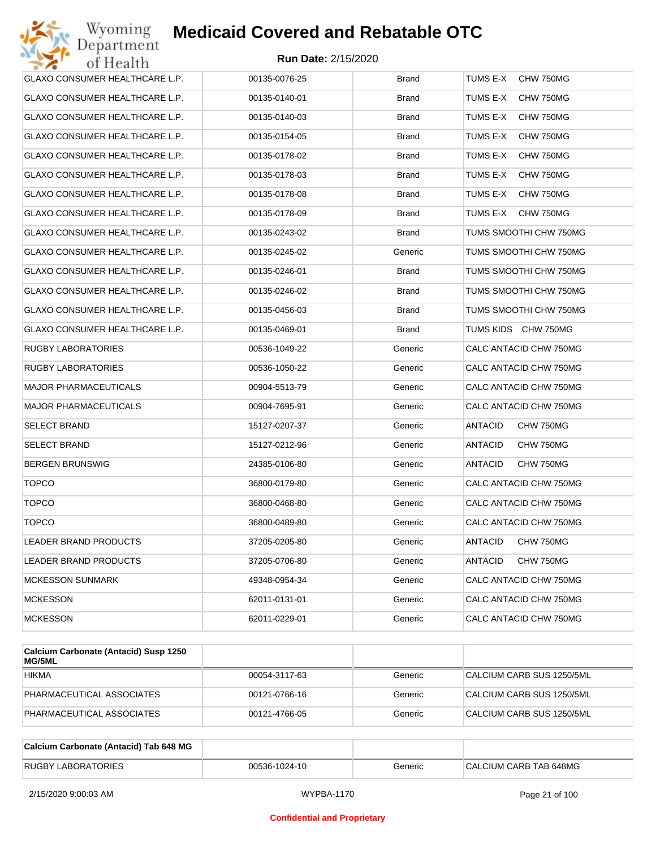| Wyoming<br>Department          | <b>Medicaid Covered and Rebatable OTC</b> |              |                             |
|--------------------------------|-------------------------------------------|--------------|-----------------------------|
| of Health                      | <b>Run Date: 2/15/2020</b>                |              |                             |
| GLAXO CONSUMER HEALTHCARE L.P. | 00135-0076-25                             | <b>Brand</b> | TUMS E-X<br>CHW 750MG       |
| GLAXO CONSUMER HEALTHCARE L.P. | 00135-0140-01                             | Brand        | TUMS E-X<br>CHW 750MG       |
| GLAXO CONSUMER HEALTHCARE L.P. | 00135-0140-03                             | <b>Brand</b> | TUMS E-X<br>CHW 750MG       |
| GLAXO CONSUMER HEALTHCARE L.P. | 00135-0154-05                             | <b>Brand</b> | TUMS E-X<br>CHW 750MG       |
| GLAXO CONSUMER HEALTHCARE L.P. | 00135-0178-02                             | <b>Brand</b> | TUMS E-X<br>CHW 750MG       |
| GLAXO CONSUMER HEALTHCARE L.P. | 00135-0178-03                             | <b>Brand</b> | TUMS E-X<br>CHW 750MG       |
| GLAXO CONSUMER HEALTHCARE L.P. | 00135-0178-08                             | <b>Brand</b> | TUMS E-X<br>CHW 750MG       |
| GLAXO CONSUMER HEALTHCARE L.P. | 00135-0178-09                             | <b>Brand</b> | TUMS E-X<br>CHW 750MG       |
| GLAXO CONSUMER HEALTHCARE L.P. | 00135-0243-02                             | <b>Brand</b> | TUMS SMOOTHI CHW 750MG      |
| GLAXO CONSUMER HEALTHCARE L.P. | 00135-0245-02                             | Generic      | TUMS SMOOTHI CHW 750MG      |
| GLAXO CONSUMER HEALTHCARE L.P. | 00135-0246-01                             | <b>Brand</b> | TUMS SMOOTHI CHW 750MG      |
| GLAXO CONSUMER HEALTHCARE L.P. | 00135-0246-02                             | <b>Brand</b> | TUMS SMOOTHI CHW 750MG      |
| GLAXO CONSUMER HEALTHCARE L.P. | 00135-0456-03                             | <b>Brand</b> | TUMS SMOOTHI CHW 750MG      |
| GLAXO CONSUMER HEALTHCARE L.P. | 00135-0469-01                             | <b>Brand</b> | TUMS KIDS CHW 750MG         |
| RUGBY LABORATORIES             | 00536-1049-22                             | Generic      | CALC ANTACID CHW 750MG      |
| RUGBY LABORATORIES             | 00536-1050-22                             | Generic      | CALC ANTACID CHW 750MG      |
| <b>MAJOR PHARMACEUTICALS</b>   | 00904-5513-79                             | Generic      | CALC ANTACID CHW 750MG      |
| MAJOR PHARMACEUTICALS          | 00904-7695-91                             | Generic      | CALC ANTACID CHW 750MG      |
| SELECT BRAND                   | 15127-0207-37                             | Generic      | ANTACID<br>CHW 750MG        |
| SELECT BRAND                   | 15127-0212-96                             | Generic      | ANTACID<br>CHW 750MG        |
| BERGEN BRUNSWIG                | 24385-0106-80                             | Generic      | <b>ANTACID</b><br>CHW 750MG |
| <b>TOPCO</b>                   | 36800-0179-80                             | Generic      | CALC ANTACID CHW 750MG      |
| <b>TOPCO</b>                   | 36800-0468-80                             | Generic      | CALC ANTACID CHW 750MG      |
| <b>TOPCO</b>                   | 36800-0489-80                             | Generic      | CALC ANTACID CHW 750MG      |
| LEADER BRAND PRODUCTS          | 37205-0205-80                             | Generic      | ANTACID<br>CHW 750MG        |
| LEADER BRAND PRODUCTS          | 37205-0706-80                             | Generic      | ANTACID<br>CHW 750MG        |
| <b>MCKESSON SUNMARK</b>        | 49348-0954-34                             | Generic      | CALC ANTACID CHW 750MG      |
| <b>MCKESSON</b>                | 62011-0131-01                             | Generic      | CALC ANTACID CHW 750MG      |
| <b>MCKESSON</b>                | 62011-0229-01                             | Generic      | CALC ANTACID CHW 750MG      |
|                                |                                           |              |                             |

| Calcium Carbonate (Antacid) Susp 1250<br><b>MG/5ML</b> |               |         |                           |
|--------------------------------------------------------|---------------|---------|---------------------------|
| <b>HIKMA</b>                                           | 00054-3117-63 | Generic | CALCIUM CARB SUS 1250/5ML |
| PHARMACEUTICAL ASSOCIATES                              | 00121-0766-16 | Generic | CALCIUM CARB SUS 1250/5ML |
| PHARMACEUTICAL ASSOCIATES                              | 00121-4766-05 | Generic | CALCIUM CARB SUS 1250/5ML |

| Calcium Carbonate (Antacid) Tab 648 MG |               |         |                        |
|----------------------------------------|---------------|---------|------------------------|
| <b>RUGBY LABORATORIES</b>              | 00536-1024-10 | Generic | CALCIUM CARB TAB 648MG |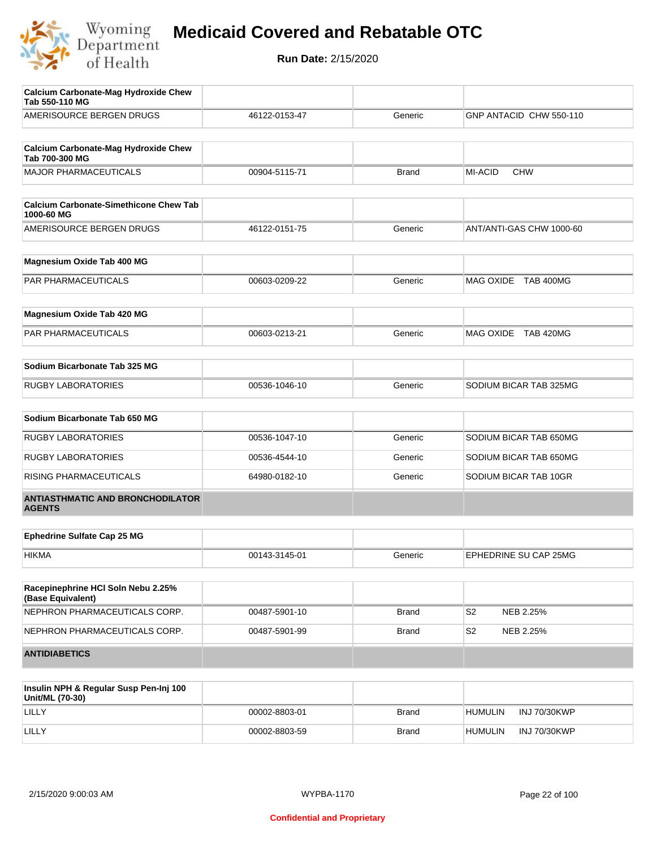

| <b>Calcium Carbonate-Mag Hydroxide Chew</b><br>Tab 550-110 MG |               |              |                              |
|---------------------------------------------------------------|---------------|--------------|------------------------------|
| AMERISOURCE BERGEN DRUGS                                      | 46122-0153-47 | Generic      | GNP ANTACID CHW 550-110      |
| <b>Calcium Carbonate-Mag Hydroxide Chew</b><br>Tab 700-300 MG |               |              |                              |
| <b>MAJOR PHARMACEUTICALS</b>                                  | 00904-5115-71 | <b>Brand</b> | <b>MI-ACID</b><br><b>CHW</b> |
| <b>Calcium Carbonate-Simethicone Chew Tab</b><br>1000-60 MG   |               |              |                              |
| AMERISOURCE BERGEN DRUGS                                      | 46122-0151-75 | Generic      | ANT/ANTI-GAS CHW 1000-60     |
| Magnesium Oxide Tab 400 MG                                    |               |              |                              |
| PAR PHARMACEUTICALS                                           | 00603-0209-22 | Generic      | MAG OXIDE TAB 400MG          |
| Magnesium Oxide Tab 420 MG                                    |               |              |                              |
| PAR PHARMACEUTICALS                                           | 00603-0213-21 | Generic      | MAG OXIDE TAB 420MG          |
| Sodium Bicarbonate Tab 325 MG                                 |               |              |                              |
| <b>RUGBY LABORATORIES</b>                                     | 00536-1046-10 | Generic      | SODIUM BICAR TAB 325MG       |
| Sodium Bicarbonate Tab 650 MG                                 |               |              |                              |
| <b>RUGBY LABORATORIES</b>                                     | 00536-1047-10 | Generic      | SODIUM BICAR TAB 650MG       |
| <b>RUGBY LABORATORIES</b>                                     | 00536-4544-10 | Generic      | SODIUM BICAR TAB 650MG       |
| RISING PHARMACEUTICALS                                        | 64980-0182-10 | Generic      | SODIUM BICAR TAB 10GR        |
| <b>ANTIASTHMATIC AND BRONCHODILATOR</b><br><b>AGENTS</b>      |               |              |                              |
| <b>Ephedrine Sulfate Cap 25 MG</b>                            |               |              |                              |
| <b>HIKMA</b>                                                  | 00143-3145-01 | Generic      | EPHEDRINE SU CAP 25MG        |
| Racepinephrine HCI Soln Nebu 2.25%<br>(Base Equivalent)       |               |              |                              |
| NEPHRON PHARMACEUTICALS CORP.                                 | 00487-5901-10 | Brand        | S <sub>2</sub><br>NEB 2.25%  |
| NEPHRON PHARMACEUTICALS CORP.                                 | 00487-5901-99 | <b>Brand</b> | S <sub>2</sub><br>NEB 2.25%  |
| <b>ANTIDIABETICS</b>                                          |               |              |                              |
| Insulin NPH & Regular Susp Pen-Inj 100                        |               |              |                              |

| Insulin NPH & Regular Susp Pen-Inj 100<br>Unit/ML (70-30) |               |              |                |                     |
|-----------------------------------------------------------|---------------|--------------|----------------|---------------------|
| LILLY                                                     | 00002-8803-01 | <b>Brand</b> | HUMULIN        | <b>INJ 70/30KWP</b> |
| LILLY                                                     | 00002-8803-59 | <b>Brand</b> | <b>HUMULIN</b> | <b>INJ 70/30KWP</b> |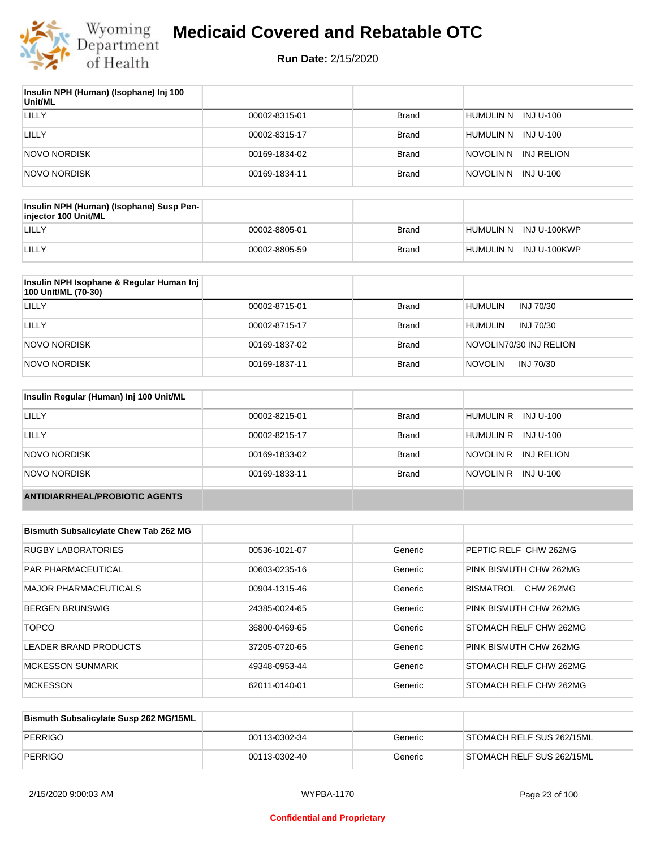

| Insulin NPH (Human) (Isophane) Inj 100<br>Unit/ML |               |              |                          |
|---------------------------------------------------|---------------|--------------|--------------------------|
| LILLY                                             | 00002-8315-01 | <b>Brand</b> | HUMULIN N INJ U-100      |
| LILLY                                             | 00002-8315-17 | <b>Brand</b> | HUMULIN N INJ U-100      |
| NOVO NORDISK                                      | 00169-1834-02 | <b>Brand</b> | INJ RELION<br>inovolin n |
| NOVO NORDISK                                      | 00169-1834-11 | <b>Brand</b> | NOVOLIN N INJ U-100      |

| Insulin NPH (Human) (Isophane) Susp Pen-<br>iniector 100 Unit/ML |               |       |                        |
|------------------------------------------------------------------|---------------|-------|------------------------|
| LILLY                                                            | 00002-8805-01 | Brand | HUMULIN N INJ U-100KWP |
| LILLY                                                            | 00002-8805-59 | Brand | HUMULIN N INJ U-100KWP |

| Insulin NPH Isophane & Regular Human Inj<br>100 Unit/ML (70-30) |               |              |                             |
|-----------------------------------------------------------------|---------------|--------------|-----------------------------|
| LILLY                                                           | 00002-8715-01 | <b>Brand</b> | <b>HUMULIN</b><br>INJ 70/30 |
| LILLY                                                           | 00002-8715-17 | <b>Brand</b> | <b>HUMULIN</b><br>INJ 70/30 |
| NOVO NORDISK                                                    | 00169-1837-02 | <b>Brand</b> | NOVOLIN70/30 INJ RELION     |
| NOVO NORDISK                                                    | 00169-1837-11 | <b>Brand</b> | <b>NOVOLIN</b><br>INJ 70/30 |

| Insulin Regular (Human) Inj 100 Unit/ML |               |              |                         |
|-----------------------------------------|---------------|--------------|-------------------------|
| <b>LILLY</b>                            | 00002-8215-01 | <b>Brand</b> | HUMULIN R INJ U-100     |
| LILLY                                   | 00002-8215-17 | <b>Brand</b> | HUMULIN R INJ U-100     |
| NOVO NORDISK                            | 00169-1833-02 | <b>Brand</b> | NOVOLIN R<br>INJ RELION |
| NOVO NORDISK                            | 00169-1833-11 | <b>Brand</b> | NOVOLIN R INJ U-100     |
| <b>ANTIDIARRHEAL/PROBIOTIC AGENTS</b>   |               |              |                         |

| <b>Bismuth Subsalicylate Chew Tab 262 MG</b> |               |         |                               |
|----------------------------------------------|---------------|---------|-------------------------------|
| <b>RUGBY LABORATORIES</b>                    | 00536-1021-07 | Generic | PEPTIC RELF CHW 262MG         |
| <b>PAR PHARMACEUTICAL</b>                    | 00603-0235-16 | Generic | PINK BISMUTH CHW 262MG        |
| <b>MAJOR PHARMACEUTICALS</b>                 | 00904-1315-46 | Generic | BISMATROL<br><b>CHW 262MG</b> |
| <b>BERGEN BRUNSWIG</b>                       | 24385-0024-65 | Generic | PINK BISMUTH CHW 262MG        |
| <b>TOPCO</b>                                 | 36800-0469-65 | Generic | STOMACH RELF CHW 262MG        |
| LEADER BRAND PRODUCTS                        | 37205-0720-65 | Generic | PINK BISMUTH CHW 262MG        |
| <b>MCKESSON SUNMARK</b>                      | 49348-0953-44 | Generic | STOMACH RELF CHW 262MG        |
| <b>MCKESSON</b>                              | 62011-0140-01 | Generic | STOMACH RELF CHW 262MG        |

| Bismuth Subsalicylate Susp 262 MG/15ML |               |         |                           |
|----------------------------------------|---------------|---------|---------------------------|
| PERRIGO                                | 00113-0302-34 | Generic | STOMACH RELF SUS 262/15ML |
| PERRIGO                                | 00113-0302-40 | Generic | STOMACH RELF SUS 262/15ML |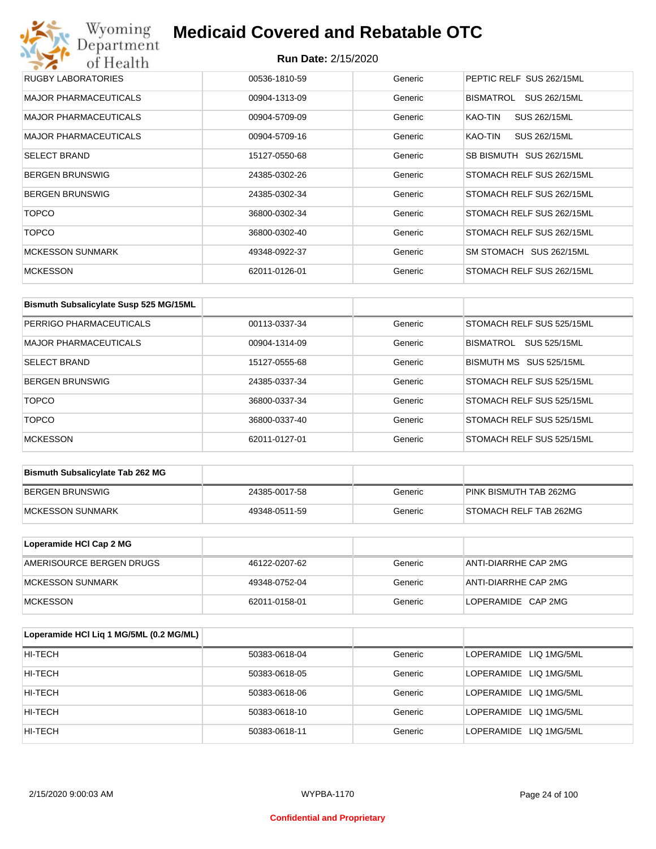## Wyoming<br>Department<br>of Health **Medicaid Covered and Rebatable OTC**

| RUGBY LABORATORIES           | 00536-1810-59 | Generic | PEPTIC RELF SUS 262/15ML  |
|------------------------------|---------------|---------|---------------------------|
| <b>MAJOR PHARMACEUTICALS</b> | 00904-1313-09 | Generic | SUS 262/15ML<br>BISMATROL |
| <b>MAJOR PHARMACEUTICALS</b> | 00904-5709-09 | Generic | SUS 262/15ML<br>KAO-TIN   |
| <b>MAJOR PHARMACEUTICALS</b> | 00904-5709-16 | Generic | SUS 262/15ML<br>KAO-TIN   |
| <b>SELECT BRAND</b>          | 15127-0550-68 | Generic | SB BISMUTH SUS 262/15ML   |
| <b>BERGEN BRUNSWIG</b>       | 24385-0302-26 | Generic | STOMACH RELF SUS 262/15ML |
| <b>BERGEN BRUNSWIG</b>       | 24385-0302-34 | Generic | STOMACH RELF SUS 262/15ML |
| <b>TOPCO</b>                 | 36800-0302-34 | Generic | STOMACH RELF SUS 262/15ML |
| <b>TOPCO</b>                 | 36800-0302-40 | Generic | STOMACH RELF SUS 262/15ML |
| <b>MCKESSON SUNMARK</b>      | 49348-0922-37 | Generic | SM STOMACH SUS 262/15ML   |
| <b>MCKESSON</b>              | 62011-0126-01 | Generic | STOMACH RELF SUS 262/15ML |

| Bismuth Subsalicylate Susp 525 MG/15ML |               |         |                           |
|----------------------------------------|---------------|---------|---------------------------|
| PERRIGO PHARMACEUTICALS                | 00113-0337-34 | Generic | STOMACH RELF SUS 525/15ML |
| <b>MAJOR PHARMACEUTICALS</b>           | 00904-1314-09 | Generic | BISMATROL<br>SUS 525/15ML |
| <b>SELECT BRAND</b>                    | 15127-0555-68 | Generic | BISMUTH MS SUS 525/15ML   |
| <b>BERGEN BRUNSWIG</b>                 | 24385-0337-34 | Generic | STOMACH RELF SUS 525/15ML |
| <b>TOPCO</b>                           | 36800-0337-34 | Generic | STOMACH RELF SUS 525/15ML |
| <b>TOPCO</b>                           | 36800-0337-40 | Generic | STOMACH RELF SUS 525/15ML |
| <b>MCKESSON</b>                        | 62011-0127-01 | Generic | STOMACH RELF SUS 525/15ML |

| <b>Bismuth Subsalicylate Tab 262 MG</b> |               |         |                        |
|-----------------------------------------|---------------|---------|------------------------|
| BERGEN BRUNSWIG                         | 24385-0017-58 | Generic | PINK BISMUTH TAB 262MG |
| <b>IMCKESSON SUNMARK</b>                | 49348-0511-59 | Generic | STOMACH RELF TAB 262MG |

| Loperamide HCI Cap 2 MG  |               |         |                      |
|--------------------------|---------------|---------|----------------------|
| AMERISOURCE BERGEN DRUGS | 46122-0207-62 | Generic | ANTI-DIARRHE CAP 2MG |
| <b>IMCKESSON SUNMARK</b> | 49348-0752-04 | Generic | ANTI-DIARRHE CAP 2MG |
| <b>IMCKESSON</b>         | 62011-0158-01 | Generic | LOPERAMIDE CAP 2MG   |

| Loperamide HCI Liq 1 MG/5ML (0.2 MG/ML) |               |         |                        |
|-----------------------------------------|---------------|---------|------------------------|
| HI-TECH                                 | 50383-0618-04 | Generic | LOPERAMIDE LIQ 1MG/5ML |
| HI-TECH                                 | 50383-0618-05 | Generic | LOPERAMIDE LIQ 1MG/5ML |
| HI-TECH                                 | 50383-0618-06 | Generic | LOPERAMIDE LIQ 1MG/5ML |
| HI-TECH                                 | 50383-0618-10 | Generic | LOPERAMIDE LIQ 1MG/5ML |
| HI-TECH                                 | 50383-0618-11 | Generic | LOPERAMIDE LIQ 1MG/5ML |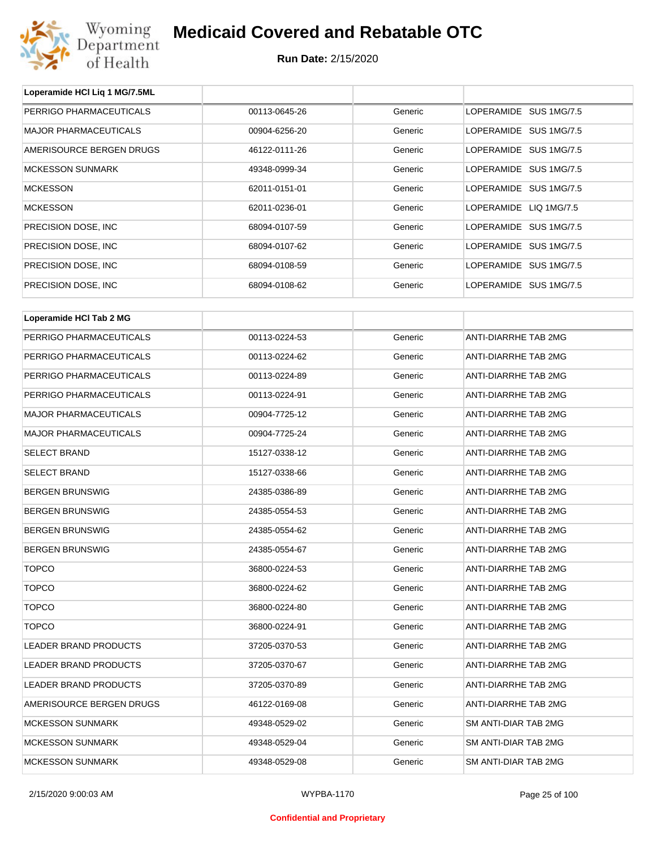

| Loperamide HCI Liq 1 MG/7.5ML |               |         |                             |
|-------------------------------|---------------|---------|-----------------------------|
| PERRIGO PHARMACEUTICALS       | 00113-0645-26 | Generic | LOPERAMIDE SUS 1MG/7.5      |
| <b>MAJOR PHARMACEUTICALS</b>  | 00904-6256-20 | Generic | LOPERAMIDE SUS 1MG/7.5      |
| AMERISOURCE BERGEN DRUGS      | 46122-0111-26 | Generic | LOPERAMIDE SUS 1MG/7.5      |
| <b>MCKESSON SUNMARK</b>       | 49348-0999-34 | Generic | LOPERAMIDE SUS 1MG/7.5      |
| <b>MCKESSON</b>               | 62011-0151-01 | Generic | LOPERAMIDE SUS 1MG/7.5      |
| <b>MCKESSON</b>               | 62011-0236-01 | Generic | LOPERAMIDE LIQ 1MG/7.5      |
| PRECISION DOSE, INC           | 68094-0107-59 | Generic | LOPERAMIDE SUS 1MG/7.5      |
| PRECISION DOSE, INC           | 68094-0107-62 | Generic | LOPERAMIDE SUS 1MG/7.5      |
| PRECISION DOSE, INC           | 68094-0108-59 | Generic | LOPERAMIDE SUS 1MG/7.5      |
| PRECISION DOSE, INC           | 68094-0108-62 | Generic | LOPERAMIDE SUS 1MG/7.5      |
| Loperamide HCI Tab 2 MG       |               |         |                             |
|                               |               |         |                             |
| PERRIGO PHARMACEUTICALS       | 00113-0224-53 | Generic | ANTI-DIARRHE TAB 2MG        |
| PERRIGO PHARMACEUTICALS       | 00113-0224-62 | Generic | ANTI-DIARRHE TAB 2MG        |
| PERRIGO PHARMACEUTICALS       | 00113-0224-89 | Generic | ANTI-DIARRHE TAB 2MG        |
| PERRIGO PHARMACEUTICALS       | 00113-0224-91 | Generic | ANTI-DIARRHE TAB 2MG        |
| <b>MAJOR PHARMACEUTICALS</b>  | 00904-7725-12 | Generic | ANTI-DIARRHE TAB 2MG        |
| <b>MAJOR PHARMACEUTICALS</b>  | 00904-7725-24 | Generic | ANTI-DIARRHE TAB 2MG        |
| <b>SELECT BRAND</b>           | 15127-0338-12 | Generic | ANTI-DIARRHE TAB 2MG        |
| <b>SELECT BRAND</b>           | 15127-0338-66 | Generic | ANTI-DIARRHE TAB 2MG        |
| <b>BERGEN BRUNSWIG</b>        | 24385-0386-89 | Generic | ANTI-DIARRHE TAB 2MG        |
| <b>BERGEN BRUNSWIG</b>        | 24385-0554-53 | Generic | ANTI-DIARRHE TAB 2MG        |
| <b>BERGEN BRUNSWIG</b>        | 24385-0554-62 | Generic | ANTI-DIARRHE TAB 2MG        |
| <b>BERGEN BRUNSWIG</b>        | 24385-0554-67 | Generic | <b>ANTI-DIARRHE TAB 2MG</b> |
| TOPCO                         | 36800-0224-53 | Generic | ANTI-DIARRHE TAB 2MG        |
| <b>TOPCO</b>                  | 36800-0224-62 | Generic | <b>ANTI-DIARRHE TAB 2MG</b> |
| <b>TOPCO</b>                  | 36800-0224-80 | Generic | ANTI-DIARRHE TAB 2MG        |
| <b>TOPCO</b>                  | 36800-0224-91 | Generic | ANTI-DIARRHE TAB 2MG        |
| LEADER BRAND PRODUCTS         | 37205-0370-53 | Generic | ANTI-DIARRHE TAB 2MG        |
| <b>LEADER BRAND PRODUCTS</b>  | 37205-0370-67 | Generic | ANTI-DIARRHE TAB 2MG        |
| <b>LEADER BRAND PRODUCTS</b>  | 37205-0370-89 | Generic | ANTI-DIARRHE TAB 2MG        |
| AMERISOURCE BERGEN DRUGS      | 46122-0169-08 | Generic | ANTI-DIARRHE TAB 2MG        |
| <b>MCKESSON SUNMARK</b>       | 49348-0529-02 | Generic | SM ANTI-DIAR TAB 2MG        |
| <b>MCKESSON SUNMARK</b>       | 49348-0529-04 | Generic | SM ANTI-DIAR TAB 2MG        |
| <b>MCKESSON SUNMARK</b>       | 49348-0529-08 | Generic | SM ANTI-DIAR TAB 2MG        |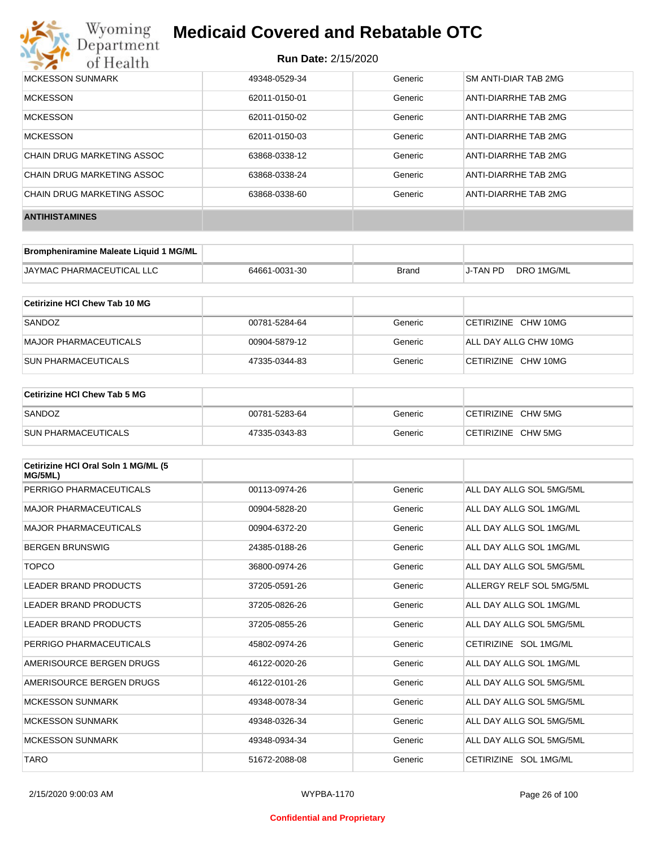

| <b>MCKESSON SUNMARK</b>    | 49348-0529-34 | Generic | <b>SM ANTI-DIAR TAB 2MG</b> |
|----------------------------|---------------|---------|-----------------------------|
| <b>MCKESSON</b>            | 62011-0150-01 | Generic | ANTI-DIARRHE TAB 2MG        |
| <b>MCKESSON</b>            | 62011-0150-02 | Generic | ANTI-DIARRHE TAB 2MG        |
| <b>MCKESSON</b>            | 62011-0150-03 | Generic | ANTI-DIARRHE TAB 2MG        |
| CHAIN DRUG MARKETING ASSOC | 63868-0338-12 | Generic | ANTI-DIARRHE TAB 2MG        |
| CHAIN DRUG MARKETING ASSOC | 63868-0338-24 | Generic | ANTI-DIARRHE TAB 2MG        |
| CHAIN DRUG MARKETING ASSOC | 63868-0338-60 | Generic | ANTI-DIARRHE TAB 2MG        |
| <b>ANTIHISTAMINES</b>      |               |         |                             |

| Brompheniramine Maleate Liquid 1 MG/ML |               |       |          |            |
|----------------------------------------|---------------|-------|----------|------------|
| JAYMAC PHARMACEUTICAL LLC              | 64661-0031-30 | Brand | J-TAN PD | DRO 1MG/ML |

| Cetirizine HCI Chew Tab 10 MG |               |         |                       |
|-------------------------------|---------------|---------|-----------------------|
| SANDOZ                        | 00781-5284-64 | Generic | CETIRIZINE CHW 10MG   |
| MAJOR PHARMACEUTICALS         | 00904-5879-12 | Generic | ALL DAY ALLG CHW 10MG |
| ISUN PHARMACEUTICALS          | 47335-0344-83 | Generic | CETIRIZINE CHW 10MG   |

| <b>Cetirizine HCI Chew Tab 5 MG</b> |               |         |                    |
|-------------------------------------|---------------|---------|--------------------|
| SANDOZ                              | 00781-5283-64 | Generic | CETIRIZINE CHW 5MG |
| <b>SUN PHARMACEUTICALS</b>          | 47335-0343-83 | Generic | CETIRIZINE CHW 5MG |

| Cetirizine HCI Oral Soln 1 MG/ML (5<br>MG/5ML) |               |         |                          |
|------------------------------------------------|---------------|---------|--------------------------|
| PERRIGO PHARMACEUTICALS                        | 00113-0974-26 | Generic | ALL DAY ALLG SOL 5MG/5ML |
| <b>MAJOR PHARMACEUTICALS</b>                   | 00904-5828-20 | Generic | ALL DAY ALLG SOL 1MG/ML  |
| <b>MAJOR PHARMACEUTICALS</b>                   | 00904-6372-20 | Generic | ALL DAY ALLG SOL 1MG/ML  |
| <b>BERGEN BRUNSWIG</b>                         | 24385-0188-26 | Generic | ALL DAY ALLG SOL 1MG/ML  |
| <b>TOPCO</b>                                   | 36800-0974-26 | Generic | ALL DAY ALLG SOL 5MG/5ML |
| <b>LEADER BRAND PRODUCTS</b>                   | 37205-0591-26 | Generic | ALLERGY RELF SOL 5MG/5ML |
| LEADER BRAND PRODUCTS                          | 37205-0826-26 | Generic | ALL DAY ALLG SOL 1MG/ML  |
| LEADER BRAND PRODUCTS                          | 37205-0855-26 | Generic | ALL DAY ALLG SOL 5MG/5ML |
| PERRIGO PHARMACEUTICALS                        | 45802-0974-26 | Generic | CETIRIZINE SOL 1MG/ML    |
| AMERISOURCE BERGEN DRUGS                       | 46122-0020-26 | Generic | ALL DAY ALLG SOL 1MG/ML  |
| AMERISOURCE BERGEN DRUGS                       | 46122-0101-26 | Generic | ALL DAY ALLG SOL 5MG/5ML |
| <b>MCKESSON SUNMARK</b>                        | 49348-0078-34 | Generic | ALL DAY ALLG SOL 5MG/5ML |
| <b>MCKESSON SUNMARK</b>                        | 49348-0326-34 | Generic | ALL DAY ALLG SOL 5MG/5ML |
| <b>MCKESSON SUNMARK</b>                        | 49348-0934-34 | Generic | ALL DAY ALLG SOL 5MG/5ML |
| <b>TARO</b>                                    | 51672-2088-08 | Generic | CETIRIZINE SOL 1MG/ML    |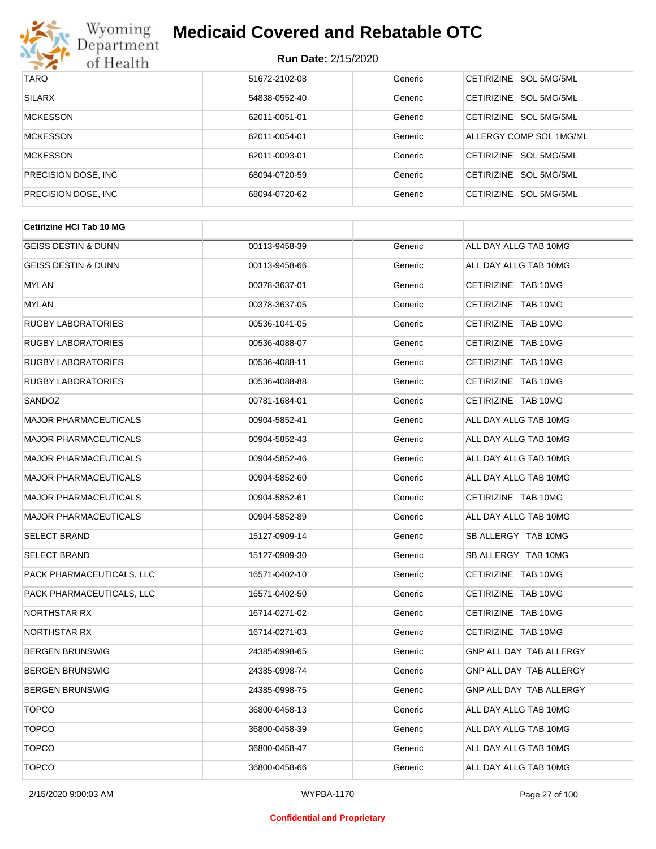

| <b>TARO</b>          | 51672-2102-08 | Generic | CETIRIZINE SOL 5MG/5ML           |
|----------------------|---------------|---------|----------------------------------|
| <b>SILARX</b>        | 54838-0552-40 | Generic | CFTIRIZINE SOL 5MG/5ML           |
| <b>MCKESSON</b>      | 62011-0051-01 | Generic | CETIRIZINE SOL 5MG/5ML           |
| <b>MCKESSON</b>      | 62011-0054-01 | Generic | ALLERGY COMP SOL 1MG/ML          |
| <b>MCKESSON</b>      | 62011-0093-01 | Generic | CETIRIZINE SOL 5MG/5ML           |
| PRECISION DOSE, INC. | 68094-0720-59 | Generic | CETIRIZINE SOL 5MG/5ML           |
| PRECISION DOSE, INC. | 68094-0720-62 | Generic | SOL 5MG/5ML<br><b>CETIRIZINE</b> |

| <b>Cetirizine HCI Tab 10 MG</b> |               |         |                         |
|---------------------------------|---------------|---------|-------------------------|
| <b>GEISS DESTIN &amp; DUNN</b>  | 00113-9458-39 | Generic | ALL DAY ALLG TAB 10MG   |
| <b>GEISS DESTIN &amp; DUNN</b>  | 00113-9458-66 | Generic | ALL DAY ALLG TAB 10MG   |
| MYLAN                           | 00378-3637-01 | Generic | CETIRIZINE TAB 10MG     |
| MYLAN                           | 00378-3637-05 | Generic | CETIRIZINE TAB 10MG     |
| RUGBY LABORATORIES              | 00536-1041-05 | Generic | CETIRIZINE TAB 10MG     |
| RUGBY LABORATORIES              | 00536-4088-07 | Generic | CETIRIZINE TAB 10MG     |
| RUGBY LABORATORIES              | 00536-4088-11 | Generic | CETIRIZINE TAB 10MG     |
| RUGBY LABORATORIES              | 00536-4088-88 | Generic | CETIRIZINE TAB 10MG     |
| SANDOZ                          | 00781-1684-01 | Generic | CETIRIZINE TAB 10MG     |
| MAJOR PHARMACEUTICALS           | 00904-5852-41 | Generic | ALL DAY ALLG TAB 10MG   |
| <b>MAJOR PHARMACEUTICALS</b>    | 00904-5852-43 | Generic | ALL DAY ALLG TAB 10MG   |
| <b>MAJOR PHARMACEUTICALS</b>    | 00904-5852-46 | Generic | ALL DAY ALLG TAB 10MG   |
| <b>MAJOR PHARMACEUTICALS</b>    | 00904-5852-60 | Generic | ALL DAY ALLG TAB 10MG   |
| <b>MAJOR PHARMACEUTICALS</b>    | 00904-5852-61 | Generic | CETIRIZINE TAB 10MG     |
| MAJOR PHARMACEUTICALS           | 00904-5852-89 | Generic | ALL DAY ALLG TAB 10MG   |
| SELECT BRAND                    | 15127-0909-14 | Generic | SB ALLERGY TAB 10MG     |
| <b>SELECT BRAND</b>             | 15127-0909-30 | Generic | SB ALLERGY TAB 10MG     |
| PACK PHARMACEUTICALS, LLC       | 16571-0402-10 | Generic | CETIRIZINE TAB 10MG     |
| PACK PHARMACEUTICALS, LLC       | 16571-0402-50 | Generic | CETIRIZINE TAB 10MG     |
| NORTHSTAR RX                    | 16714-0271-02 | Generic | CETIRIZINE TAB 10MG     |
| NORTHSTAR RX                    | 16714-0271-03 | Generic | CETIRIZINE TAB 10MG     |
| <b>BERGEN BRUNSWIG</b>          | 24385-0998-65 | Generic | GNP ALL DAY TAB ALLERGY |
| <b>BERGEN BRUNSWIG</b>          | 24385-0998-74 | Generic | GNP ALL DAY TAB ALLERGY |
| <b>BERGEN BRUNSWIG</b>          | 24385-0998-75 | Generic | GNP ALL DAY TAB ALLERGY |
| <b>TOPCO</b>                    | 36800-0458-13 | Generic | ALL DAY ALLG TAB 10MG   |
| <b>TOPCO</b>                    | 36800-0458-39 | Generic | ALL DAY ALLG TAB 10MG   |
| <b>TOPCO</b>                    | 36800-0458-47 | Generic | ALL DAY ALLG TAB 10MG   |
| <b>TOPCO</b>                    | 36800-0458-66 | Generic | ALL DAY ALLG TAB 10MG   |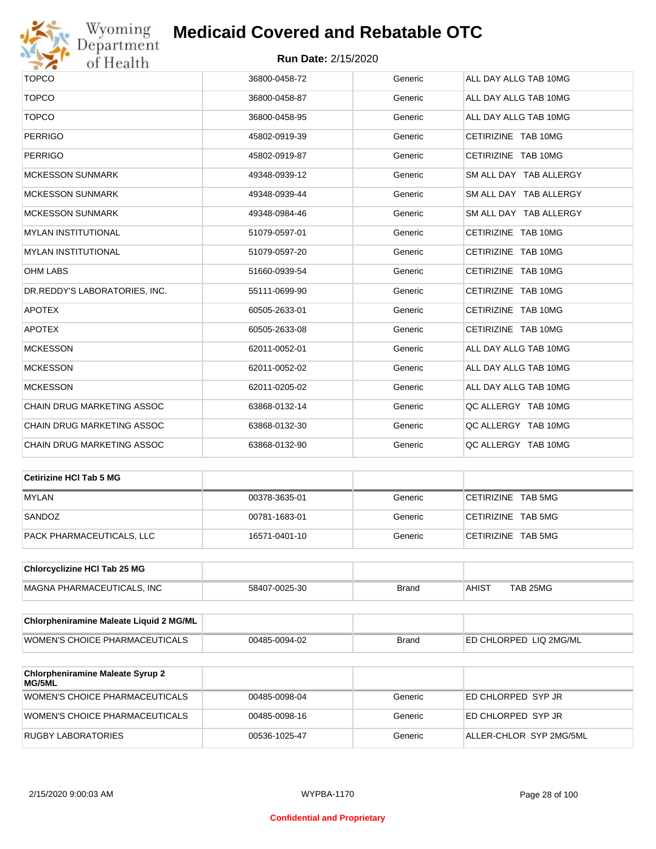

| <b>TOPCO</b>                      | 36800-0458-72 | Generic | ALL DAY ALLG TAB 10MG  |
|-----------------------------------|---------------|---------|------------------------|
| <b>TOPCO</b>                      | 36800-0458-87 | Generic | ALL DAY ALLG TAB 10MG  |
| <b>TOPCO</b>                      | 36800-0458-95 | Generic | ALL DAY ALLG TAB 10MG  |
| <b>PERRIGO</b>                    | 45802-0919-39 | Generic | CETIRIZINE TAB 10MG    |
| <b>PERRIGO</b>                    | 45802-0919-87 | Generic | CETIRIZINE TAB 10MG    |
| <b>MCKESSON SUNMARK</b>           | 49348-0939-12 | Generic | SM ALL DAY TAB ALLERGY |
| <b>MCKESSON SUNMARK</b>           | 49348-0939-44 | Generic | SM ALL DAY TAB ALLERGY |
| <b>MCKESSON SUNMARK</b>           | 49348-0984-46 | Generic | SM ALL DAY TAB ALLERGY |
| <b>MYLAN INSTITUTIONAL</b>        | 51079-0597-01 | Generic | CETIRIZINE TAB 10MG    |
| <b>MYLAN INSTITUTIONAL</b>        | 51079-0597-20 | Generic | CETIRIZINE TAB 10MG    |
| <b>OHM LABS</b>                   | 51660-0939-54 | Generic | CETIRIZINE TAB 10MG    |
| DR.REDDY'S LABORATORIES, INC.     | 55111-0699-90 | Generic | CETIRIZINE TAB 10MG    |
| <b>APOTEX</b>                     | 60505-2633-01 | Generic | CETIRIZINE TAB 10MG    |
| <b>APOTEX</b>                     | 60505-2633-08 | Generic | CETIRIZINE TAB 10MG    |
| <b>MCKESSON</b>                   | 62011-0052-01 | Generic | ALL DAY ALLG TAB 10MG  |
| <b>MCKESSON</b>                   | 62011-0052-02 | Generic | ALL DAY ALLG TAB 10MG  |
| <b>MCKESSON</b>                   | 62011-0205-02 | Generic | ALL DAY ALLG TAB 10MG  |
| <b>CHAIN DRUG MARKETING ASSOC</b> | 63868-0132-14 | Generic | QC ALLERGY TAB 10MG    |
| CHAIN DRUG MARKETING ASSOC        | 63868-0132-30 | Generic | QC ALLERGY TAB 10MG    |
| <b>CHAIN DRUG MARKETING ASSOC</b> | 63868-0132-90 | Generic | QC ALLERGY TAB 10MG    |

| Cetirizine HCI Tab 5 MG   |               |         |                    |
|---------------------------|---------------|---------|--------------------|
| <b>MYLAN</b>              | 00378-3635-01 | Generic | CETIRIZINE TAB 5MG |
| SANDOZ                    | 00781-1683-01 | Generic | CETIRIZINE TAB 5MG |
| PACK PHARMACEUTICALS, LLC | 16571-0401-10 | Generic | CETIRIZINE TAB 5MG |

| <b>Chlorcyclizine HCI Tab 25 MG</b> |               |       |                   |          |
|-------------------------------------|---------------|-------|-------------------|----------|
| MAGNA PHARMACEUTICALS. INC          | 58407-0025-30 | Brand | AHIS <sup>7</sup> | TAB 25MG |

| <b>Chlorpheniramine Maleate Liquid 2 MG/ML</b> |               |              |                                |
|------------------------------------------------|---------------|--------------|--------------------------------|
| WOMEN'S CHOICE PHARMACEUTICALS                 | 00485-0094-02 | <b>Brand</b> | <b>IED CHLORPED LIQ 2MG/ML</b> |

| <b>Chlorpheniramine Maleate Syrup 2</b><br>MG/5ML |               |         |                         |
|---------------------------------------------------|---------------|---------|-------------------------|
| WOMEN'S CHOICE PHARMACEUTICALS                    | 00485-0098-04 | Generic | ED CHLORPED SYP JR      |
| WOMEN'S CHOICE PHARMACEUTICALS                    | 00485-0098-16 | Generic | ED CHLORPED SYP JR      |
| RUGBY LABORATORIES                                | 00536-1025-47 | Generic | ALLER-CHLOR SYP 2MG/5ML |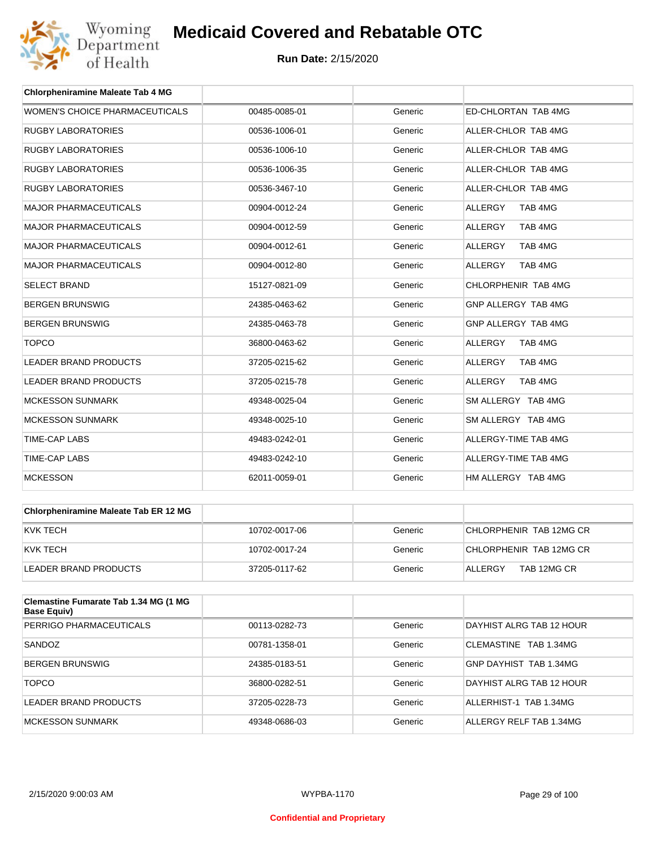

| <b>Chlorpheniramine Maleate Tab 4 MG</b> |               |         |                           |
|------------------------------------------|---------------|---------|---------------------------|
| WOMEN'S CHOICE PHARMACEUTICALS           | 00485-0085-01 | Generic | ED-CHLORTAN TAB 4MG       |
| <b>RUGBY LABORATORIES</b>                | 00536-1006-01 | Generic | ALLER-CHLOR TAB 4MG       |
| <b>RUGBY LABORATORIES</b>                | 00536-1006-10 | Generic | ALLER-CHLOR TAB 4MG       |
| <b>RUGBY LABORATORIES</b>                | 00536-1006-35 | Generic | ALLER-CHLOR TAB 4MG       |
| <b>RUGBY LABORATORIES</b>                | 00536-3467-10 | Generic | ALLER-CHLOR TAB 4MG       |
| <b>MAJOR PHARMACEUTICALS</b>             | 00904-0012-24 | Generic | <b>ALLERGY</b><br>TAB 4MG |
| <b>MAJOR PHARMACEUTICALS</b>             | 00904-0012-59 | Generic | <b>ALLERGY</b><br>TAB 4MG |
| <b>MAJOR PHARMACEUTICALS</b>             | 00904-0012-61 | Generic | <b>ALLERGY</b><br>TAB 4MG |
| <b>MAJOR PHARMACEUTICALS</b>             | 00904-0012-80 | Generic | ALLERGY<br>TAB 4MG        |
| <b>SELECT BRAND</b>                      | 15127-0821-09 | Generic | CHLORPHENIR TAB 4MG       |
| <b>BERGEN BRUNSWIG</b>                   | 24385-0463-62 | Generic | GNP ALLERGY TAB 4MG       |
| <b>BERGEN BRUNSWIG</b>                   | 24385-0463-78 | Generic | GNP ALLERGY TAB 4MG       |
| <b>TOPCO</b>                             | 36800-0463-62 | Generic | <b>ALLERGY</b><br>TAB 4MG |
| <b>LEADER BRAND PRODUCTS</b>             | 37205-0215-62 | Generic | <b>ALLERGY</b><br>TAB 4MG |
| <b>LEADER BRAND PRODUCTS</b>             | 37205-0215-78 | Generic | <b>ALLERGY</b><br>TAB 4MG |
| <b>MCKESSON SUNMARK</b>                  | 49348-0025-04 | Generic | SM ALLERGY TAB 4MG        |
| <b>MCKESSON SUNMARK</b>                  | 49348-0025-10 | Generic | SM ALLERGY TAB 4MG        |
| <b>TIME-CAP LABS</b>                     | 49483-0242-01 | Generic | ALLERGY-TIME TAB 4MG      |
| <b>TIME-CAP LABS</b>                     | 49483-0242-10 | Generic | ALLERGY-TIME TAB 4MG      |
| <b>MCKESSON</b>                          | 62011-0059-01 | Generic | HM ALLERGY TAB 4MG        |

| <b>Chlorpheniramine Maleate Tab ER 12 MG</b> |               |         |                         |
|----------------------------------------------|---------------|---------|-------------------------|
| KVK TECH                                     | 10702-0017-06 | Generic | CHLORPHENIR TAB 12MG CR |
| KVK TECH                                     | 10702-0017-24 | Generic | CHLORPHENIR TAB 12MG CR |
| LEADER BRAND PRODUCTS                        | 37205-0117-62 | Generic | TAB 12MG CR<br>ALLERGY  |

| Clemastine Fumarate Tab 1.34 MG (1 MG<br><b>Base Equiv)</b> |               |         |                          |
|-------------------------------------------------------------|---------------|---------|--------------------------|
| PERRIGO PHARMACEUTICALS                                     | 00113-0282-73 | Generic | DAYHIST ALRG TAB 12 HOUR |
| SANDOZ                                                      | 00781-1358-01 | Generic | CLEMASTINE TAB 1.34MG    |
| <b>BERGEN BRUNSWIG</b>                                      | 24385-0183-51 | Generic | GNP DAYHIST TAB 1.34MG   |
| <b>TOPCO</b>                                                | 36800-0282-51 | Generic | DAYHIST ALRG TAB 12 HOUR |
| LEADER BRAND PRODUCTS                                       | 37205-0228-73 | Generic | ALLERHIST-1 TAB 1.34MG   |
| MCKESSON SUNMARK                                            | 49348-0686-03 | Generic | ALLERGY RELF TAB 1.34MG  |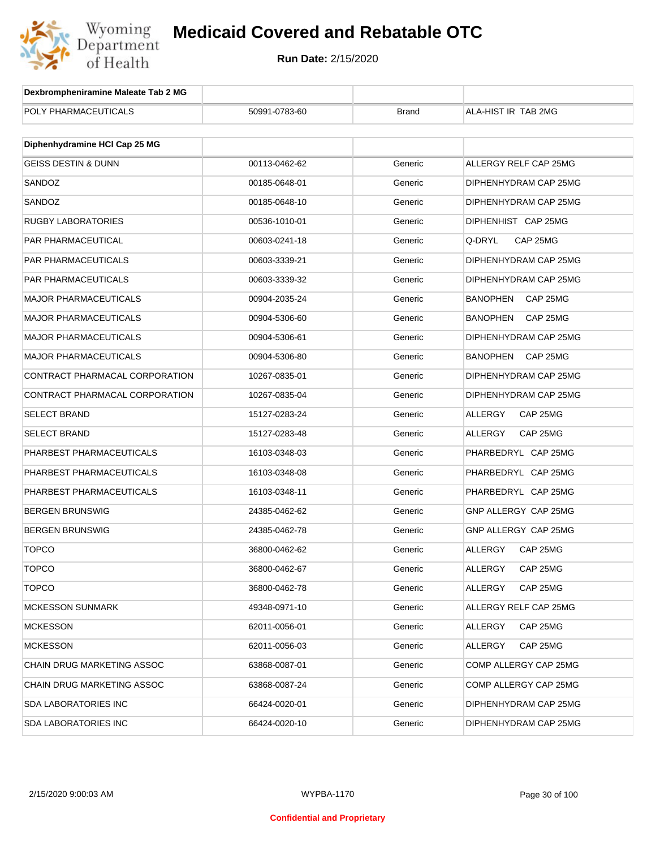

| Dexbrompheniramine Maleate Tab 2 MG |               |              |                             |  |  |  |
|-------------------------------------|---------------|--------------|-----------------------------|--|--|--|
| POLY PHARMACEUTICALS                | 50991-0783-60 | <b>Brand</b> | ALA-HIST IR TAB 2MG         |  |  |  |
|                                     |               |              |                             |  |  |  |
| Diphenhydramine HCI Cap 25 MG       |               |              |                             |  |  |  |
| <b>GEISS DESTIN &amp; DUNN</b>      | 00113-0462-62 | Generic      | ALLERGY RELF CAP 25MG       |  |  |  |
| SANDOZ                              | 00185-0648-01 | Generic      | DIPHENHYDRAM CAP 25MG       |  |  |  |
| SANDOZ                              | 00185-0648-10 | Generic      | DIPHENHYDRAM CAP 25MG       |  |  |  |
| RUGBY LABORATORIES                  | 00536-1010-01 | Generic      | DIPHENHIST CAP 25MG         |  |  |  |
| PAR PHARMACEUTICAL                  | 00603-0241-18 | Generic      | Q-DRYL<br>CAP 25MG          |  |  |  |
| PAR PHARMACEUTICALS                 | 00603-3339-21 | Generic      | DIPHENHYDRAM CAP 25MG       |  |  |  |
| PAR PHARMACEUTICALS                 | 00603-3339-32 | Generic      | DIPHENHYDRAM CAP 25MG       |  |  |  |
| <b>MAJOR PHARMACEUTICALS</b>        | 00904-2035-24 | Generic      | <b>BANOPHEN</b><br>CAP 25MG |  |  |  |
| <b>MAJOR PHARMACEUTICALS</b>        | 00904-5306-60 | Generic      | <b>BANOPHEN</b><br>CAP 25MG |  |  |  |
| <b>MAJOR PHARMACEUTICALS</b>        | 00904-5306-61 | Generic      | DIPHENHYDRAM CAP 25MG       |  |  |  |
| <b>MAJOR PHARMACEUTICALS</b>        | 00904-5306-80 | Generic      | <b>BANOPHEN</b><br>CAP 25MG |  |  |  |
| CONTRACT PHARMACAL CORPORATION      | 10267-0835-01 | Generic      | DIPHENHYDRAM CAP 25MG       |  |  |  |
| CONTRACT PHARMACAL CORPORATION      | 10267-0835-04 | Generic      | DIPHENHYDRAM CAP 25MG       |  |  |  |
| SELECT BRAND                        | 15127-0283-24 | Generic      | ALLERGY<br>CAP 25MG         |  |  |  |
| <b>SELECT BRAND</b>                 | 15127-0283-48 | Generic      | ALLERGY<br>CAP 25MG         |  |  |  |
| PHARBEST PHARMACEUTICALS            | 16103-0348-03 | Generic      | PHARBEDRYL CAP 25MG         |  |  |  |
| PHARBEST PHARMACEUTICALS            | 16103-0348-08 | Generic      | PHARBEDRYL CAP 25MG         |  |  |  |
| PHARBEST PHARMACEUTICALS            | 16103-0348-11 | Generic      | PHARBEDRYL CAP 25MG         |  |  |  |
| <b>BERGEN BRUNSWIG</b>              | 24385-0462-62 | Generic      | GNP ALLERGY CAP 25MG        |  |  |  |
| <b>BERGEN BRUNSWIG</b>              | 24385-0462-78 | Generic      | GNP ALLERGY CAP 25MG        |  |  |  |
| <b>TOPCO</b>                        | 36800-0462-62 | Generic      | ALLERGY<br>CAP 25MG         |  |  |  |
| TOPCO                               | 36800-0462-67 | Generic      | ALLERGY<br>CAP 25MG         |  |  |  |
| <b>TOPCO</b>                        | 36800-0462-78 | Generic      | ALLERGY<br>CAP 25MG         |  |  |  |
| <b>MCKESSON SUNMARK</b>             | 49348-0971-10 | Generic      | ALLERGY RELF CAP 25MG       |  |  |  |
| <b>MCKESSON</b>                     | 62011-0056-01 | Generic      | ALLERGY<br>CAP 25MG         |  |  |  |
| <b>MCKESSON</b>                     | 62011-0056-03 | Generic      | ALLERGY<br>CAP 25MG         |  |  |  |
| CHAIN DRUG MARKETING ASSOC          | 63868-0087-01 | Generic      | COMP ALLERGY CAP 25MG       |  |  |  |
| CHAIN DRUG MARKETING ASSOC          | 63868-0087-24 | Generic      | COMP ALLERGY CAP 25MG       |  |  |  |
| SDA LABORATORIES INC                | 66424-0020-01 | Generic      | DIPHENHYDRAM CAP 25MG       |  |  |  |
| <b>SDA LABORATORIES INC</b>         | 66424-0020-10 | Generic      | DIPHENHYDRAM CAP 25MG       |  |  |  |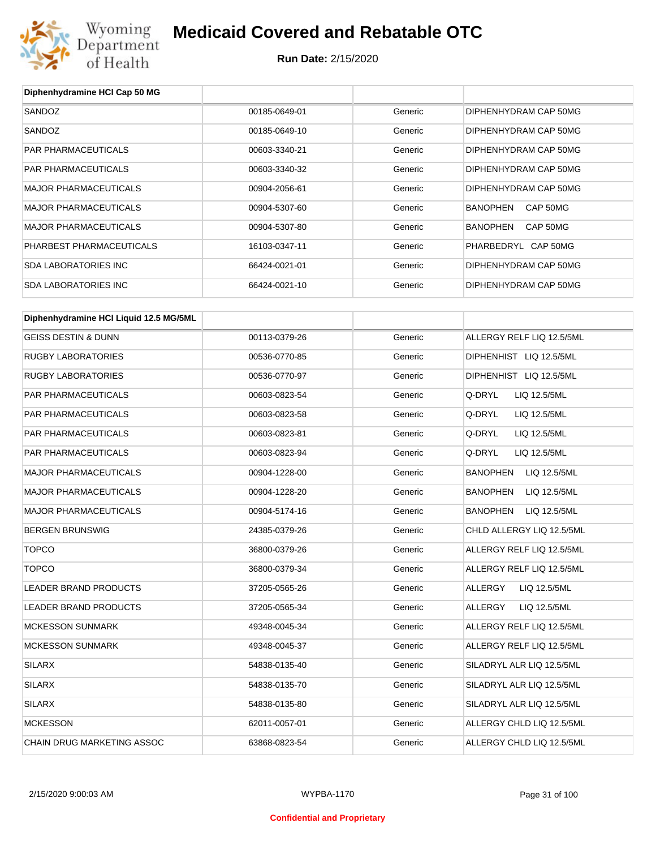

**Run Date:** 2/15/2020

| Diphenhydramine HCI Cap 50 MG          |               |         |                                 |
|----------------------------------------|---------------|---------|---------------------------------|
| SANDOZ                                 | 00185-0649-01 | Generic | DIPHENHYDRAM CAP 50MG           |
| SANDOZ                                 | 00185-0649-10 | Generic | DIPHENHYDRAM CAP 50MG           |
| PAR PHARMACEUTICALS                    | 00603-3340-21 | Generic | DIPHENHYDRAM CAP 50MG           |
| PAR PHARMACEUTICALS                    | 00603-3340-32 | Generic | DIPHENHYDRAM CAP 50MG           |
| <b>MAJOR PHARMACEUTICALS</b>           | 00904-2056-61 | Generic | DIPHENHYDRAM CAP 50MG           |
| <b>MAJOR PHARMACEUTICALS</b>           | 00904-5307-60 | Generic | <b>BANOPHEN</b><br>CAP 50MG     |
| <b>MAJOR PHARMACEUTICALS</b>           | 00904-5307-80 | Generic | <b>BANOPHEN</b><br>CAP 50MG     |
| PHARBEST PHARMACEUTICALS               | 16103-0347-11 | Generic | PHARBEDRYL CAP 50MG             |
| <b>SDA LABORATORIES INC</b>            | 66424-0021-01 | Generic | DIPHENHYDRAM CAP 50MG           |
| <b>SDA LABORATORIES INC</b>            | 66424-0021-10 | Generic | DIPHENHYDRAM CAP 50MG           |
| Diphenhydramine HCI Liquid 12.5 MG/5ML |               |         |                                 |
| <b>GEISS DESTIN &amp; DUNN</b>         | 00113-0379-26 | Generic | ALLERGY RELF LIQ 12.5/5ML       |
| <b>RUGBY LABORATORIES</b>              | 00536-0770-85 | Generic | DIPHENHIST LIQ 12.5/5ML         |
| <b>RUGBY LABORATORIES</b>              | 00536-0770-97 | Generic | DIPHENHIST LIQ 12.5/5ML         |
| PAR PHARMACEUTICALS                    | 00603-0823-54 | Generic | Q-DRYL<br>LIQ 12.5/5ML          |
| PAR PHARMACEUTICALS                    | 00603-0823-58 | Generic | Q-DRYL<br>LIQ 12.5/5ML          |
| PAR PHARMACEUTICALS                    | 00603-0823-81 | Generic | Q-DRYL<br>LIQ 12.5/5ML          |
| PAR PHARMACEUTICALS                    | 00603-0823-94 | Generic | Q-DRYL<br>LIQ 12.5/5ML          |
| <b>MAJOR PHARMACEUTICALS</b>           | 00904-1228-00 | Generic | <b>BANOPHEN</b><br>LIQ 12.5/5ML |
| <b>MAJOR PHARMACEUTICALS</b>           | 00904-1228-20 | Generic | <b>BANOPHEN</b><br>LIQ 12.5/5ML |
| MAJOR PHARMACEUTICALS                  | 00904-5174-16 | Generic | <b>BANOPHEN</b><br>LIQ 12.5/5ML |
| <b>BERGEN BRUNSWIG</b>                 | 24385-0379-26 | Generic | CHLD ALLERGY LIQ 12.5/5ML       |
| <b>TOPCO</b>                           | 36800-0379-26 | Generic | ALLERGY RELF LIQ 12.5/5ML       |
| <b>TOPCO</b>                           | 36800-0379-34 | Generic | ALLERGY RELF LIQ 12.5/5ML       |
| LEADER BRAND PRODUCTS                  | 37205-0565-26 | Generic | <b>ALLERGY</b><br>LIQ 12.5/5ML  |
| LEADER BRAND PRODUCTS                  | 37205-0565-34 | Generic | ALLERGY<br>LIQ 12.5/5ML         |
| <b>MCKESSON SUNMARK</b>                | 49348-0045-34 | Generic | ALLERGY RELF LIQ 12.5/5ML       |
| <b>MCKESSON SUNMARK</b>                | 49348-0045-37 | Generic | ALLERGY RELF LIQ 12.5/5ML       |
| <b>SILARX</b>                          | 54838-0135-40 | Generic | SILADRYL ALR LIQ 12.5/5ML       |
| <b>SILARX</b>                          | 54838-0135-70 | Generic | SILADRYL ALR LIQ 12.5/5ML       |
| <b>SILARX</b>                          | 54838-0135-80 | Generic | SILADRYL ALR LIQ 12.5/5ML       |
| <b>MCKESSON</b>                        | 62011-0057-01 | Generic | ALLERGY CHLD LIQ 12.5/5ML       |
| CHAIN DRUG MARKETING ASSOC             | 63868-0823-54 | Generic | ALLERGY CHLD LIQ 12.5/5ML       |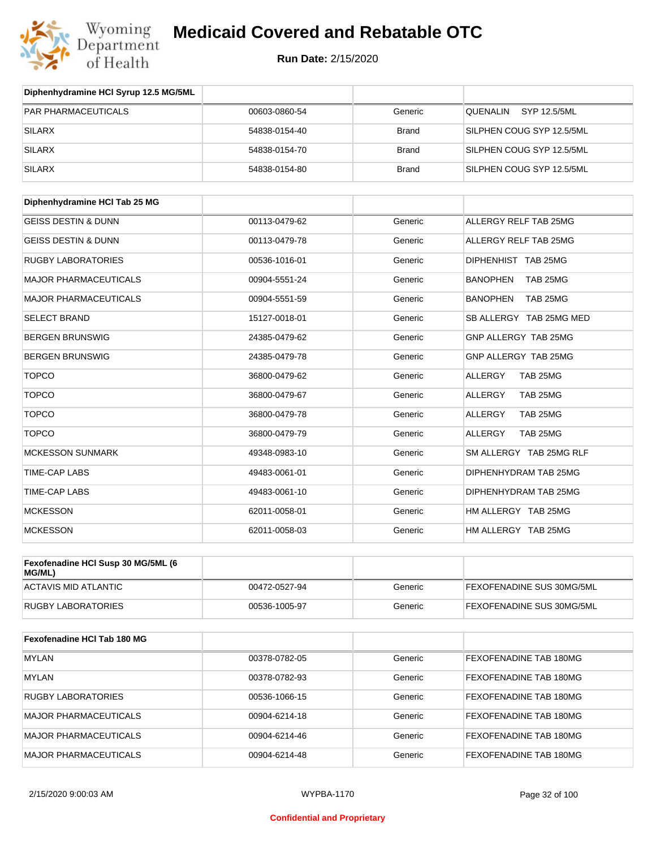

**Run Date:** 2/15/2020

| Diphenhydramine HCI Syrup 12.5 MG/5ML        |               |              |                             |
|----------------------------------------------|---------------|--------------|-----------------------------|
| <b>PAR PHARMACEUTICALS</b>                   | 00603-0860-54 | Generic      | QUENALIN<br>SYP 12.5/5ML    |
| <b>SILARX</b>                                | 54838-0154-40 | <b>Brand</b> | SILPHEN COUG SYP 12.5/5ML   |
| <b>SILARX</b>                                | 54838-0154-70 | <b>Brand</b> | SILPHEN COUG SYP 12.5/5ML   |
| <b>SILARX</b>                                | 54838-0154-80 | <b>Brand</b> | SILPHEN COUG SYP 12.5/5ML   |
| Diphenhydramine HCI Tab 25 MG                |               |              |                             |
| <b>GEISS DESTIN &amp; DUNN</b>               | 00113-0479-62 | Generic      | ALLERGY RELF TAB 25MG       |
| <b>GEISS DESTIN &amp; DUNN</b>               | 00113-0479-78 | Generic      | ALLERGY RELF TAB 25MG       |
| <b>RUGBY LABORATORIES</b>                    | 00536-1016-01 | Generic      | DIPHENHIST TAB 25MG         |
| MAJOR PHARMACEUTICALS                        | 00904-5551-24 | Generic      | <b>BANOPHEN</b><br>TAB 25MG |
| MAJOR PHARMACEUTICALS                        | 00904-5551-59 | Generic      | BANOPHEN<br>TAB 25MG        |
| <b>SELECT BRAND</b>                          | 15127-0018-01 | Generic      | SB ALLERGY TAB 25MG MED     |
| <b>BERGEN BRUNSWIG</b>                       | 24385-0479-62 | Generic      | GNP ALLERGY TAB 25MG        |
| <b>BERGEN BRUNSWIG</b>                       | 24385-0479-78 | Generic      | GNP ALLERGY TAB 25MG        |
| <b>TOPCO</b>                                 | 36800-0479-62 | Generic      | ALLERGY<br>TAB 25MG         |
| <b>TOPCO</b>                                 | 36800-0479-67 | Generic      | ALLERGY<br>TAB 25MG         |
| <b>TOPCO</b>                                 | 36800-0479-78 | Generic      | TAB 25MG<br>ALLERGY         |
| <b>TOPCO</b>                                 | 36800-0479-79 | Generic      | <b>ALLERGY</b><br>TAB 25MG  |
| <b>MCKESSON SUNMARK</b>                      | 49348-0983-10 | Generic      | SM ALLERGY TAB 25MG RLF     |
| TIME-CAP LABS                                | 49483-0061-01 | Generic      | DIPHENHYDRAM TAB 25MG       |
| TIME-CAP LABS                                | 49483-0061-10 | Generic      | DIPHENHYDRAM TAB 25MG       |
| <b>MCKESSON</b>                              | 62011-0058-01 | Generic      | HM ALLERGY TAB 25MG         |
| <b>MCKESSON</b>                              | 62011-0058-03 | Generic      | HM ALLERGY TAB 25MG         |
| Fexofenadine HCI Susp 30 MG/5ML (6<br>MG/ML) |               |              |                             |
| <b>ACTAVIS MID ATLANTIC</b>                  | 00472-0527-94 | Generic      | FEXOFENADINE SUS 30MG/5ML   |
| <b>RUGBY LABORATORIES</b>                    | 00536-1005-97 | Generic      | FEXOFENADINE SUS 30MG/5ML   |
| Fexofenadine HCI Tab 180 MG                  |               |              |                             |
| <b>MYLAN</b>                                 | 00378-0782-05 | Generic      | FEXOFENADINE TAB 180MG      |
| <b>MYLAN</b>                                 | 00378-0782-93 | Generic      | FEXOFENADINE TAB 180MG      |
| <b>RUGBY LABORATORIES</b>                    | 00536-1066-15 | Generic      | FEXOFENADINE TAB 180MG      |
| MAJOR PHARMACEUTICALS                        | 00904-6214-18 | Generic      | FEXOFENADINE TAB 180MG      |

MAJOR PHARMACEUTICALS 00904-6214-46 Generic FEXOFENADINE TAB 180MG MAJOR PHARMACEUTICALS 00904-6214-48 Generic FEXOFENADINE TAB 180MG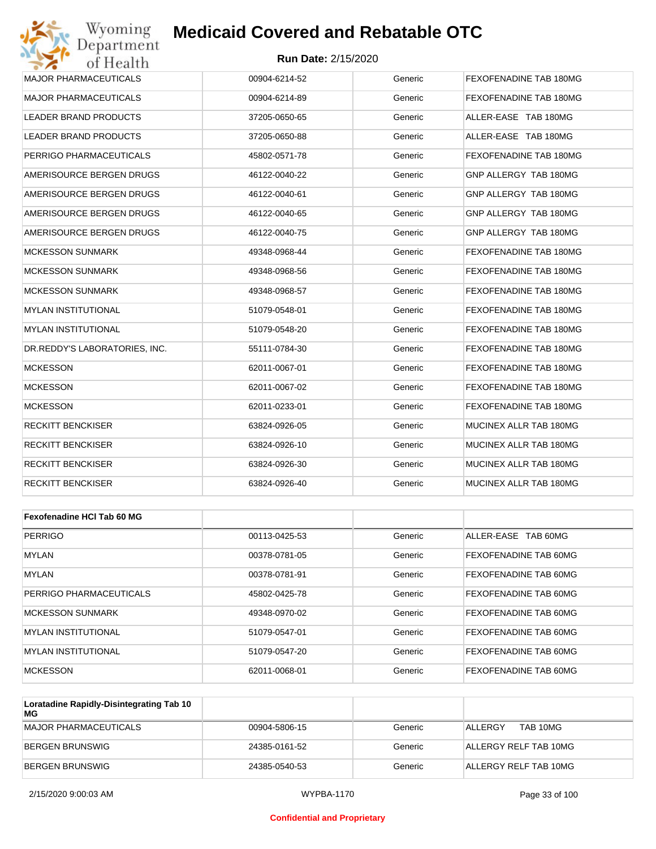#### **Run Date:** 2/15/2020

| Wyoming<br>Department         | <b>Medicaid Covered and Rebatable OTC</b> |         |                        |
|-------------------------------|-------------------------------------------|---------|------------------------|
| of Health                     | <b>Run Date: 2/15/2020</b>                |         |                        |
| <b>MAJOR PHARMACEUTICALS</b>  | 00904-6214-52                             | Generic | FEXOFENADINE TAB 180MG |
| <b>MAJOR PHARMACEUTICALS</b>  | 00904-6214-89                             | Generic | FEXOFENADINE TAB 180MG |
| LEADER BRAND PRODUCTS         | 37205-0650-65                             | Generic | ALLER-EASE TAB 180MG   |
| LEADER BRAND PRODUCTS         | 37205-0650-88                             | Generic | ALLER-EASE TAB 180MG   |
| PERRIGO PHARMACEUTICALS       | 45802-0571-78                             | Generic | FEXOFENADINE TAB 180MG |
| AMERISOURCE BERGEN DRUGS      | 46122-0040-22                             | Generic | GNP ALLERGY TAB 180MG  |
| AMERISOURCE BERGEN DRUGS      | 46122-0040-61                             | Generic | GNP ALLERGY TAB 180MG  |
| AMERISOURCE BERGEN DRUGS      | 46122-0040-65                             | Generic | GNP ALLERGY TAB 180MG  |
| AMERISOURCE BERGEN DRUGS      | 46122-0040-75                             | Generic | GNP ALLERGY TAB 180MG  |
| MCKESSON SUNMARK              | 49348-0968-44                             | Generic | FEXOFENADINE TAB 180MG |
| <b>MCKESSON SUNMARK</b>       | 49348-0968-56                             | Generic | FEXOFENADINE TAB 180MG |
| MCKESSON SUNMARK              | 49348-0968-57                             | Generic | FEXOFENADINE TAB 180MG |
| <b>MYLAN INSTITUTIONAL</b>    | 51079-0548-01                             | Generic | FEXOFENADINE TAB 180MG |
| MYLAN INSTITUTIONAL           | 51079-0548-20                             | Generic | FEXOFENADINE TAB 180MG |
| DR.REDDY'S LABORATORIES, INC. | 55111-0784-30                             | Generic | FEXOFENADINE TAB 180MG |
| <b>MCKESSON</b>               | 62011-0067-01                             | Generic | FEXOFENADINE TAB 180MG |
| <b>MCKESSON</b>               | 62011-0067-02                             | Generic | FEXOFENADINE TAB 180MG |
| <b>MCKESSON</b>               | 62011-0233-01                             | Generic | FEXOFENADINE TAB 180MG |
| RECKITT BENCKISER             | 63824-0926-05                             | Generic | MUCINEX ALLR TAB 180MG |
| RECKITT BENCKISER             | 63824-0926-10                             | Generic | MUCINEX ALLR TAB 180MG |
| RECKITT BENCKISER             | 63824-0926-30                             | Generic | MUCINEX ALLR TAB 180MG |
| RECKITT BENCKISER             | 63824-0926-40                             | Generic | MUCINEX ALLR TAB 180MG |
|                               |                                           |         |                        |
| Fexofenadine HCI Tab 60 MG    |                                           |         |                        |
| <b>PERRIGO</b>                | 00113-0425-53                             | Generic | ALLER-EASE TAB 60MG    |
| <b>MYLAN</b>                  | 00378-0781-05                             | Generic | FEXOFENADINE TAB 60MG  |
| <b>MYLAN</b>                  | 00378-0781-91                             | Generic | FEXOFENADINE TAB 60MG  |
|                               |                                           |         |                        |

| PERRIGO PHARMACEUTICALS     | 45802-0425-78 | Generic | <b>FEXOFENADINE TAB 60MG</b> |
|-----------------------------|---------------|---------|------------------------------|
| MCKESSON SUNMARK            | 49348-0970-02 | Generic | <b>FEXOFENADINE TAB 60MG</b> |
| IMYLAN INSTITUTIONAL        | 51079-0547-01 | Generic | <b>FEXOFENADINE TAB 60MG</b> |
| <b>IMYLAN INSTITUTIONAL</b> | 51079-0547-20 | Generic | <b>FEXOFENADINE TAB 60MG</b> |
| <b>MCKESSON</b>             | 62011-0068-01 | Generic | <b>FEXOFENADINE TAB 60MG</b> |

| Loratadine Rapidly-Disintegrating Tab 10<br>МG |               |         |                       |
|------------------------------------------------|---------------|---------|-----------------------|
| MAJOR PHARMACEUTICALS                          | 00904-5806-15 | Generic | TAB 10MG<br>ALLERGY   |
| BERGEN BRUNSWIG                                | 24385-0161-52 | Generic | ALLERGY RELF TAB 10MG |
| BERGEN BRUNSWIG                                | 24385-0540-53 | Generic | ALLERGY RELF TAB 10MG |

#### **Confidential and Proprietary**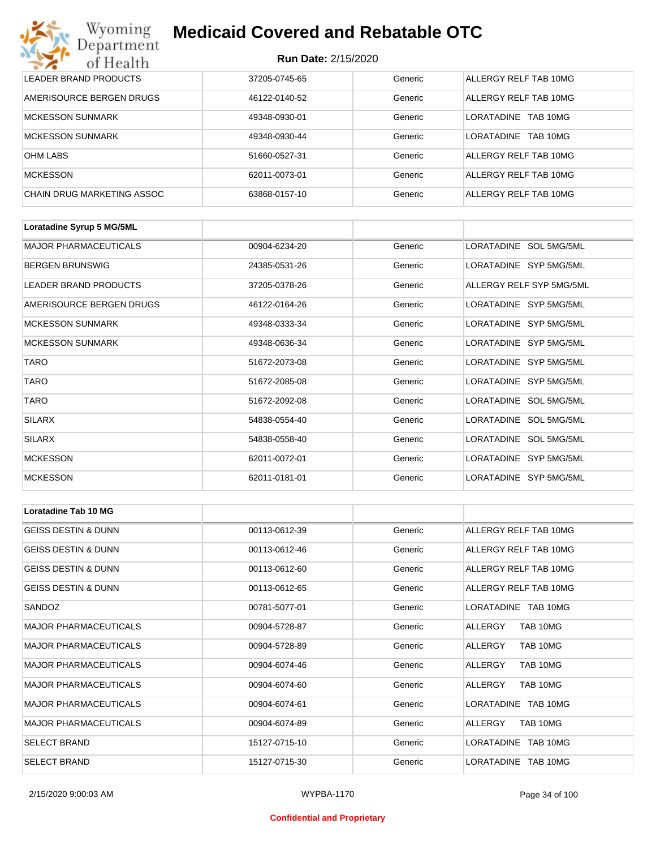#### **Run Date:** 2/15/2020

| Wyoming<br><b>Medicaid Covered and Rebatable OTC</b><br>Department |                            |         |                               |  |  |  |
|--------------------------------------------------------------------|----------------------------|---------|-------------------------------|--|--|--|
| of Health                                                          | <b>Run Date: 2/15/2020</b> |         |                               |  |  |  |
| LEADER BRAND PRODUCTS                                              | 37205-0745-65              | Generic | ALLERGY RELF TAB 10MG         |  |  |  |
| AMERISOURCE BERGEN DRUGS                                           | 46122-0140-52              | Generic | ALLERGY RELF TAB 10MG         |  |  |  |
| <b>MCKESSON SUNMARK</b>                                            | 49348-0930-01              | Generic | <b>LORATADINE</b><br>TAB 10MG |  |  |  |
| <b>MCKESSON SUNMARK</b>                                            | 49348-0930-44              | Generic | <b>LORATADINE</b><br>TAB 10MG |  |  |  |
| <b>OHM LABS</b>                                                    | 51660-0527-31              | Generic | ALLERGY RELF TAB 10MG         |  |  |  |
| <b>MCKESSON</b>                                                    | 62011-0073-01              | Generic | ALLERGY RELF TAB 10MG         |  |  |  |
| CHAIN DRUG MARKETING ASSOC                                         | 63868-0157-10              | Generic | ALLERGY RELF TAB 10MG         |  |  |  |

| Loratadine Syrup 5 MG/5ML    |               |         |                          |
|------------------------------|---------------|---------|--------------------------|
| <b>MAJOR PHARMACEUTICALS</b> | 00904-6234-20 | Generic | LORATADINE SOL 5MG/5ML   |
| <b>BERGEN BRUNSWIG</b>       | 24385-0531-26 | Generic | LORATADINE SYP 5MG/5ML   |
| <b>LEADER BRAND PRODUCTS</b> | 37205-0378-26 | Generic | ALLERGY RELF SYP 5MG/5ML |
| AMERISOURCE BERGEN DRUGS     | 46122-0164-26 | Generic | LORATADINE SYP 5MG/5ML   |
| <b>MCKESSON SUNMARK</b>      | 49348-0333-34 | Generic | LORATADINE SYP 5MG/5ML   |
| <b>MCKESSON SUNMARK</b>      | 49348-0636-34 | Generic | LORATADINE SYP 5MG/5ML   |
| <b>TARO</b>                  | 51672-2073-08 | Generic | LORATADINE SYP 5MG/5ML   |
| <b>TARO</b>                  | 51672-2085-08 | Generic | LORATADINE SYP 5MG/5ML   |
| <b>TARO</b>                  | 51672-2092-08 | Generic | LORATADINE SOL 5MG/5ML   |
| <b>SILARX</b>                | 54838-0554-40 | Generic | LORATADINE SOL 5MG/5ML   |
| <b>SILARX</b>                | 54838-0558-40 | Generic | LORATADINE SOL 5MG/5ML   |
| <b>MCKESSON</b>              | 62011-0072-01 | Generic | LORATADINE SYP 5MG/5ML   |
| <b>MCKESSON</b>              | 62011-0181-01 | Generic | LORATADINE SYP 5MG/5ML   |

| <b>Loratadine Tab 10 MG</b>    |               |         |                       |
|--------------------------------|---------------|---------|-----------------------|
| <b>GEISS DESTIN &amp; DUNN</b> | 00113-0612-39 | Generic | ALLERGY RELF TAB 10MG |
| IGEISS DESTIN & DUNN           | 00113-0612-46 | Generic | ALLERGY RELF TAB 10MG |
| <b>GEISS DESTIN &amp; DUNN</b> | 00113-0612-60 | Generic | ALLERGY RELF TAB 10MG |
| <b>GEISS DESTIN &amp; DUNN</b> | 00113-0612-65 | Generic | ALLERGY RELF TAB 10MG |
| SANDOZ                         | 00781-5077-01 | Generic | LORATADINE TAB 10MG   |
| <b>MAJOR PHARMACEUTICALS</b>   | 00904-5728-87 | Generic | ALLERGY<br>TAB 10MG   |
| <b>MAJOR PHARMACEUTICALS</b>   | 00904-5728-89 | Generic | TAB 10MG<br>ALLERGY   |
| <b>MAJOR PHARMACEUTICALS</b>   | 00904-6074-46 | Generic | TAB 10MG<br>ALLERGY   |
| <b>MAJOR PHARMACEUTICALS</b>   | 00904-6074-60 | Generic | TAB 10MG<br>ALLERGY   |
| <b>MAJOR PHARMACEUTICALS</b>   | 00904-6074-61 | Generic | LORATADINE TAB 10MG   |
| <b>MAJOR PHARMACEUTICALS</b>   | 00904-6074-89 | Generic | TAB 10MG<br>ALLERGY   |
| <b>SELECT BRAND</b>            | 15127-0715-10 | Generic | LORATADINE TAB 10MG   |
| <b>SELECT BRAND</b>            | 15127-0715-30 | Generic | LORATADINE TAB 10MG   |

#### **Confidential and Proprietary**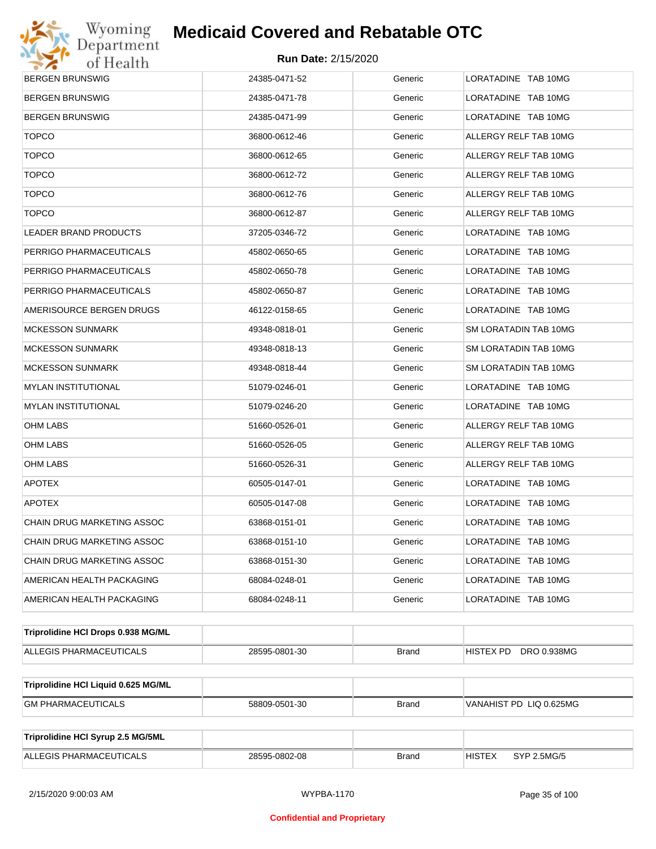

| <b>BERGEN BRUNSWIG</b>              | 24385-0471-52 | Generic      | LORATADINE TAB 10MG          |  |
|-------------------------------------|---------------|--------------|------------------------------|--|
| <b>BERGEN BRUNSWIG</b>              | 24385-0471-78 | Generic      | LORATADINE TAB 10MG          |  |
| <b>BERGEN BRUNSWIG</b>              | 24385-0471-99 | Generic      | LORATADINE TAB 10MG          |  |
| <b>TOPCO</b>                        | 36800-0612-46 | Generic      | ALLERGY RELF TAB 10MG        |  |
| <b>TOPCO</b>                        | 36800-0612-65 | Generic      | ALLERGY RELF TAB 10MG        |  |
| <b>TOPCO</b>                        | 36800-0612-72 | Generic      | ALLERGY RELF TAB 10MG        |  |
| <b>TOPCO</b>                        | 36800-0612-76 | Generic      | ALLERGY RELF TAB 10MG        |  |
| <b>TOPCO</b>                        | 36800-0612-87 | Generic      | ALLERGY RELF TAB 10MG        |  |
| LEADER BRAND PRODUCTS               | 37205-0346-72 | Generic      | LORATADINE TAB 10MG          |  |
| PERRIGO PHARMACEUTICALS             | 45802-0650-65 | Generic      | LORATADINE TAB 10MG          |  |
| PERRIGO PHARMACEUTICALS             | 45802-0650-78 | Generic      | LORATADINE TAB 10MG          |  |
| PERRIGO PHARMACEUTICALS             | 45802-0650-87 | Generic      | LORATADINE TAB 10MG          |  |
| AMERISOURCE BERGEN DRUGS            | 46122-0158-65 | Generic      | LORATADINE TAB 10MG          |  |
| <b>MCKESSON SUNMARK</b>             | 49348-0818-01 | Generic      | SM LORATADIN TAB 10MG        |  |
| <b>MCKESSON SUNMARK</b>             | 49348-0818-13 | Generic      | SM LORATADIN TAB 10MG        |  |
| <b>MCKESSON SUNMARK</b>             | 49348-0818-44 | Generic      | SM LORATADIN TAB 10MG        |  |
| <b>MYLAN INSTITUTIONAL</b>          | 51079-0246-01 | Generic      | LORATADINE TAB 10MG          |  |
| MYLAN INSTITUTIONAL                 | 51079-0246-20 | Generic      | LORATADINE TAB 10MG          |  |
| OHM LABS                            | 51660-0526-01 | Generic      | ALLERGY RELF TAB 10MG        |  |
| OHM LABS                            | 51660-0526-05 | Generic      | ALLERGY RELF TAB 10MG        |  |
| <b>OHM LABS</b>                     | 51660-0526-31 | Generic      | ALLERGY RELF TAB 10MG        |  |
| <b>APOTEX</b>                       | 60505-0147-01 | Generic      | LORATADINE TAB 10MG          |  |
| <b>APOTEX</b>                       | 60505-0147-08 | Generic      | LORATADINE TAB 10MG          |  |
| CHAIN DRUG MARKETING ASSOC          | 63868-0151-01 | Generic      | LORATADINE TAB 10MG          |  |
| <b>CHAIN DRUG MARKETING ASSOC</b>   | 63868-0151-10 | Generic      | LORATADINE TAB 10MG          |  |
| CHAIN DRUG MARKETING ASSOC          | 63868-0151-30 | Generic      | LORATADINE TAB 10MG          |  |
| AMERICAN HEALTH PACKAGING           | 68084-0248-01 | Generic      | LORATADINE TAB 10MG          |  |
| AMERICAN HEALTH PACKAGING           | 68084-0248-11 | Generic      | LORATADINE TAB 10MG          |  |
| Triprolidine HCI Drops 0.938 MG/ML  |               |              |                              |  |
| ALLEGIS PHARMACEUTICALS             | 28595-0801-30 | <b>Brand</b> | HISTEX PD DRO 0.938MG        |  |
|                                     |               |              |                              |  |
| Triprolidine HCI Liquid 0.625 MG/ML |               |              |                              |  |
| <b>GM PHARMACEUTICALS</b>           | 58809-0501-30 | <b>Brand</b> | VANAHIST PD LIQ 0.625MG      |  |
| Triprolidine HCI Syrup 2.5 MG/5ML   |               |              |                              |  |
| ALLEGIS PHARMACEUTICALS             | 28595-0802-08 | <b>Brand</b> | <b>HISTEX</b><br>SYP 2.5MG/5 |  |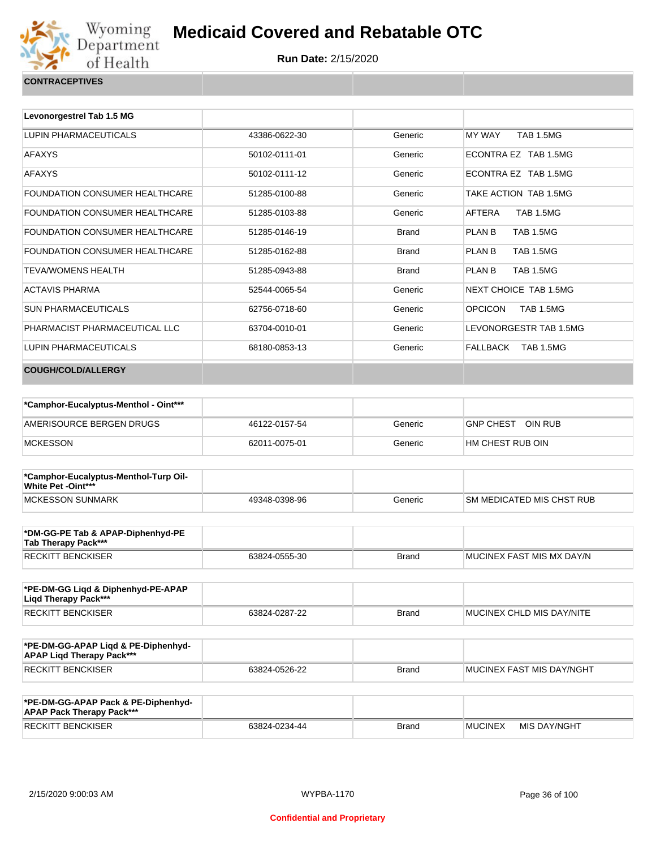

**Run Date:** 2/15/2020

Generic ECONTRA EZ TAB 1.5MG

| Levonorgestrel Tab 1.5 MG             |               |         |                            |
|---------------------------------------|---------------|---------|----------------------------|
| LUPIN PHARMACEUTICALS                 | 43386-0622-30 | Generic | MY WAY<br><b>TAB 1.5MG</b> |
| <b>AFAXYS</b>                         | 50102-0111-01 | Generic | ECONTRA EZ TAB 1.5         |
| <b>AFAXYS</b>                         | 50102-0111-12 | Generic | ECONTRA EZ TAB 1.5         |
| <b>FOUNDATION CONSUMER HEALTHCARE</b> | 51285-0100-88 | Generic | TAKE ACTION TAB 1.5M       |

| AFAXYS                         | 50102-0111-12 | Generic | ECONTRA EZ TAB 1.5MG        |
|--------------------------------|---------------|---------|-----------------------------|
| FOUNDATION CONSUMER HEALTHCARE | 51285-0100-88 | Generic | TAKE ACTION TAB 1.5MG       |
| FOUNDATION CONSUMER HEALTHCARE | 51285-0103-88 | Generic | AFTERA<br>TAB 1.5MG         |
| FOUNDATION CONSUMER HEALTHCARE | 51285-0146-19 | Brand   | TAB 1.5MG<br>PLAN B         |
| FOUNDATION CONSUMER HEALTHCARE | 51285-0162-88 | Brand   | TAB 1.5MG<br>PLAN B         |
| TEVA/WOMENS HEALTH             | 51285-0943-88 | Brand   | TAB 1.5MG<br>PLAN B         |
| <b>ACTAVIS PHARMA</b>          | 52544-0065-54 | Generic | NEXT CHOICE TAB 1.5MG       |
| SUN PHARMACEUTICALS            | 62756-0718-60 | Generic | <b>OPCICON</b><br>TAB 1.5MG |
| PHARMACIST PHARMACEUTICAL LLC  | 63704-0010-01 | Generic | LEVONORGESTR TAB 1.5MG      |
| LUPIN PHARMACEUTICALS          | 68180-0853-13 | Generic | TAB 1.5MG<br>FALLBACK       |
| <b>COUGH/COLD/ALLERGY</b>      |               |         |                             |

| *Camphor-Eucalyptus-Menthol - Oint*** |               |         |                      |
|---------------------------------------|---------------|---------|----------------------|
| AMERISOURCE BERGEN DRUGS              | 46122-0157-54 | Generic | OIN RUB<br>GNP CHEST |
| MCKESSON                              | 62011-0075-01 | Generic | I HM CHEST RUB OIN   |

| *Camphor-Eucalyptus-Menthol-Turp Oil-<br><b>White Pet -Oint***</b> |               |         |                            |
|--------------------------------------------------------------------|---------------|---------|----------------------------|
| MCKESSON SUNMARK                                                   | 49348-0398-96 | Generic | ISM MEDICATED MIS CHST RUB |

| *DM-GG-PE Tab & APAP-Diphenhyd-PE<br>Tab Therapy Pack*** |               |       |                            |
|----------------------------------------------------------|---------------|-------|----------------------------|
| <b>RECKITT BENCKISER</b>                                 | 63824-0555-30 | Brand | IMUCINEX FAST MIS MX DAY/N |

| *PE-DM-GG Ligd & Diphenhyd-PE-APAP<br>Ligd Therapy Pack*** |               |       |                                   |
|------------------------------------------------------------|---------------|-------|-----------------------------------|
| <b>RECKITT BENCKISER</b>                                   | 63824-0287-22 | Brand | <b>IMUCINEX CHLD MIS DAY/NITE</b> |

| *PE-DM-GG-APAP Ligd & PE-Diphenhyd-<br><b>APAP Ligd Therapy Pack***</b> |               |              |                                   |
|-------------------------------------------------------------------------|---------------|--------------|-----------------------------------|
| RECKITT BENCKISER                                                       | 63824-0526-22 | <b>Brand</b> | <b>IMUCINEX FAST MIS DAY/NGHT</b> |

| *PE-DM-GG-APAP Pack & PE-Diphenhyd-<br><b>APAP Pack Therapy Pack***</b> |               |              |                |              |
|-------------------------------------------------------------------------|---------------|--------------|----------------|--------------|
| <b>RECKITT BENCKISER</b>                                                | 63824-0234-44 | <b>Brand</b> | <b>MUCINEX</b> | MIS DAY/NGHT |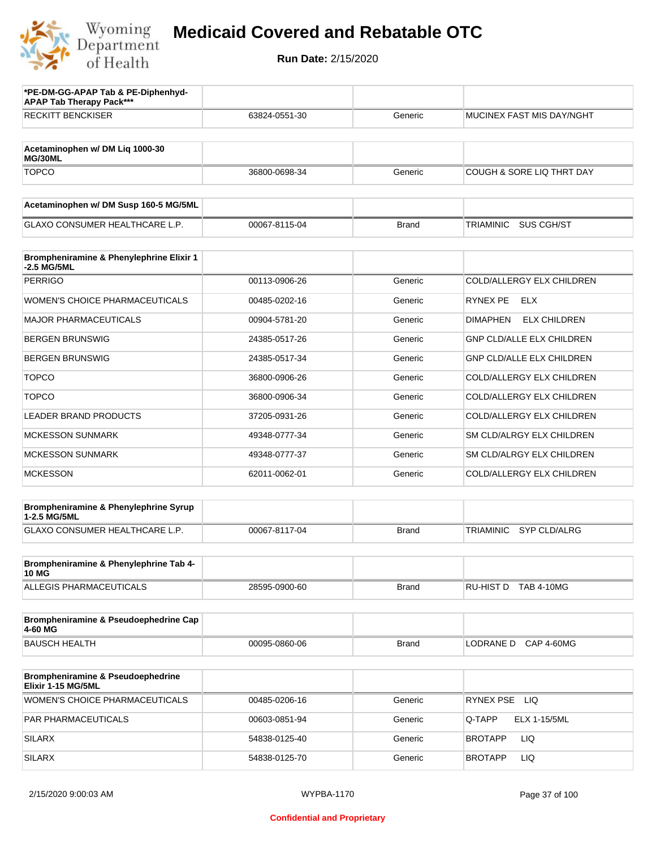

| *PE-DM-GG-APAP Tab & PE-Diphenhyd-<br><b>APAP Tab Therapy Pack***</b> |               |              |                                         |
|-----------------------------------------------------------------------|---------------|--------------|-----------------------------------------|
| <b>RECKITT BENCKISER</b>                                              | 63824-0551-30 | Generic      | <b>MUCINEX FAST MIS DAY/NGHT</b>        |
|                                                                       |               |              |                                         |
| Acetaminophen w/ DM Lig 1000-30<br>MG/30ML                            |               |              |                                         |
| <b>TOPCO</b>                                                          | 36800-0698-34 | Generic      | <b>COUGH &amp; SORE LIQ THRT DAY</b>    |
| Acetaminophen w/ DM Susp 160-5 MG/5ML                                 |               |              |                                         |
| <b>GLAXO CONSUMER HEALTHCARE L.P.</b>                                 | 00067-8115-04 | <b>Brand</b> | SUS CGH/ST<br>TRIAMINIC                 |
| Brompheniramine & Phenylephrine Elixir 1<br>-2.5 MG/5ML               |               |              |                                         |
| <b>PERRIGO</b>                                                        | 00113-0906-26 | Generic      | COLD/ALLERGY ELX CHILDREN               |
| <b>WOMEN'S CHOICE PHARMACEUTICALS</b>                                 | 00485-0202-16 | Generic      | RYNEX PE<br>ELX                         |
| <b>MAJOR PHARMACEUTICALS</b>                                          | 00904-5781-20 | Generic      | <b>ELX CHILDREN</b><br><b>DIMAPHEN</b>  |
| <b>BERGEN BRUNSWIG</b>                                                | 24385-0517-26 | Generic      | <b>GNP CLD/ALLE ELX CHILDREN</b>        |
| <b>BERGEN BRUNSWIG</b>                                                | 24385-0517-34 | Generic      | GNP CLD/ALLE ELX CHILDREN               |
| <b>TOPCO</b>                                                          | 36800-0906-26 | Generic      | COLD/ALLERGY ELX CHILDREN               |
| <b>TOPCO</b>                                                          | 36800-0906-34 | Generic      | COLD/ALLERGY ELX CHILDREN               |
| <b>LEADER BRAND PRODUCTS</b>                                          | 37205-0931-26 | Generic      | COLD/ALLERGY ELX CHILDREN               |
| <b>MCKESSON SUNMARK</b>                                               | 49348-0777-34 | Generic      | SM CLD/ALRGY ELX CHILDREN               |
| <b>MCKESSON SUNMARK</b>                                               | 49348-0777-37 | Generic      | SM CLD/ALRGY ELX CHILDREN               |
| <b>MCKESSON</b>                                                       | 62011-0062-01 | Generic      | COLD/ALLERGY ELX CHILDREN               |
| Brompheniramine & Phenylephrine Syrup<br>1-2.5 MG/5ML                 |               |              |                                         |
| GLAXO CONSUMER HEALTHCARE L.P.                                        | 00067-8117-04 | <b>Brand</b> | <b>TRIAMINIC</b><br><b>SYP CLD/ALRG</b> |
| Brompheniramine & Phenylephrine Tab 4-                                |               |              |                                         |
| <b>10 MG</b><br><b>ALLEGIS PHARMACEUTICALS</b>                        | 28595-0900-60 | <b>Brand</b> | RU-HIST D TAB 4-10MG                    |
|                                                                       |               |              |                                         |
| Brompheniramine & Pseudoephedrine Cap<br>4-60 MG                      |               |              |                                         |
| <b>BAUSCH HEALTH</b>                                                  | 00095-0860-06 | <b>Brand</b> | LODRANE D CAP 4-60MG                    |
| Brompheniramine & Pseudoephedrine<br>Elixir 1-15 MG/5ML               |               |              |                                         |
| WOMEN'S CHOICE PHARMACEUTICALS                                        | 00485-0206-16 | Generic      | RYNEX PSE LIQ                           |
| PAR PHARMACEUTICALS                                                   | 00603-0851-94 | Generic      | Q-TAPP<br>ELX 1-15/5ML                  |
| <b>SILARX</b>                                                         | 54838-0125-40 | Generic      | LIQ<br>BROTAPP                          |
| <b>SILARX</b>                                                         | 54838-0125-70 | Generic      | LIQ<br><b>BROTAPP</b>                   |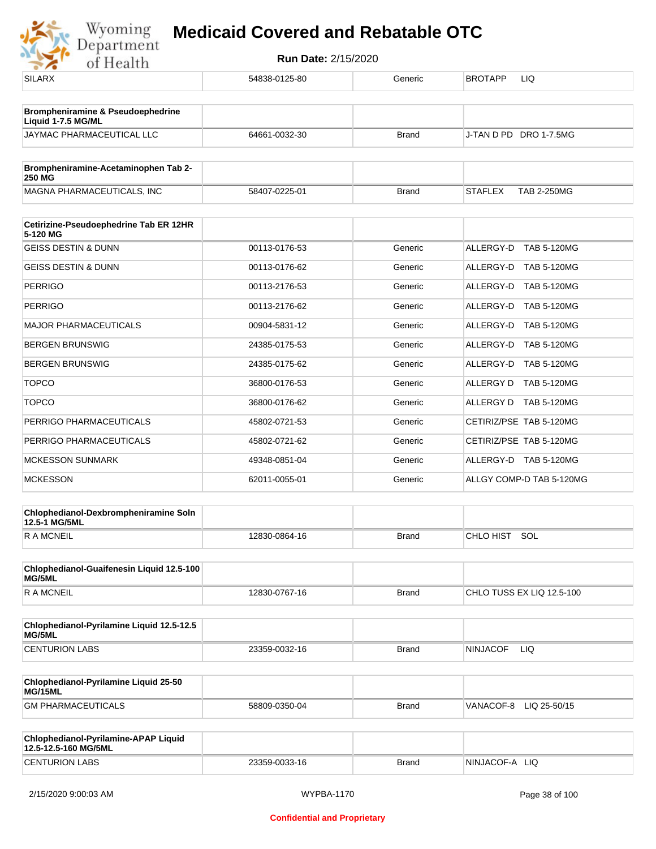| <b>SILARX</b>                                                      | 54838-0125-80 | Generic      | BROTAPP<br>LIQ                       |
|--------------------------------------------------------------------|---------------|--------------|--------------------------------------|
| <b>Brompheniramine &amp; Pseudoephedrine</b><br>Liquid 1-7.5 MG/ML |               |              |                                      |
| JAYMAC PHARMACEUTICAL LLC                                          | 64661-0032-30 | <b>Brand</b> | J-TAN D PD DRO 1-7.5MG               |
| Brompheniramine-Acetaminophen Tab 2-<br><b>250 MG</b>              |               |              |                                      |
| MAGNA PHARMACEUTICALS, INC                                         | 58407-0225-01 | <b>Brand</b> | <b>STAFLEX</b><br><b>TAB 2-250MG</b> |
| Cetirizine-Pseudoephedrine Tab ER 12HR<br>5-120 MG                 |               |              |                                      |
| <b>GEISS DESTIN &amp; DUNN</b>                                     | 00113-0176-53 | Generic      | ALLERGY-D TAB 5-120MG                |
| <b>GEISS DESTIN &amp; DUNN</b>                                     | 00113-0176-62 | Generic      | ALLERGY-D TAB 5-120MG                |
| <b>PERRIGO</b>                                                     | 00113-2176-53 | Generic      | ALLERGY-D TAB 5-120MG                |
| <b>PERRIGO</b>                                                     | 00113-2176-62 | Generic      | ALLERGY-D<br><b>TAB 5-120MG</b>      |
| <b>MAJOR PHARMACEUTICALS</b>                                       | 00904-5831-12 | Generic      | ALLERGY-D TAB 5-120MG                |
| <b>BERGEN BRUNSWIG</b>                                             | 24385-0175-53 | Generic      | ALLERGY-D TAB 5-120MG                |
| <b>BERGEN BRUNSWIG</b>                                             | 24385-0175-62 | Generic      | ALLERGY-D TAB 5-120MG                |
| <b>TOPCO</b>                                                       | 36800-0176-53 | Generic      | ALLERGY D TAB 5-120MG                |
| <b>TOPCO</b>                                                       | 36800-0176-62 | Generic      | ALLERGY D TAB 5-120MG                |
| PERRIGO PHARMACEUTICALS                                            | 45802-0721-53 | Generic      | CETIRIZ/PSE TAB 5-120MG              |
| PERRIGO PHARMACEUTICALS                                            | 45802-0721-62 | Generic      | CETIRIZ/PSE TAB 5-120MG              |
| <b>MCKESSON SUNMARK</b>                                            | 49348-0851-04 | Generic      | ALLERGY-D TAB 5-120MG                |
| <b>MCKESSON</b>                                                    | 62011-0055-01 | Generic      | ALLGY COMP-D TAB 5-120MG             |
| Chlophedianol-Dexbrompheniramine Soln<br>12.5-1 MG/5ML             |               |              |                                      |
| <b>RAMCNEIL</b>                                                    | 12830-0864-16 | <b>Brand</b> | CHLO HIST<br>SOL                     |
| Chlophedianol-Guaifenesin Liquid 12.5-100<br>MG/5ML                |               |              |                                      |
| <b>RAMCNEIL</b>                                                    | 12830-0767-16 | <b>Brand</b> | CHLO TUSS EX LIQ 12.5-100            |
| Chlophedianol-Pyrilamine Liquid 12.5-12.5<br>MG/5ML                |               |              |                                      |
| <b>CENTURION LABS</b>                                              | 23359-0032-16 | <b>Brand</b> | <b>NINJACOF</b><br><b>LIQ</b>        |
| Chlophedianol-Pyrilamine Liquid 25-50<br>MG/15ML                   |               |              |                                      |
| <b>GM PHARMACEUTICALS</b>                                          | 58809-0350-04 | <b>Brand</b> | VANACOF-8 LIQ 25-50/15               |
| Chlophedianol-Pyrilamine-APAP Liquid<br>12.5-12.5-160 MG/5ML       |               |              |                                      |
| <b>CENTURION LABS</b>                                              | 23359-0033-16 | <b>Brand</b> | NINJACOF-A LIQ                       |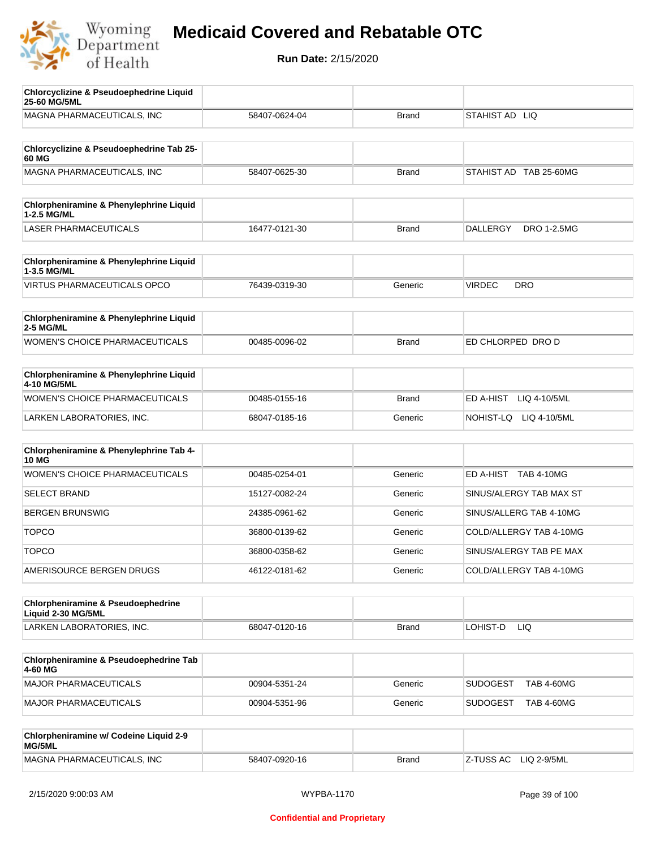

| <b>Chlorcyclizine &amp; Pseudoephedrine Liquid</b><br>25-60 MG/5ML  |               |              |                                      |
|---------------------------------------------------------------------|---------------|--------------|--------------------------------------|
| MAGNA PHARMACEUTICALS, INC                                          | 58407-0624-04 | <b>Brand</b> | STAHIST AD LIQ                       |
|                                                                     |               |              |                                      |
| Chlorcyclizine & Pseudoephedrine Tab 25-<br>60 MG                   |               |              |                                      |
| MAGNA PHARMACEUTICALS, INC                                          | 58407-0625-30 | <b>Brand</b> | STAHIST AD TAB 25-60MG               |
| Chlorpheniramine & Phenylephrine Liquid<br>1-2.5 MG/ML              |               |              |                                      |
| <b>LASER PHARMACEUTICALS</b>                                        | 16477-0121-30 | <b>Brand</b> | DRO 1-2.5MG<br><b>DALLERGY</b>       |
| Chlorpheniramine & Phenylephrine Liquid<br>1-3.5 MG/ML              |               |              |                                      |
| <b>VIRTUS PHARMACEUTICALS OPCO</b>                                  | 76439-0319-30 | Generic      | <b>VIRDEC</b><br><b>DRO</b>          |
| Chlorpheniramine & Phenylephrine Liquid<br>2-5 MG/ML                |               |              |                                      |
| <b>WOMEN'S CHOICE PHARMACEUTICALS</b>                               | 00485-0096-02 | <b>Brand</b> | ED CHLORPED DRO D                    |
| Chlorpheniramine & Phenylephrine Liquid<br>4-10 MG/5ML              |               |              |                                      |
| WOMEN'S CHOICE PHARMACEUTICALS                                      | 00485-0155-16 | <b>Brand</b> | ED A-HIST<br>LIQ 4-10/5ML            |
| LARKEN LABORATORIES, INC.                                           | 68047-0185-16 | Generic      | NOHIST-LQ<br>LIQ 4-10/5ML            |
| Chlorpheniramine & Phenylephrine Tab 4-<br><b>10 MG</b>             |               |              |                                      |
| <b>WOMEN'S CHOICE PHARMACEUTICALS</b>                               | 00485-0254-01 | Generic      | ED A-HIST TAB 4-10MG                 |
| <b>SELECT BRAND</b>                                                 | 15127-0082-24 | Generic      | SINUS/ALERGY TAB MAX ST              |
| <b>BERGEN BRUNSWIG</b>                                              | 24385-0961-62 | Generic      | SINUS/ALLERG TAB 4-10MG              |
| <b>TOPCO</b>                                                        | 36800-0139-62 | Generic      | COLD/ALLERGY TAB 4-10MG              |
| <b>TOPCO</b>                                                        | 36800-0358-62 | Generic      | SINUS/ALERGY TAB PE MAX              |
| AMERISOURCE BERGEN DRUGS                                            | 46122-0181-62 | Generic      | COLD/ALLERGY TAB 4-10MG              |
| <b>Chlorpheniramine &amp; Pseudoephedrine</b><br>Liquid 2-30 MG/5ML |               |              |                                      |
| LARKEN LABORATORIES, INC.                                           | 68047-0120-16 | <b>Brand</b> | LOHIST-D<br>LIQ.                     |
| Chlorpheniramine & Pseudoephedrine Tab<br>4-60 MG                   |               |              |                                      |
| MAJOR PHARMACEUTICALS                                               | 00904-5351-24 | Generic      | <b>SUDOGEST</b><br><b>TAB 4-60MG</b> |
| MAJOR PHARMACEUTICALS                                               | 00904-5351-96 | Generic      | <b>SUDOGEST</b><br><b>TAB 4-60MG</b> |
| Chlorpheniramine w/ Codeine Liquid 2-9<br>MG/5ML                    |               |              |                                      |
| MAGNA PHARMACEUTICALS, INC                                          | 58407-0920-16 | <b>Brand</b> | Z-TUSS AC<br>LIQ 2-9/5ML             |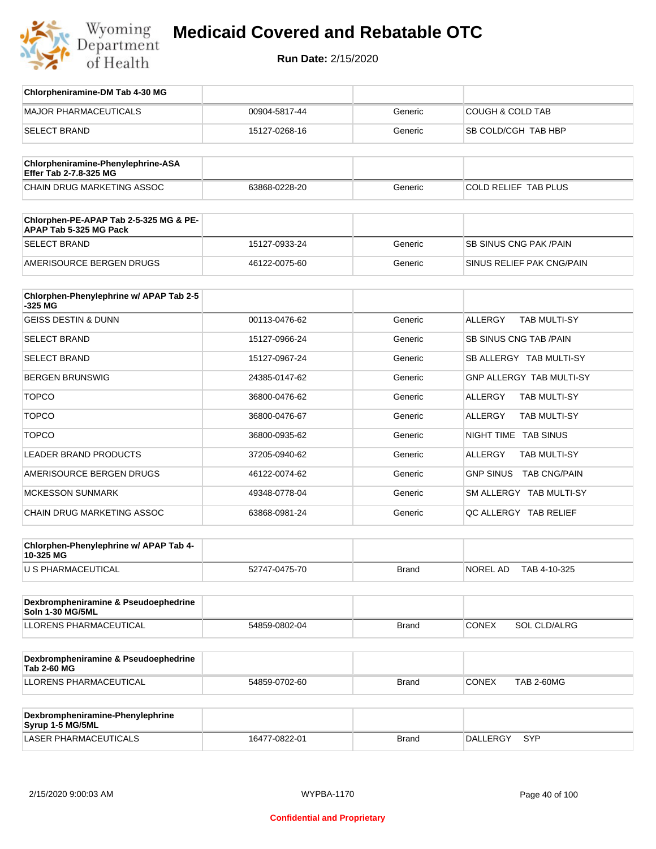

| Chlorpheniramine-DM Tab 4-30 MG                                  |               |              |                                       |
|------------------------------------------------------------------|---------------|--------------|---------------------------------------|
| <b>MAJOR PHARMACEUTICALS</b>                                     | 00904-5817-44 | Generic      | <b>COUGH &amp; COLD TAB</b>           |
| <b>SELECT BRAND</b>                                              | 15127-0268-16 | Generic      | SB COLD/CGH TAB HBP                   |
| Chlorpheniramine-Phenylephrine-ASA<br>Effer Tab 2-7.8-325 MG     |               |              |                                       |
| CHAIN DRUG MARKETING ASSOC                                       | 63868-0228-20 | Generic      | COLD RELIEF TAB PLUS                  |
| Chlorphen-PE-APAP Tab 2-5-325 MG & PE-<br>APAP Tab 5-325 MG Pack |               |              |                                       |
| <b>SELECT BRAND</b>                                              | 15127-0933-24 | Generic      | <b>SB SINUS CNG PAK/PAIN</b>          |
| AMERISOURCE BERGEN DRUGS                                         | 46122-0075-60 | Generic      | SINUS RELIEF PAK CNG/PAIN             |
| Chlorphen-Phenylephrine w/ APAP Tab 2-5<br>-325 MG               |               |              |                                       |
| <b>GEISS DESTIN &amp; DUNN</b>                                   | 00113-0476-62 | Generic      | <b>ALLERGY</b><br><b>TAB MULTI-SY</b> |
| <b>SELECT BRAND</b>                                              | 15127-0966-24 | Generic      | <b>SB SINUS CNG TAB /PAIN</b>         |
| <b>SELECT BRAND</b>                                              | 15127-0967-24 | Generic      | SB ALLERGY TAB MULTI-SY               |
| <b>BERGEN BRUNSWIG</b>                                           | 24385-0147-62 | Generic      | <b>GNP ALLERGY TAB MULTI-SY</b>       |
| <b>TOPCO</b>                                                     | 36800-0476-62 | Generic      | ALLERGY<br><b>TAB MULTI-SY</b>        |
| <b>TOPCO</b>                                                     | 36800-0476-67 | Generic      | ALLERGY<br><b>TAB MULTI-SY</b>        |
| <b>TOPCO</b>                                                     | 36800-0935-62 | Generic      | NIGHT TIME TAB SINUS                  |
| <b>LEADER BRAND PRODUCTS</b>                                     | 37205-0940-62 | Generic      | ALLERGY<br><b>TAB MULTI-SY</b>        |
| AMERISOURCE BERGEN DRUGS                                         | 46122-0074-62 | Generic      | GNP SINUS TAB CNG/PAIN                |
| <b>MCKESSON SUNMARK</b>                                          | 49348-0778-04 | Generic      | SM ALLERGY TAB MULTI-SY               |
| CHAIN DRUG MARKETING ASSOC                                       | 63868-0981-24 | Generic      | QC ALLERGY TAB RELIEF                 |
| Chlorphen-Phenylephrine w/ APAP Tab 4-<br>10-325 MG              |               |              |                                       |
| U S PHARMACEUTICAL                                               | 52747-0475-70 | <b>Brand</b> | NOREL AD<br>TAB 4-10-325              |
| Dexbrompheniramine & Pseudoephedrine<br>Soln 1-30 MG/5ML         |               |              |                                       |
| LLORENS PHARMACEUTICAL                                           | 54859-0802-04 | <b>Brand</b> | <b>CONEX</b><br><b>SOL CLD/ALRG</b>   |
| Dexbrompheniramine & Pseudoephedrine<br><b>Tab 2-60 MG</b>       |               |              |                                       |
| LLORENS PHARMACEUTICAL                                           | 54859-0702-60 | <b>Brand</b> | <b>CONEX</b><br><b>TAB 2-60MG</b>     |
|                                                                  |               |              |                                       |
| Dexbrompheniramine-Phenylephrine<br>Syrup 1-5 MG/5ML             |               |              |                                       |
| LASER PHARMACEUTICALS                                            | 16477-0822-01 | <b>Brand</b> | DALLERGY SYP                          |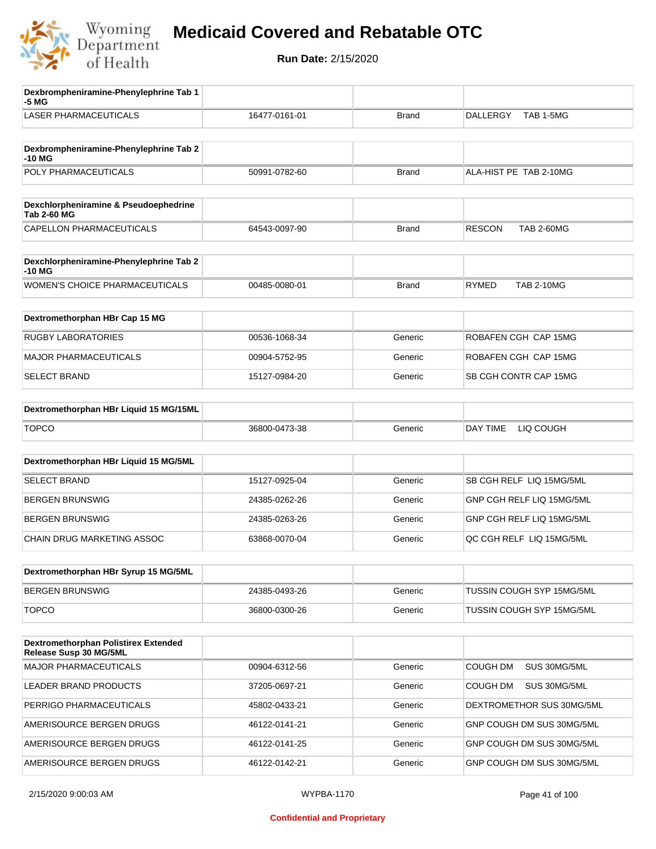

| Dexbrompheniramine-Phenylephrine Tab 1<br>-5 MG             |               |              |                                    |
|-------------------------------------------------------------|---------------|--------------|------------------------------------|
| <b>LASER PHARMACEUTICALS</b>                                | 16477-0161-01 | <b>Brand</b> | TAB 1-5MG<br>DALLERGY              |
| Dexbrompheniramine-Phenylephrine Tab 2<br>-10 MG            |               |              |                                    |
| POLY PHARMACEUTICALS                                        | 50991-0782-60 | <b>Brand</b> | ALA-HIST PE TAB 2-10MG             |
| Dexchlorpheniramine & Pseudoephedrine<br><b>Tab 2-60 MG</b> |               |              |                                    |
| CAPELLON PHARMACEUTICALS                                    | 64543-0097-90 | <b>Brand</b> | <b>RESCON</b><br><b>TAB 2-60MG</b> |
| Dexchlorpheniramine-Phenylephrine Tab 2<br>$-10MG$          |               |              |                                    |
| WOMEN'S CHOICE PHARMACEUTICALS                              | 00485-0080-01 | Brand        | <b>RYMED</b><br><b>TAB 2-10MG</b>  |
| Dextromethorphan HBr Cap 15 MG                              |               |              |                                    |
| <b>RUGBY LABORATORIES</b>                                   | 00536-1068-34 | Generic      | ROBAFEN CGH CAP 15MG               |
| <b>MAJOR PHARMACEUTICALS</b>                                | 00904-5752-95 | Generic      | ROBAFEN CGH CAP 15MG               |
| <b>SELECT BRAND</b>                                         | 15127-0984-20 | Generic      | SB CGH CONTR CAP 15MG              |
| Dextromethorphan HBr Liquid 15 MG/15ML                      |               |              |                                    |
| <b>TOPCO</b>                                                | 36800-0473-38 | Generic      | LIQ COUGH<br>DAY TIME              |
| Dextromethorphan HBr Liquid 15 MG/5ML                       |               |              |                                    |
| <b>SELECT BRAND</b>                                         | 15127-0925-04 | Generic      | SB CGH RELF LIQ 15MG/5ML           |
| <b>BERGEN BRUNSWIG</b>                                      | 24385-0262-26 | Generic      | GNP CGH RELF LIQ 15MG/5ML          |
| <b>BERGEN BRUNSWIG</b>                                      | 24385-0263-26 | Generic      | GNP CGH RELF LIQ 15MG/5ML          |
| CHAIN DRUG MARKETING ASSOC                                  | 63868-0070-04 | Generic      | QC CGH RELF LIQ 15MG/5ML           |
| Dextromethorphan HBr Syrup 15 MG/5ML                        |               |              |                                    |
| <b>BERGEN BRUNSWIG</b>                                      | 24385-0493-26 | Generic      | TUSSIN COUGH SYP 15MG/5ML          |
| <b>TOPCO</b>                                                | 36800-0300-26 | Generic      | TUSSIN COUGH SYP 15MG/5ML          |
| Dextromethorphan Polistirex Extended                        |               |              |                                    |
| Release Susp 30 MG/5ML                                      |               |              |                                    |
| <b>MAJOR PHARMACEUTICALS</b>                                | 00904-6312-56 | Generic      | COUGH DM<br>SUS 30MG/5ML           |
| LEADER BRAND PRODUCTS                                       | 37205-0697-21 | Generic      | COUGH DM<br>SUS 30MG/5ML           |
| PERRIGO PHARMACEUTICALS                                     | 45802-0433-21 | Generic      | DEXTROMETHOR SUS 30MG/5ML          |
| AMERISOURCE BERGEN DRUGS                                    | 46122-0141-21 | Generic      | GNP COUGH DM SUS 30MG/5ML          |
| AMERISOURCE BERGEN DRUGS                                    | 46122-0141-25 | Generic      | GNP COUGH DM SUS 30MG/5ML          |
| AMERISOURCE BERGEN DRUGS                                    | 46122-0142-21 | Generic      | GNP COUGH DM SUS 30MG/5ML          |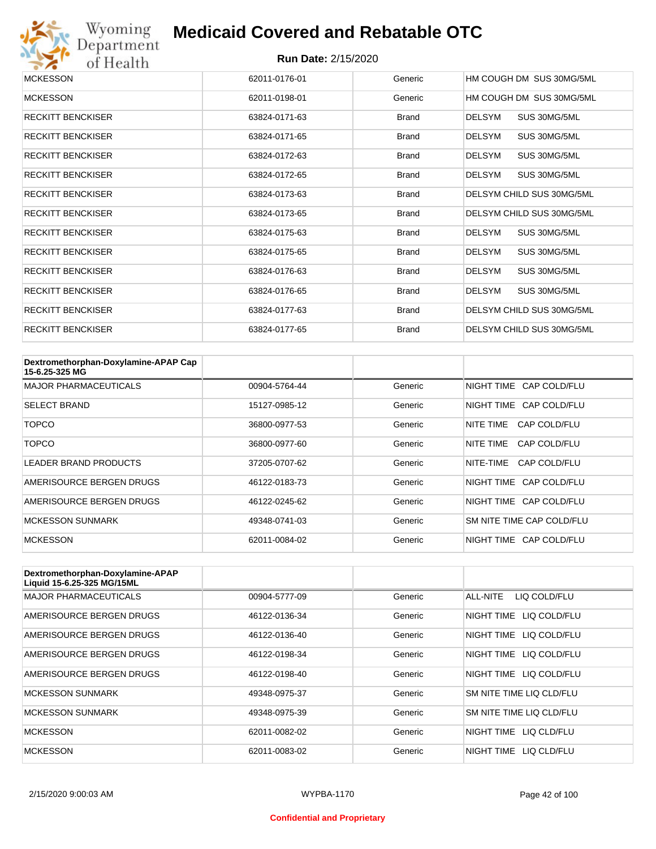

# Wyoming<br>Department<br>of Health

#### **Medicaid Covered and Rebatable OTC**

| <b>MCKESSON</b>          | 62011-0176-01 | Generic      | HM COUGH DM SUS 30MG/5ML      |
|--------------------------|---------------|--------------|-------------------------------|
| <b>MCKESSON</b>          | 62011-0198-01 | Generic      | HM COUGH DM SUS 30MG/5ML      |
| <b>RECKITT BENCKISER</b> | 63824-0171-63 | <b>Brand</b> | SUS 30MG/5ML<br><b>DELSYM</b> |
| <b>RECKITT BENCKISER</b> | 63824-0171-65 | <b>Brand</b> | <b>DELSYM</b><br>SUS 30MG/5ML |
| <b>RECKITT BENCKISER</b> | 63824-0172-63 | <b>Brand</b> | <b>DELSYM</b><br>SUS 30MG/5ML |
| <b>RECKITT BENCKISER</b> | 63824-0172-65 | <b>Brand</b> | <b>DELSYM</b><br>SUS 30MG/5ML |
| <b>RECKITT BENCKISER</b> | 63824-0173-63 | <b>Brand</b> | DELSYM CHILD SUS 30MG/5ML     |
| <b>RECKITT BENCKISER</b> | 63824-0173-65 | <b>Brand</b> | DELSYM CHILD SUS 30MG/5ML     |
| <b>RECKITT BENCKISER</b> | 63824-0175-63 | <b>Brand</b> | <b>DELSYM</b><br>SUS 30MG/5ML |
| <b>RECKITT BENCKISER</b> | 63824-0175-65 | <b>Brand</b> | <b>DELSYM</b><br>SUS 30MG/5ML |
| <b>RECKITT BENCKISER</b> | 63824-0176-63 | <b>Brand</b> | <b>DELSYM</b><br>SUS 30MG/5ML |
| <b>RECKITT BENCKISER</b> | 63824-0176-65 | Brand        | <b>DELSYM</b><br>SUS 30MG/5ML |
| <b>RECKITT BENCKISER</b> | 63824-0177-63 | <b>Brand</b> | DELSYM CHILD SUS 30MG/5ML     |
| <b>RECKITT BENCKISER</b> | 63824-0177-65 | <b>Brand</b> | DELSYM CHILD SUS 30MG/5ML     |

| Dextromethorphan-Doxylamine-APAP Cap<br>15-6.25-325 MG |               |         |                           |
|--------------------------------------------------------|---------------|---------|---------------------------|
| <b>MAJOR PHARMACEUTICALS</b>                           | 00904-5764-44 | Generic | NIGHT TIME CAP COLD/FLU   |
| <b>SELECT BRAND</b>                                    | 15127-0985-12 | Generic | NIGHT TIME CAP COLD/FLU   |
| <b>TOPCO</b>                                           | 36800-0977-53 | Generic | CAP COLD/FLU<br>NITE TIME |
| <b>TOPCO</b>                                           | 36800-0977-60 | Generic | CAP COLD/FLU<br>NITE TIME |
| <b>LEADER BRAND PRODUCTS</b>                           | 37205-0707-62 | Generic | NITE-TIME<br>CAP COLD/FLU |
| AMERISOURCE BERGEN DRUGS                               | 46122-0183-73 | Generic | NIGHT TIME CAP COLD/FLU   |
| AMERISOURCE BERGEN DRUGS                               | 46122-0245-62 | Generic | NIGHT TIME CAP COLD/FLU   |
| <b>MCKESSON SUNMARK</b>                                | 49348-0741-03 | Generic | SM NITE TIME CAP COLD/FLU |
| <b>MCKESSON</b>                                        | 62011-0084-02 | Generic | NIGHT TIME CAP COLD/FLU   |

| Dextromethorphan-Doxylamine-APAP<br>Liquid 15-6.25-325 MG/15ML |               |         |                            |
|----------------------------------------------------------------|---------------|---------|----------------------------|
| <b>MAJOR PHARMACEUTICALS</b>                                   | 00904-5777-09 | Generic | LIQ COLD/FLU<br>ALL-NITE   |
| AMERISOURCE BERGEN DRUGS                                       | 46122-0136-34 | Generic | NIGHT TIME<br>LIQ COLD/FLU |
| AMERISOURCE BERGEN DRUGS                                       | 46122-0136-40 | Generic | NIGHT TIME<br>LIQ COLD/FLU |
| AMERISOURCE BERGEN DRUGS                                       | 46122-0198-34 | Generic | NIGHT TIME<br>LIQ COLD/FLU |
| AMERISOURCE BERGEN DRUGS                                       | 46122-0198-40 | Generic | NIGHT TIME LIQ COLD/FLU    |
| <b>MCKESSON SUNMARK</b>                                        | 49348-0975-37 | Generic | SM NITE TIME LIQ CLD/FLU   |
| <b>MCKESSON SUNMARK</b>                                        | 49348-0975-39 | Generic | SM NITE TIME LIQ CLD/FLU   |
| <b>MCKESSON</b>                                                | 62011-0082-02 | Generic | NIGHT TIME<br>LIQ CLD/FLU  |
| <b>MCKESSON</b>                                                | 62011-0083-02 | Generic | NIGHT TIME<br>LIO CLD/FLU  |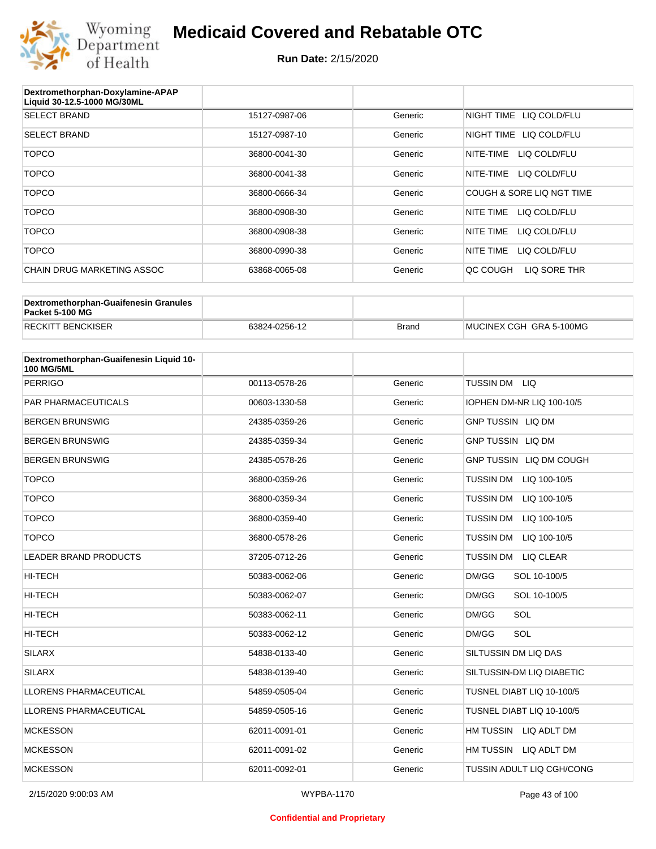

| Dextromethorphan-Doxylamine-APAP<br>Liquid 30-12.5-1000 MG/30ML |               |         |                            |
|-----------------------------------------------------------------|---------------|---------|----------------------------|
| <b>SELECT BRAND</b>                                             | 15127-0987-06 | Generic | NIGHT TIME LIQ COLD/FLU    |
| <b>SELECT BRAND</b>                                             | 15127-0987-10 | Generic | NIGHT TIME<br>LIQ COLD/FLU |
| <b>TOPCO</b>                                                    | 36800-0041-30 | Generic | LIQ COLD/FLU<br>NITE-TIME  |
| <b>TOPCO</b>                                                    | 36800-0041-38 | Generic | LIQ COLD/FLU<br>NITE-TIME  |
| <b>TOPCO</b>                                                    | 36800-0666-34 | Generic | COUGH & SORE LIQ NGT TIME  |
| <b>TOPCO</b>                                                    | 36800-0908-30 | Generic | LIQ COLD/FLU<br>NITE TIME  |
| <b>TOPCO</b>                                                    | 36800-0908-38 | Generic | NITE TIME<br>LIQ COLD/FLU  |
| <b>TOPCO</b>                                                    | 36800-0990-38 | Generic | NITE TIME<br>LIQ COLD/FLU  |
| CHAIN DRUG MARKETING ASSOC                                      | 63868-0065-08 | Generic | QC COUGH<br>LIQ SORE THR   |

| Dextromethorphan-Guaifenesin Granules<br>Packet 5-100 MG |               |              |                         |
|----------------------------------------------------------|---------------|--------------|-------------------------|
| <b>RECKITT BENCKISER</b>                                 | 63824-0256-12 | <b>Brand</b> | MUCINEX CGH GRA 5-100MG |

| Dextromethorphan-Guaifenesin Liquid 10-<br><b>100 MG/5ML</b> |               |         |                                      |
|--------------------------------------------------------------|---------------|---------|--------------------------------------|
| <b>PERRIGO</b>                                               | 00113-0578-26 | Generic | TUSSIN DM LIQ                        |
| <b>PAR PHARMACEUTICALS</b>                                   | 00603-1330-58 | Generic | IOPHEN DM-NR LIQ 100-10/5            |
| <b>BERGEN BRUNSWIG</b>                                       | 24385-0359-26 | Generic | <b>GNP TUSSIN LIQ DM</b>             |
| <b>BERGEN BRUNSWIG</b>                                       | 24385-0359-34 | Generic | <b>GNP TUSSIN LIQ DM</b>             |
| <b>BERGEN BRUNSWIG</b>                                       | 24385-0578-26 | Generic | GNP TUSSIN LIQ DM COUGH              |
| <b>TOPCO</b>                                                 | 36800-0359-26 | Generic | <b>TUSSIN DM</b><br>LIQ 100-10/5     |
| <b>TOPCO</b>                                                 | 36800-0359-34 | Generic | <b>TUSSIN DM</b><br>LIQ 100-10/5     |
| <b>TOPCO</b>                                                 | 36800-0359-40 | Generic | TUSSIN DM<br>LIQ 100-10/5            |
| <b>TOPCO</b>                                                 | 36800-0578-26 | Generic | <b>TUSSIN DM</b><br>LIQ 100-10/5     |
| <b>LEADER BRAND PRODUCTS</b>                                 | 37205-0712-26 | Generic | <b>TUSSIN DM</b><br><b>LIQ CLEAR</b> |
| <b>HI-TECH</b>                                               | 50383-0062-06 | Generic | DM/GG<br>SOL 10-100/5                |
| <b>HI-TECH</b>                                               | 50383-0062-07 | Generic | DM/GG<br>SOL 10-100/5                |
| <b>HI-TECH</b>                                               | 50383-0062-11 | Generic | SOL<br>DM/GG                         |
| <b>HI-TECH</b>                                               | 50383-0062-12 | Generic | SOL<br>DM/GG                         |
| <b>SILARX</b>                                                | 54838-0133-40 | Generic | SILTUSSIN DM LIQ DAS                 |
| <b>SILARX</b>                                                | 54838-0139-40 | Generic | SILTUSSIN-DM LIQ DIABETIC            |
| <b>LLORENS PHARMACEUTICAL</b>                                | 54859-0505-04 | Generic | TUSNEL DIABT LIQ 10-100/5            |
| LLORENS PHARMACEUTICAL                                       | 54859-0505-16 | Generic | TUSNEL DIABT LIQ 10-100/5            |
| <b>MCKESSON</b>                                              | 62011-0091-01 | Generic | HM TUSSIN LIQ ADLT DM                |
| <b>MCKESSON</b>                                              | 62011-0091-02 | Generic | HM TUSSIN LIQ ADLT DM                |
| <b>MCKESSON</b>                                              | 62011-0092-01 | Generic | TUSSIN ADULT LIQ CGH/CONG            |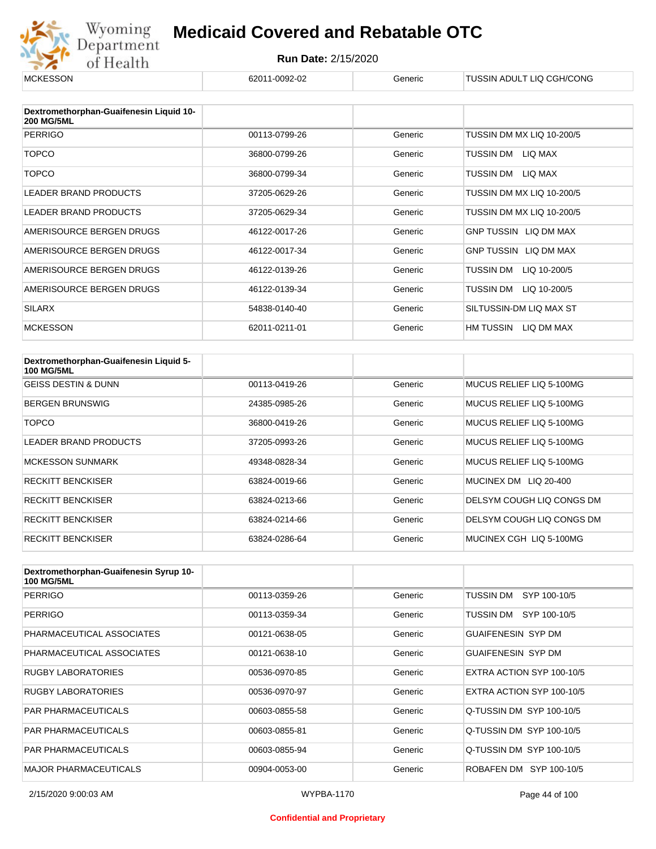

| <b>MCKESSON</b>                                              | 62011-0092-02 | Generic | TUSSIN ADULT LIQ CGH/CONG    |
|--------------------------------------------------------------|---------------|---------|------------------------------|
|                                                              |               |         |                              |
| Dextromethorphan-Guaifenesin Liquid 10-<br><b>200 MG/5ML</b> |               |         |                              |
| <b>PERRIGO</b>                                               | 00113-0799-26 | Generic | TUSSIN DM MX LIQ 10-200/5    |
| <b>TOPCO</b>                                                 | 36800-0799-26 | Generic | TUSSIN DM<br>LIQ MAX         |
| <b>TOPCO</b>                                                 | 36800-0799-34 | Generic | TUSSIN DM<br>LIQ MAX         |
| <b>LEADER BRAND PRODUCTS</b>                                 | 37205-0629-26 | Generic | TUSSIN DM MX LIQ 10-200/5    |
| <b>LEADER BRAND PRODUCTS</b>                                 | 37205-0629-34 | Generic | TUSSIN DM MX LIQ 10-200/5    |
| AMERISOURCE BERGEN DRUGS                                     | 46122-0017-26 | Generic | GNP TUSSIN LIQ DM MAX        |
| AMERISOURCE BERGEN DRUGS                                     | 46122-0017-34 | Generic | <b>GNP TUSSIN LIQ DM MAX</b> |
| AMERISOURCE BERGEN DRUGS                                     | 46122-0139-26 | Generic | TUSSIN DM<br>LIQ 10-200/5    |
| AMERISOURCE BERGEN DRUGS                                     | 46122-0139-34 | Generic | TUSSIN DM<br>LIQ 10-200/5    |
| <b>SILARX</b>                                                | 54838-0140-40 | Generic | SILTUSSIN-DM LIQ MAX ST      |
| <b>MCKESSON</b>                                              | 62011-0211-01 | Generic | HM TUSSIN<br>LIQ DM MAX      |

| Dextromethorphan-Guaifenesin Liquid 5-<br><b>100 MG/5ML</b> |               |         |                           |
|-------------------------------------------------------------|---------------|---------|---------------------------|
| <b>GEISS DESTIN &amp; DUNN</b>                              | 00113-0419-26 | Generic | MUCUS RELIEF LIQ 5-100MG  |
| <b>BERGEN BRUNSWIG</b>                                      | 24385-0985-26 | Generic | MUCUS RELIEF LIQ 5-100MG  |
| TOPCO                                                       | 36800-0419-26 | Generic | MUCUS RELIEF LIQ 5-100MG  |
| <b>LEADER BRAND PRODUCTS</b>                                | 37205-0993-26 | Generic | MUCUS RELIEF LIO 5-100MG  |
| <b>MCKESSON SUNMARK</b>                                     | 49348-0828-34 | Generic | MUCUS RELIEF LIQ 5-100MG  |
| <b>RECKITT BENCKISER</b>                                    | 63824-0019-66 | Generic | LIQ 20-400<br>MUCINEX DM  |
| <b>RECKITT BENCKISER</b>                                    | 63824-0213-66 | Generic | DELSYM COUGH LIQ CONGS DM |
| <b>RECKITT BENCKISER</b>                                    | 63824-0214-66 | Generic | DELSYM COUGH LIQ CONGS DM |
| <b>RECKITT BENCKISER</b>                                    | 63824-0286-64 | Generic | MUCINEX CGH LIQ 5-100MG   |

| Dextromethorphan-Guaifenesin Syrup 10-<br><b>100 MG/5ML</b> |               |         |                           |
|-------------------------------------------------------------|---------------|---------|---------------------------|
| <b>PERRIGO</b>                                              | 00113-0359-26 | Generic | TUSSIN DM<br>SYP 100-10/5 |
| <b>PERRIGO</b>                                              | 00113-0359-34 | Generic | TUSSIN DM<br>SYP 100-10/5 |
| PHARMACEUTICAL ASSOCIATES                                   | 00121-0638-05 | Generic | <b>GUAIFENESIN SYP DM</b> |
| PHARMACEUTICAL ASSOCIATES                                   | 00121-0638-10 | Generic | <b>GUAIFENESIN SYP DM</b> |
| RUGBY LABORATORIES                                          | 00536-0970-85 | Generic | EXTRA ACTION SYP 100-10/5 |
| <b>RUGBY LABORATORIES</b>                                   | 00536-0970-97 | Generic | EXTRA ACTION SYP 100-10/5 |
| <b>PAR PHARMACEUTICALS</b>                                  | 00603-0855-58 | Generic | Q-TUSSIN DM SYP 100-10/5  |
| <b>PAR PHARMACEUTICALS</b>                                  | 00603-0855-81 | Generic | Q-TUSSIN DM SYP 100-10/5  |
| <b>PAR PHARMACEUTICALS</b>                                  | 00603-0855-94 | Generic | Q-TUSSIN DM SYP 100-10/5  |
| <b>MAJOR PHARMACEUTICALS</b>                                | 00904-0053-00 | Generic | ROBAFEN DM SYP 100-10/5   |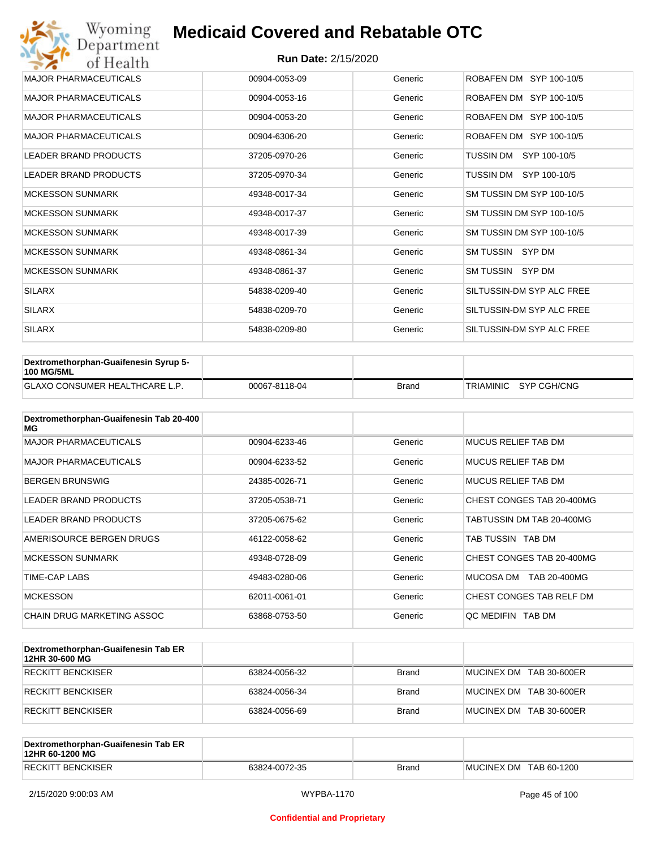| Wyoming<br>Department        | <b>Medicaid Covered and Rebatable OTC</b> |         |                           |  |  |
|------------------------------|-------------------------------------------|---------|---------------------------|--|--|
| of Health                    | <b>Run Date: 2/15/2020</b>                |         |                           |  |  |
| <b>MAJOR PHARMACEUTICALS</b> | 00904-0053-09                             | Generic | ROBAFEN DM SYP 100-10/5   |  |  |
| <b>MAJOR PHARMACEUTICALS</b> | 00904-0053-16                             | Generic | ROBAFEN DM SYP 100-10/5   |  |  |
| <b>MAJOR PHARMACEUTICALS</b> | 00904-0053-20                             | Generic | ROBAFEN DM SYP 100-10/5   |  |  |
| <b>MAJOR PHARMACEUTICALS</b> | 00904-6306-20                             | Generic | ROBAFEN DM SYP 100-10/5   |  |  |
| <b>LEADER BRAND PRODUCTS</b> | 37205-0970-26                             | Generic | TUSSIN DM<br>SYP 100-10/5 |  |  |
| <b>LEADER BRAND PRODUCTS</b> | 37205-0970-34                             | Generic | TUSSIN DM SYP 100-10/5    |  |  |
| <b>MCKESSON SUNMARK</b>      | 49348-0017-34                             | Generic | SM TUSSIN DM SYP 100-10/5 |  |  |
| <b>MCKESSON SUNMARK</b>      | 49348-0017-37                             | Generic | SM TUSSIN DM SYP 100-10/5 |  |  |
| <b>MCKESSON SUNMARK</b>      | 49348-0017-39                             | Generic | SM TUSSIN DM SYP 100-10/5 |  |  |
| <b>MCKESSON SUNMARK</b>      | 49348-0861-34                             | Generic | SM TUSSIN SYP DM          |  |  |
| <b>MCKESSON SUNMARK</b>      | 49348-0861-37                             | Generic | SM TUSSIN SYP DM          |  |  |
| <b>SILARX</b>                | 54838-0209-40                             | Generic | SILTUSSIN-DM SYP ALC FREE |  |  |
| <b>SILARX</b>                | 54838-0209-70                             | Generic | SILTUSSIN-DM SYP ALC FREE |  |  |
| <b>SILARX</b>                | 54838-0209-80                             | Generic | SILTUSSIN-DM SYP ALC FREE |  |  |

| Dextromethorphan-Guaifenesin Syrup 5-<br><b>100 MG/5ML</b> |               |              |                       |
|------------------------------------------------------------|---------------|--------------|-----------------------|
| <b>GLAXO CONSUMER HEALTHCARE L.P.</b>                      | 00067-8118-04 | <b>Brand</b> | TRIAMINIC SYP CGH/CNG |

| Dextromethorphan-Guaifenesin Tab 20-400<br>MG |               |         |                           |
|-----------------------------------------------|---------------|---------|---------------------------|
| <b>MAJOR PHARMACEUTICALS</b>                  | 00904-6233-46 | Generic | MUCUS RELIEF TAB DM       |
| <b>MAJOR PHARMACEUTICALS</b>                  | 00904-6233-52 | Generic | MUCUS RELIEF TAB DM       |
| <b>BERGEN BRUNSWIG</b>                        | 24385-0026-71 | Generic | MUCUS RELIEF TAB DM       |
| <b>LEADER BRAND PRODUCTS</b>                  | 37205-0538-71 | Generic | CHEST CONGES TAB 20-400MG |
| LEADER BRAND PRODUCTS                         | 37205-0675-62 | Generic | TABTUSSIN DM TAB 20-400MG |
| AMERISOURCE BERGEN DRUGS                      | 46122-0058-62 | Generic | TAB TUSSIN TAB DM         |
| <b>MCKESSON SUNMARK</b>                       | 49348-0728-09 | Generic | CHEST CONGES TAB 20-400MG |
| <b>TIME-CAP LABS</b>                          | 49483-0280-06 | Generic | MUCOSA DM<br>TAB 20-400MG |
| <b>MCKESSON</b>                               | 62011-0061-01 | Generic | CHEST CONGES TAB RELF DM  |
| CHAIN DRUG MARKETING ASSOC                    | 63868-0753-50 | Generic | OC MEDIFIN TAB DM         |

| Dextromethorphan-Guaifenesin Tab ER<br>12HR 30-600 MG |               |              |                         |
|-------------------------------------------------------|---------------|--------------|-------------------------|
| <b>RECKITT BENCKISER</b>                              | 63824-0056-32 | Brand        | MUCINEX DM TAB 30-600ER |
| RECKITT BENCKISER                                     | 63824-0056-34 | <b>Brand</b> | MUCINEX DM TAB 30-600ER |
| RECKITT BENCKISER                                     | 63824-0056-69 | <b>Brand</b> | MUCINEX DM TAB 30-600ER |

| Dextromethorphan-Guaifenesin Tab ER<br>12HR 60-1200 MG |               |              |                        |
|--------------------------------------------------------|---------------|--------------|------------------------|
| RECKITT BENCKISER                                      | 63824-0072-35 | <b>Brand</b> | MUCINEX DM TAB 60-1200 |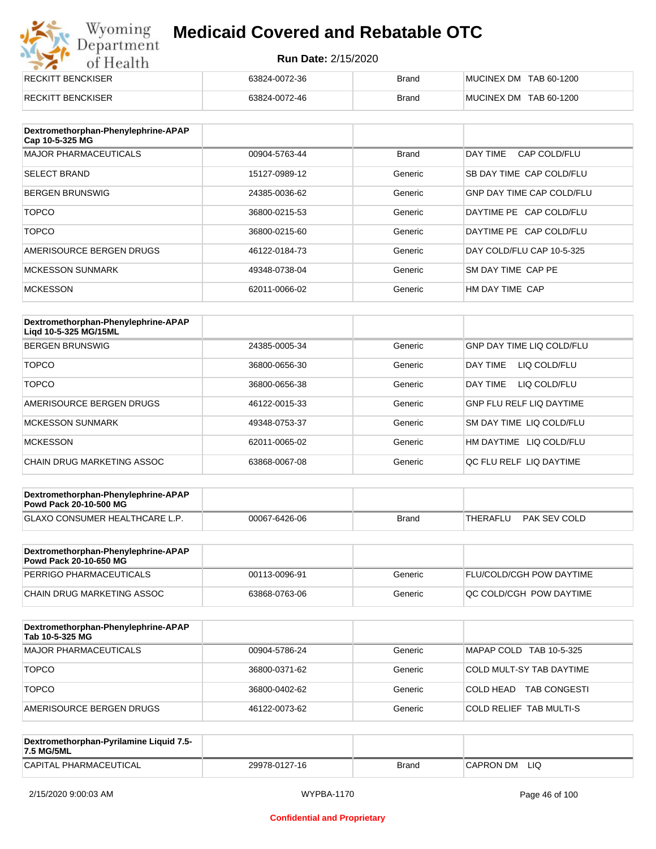# Wyoming<br>Department<br>of Health

## **Medicaid Covered and Rebatable OTC**

| <b>RECKITT BENCKISER</b> | 63824-0072-36 | <b>Brand</b> | MUCINEX DM TAB 60-1200 |
|--------------------------|---------------|--------------|------------------------|
| <b>RECKITT BENCKISER</b> | 63824-0072-46 | <b>Brand</b> | MUCINEX DM TAB 60-1200 |

| Dextromethorphan-Phenylephrine-APAP<br>Cap 10-5-325 MG |               |              |                                  |
|--------------------------------------------------------|---------------|--------------|----------------------------------|
| <b>MAJOR PHARMACEUTICALS</b>                           | 00904-5763-44 | <b>Brand</b> | DAY TIME<br>CAP COLD/FLU         |
| <b>SELECT BRAND</b>                                    | 15127-0989-12 | Generic      | SB DAY TIME CAP COLD/FLU         |
| <b>BERGEN BRUNSWIG</b>                                 | 24385-0036-62 | Generic      | <b>GNP DAY TIME CAP COLD/FLU</b> |
| <b>TOPCO</b>                                           | 36800-0215-53 | Generic      | DAYTIME PE CAP COLD/FLU          |
| <b>TOPCO</b>                                           | 36800-0215-60 | Generic      | DAYTIME PE CAP COLD/FLU          |
| AMERISOURCE BERGEN DRUGS                               | 46122-0184-73 | Generic      | DAY COLD/FLU CAP 10-5-325        |
| <b>MCKESSON SUNMARK</b>                                | 49348-0738-04 | Generic      | SM DAY TIME CAP PE               |
| <b>MCKESSON</b>                                        | 62011-0066-02 | Generic      | HM DAY TIME CAP                  |

| Dextromethorphan-Phenylephrine-APAP<br>Ligd 10-5-325 MG/15ML |               |         |                                  |
|--------------------------------------------------------------|---------------|---------|----------------------------------|
| <b>BERGEN BRUNSWIG</b>                                       | 24385-0005-34 | Generic | <b>GNP DAY TIME LIQ COLD/FLU</b> |
| <b>TOPCO</b>                                                 | 36800-0656-30 | Generic | LIQ COLD/FLU<br><b>DAY TIME</b>  |
| <b>TOPCO</b>                                                 | 36800-0656-38 | Generic | <b>DAY TIME</b><br>LIQ COLD/FLU  |
| AMERISOURCE BERGEN DRUGS                                     | 46122-0015-33 | Generic | <b>GNP FLU RELF LIQ DAYTIME</b>  |
| <b>MCKESSON SUNMARK</b>                                      | 49348-0753-37 | Generic | <b>SM DAY TIME LIQ COLD/FLU</b>  |
| <b>MCKESSON</b>                                              | 62011-0065-02 | Generic | HM DAYTIME LIQ COLD/FLU          |
| CHAIN DRUG MARKETING ASSOC                                   | 63868-0067-08 | Generic | OC FLU RELF LIO DAYTIME          |

| Dextromethorphan-Phenylephrine-APAP<br><b>Powd Pack 20-10-500 MG</b> |               |       |          |              |
|----------------------------------------------------------------------|---------------|-------|----------|--------------|
| <b>GLAXO CONSUMER HEALTHCARE L.P.</b>                                | 00067-6426-06 | Brand | THERAFLU | PAK SEV COLD |
|                                                                      |               |       |          |              |

| Dextromethorphan-Phenylephrine-APAP<br><b>Powd Pack 20-10-650 MG</b> |               |         |                                 |
|----------------------------------------------------------------------|---------------|---------|---------------------------------|
| PERRIGO PHARMACEUTICALS                                              | 00113-0096-91 | Generic | <b>FLU/COLD/CGH POW DAYTIME</b> |
| CHAIN DRUG MARKETING ASSOC                                           | 63868-0763-06 | Generic | IQC COLD/CGH POW DAYTIME        |

| Dextromethorphan-Phenylephrine-APAP<br>Tab 10-5-325 MG |               |         |                                  |
|--------------------------------------------------------|---------------|---------|----------------------------------|
| MAJOR PHARMACEUTICALS                                  | 00904-5786-24 | Generic | MAPAP COLD TAB 10-5-325          |
| <b>TOPCO</b>                                           | 36800-0371-62 | Generic | COLD MULT-SY TAB DAYTIME         |
| <b>TOPCO</b>                                           | 36800-0402-62 | Generic | <b>TAB CONGESTI</b><br>COLD HEAD |
| AMERISOURCE BERGEN DRUGS                               | 46122-0073-62 | Generic | <b>COLD RELIEF TAB MULTI-S</b>   |

| Dextromethorphan-Pyrilamine Liquid 7.5-<br>7.5 MG/5ML |               |       |                  |
|-------------------------------------------------------|---------------|-------|------------------|
| CAPITAL PHARMACEUTICAL                                | 29978-0127-16 | Brand | LIQ<br>CAPRON DM |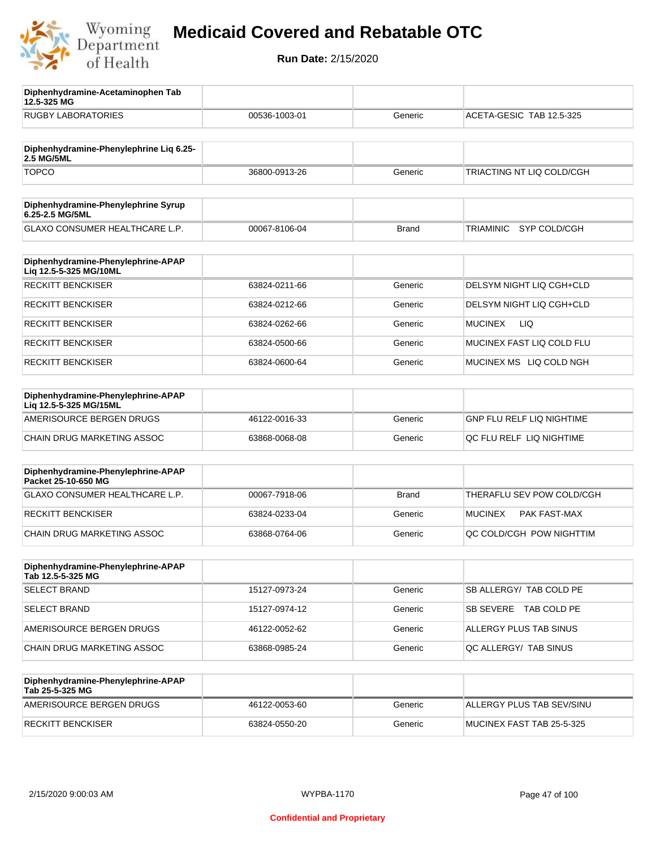

**12.5-325 MG**

**Diphenhydramine-Acetaminophen Tab** 

## **Medicaid Covered and Rebatable OTC**

| <b>RUGBY LABORATORIES</b>                                    | 00536-1003-01 | Generic      | ACETA-GESIC TAB 12.5-325         |
|--------------------------------------------------------------|---------------|--------------|----------------------------------|
| Diphenhydramine-Phenylephrine Liq 6.25-                      |               |              |                                  |
| 2.5 MG/5ML                                                   |               |              |                                  |
| <b>TOPCO</b>                                                 | 36800-0913-26 | Generic      | TRIACTING NT LIQ COLD/CGH        |
| Diphenhydramine-Phenylephrine Syrup<br>6.25-2.5 MG/5ML       |               |              |                                  |
| GLAXO CONSUMER HEALTHCARE L.P.                               | 00067-8106-04 | <b>Brand</b> | SYP COLD/CGH<br>TRIAMINIC        |
| Diphenhydramine-Phenylephrine-APAP<br>Liq 12.5-5-325 MG/10ML |               |              |                                  |
| <b>RECKITT BENCKISER</b>                                     | 63824-0211-66 | Generic      | DELSYM NIGHT LIQ CGH+CLD         |
| <b>RECKITT BENCKISER</b>                                     | 63824-0212-66 | Generic      | DELSYM NIGHT LIQ CGH+CLD         |
| <b>RECKITT BENCKISER</b>                                     | 63824-0262-66 | Generic      | <b>MUCINEX</b><br>LIQ.           |
| <b>RECKITT BENCKISER</b>                                     | 63824-0500-66 | Generic      | MUCINEX FAST LIQ COLD FLU        |
| <b>RECKITT BENCKISER</b>                                     | 63824-0600-64 | Generic      | MUCINEX MS LIQ COLD NGH          |
| Diphenhydramine-Phenylephrine-APAP<br>Lig 12.5-5-325 MG/15ML |               |              |                                  |
| AMERISOURCE BERGEN DRUGS                                     | 46122-0016-33 | Generic      | <b>GNP FLU RELF LIQ NIGHTIME</b> |
| CHAIN DRUG MARKETING ASSOC                                   | 63868-0068-08 | Generic      | QC FLU RELF LIQ NIGHTIME         |
| Diphenhydramine-Phenylephrine-APAP<br>Packet 25-10-650 MG    |               |              |                                  |
| GLAXO CONSUMER HEALTHCARE L.P.                               | 00067-7918-06 | <b>Brand</b> | THERAFLU SEV POW COLD/CGH        |
| <b>RECKITT BENCKISER</b>                                     | 63824-0233-04 | Generic      | <b>MUCINEX</b><br>PAK FAST-MAX   |
| CHAIN DRUG MARKETING ASSOC                                   | 63868-0764-06 | Generic      | QC COLD/CGH POW NIGHTTIM         |
| Diphenhydramine-Phenylephrine-APAP<br>Tab 12.5-5-325 MG      |               |              |                                  |
| <b>SELECT BRAND</b>                                          | 15127-0973-24 | Generic      | SB ALLERGY/ TAB COLD PE          |
| <b>SELECT BRAND</b>                                          | 15127-0974-12 | Generic      | SB SEVERE TAB COLD PE            |
| AMERISOURCE BERGEN DRUGS                                     | 46122-0052-62 | Generic      | ALLERGY PLUS TAB SINUS           |
| CHAIN DRUG MARKETING ASSOC                                   | 63868-0985-24 | Generic      | QC ALLERGY/ TAB SINUS            |
| Diphenhydramine-Phenylephrine-APAP<br>Tab 25-5-325 MG        |               |              |                                  |
| AMERISOURCE BERGEN DRUGS                                     | 46122-0053-60 | Generic      | ALLERGY PLUS TAB SEV/SINU        |
| <b>RECKITT BENCKISER</b>                                     | 63824-0550-20 | Generic      | MUCINEX FAST TAB 25-5-325        |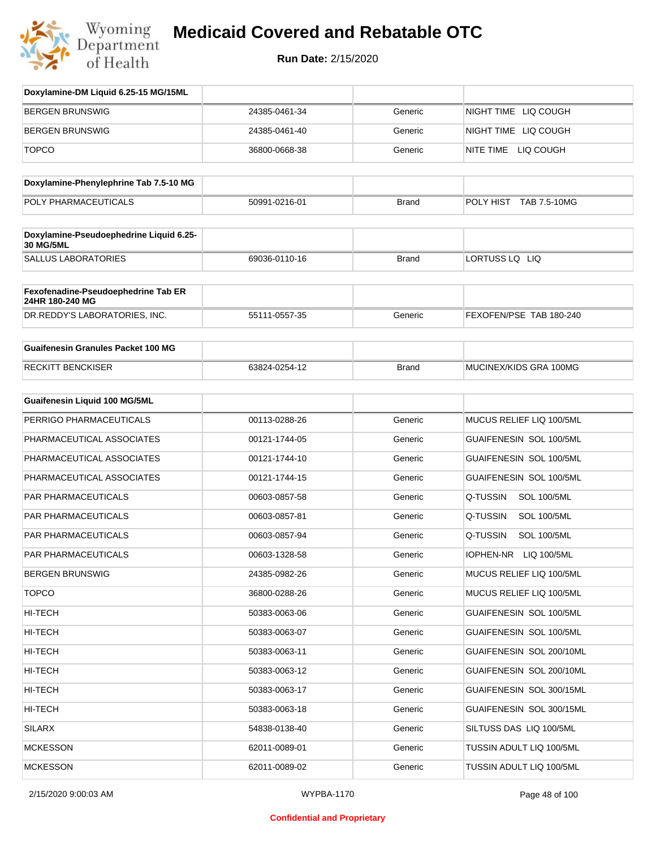

| Doxylamine-DM Liquid 6.25-15 MG/15ML                   |               |              |                                 |
|--------------------------------------------------------|---------------|--------------|---------------------------------|
| <b>BERGEN BRUNSWIG</b>                                 | 24385-0461-34 | Generic      | NIGHT TIME LIQ COUGH            |
| <b>BERGEN BRUNSWIG</b>                                 | 24385-0461-40 | Generic      | NIGHT TIME LIQ COUGH            |
| <b>TOPCO</b>                                           | 36800-0668-38 | Generic      | NITE TIME LIQ COUGH             |
| Doxylamine-Phenylephrine Tab 7.5-10 MG                 |               |              |                                 |
| POLY PHARMACEUTICALS                                   | 50991-0216-01 | <b>Brand</b> | POLY HIST<br>TAB 7.5-10MG       |
| Doxylamine-Pseudoephedrine Liquid 6.25-                |               |              |                                 |
| <b>30 MG/5ML</b>                                       |               |              |                                 |
| <b>SALLUS LABORATORIES</b>                             | 69036-0110-16 | <b>Brand</b> | LORTUSS LQ LIQ                  |
| Fexofenadine-Pseudoephedrine Tab ER<br>24HR 180-240 MG |               |              |                                 |
| DR.REDDY'S LABORATORIES, INC.                          | 55111-0557-35 | Generic      | FEXOFEN/PSE TAB 180-240         |
| <b>Guaifenesin Granules Packet 100 MG</b>              |               |              |                                 |
| <b>RECKITT BENCKISER</b>                               | 63824-0254-12 | <b>Brand</b> | MUCINEX/KIDS GRA 100MG          |
| <b>Guaifenesin Liquid 100 MG/5ML</b>                   |               |              |                                 |
| PERRIGO PHARMACEUTICALS                                | 00113-0288-26 | Generic      | MUCUS RELIEF LIQ 100/5ML        |
| PHARMACEUTICAL ASSOCIATES                              | 00121-1744-05 | Generic      | GUAIFENESIN SOL 100/5ML         |
| PHARMACEUTICAL ASSOCIATES                              | 00121-1744-10 | Generic      | GUAIFENESIN SOL 100/5ML         |
| PHARMACEUTICAL ASSOCIATES                              | 00121-1744-15 | Generic      | GUAIFENESIN SOL 100/5ML         |
| <b>PAR PHARMACEUTICALS</b>                             | 00603-0857-58 | Generic      | Q-TUSSIN<br><b>SOL 100/5ML</b>  |
| PAR PHARMACEUTICALS                                    | 00603-0857-81 | Generic      | Q-TUSSIN<br><b>SOL 100/5ML</b>  |
| PAR PHARMACEUTICALS                                    | 00603-0857-94 | Generic      | Q-TUSSIN<br><b>SOL 100/5ML</b>  |
| PAR PHARMACEUTICALS                                    | 00603-1328-58 | Generic      | <b>IOPHEN-NR</b><br>LIQ 100/5ML |
| <b>BERGEN BRUNSWIG</b>                                 | 24385-0982-26 | Generic      | MUCUS RELIEF LIQ 100/5ML        |
| <b>TOPCO</b>                                           | 36800-0288-26 | Generic      | MUCUS RELIEF LIQ 100/5ML        |
| HI-TECH                                                | 50383-0063-06 | Generic      | GUAIFENESIN SOL 100/5ML         |
| HI-TECH                                                | 50383-0063-07 | Generic      | GUAIFENESIN SOL 100/5ML         |
| HI-TECH                                                | 50383-0063-11 | Generic      | GUAIFENESIN SOL 200/10ML        |
| HI-TECH                                                | 50383-0063-12 | Generic      | GUAIFENESIN SOL 200/10ML        |
| HI-TECH                                                | 50383-0063-17 | Generic      | GUAIFENESIN SOL 300/15ML        |
| HI-TECH                                                | 50383-0063-18 | Generic      | GUAIFENESIN SOL 300/15ML        |
| SILARX                                                 | 54838-0138-40 | Generic      | SILTUSS DAS LIQ 100/5ML         |
| <b>MCKESSON</b>                                        | 62011-0089-01 | Generic      | TUSSIN ADULT LIQ 100/5ML        |
| <b>MCKESSON</b>                                        | 62011-0089-02 | Generic      | TUSSIN ADULT LIQ 100/5ML        |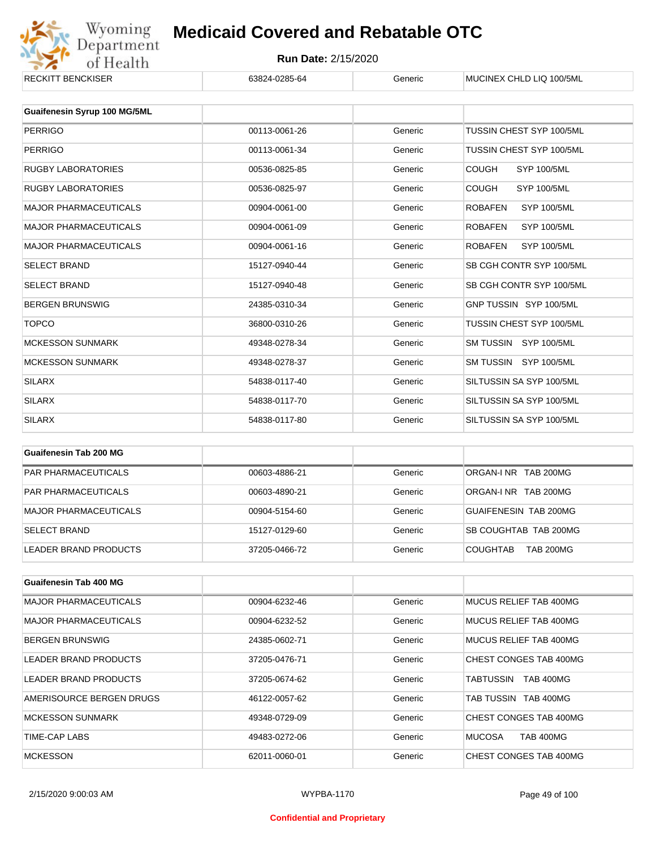

|               | usiici        | <b>IVIUUIIVEA UNLU LIU IUU/JIVIL</b> |
|---------------|---------------|--------------------------------------|
|               |               |                                      |
|               |               |                                      |
| 00113-0061-26 | Generic       | TUSSIN CHEST SYP 100/5ML             |
| 00113-0061-34 | Generic       | TUSSIN CHEST SYP 100/5ML             |
| 00536-0825-85 | Generic       | <b>COUGH</b><br><b>SYP 100/5ML</b>   |
| 00536-0825-97 | Generic       | <b>COUGH</b><br><b>SYP 100/5ML</b>   |
| 00904-0061-00 | Generic       | <b>ROBAFEN</b><br><b>SYP 100/5ML</b> |
| 00904-0061-09 | Generic       | <b>SYP 100/5ML</b><br><b>ROBAFEN</b> |
| 00904-0061-16 | Generic       | <b>SYP 100/5ML</b><br><b>ROBAFEN</b> |
| 15127-0940-44 | Generic       | SB CGH CONTR SYP 100/5ML             |
| 15127-0940-48 | Generic       | SB CGH CONTR SYP 100/5ML             |
| 24385-0310-34 | Generic       | GNP TUSSIN SYP 100/5ML               |
| 36800-0310-26 | Generic       | TUSSIN CHEST SYP 100/5ML             |
| 49348-0278-34 | Generic       | SM TUSSIN SYP 100/5ML                |
| 49348-0278-37 | Generic       | SM TUSSIN SYP 100/5ML                |
| 54838-0117-40 | Generic       | SILTUSSIN SA SYP 100/5ML             |
| 54838-0117-70 | Generic       | SILTUSSIN SA SYP 100/5ML             |
| 54838-0117-80 | Generic       | SILTUSSIN SA SYP 100/5ML             |
|               | 00024-0200-04 |                                      |

| Guaifenesin Tab 200 MG     |               |         |                                     |
|----------------------------|---------------|---------|-------------------------------------|
| <b>PAR PHARMACEUTICALS</b> | 00603-4886-21 | Generic | ORGAN-INR TAB 200MG                 |
| <b>PAR PHARMACEUTICALS</b> | 00603-4890-21 | Generic | ORGAN-INR TAB 200MG                 |
| MAJOR PHARMACEUTICALS      | 00904-5154-60 | Generic | GUAIFENESIN TAB 200MG               |
| <b>SELECT BRAND</b>        | 15127-0129-60 | Generic | SB COUGHTAB TAB 200MG               |
| LEADER BRAND PRODUCTS      | 37205-0466-72 | Generic | <b>TAB 200MG</b><br><b>COUGHTAB</b> |

| <b>Guaifenesin Tab 400 MG</b> |               |         |                               |
|-------------------------------|---------------|---------|-------------------------------|
| <b>MAJOR PHARMACEUTICALS</b>  | 00904-6232-46 | Generic | MUCUS RELIEF TAB 400MG        |
| <b>MAJOR PHARMACEUTICALS</b>  | 00904-6232-52 | Generic | MUCUS RELIEF TAB 400MG        |
| <b>BERGEN BRUNSWIG</b>        | 24385-0602-71 | Generic | MUCUS RELIEF TAB 400MG        |
| LEADER BRAND PRODUCTS         | 37205-0476-71 | Generic | CHEST CONGES TAB 400MG        |
| LEADER BRAND PRODUCTS         | 37205-0674-62 | Generic | <b>TAB 400MG</b><br>TABTUSSIN |
| AMERISOURCE BERGEN DRUGS      | 46122-0057-62 | Generic | TAB TUSSIN TAB 400MG          |
| <b>MCKESSON SUNMARK</b>       | 49348-0729-09 | Generic | CHEST CONGES TAB 400MG        |
| TIME-CAP LABS                 | 49483-0272-06 | Generic | <b>MUCOSA</b><br>TAB 400MG    |
| <b>MCKESSON</b>               | 62011-0060-01 | Generic | CHEST CONGES TAB 400MG        |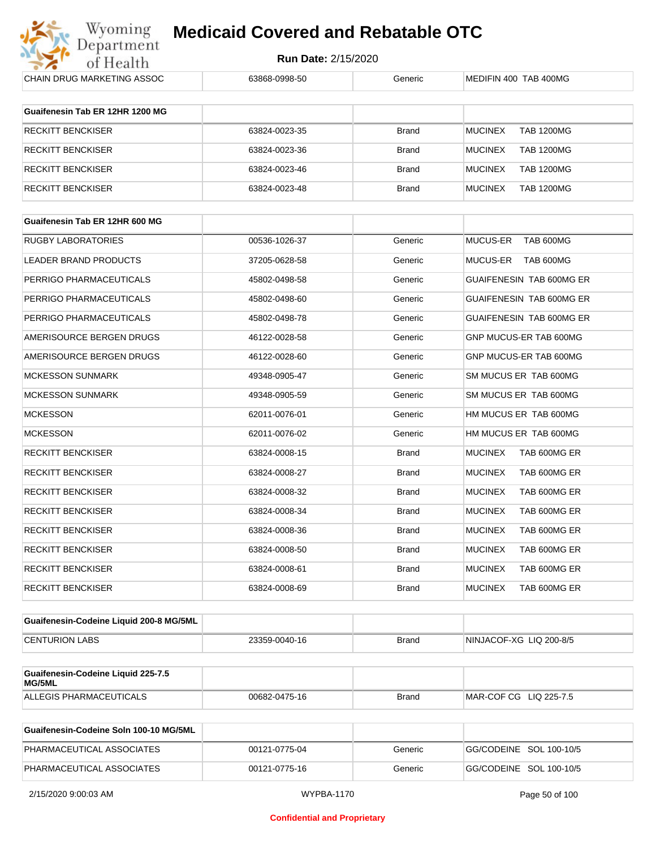

| <b>CHAIN DRUG MARKETING ASSOC</b>            | 63868-0998-50 | Generic      | MEDIFIN 400 TAB 400MG               |
|----------------------------------------------|---------------|--------------|-------------------------------------|
| Guaifenesin Tab ER 12HR 1200 MG              |               |              |                                     |
| RECKITT BENCKISER                            | 63824-0023-35 | <b>Brand</b> | <b>TAB 1200MG</b><br><b>MUCINEX</b> |
| RECKITT BENCKISER                            | 63824-0023-36 | <b>Brand</b> | <b>MUCINEX</b><br><b>TAB 1200MG</b> |
| <b>RECKITT BENCKISER</b>                     | 63824-0023-46 | <b>Brand</b> | <b>MUCINEX</b><br><b>TAB 1200MG</b> |
| <b>RECKITT BENCKISER</b>                     | 63824-0023-48 | <b>Brand</b> | <b>MUCINEX</b><br><b>TAB 1200MG</b> |
| Guaifenesin Tab ER 12HR 600 MG               |               |              |                                     |
|                                              |               |              |                                     |
| <b>RUGBY LABORATORIES</b>                    | 00536-1026-37 | Generic      | MUCUS-ER TAB 600MG                  |
| LEADER BRAND PRODUCTS                        | 37205-0628-58 | Generic      | MUCUS-ER TAB 600MG                  |
| PERRIGO PHARMACEUTICALS                      | 45802-0498-58 | Generic      | GUAIFENESIN TAB 600MG ER            |
| PERRIGO PHARMACEUTICALS                      | 45802-0498-60 | Generic      | GUAIFENESIN TAB 600MG ER            |
| PERRIGO PHARMACEUTICALS                      | 45802-0498-78 | Generic      | <b>GUAIFENESIN TAB 600MG ER</b>     |
| AMERISOURCE BERGEN DRUGS                     | 46122-0028-58 | Generic      | GNP MUCUS-ER TAB 600MG              |
| AMERISOURCE BERGEN DRUGS                     | 46122-0028-60 | Generic      | GNP MUCUS-ER TAB 600MG              |
| <b>MCKESSON SUNMARK</b>                      | 49348-0905-47 | Generic      | SM MUCUS ER TAB 600MG               |
| <b>MCKESSON SUNMARK</b>                      | 49348-0905-59 | Generic      | SM MUCUS ER TAB 600MG               |
| <b>MCKESSON</b>                              | 62011-0076-01 | Generic      | HM MUCUS ER TAB 600MG               |
| MCKESSON                                     | 62011-0076-02 | Generic      | HM MUCUS ER TAB 600MG               |
| RECKITT BENCKISER                            | 63824-0008-15 | <b>Brand</b> | <b>MUCINEX</b><br>TAB 600MG ER      |
| RECKITT BENCKISER                            | 63824-0008-27 | <b>Brand</b> | <b>MUCINEX</b><br>TAB 600MG ER      |
| <b>RECKITT BENCKISER</b>                     | 63824-0008-32 | <b>Brand</b> | <b>MUCINEX</b><br>TAB 600MG ER      |
| RECKITT BENCKISER                            | 63824-0008-34 | <b>Brand</b> | <b>MUCINEX</b><br>TAB 600MG ER      |
| RECKITT BENCKISER                            | 63824-0008-36 | <b>Brand</b> | <b>MUCINEX</b><br>TAB 600MG ER      |
| RECKITT BENCKISER                            | 63824-0008-50 | <b>Brand</b> | <b>MUCINEX</b><br>TAB 600MG ER      |
| <b>RECKITT BENCKISER</b>                     | 63824-0008-61 | <b>Brand</b> | <b>MUCINEX</b><br>TAB 600MG ER      |
| <b>RECKITT BENCKISER</b>                     | 63824-0008-69 | <b>Brand</b> | <b>MUCINEX</b><br>TAB 600MG ER      |
| Guaifenesin-Codeine Liquid 200-8 MG/5ML      |               |              |                                     |
| <b>CENTURION LABS</b>                        | 23359-0040-16 | <b>Brand</b> | NINJACOF-XG LIQ 200-8/5             |
|                                              |               |              |                                     |
| Guaifenesin-Codeine Liquid 225-7.5<br>MG/5ML |               |              |                                     |
| ALLEGIS PHARMACEUTICALS                      | 00682-0475-16 | <b>Brand</b> | MAR-COF CG LIQ 225-7.5              |
|                                              |               |              |                                     |

| Guaifenesin-Codeine Soln 100-10 MG/5ML |               |         |                         |
|----------------------------------------|---------------|---------|-------------------------|
| PHARMACEUTICAL ASSOCIATES              | 00121-0775-04 | Generic | GG/CODEINE SOL 100-10/5 |
| PHARMACEUTICAL ASSOCIATES              | 00121-0775-16 | Generic | GG/CODEINE SOL 100-10/5 |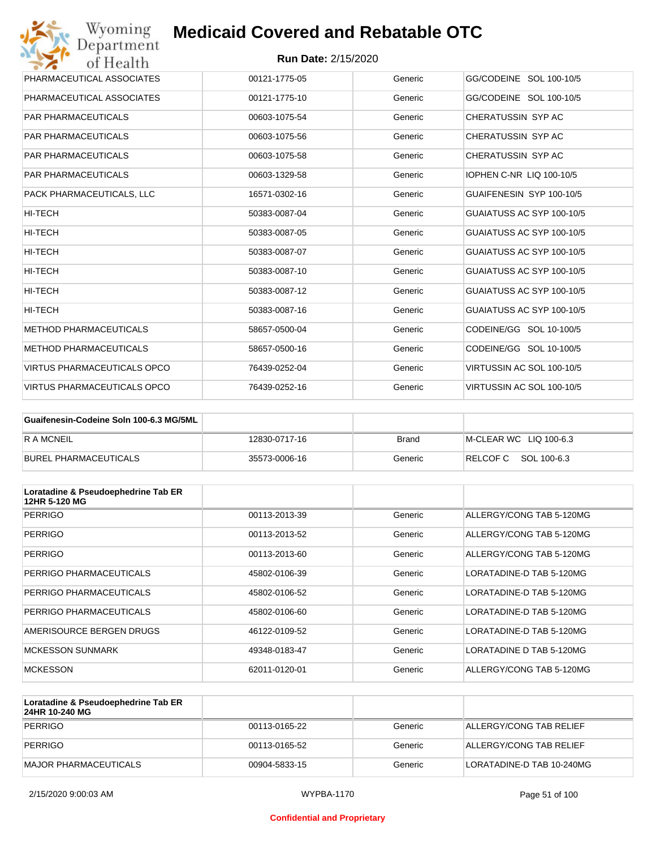| Wyoming<br>Department              | <b>Medicaid Covered and Rebatable OTC</b> |         |                                 |
|------------------------------------|-------------------------------------------|---------|---------------------------------|
| of Health                          | <b>Run Date: 2/15/2020</b>                |         |                                 |
| PHARMACEUTICAL ASSOCIATES          | 00121-1775-05                             | Generic | GG/CODEINE SOL 100-10/5         |
| PHARMACEUTICAL ASSOCIATES          | 00121-1775-10                             | Generic | GG/CODEINE SOL 100-10/5         |
| <b>PAR PHARMACEUTICALS</b>         | 00603-1075-54                             | Generic | CHERATUSSIN SYP AC              |
| <b>PAR PHARMACEUTICALS</b>         | 00603-1075-56                             | Generic | CHERATUSSIN SYP AC              |
| <b>PAR PHARMACEUTICALS</b>         | 00603-1075-58                             | Generic | CHERATUSSIN SYP AC              |
| <b>PAR PHARMACEUTICALS</b>         | 00603-1329-58                             | Generic | <b>IOPHEN C-NR LIQ 100-10/5</b> |
| PACK PHARMACEUTICALS, LLC          | 16571-0302-16                             | Generic | GUAIFENESIN SYP 100-10/5        |
| <b>HI-TECH</b>                     | 50383-0087-04                             | Generic | GUAIATUSS AC SYP 100-10/5       |
| HI-TECH                            | 50383-0087-05                             | Generic | GUAIATUSS AC SYP 100-10/5       |
| HI-TECH                            | 50383-0087-07                             | Generic | GUAIATUSS AC SYP 100-10/5       |
| HI-TECH                            | 50383-0087-10                             | Generic | GUAIATUSS AC SYP 100-10/5       |
| <b>HI-TECH</b>                     | 50383-0087-12                             | Generic | GUAIATUSS AC SYP 100-10/5       |
| HI-TECH                            | 50383-0087-16                             | Generic | GUAIATUSS AC SYP 100-10/5       |
| <b>METHOD PHARMACEUTICALS</b>      | 58657-0500-04                             | Generic | CODEINE/GG SOL 10-100/5         |
| <b>METHOD PHARMACEUTICALS</b>      | 58657-0500-16                             | Generic | CODEINE/GG SOL 10-100/5         |
| <b>VIRTUS PHARMACEUTICALS OPCO</b> | 76439-0252-04                             | Generic | VIRTUSSIN AC SOL 100-10/5       |
| <b>VIRTUS PHARMACEUTICALS OPCO</b> | 76439-0252-16                             | Generic | VIRTUSSIN AC SOL 100-10/5       |

| Guaifenesin-Codeine Soln 100-6.3 MG/5ML |               |         |                        |
|-----------------------------------------|---------------|---------|------------------------|
| R A MCNEIL                              | 12830-0717-16 | Brand   | M-CLEAR WC LIQ 100-6.3 |
| BUREL PHARMACEUTICALS                   | 35573-0006-16 | Generic | RELCOF C SOL 100-6.3   |

| Loratadine & Pseudoephedrine Tab ER<br>12HR 5-120 MG |               |         |                          |
|------------------------------------------------------|---------------|---------|--------------------------|
| <b>PERRIGO</b>                                       | 00113-2013-39 | Generic | ALLERGY/CONG TAB 5-120MG |
| <b>PERRIGO</b>                                       | 00113-2013-52 | Generic | ALLERGY/CONG TAB 5-120MG |
| <b>PERRIGO</b>                                       | 00113-2013-60 | Generic | ALLERGY/CONG TAB 5-120MG |
| PERRIGO PHARMACEUTICALS                              | 45802-0106-39 | Generic | LORATADINE-D TAB 5-120MG |
| PERRIGO PHARMACEUTICALS                              | 45802-0106-52 | Generic | LORATADINE-D TAB 5-120MG |
| PERRIGO PHARMACEUTICALS                              | 45802-0106-60 | Generic | LORATADINE-D TAB 5-120MG |
| AMERISOURCE BERGEN DRUGS                             | 46122-0109-52 | Generic | LORATADINE-D TAB 5-120MG |
| <b>MCKESSON SUNMARK</b>                              | 49348-0183-47 | Generic | LORATADINE D TAB 5-120MG |
| <b>MCKESSON</b>                                      | 62011-0120-01 | Generic | ALLERGY/CONG TAB 5-120MG |

| Loratadine & Pseudoephedrine Tab ER<br>24HR 10-240 MG |               |         |                           |
|-------------------------------------------------------|---------------|---------|---------------------------|
| PERRIGO                                               | 00113-0165-22 | Generic | ALLERGY/CONG TAB RELIEF   |
| PERRIGO                                               | 00113-0165-52 | Generic | ALLERGY/CONG TAB RELIEF   |
| MAJOR PHARMACEUTICALS                                 | 00904-5833-15 | Generic | LORATADINE-D TAB 10-240MG |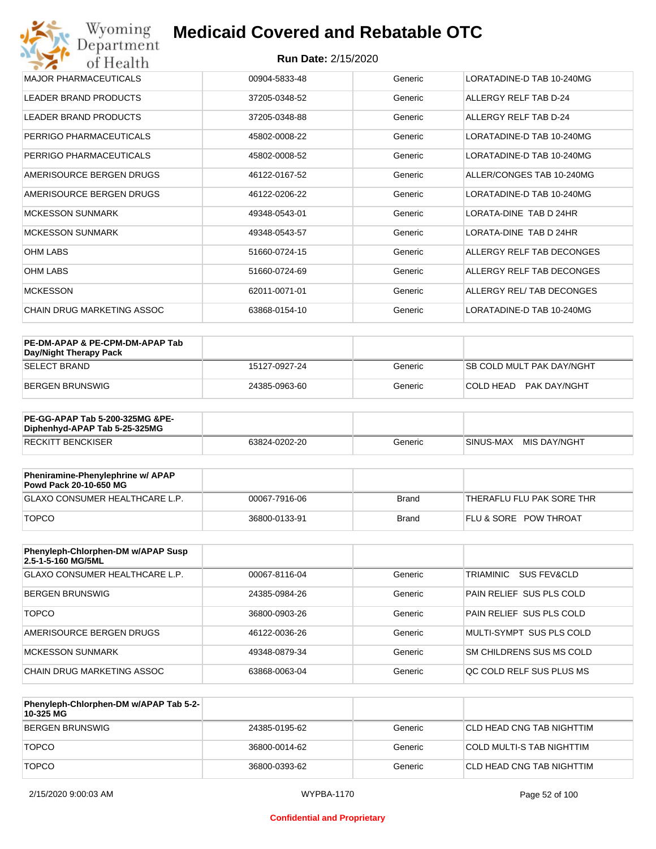#### **Run Date:** 2/15/2020

| Wyoming<br><b>Medicaid Covered and Rebatable OTC</b><br>Department |                            |         |                           |  |
|--------------------------------------------------------------------|----------------------------|---------|---------------------------|--|
| of Health                                                          | <b>Run Date: 2/15/2020</b> |         |                           |  |
| <b>MAJOR PHARMACEUTICALS</b>                                       | 00904-5833-48              | Generic | LORATADINE-D TAB 10-240MG |  |
| <b>LEADER BRAND PRODUCTS</b>                                       | 37205-0348-52              | Generic | ALLERGY RELF TAB D-24     |  |
| <b>LEADER BRAND PRODUCTS</b>                                       | 37205-0348-88              | Generic | ALLERGY RELF TAB D-24     |  |
| PERRIGO PHARMACEUTICALS                                            | 45802-0008-22              | Generic | LORATADINE-D TAB 10-240MG |  |
| PERRIGO PHARMACEUTICALS                                            | 45802-0008-52              | Generic | LORATADINE-D TAB 10-240MG |  |
| AMERISOURCE BERGEN DRUGS                                           | 46122-0167-52              | Generic | ALLER/CONGES TAB 10-240MG |  |
| AMERISOURCE BERGEN DRUGS                                           | 46122-0206-22              | Generic | LORATADINE-D TAB 10-240MG |  |
| <b>MCKESSON SUNMARK</b>                                            | 49348-0543-01              | Generic | LORATA-DINE TAB D 24HR    |  |
| <b>MCKESSON SUNMARK</b>                                            | 49348-0543-57              | Generic | LORATA-DINE TAB D 24HR    |  |
| <b>OHM LABS</b>                                                    | 51660-0724-15              | Generic | ALLERGY RELF TAB DECONGES |  |
| <b>OHM LABS</b>                                                    | 51660-0724-69              | Generic | ALLERGY RELF TAB DECONGES |  |
| <b>MCKESSON</b>                                                    | 62011-0071-01              | Generic | ALLERGY REL/TAB DECONGES  |  |
| CHAIN DRUG MARKETING ASSOC                                         | 63868-0154-10              | Generic | LORATADINE-D TAB 10-240MG |  |

| PE-DM-APAP & PE-CPM-DM-APAP Tab<br>Day/Night Therapy Pack |               |         |                                  |
|-----------------------------------------------------------|---------------|---------|----------------------------------|
| ISELECT BRAND                                             | 15127-0927-24 | Generic | <b>SB COLD MULT PAK DAY/NGHT</b> |
| BERGEN BRUNSWIG                                           | 24385-0963-60 | Generic | COLD HEAD PAK DAY/NGHT           |

| <b>PE-GG-APAP Tab 5-200-325MG &amp;PE-</b><br>Diphenhyd-APAP Tab 5-25-325MG |               |         |                           |
|-----------------------------------------------------------------------------|---------------|---------|---------------------------|
| <b>RECKITT BENCKISER</b>                                                    | 63824-0202-20 | Generic | MIS DAY/NGHT<br>SINUS-MAX |

| Pheniramine-Phenylephrine w/ APAP<br>Powd Pack 20-10-650 MG |               |       |                                  |
|-------------------------------------------------------------|---------------|-------|----------------------------------|
| GLAXO CONSUMER HEALTHCARE L.P.                              | 00067-7916-06 | Brand | 'THERAFLU FLU PAK SORE THR       |
| <b>TOPCO</b>                                                | 36800-0133-91 | Brand | <b>FLU &amp; SORE POW THROAT</b> |

| Phenyleph-Chlorphen-DM w/APAP Susp<br>2.5-1-5-160 MG/5ML |               |         |                          |
|----------------------------------------------------------|---------------|---------|--------------------------|
| <b>GLAXO CONSUMER HEALTHCARE L.P.</b>                    | 00067-8116-04 | Generic | TRIAMINIC<br>SUS FEV&CLD |
| <b>BERGEN BRUNSWIG</b>                                   | 24385-0984-26 | Generic | PAIN RELIEF SUS PLS COLD |
| <b>TOPCO</b>                                             | 36800-0903-26 | Generic | PAIN RELIEF SUS PLS COLD |
| AMERISOURCE BERGEN DRUGS                                 | 46122-0036-26 | Generic | MULTI-SYMPT SUS PLS COLD |
| <b>MCKESSON SUNMARK</b>                                  | 49348-0879-34 | Generic | SM CHILDRENS SUS MS COLD |
| CHAIN DRUG MARKETING ASSOC                               | 63868-0063-04 | Generic | OC COLD RELF SUS PLUS MS |

| Phenyleph-Chlorphen-DM w/APAP Tab 5-2-<br>10-325 MG |               |         |                            |
|-----------------------------------------------------|---------------|---------|----------------------------|
| BERGEN BRUNSWIG                                     | 24385-0195-62 | Generic | ICLD HEAD CNG TAB NIGHTTIM |
| <b>TOPCO</b>                                        | 36800-0014-62 | Generic | COLD MULTI-S TAB NIGHTTIM  |
| <b>TOPCO</b>                                        | 36800-0393-62 | Generic | ICLD HEAD CNG TAB NIGHTTIM |

#### **Confidential and Proprietary**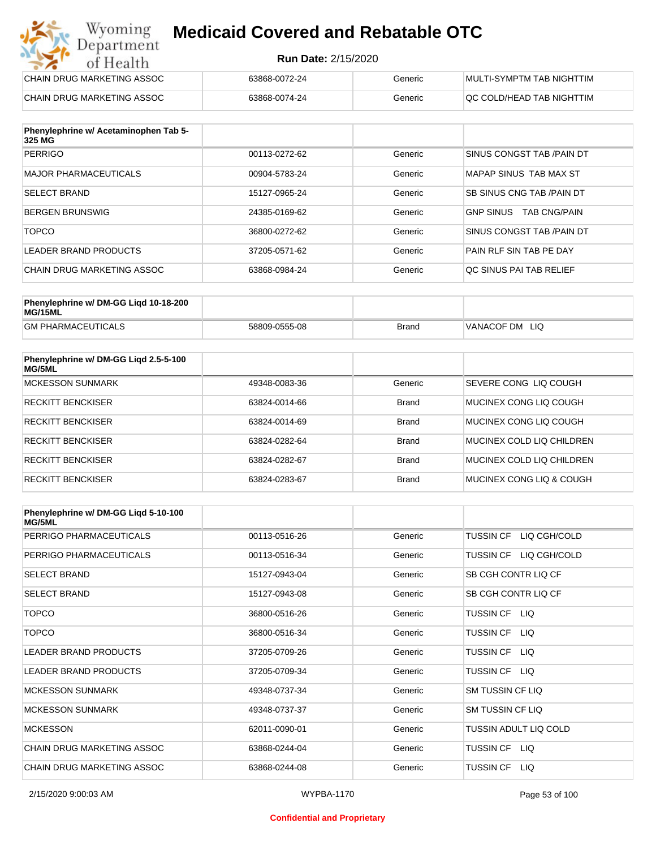#### **Run Date:** 2/15/2020

| Wyoming<br><b>Medicaid Covered and Rebatable OTC</b><br>Department |                            |         |                                  |
|--------------------------------------------------------------------|----------------------------|---------|----------------------------------|
| of Health                                                          | <b>Run Date: 2/15/2020</b> |         |                                  |
| CHAIN DRUG MARKETING ASSOC                                         | 63868-0072-24              | Generic | <b>MULTI-SYMPTM TAB NIGHTTIM</b> |
| CHAIN DRUG MARKETING ASSOC                                         | 63868-0074-24              | Generic | QC COLD/HEAD TAB NIGHTTIM        |

| Phenylephrine w/ Acetaminophen Tab 5-<br>325 MG |               |         |                                         |
|-------------------------------------------------|---------------|---------|-----------------------------------------|
| <b>PERRIGO</b>                                  | 00113-0272-62 | Generic | SINUS CONGST TAB /PAIN DT               |
| MAJOR PHARMACEUTICALS                           | 00904-5783-24 | Generic | MAPAP SINUS TAB MAX ST                  |
| <b>SELECT BRAND</b>                             | 15127-0965-24 | Generic | SB SINUS CNG TAB / PAIN DT              |
| BERGEN BRUNSWIG                                 | 24385-0169-62 | Generic | <b>GNP SINUS</b><br><b>TAB CNG/PAIN</b> |
| <b>TOPCO</b>                                    | 36800-0272-62 | Generic | SINUS CONGST TAB /PAIN DT               |
| LEADER BRAND PRODUCTS                           | 37205-0571-62 | Generic | PAIN RLF SIN TAB PE DAY                 |
| CHAIN DRUG MARKETING ASSOC                      | 63868-0984-24 | Generic | OC SINUS PAI TAB RELIEF                 |

| Phenylephrine w/ DM-GG Ligd 10-18-200<br>MG/15ML |               |              |                |
|--------------------------------------------------|---------------|--------------|----------------|
| <b>GM PHARMACEUTICALS</b>                        | 58809-0555-08 | <b>Brand</b> | VANACOF DM LIQ |

| Phenylephrine w/ DM-GG Ligd 2.5-5-100<br>MG/5ML |               |              |                           |
|-------------------------------------------------|---------------|--------------|---------------------------|
| MCKESSON SUNMARK                                | 49348-0083-36 | Generic      | SEVERE CONG LIQ COUGH     |
| <b>RECKITT BENCKISER</b>                        | 63824-0014-66 | <b>Brand</b> | MUCINEX CONG LIO COUGH    |
| <b>RECKITT BENCKISER</b>                        | 63824-0014-69 | <b>Brand</b> | MUCINEX CONG LIO COUGH    |
| <b>RECKITT BENCKISER</b>                        | 63824-0282-64 | <b>Brand</b> | MUCINEX COLD LIQ CHILDREN |
| <b>RECKITT BENCKISER</b>                        | 63824-0282-67 | <b>Brand</b> | MUCINEX COLD LIQ CHILDREN |
| <b>RECKITT BENCKISER</b>                        | 63824-0283-67 | <b>Brand</b> | MUCINEX CONG LIO & COUGH  |

| Phenylephrine w/ DM-GG Ligd 5-10-100<br><b>MG/5ML</b> |               |         |                                  |
|-------------------------------------------------------|---------------|---------|----------------------------------|
| PERRIGO PHARMACEUTICALS                               | 00113-0516-26 | Generic | LIQ CGH/COLD<br><b>TUSSIN CF</b> |
| PERRIGO PHARMACEUTICALS                               | 00113-0516-34 | Generic | LIQ CGH/COLD<br><b>TUSSIN CF</b> |
| <b>SELECT BRAND</b>                                   | 15127-0943-04 | Generic | SB CGH CONTR LIQ CF              |
| <b>SELECT BRAND</b>                                   | 15127-0943-08 | Generic | SB CGH CONTR LIQ CF              |
| <b>TOPCO</b>                                          | 36800-0516-26 | Generic | TUSSIN CF LIQ                    |
| <b>TOPCO</b>                                          | 36800-0516-34 | Generic | <b>TUSSIN CF</b><br>LIQ.         |
| <b>LEADER BRAND PRODUCTS</b>                          | 37205-0709-26 | Generic | <b>TUSSIN CF</b><br>LIQ.         |
| <b>LEADER BRAND PRODUCTS</b>                          | 37205-0709-34 | Generic | <b>TUSSIN CF</b><br>LIQ          |
| <b>MCKESSON SUNMARK</b>                               | 49348-0737-34 | Generic | <b>SM TUSSIN CF LIQ</b>          |
| <b>MCKESSON SUNMARK</b>                               | 49348-0737-37 | Generic | <b>SM TUSSIN CF LIQ</b>          |
| <b>MCKESSON</b>                                       | 62011-0090-01 | Generic | TUSSIN ADULT LIQ COLD            |
| CHAIN DRUG MARKETING ASSOC                            | 63868-0244-04 | Generic | TUSSIN CF LIQ                    |
| CHAIN DRUG MARKETING ASSOC                            | 63868-0244-08 | Generic | <b>TUSSIN CF</b><br>LIQ.         |

#### **Confidential and Proprietary**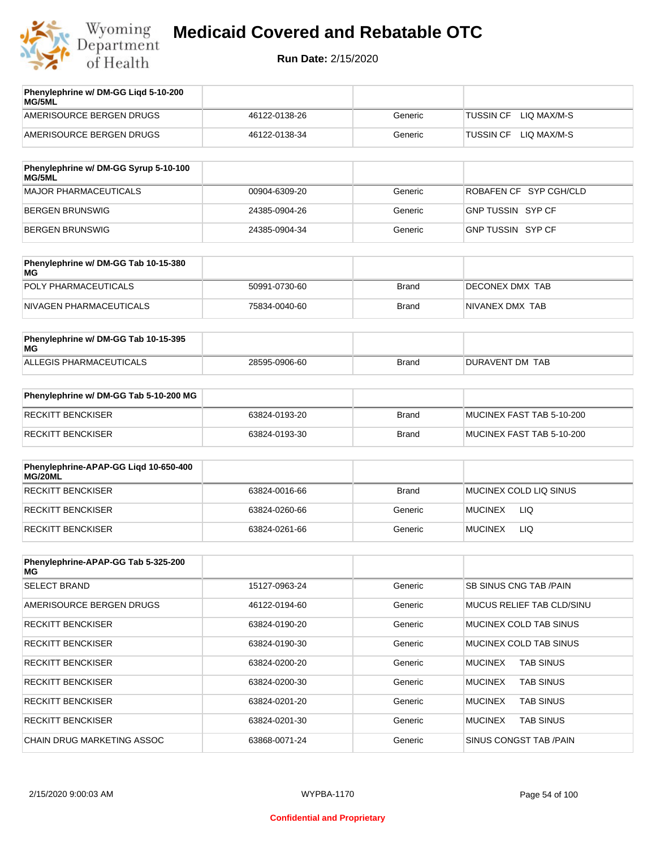

| Phenylephrine w/ DM-GG Ligd 5-10-200<br>MG/5ML |               |         |                                 |
|------------------------------------------------|---------------|---------|---------------------------------|
| AMERISOURCE BERGEN DRUGS                       | 46122-0138-26 | Generic | <b>TUSSIN CF</b><br>LIO MAX/M-S |
| AMERISOURCE BERGEN DRUGS                       | 46122-0138-34 | Generic | LIO MAX/M-S<br><b>TUSSIN CF</b> |
| Phenylenhrine w/ DM-GG Syrun 5-10-100          |               |         |                                 |

| <b>FUSILYISPILLING W/ DIVI-GG SYLUP 3-10-100</b><br>MG/5ML |               |         |                        |
|------------------------------------------------------------|---------------|---------|------------------------|
| MAJOR PHARMACEUTICALS                                      | 00904-6309-20 | Generic | ROBAFEN CF SYP CGH/CLD |
| BERGEN BRUNSWIG                                            | 24385-0904-26 | Generic | GNP TUSSIN SYP CF      |
| BERGEN BRUNSWIG                                            | 24385-0904-34 | Generic | GNP TUSSIN SYP CF      |

| Phenylephrine w/ DM-GG Tab 10-15-380<br>MG |               |       |                 |
|--------------------------------------------|---------------|-------|-----------------|
| POLY PHARMACEUTICALS                       | 50991-0730-60 | Brand | DECONEX DMX TAB |
| NIVAGEN PHARMACEUTICALS                    | 75834-0040-60 | Brand | NIVANEX DMX TAB |

| Phenylephrine w/ DM-GG Tab 10-15-395<br>MG |               |       |                 |
|--------------------------------------------|---------------|-------|-----------------|
| ALLEGIS PHARMACEUTICALS                    | 28595-0906-60 | Brand | DURAVENT DM TAB |

| Phenylephrine w/ DM-GG Tab 5-10-200 MG |               |       |                           |
|----------------------------------------|---------------|-------|---------------------------|
| RECKITT BENCKISER                      | 63824-0193-20 | Brand | MUCINEX FAST TAB 5-10-200 |
| RECKITT BENCKISER                      | 63824-0193-30 | Brand | MUCINEX FAST TAB 5-10-200 |

| Phenylephrine-APAP-GG Ligd 10-650-400<br>MG/20ML |               |              |                              |
|--------------------------------------------------|---------------|--------------|------------------------------|
| <b>RECKITT BENCKISER</b>                         | 63824-0016-66 | <b>Brand</b> | MUCINEX COLD LIQ SINUS       |
| <b>RECKITT BENCKISER</b>                         | 63824-0260-66 | Generic      | <b>LIQ</b><br><b>MUCINEX</b> |
| RECKITT BENCKISER                                | 63824-0261-66 | Generic      | <b>LIQ</b><br><b>MUCINEX</b> |

| Phenylephrine-APAP-GG Tab 5-325-200<br>MG |               |         |                                    |
|-------------------------------------------|---------------|---------|------------------------------------|
| <b>SELECT BRAND</b>                       | 15127-0963-24 | Generic | SB SINUS CNG TAB /PAIN             |
| AMERISOURCE BERGEN DRUGS                  | 46122-0194-60 | Generic | <b>MUCUS RELIEF TAB CLD/SINU</b>   |
| <b>RECKITT BENCKISER</b>                  | 63824-0190-20 | Generic | MUCINEX COLD TAB SINUS             |
| <b>RECKITT BENCKISER</b>                  | 63824-0190-30 | Generic | MUCINEX COLD TAB SINUS             |
| <b>RECKITT BENCKISER</b>                  | 63824-0200-20 | Generic | <b>TAB SINUS</b><br><b>MUCINEX</b> |
| <b>RECKITT BENCKISER</b>                  | 63824-0200-30 | Generic | <b>MUCINEX</b><br><b>TAB SINUS</b> |
| <b>RECKITT BENCKISER</b>                  | 63824-0201-20 | Generic | <b>MUCINEX</b><br><b>TAB SINUS</b> |
| <b>RECKITT BENCKISER</b>                  | 63824-0201-30 | Generic | <b>MUCINEX</b><br><b>TAB SINUS</b> |
| CHAIN DRUG MARKETING ASSOC                | 63868-0071-24 | Generic | SINUS CONGST TAB /PAIN             |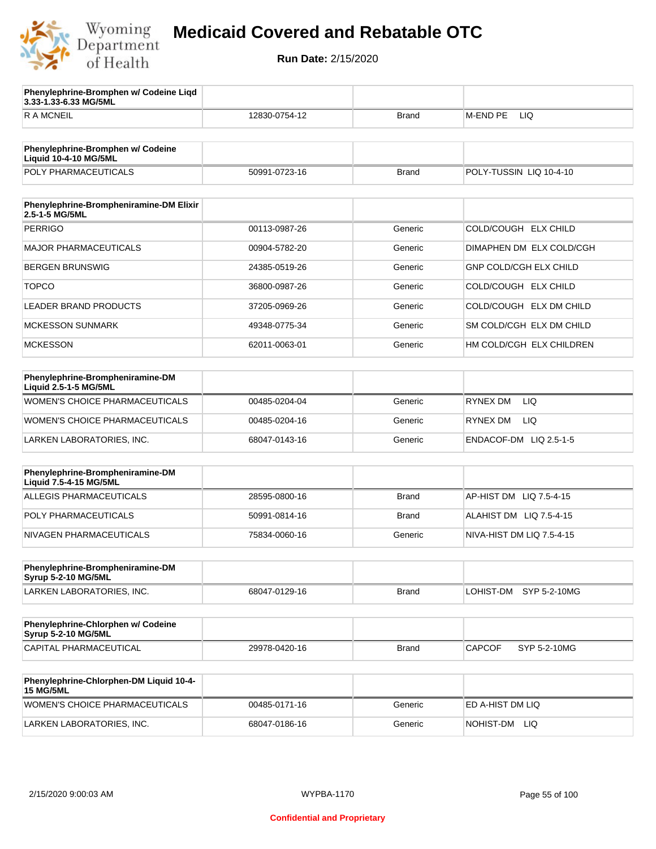

**3.33-1.33-6.33 MG/5ML**

**Phenylephrine-Bromphen w/ Codeine Liqd** 

## **Medicaid Covered and Rebatable OTC**

| 50991-0723-16<br>00113-0987-26<br>00904-5782-20 | <b>Brand</b> | POLY-TUSSIN LIQ 10-4-10       |
|-------------------------------------------------|--------------|-------------------------------|
|                                                 |              |                               |
|                                                 |              |                               |
|                                                 |              |                               |
|                                                 |              |                               |
|                                                 | Generic      | COLD/COUGH ELX CHILD          |
|                                                 | Generic      | DIMAPHEN DM ELX COLD/CGH      |
| 24385-0519-26                                   | Generic      | <b>GNP COLD/CGH ELX CHILD</b> |
| 36800-0987-26                                   | Generic      | COLD/COUGH ELX CHILD          |
| 37205-0969-26                                   | Generic      | COLD/COUGH ELX DM CHILD       |
| 49348-0775-34                                   | Generic      | SM COLD/CGH ELX DM CHILD      |
| 62011-0063-01                                   | Generic      | HM COLD/CGH ELX CHILDREN      |
|                                                 |              |                               |
|                                                 |              |                               |
| 00485-0204-04                                   | Generic      | <b>RYNEX DM</b><br>LIQ.       |
| 00485-0204-16                                   | Generic      | RYNEX DM<br>LIQ.              |
| 68047-0143-16                                   | Generic      | ENDACOF-DM LIQ 2.5-1-5        |
|                                                 |              |                               |
|                                                 |              |                               |
| 28595-0800-16                                   | <b>Brand</b> | AP-HIST DM LIQ 7.5-4-15       |
| 50991-0814-16                                   | <b>Brand</b> | ALAHIST DM LIQ 7.5-4-15       |
| 75834-0060-16                                   | Generic      | NIVA-HIST DM LIQ 7.5-4-15     |
|                                                 |              |                               |
|                                                 |              |                               |
| 68047-0129-16                                   | <b>Brand</b> | LOHIST-DM<br>SYP 5-2-10MG     |
|                                                 |              |                               |
|                                                 |              |                               |
| 29978-0420-16                                   | Brand        | CAPCOF<br>SYP 5-2-10MG        |
|                                                 |              |                               |
| 00485-0171-16                                   | Generic      | ED A-HIST DM LIQ              |
| 68047-0186-16                                   | Generic      | NOHIST-DM LIQ                 |
|                                                 |              |                               |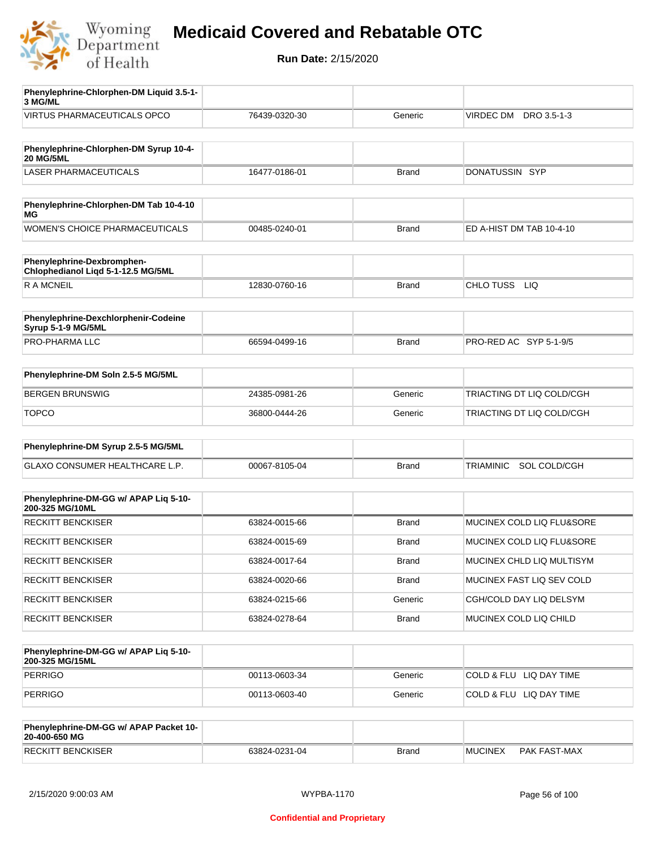

| Phenylephrine-Chlorphen-DM Liquid 3.5-1-<br>3 MG/ML              |               |              |                           |
|------------------------------------------------------------------|---------------|--------------|---------------------------|
| <b>VIRTUS PHARMACEUTICALS OPCO</b>                               | 76439-0320-30 | Generic      | VIRDEC DM<br>DRO 3.5-1-3  |
|                                                                  |               |              |                           |
| Phenylephrine-Chlorphen-DM Syrup 10-4-<br><b>20 MG/5ML</b>       |               |              |                           |
| <b>LASER PHARMACEUTICALS</b>                                     | 16477-0186-01 | <b>Brand</b> | DONATUSSIN SYP            |
|                                                                  |               |              |                           |
| Phenylephrine-Chlorphen-DM Tab 10-4-10<br>МG                     |               |              |                           |
| WOMEN'S CHOICE PHARMACEUTICALS                                   | 00485-0240-01 | <b>Brand</b> | ED A-HIST DM TAB 10-4-10  |
| Phenylephrine-Dexbromphen-<br>Chlophedianol Liqd 5-1-12.5 MG/5ML |               |              |                           |
| <b>RAMCNEIL</b>                                                  | 12830-0760-16 | <b>Brand</b> | CHLO TUSS<br><b>LIQ</b>   |
|                                                                  |               |              |                           |
| Phenylephrine-Dexchlorphenir-Codeine<br>Syrup 5-1-9 MG/5ML       |               |              |                           |
| PRO-PHARMA LLC                                                   | 66594-0499-16 | <b>Brand</b> | PRO-RED AC SYP 5-1-9/5    |
|                                                                  |               |              |                           |
| Phenylephrine-DM Soln 2.5-5 MG/5ML                               |               |              |                           |
| <b>BERGEN BRUNSWIG</b>                                           | 24385-0981-26 | Generic      | TRIACTING DT LIQ COLD/CGH |
| <b>TOPCO</b>                                                     | 36800-0444-26 | Generic      | TRIACTING DT LIQ COLD/CGH |
| Phenylephrine-DM Syrup 2.5-5 MG/5ML                              |               |              |                           |
| GLAXO CONSUMER HEALTHCARE L.P.                                   |               |              | SOL COLD/CGH              |
|                                                                  | 00067-8105-04 | <b>Brand</b> | TRIAMINIC                 |
| Phenylephrine-DM-GG w/ APAP Lig 5-10-<br>200-325 MG/10ML         |               |              |                           |
| <b>RECKITT BENCKISER</b>                                         | 63824-0015-66 | <b>Brand</b> | MUCINEX COLD LIQ FLU&SORE |
| <b>RECKITT BENCKISER</b>                                         | 63824-0015-69 | <b>Brand</b> | MUCINEX COLD LIQ FLU&SORE |
| <b>RECKITT BENCKISER</b>                                         | 63824-0017-64 | Brand        | MUCINEX CHLD LIQ MULTISYM |
| <b>RECKITT BENCKISER</b>                                         | 63824-0020-66 | Brand        | MUCINEX FAST LIQ SEV COLD |
| <b>RECKITT BENCKISER</b>                                         | 63824-0215-66 | Generic      | CGH/COLD DAY LIQ DELSYM   |
| <b>RECKITT BENCKISER</b>                                         | 63824-0278-64 | Brand        | MUCINEX COLD LIQ CHILD    |
|                                                                  |               |              |                           |
| Phenylephrine-DM-GG w/ APAP Liq 5-10-<br>200-325 MG/15ML         |               |              |                           |
| <b>PERRIGO</b>                                                   | 00113-0603-34 | Generic      | COLD & FLU LIQ DAY TIME   |
| PERRIGO                                                          | 00113-0603-40 | Generic      | COLD & FLU LIQ DAY TIME   |
| Phenylephrine-DM-GG w/ APAP Packet 10-<br>20-400-650 MG          |               |              |                           |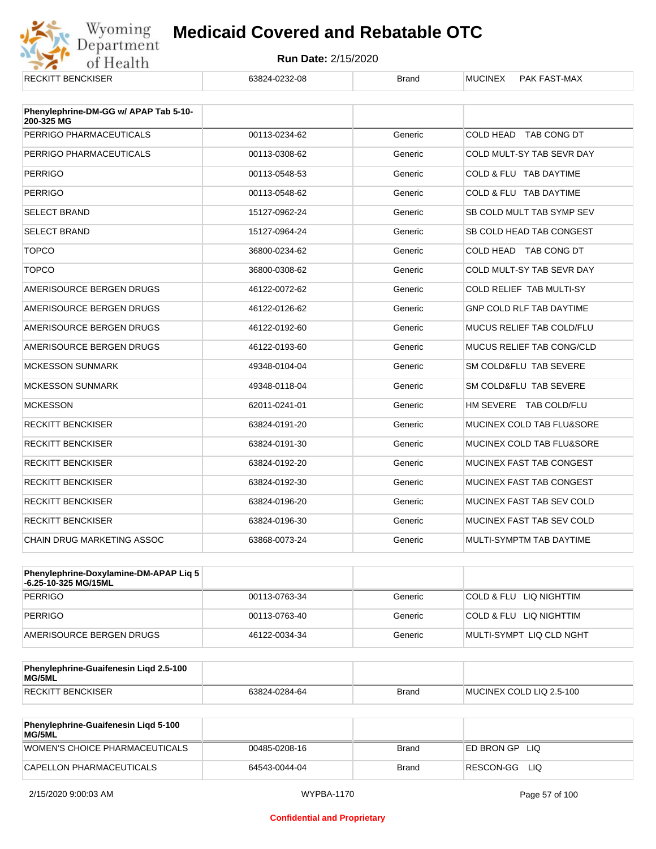

| <b>RECKITT BENCKISER</b>                            | 63824-0232-08 | <b>Brand</b> | <b>MUCINEX</b><br><b>PAK FAST-MAX</b> |
|-----------------------------------------------------|---------------|--------------|---------------------------------------|
| Phenylephrine-DM-GG w/ APAP Tab 5-10-<br>200-325 MG |               |              |                                       |
| PERRIGO PHARMACEUTICALS                             | 00113-0234-62 | Generic      | COLD HEAD TAB CONG DT                 |
| PERRIGO PHARMACEUTICALS                             | 00113-0308-62 | Generic      | COLD MULT-SY TAB SEVR DAY             |
| <b>PERRIGO</b>                                      | 00113-0548-53 | Generic      | COLD & FLU TAB DAYTIME                |
| <b>PERRIGO</b>                                      | 00113-0548-62 | Generic      | COLD & FLU TAB DAYTIME                |
| <b>SELECT BRAND</b>                                 | 15127-0962-24 | Generic      | SB COLD MULT TAB SYMP SEV             |
| <b>SELECT BRAND</b>                                 | 15127-0964-24 | Generic      | SB COLD HEAD TAB CONGEST              |
| <b>TOPCO</b>                                        | 36800-0234-62 | Generic      | COLD HEAD TAB CONG DT                 |
| <b>TOPCO</b>                                        | 36800-0308-62 | Generic      | COLD MULT-SY TAB SEVR DAY             |
| AMERISOURCE BERGEN DRUGS                            | 46122-0072-62 | Generic      | COLD RELIEF TAB MULTI-SY              |
| AMERISOURCE BERGEN DRUGS                            | 46122-0126-62 | Generic      | GNP COLD RLF TAB DAYTIME              |
| AMERISOURCE BERGEN DRUGS                            | 46122-0192-60 | Generic      | MUCUS RELIEF TAB COLD/FLU             |
| AMERISOURCE BERGEN DRUGS                            | 46122-0193-60 | Generic      | MUCUS RELIEF TAB CONG/CLD             |
| <b>MCKESSON SUNMARK</b>                             | 49348-0104-04 | Generic      | SM COLD&FLU TAB SEVERE                |
| <b>MCKESSON SUNMARK</b>                             | 49348-0118-04 | Generic      | SM COLD&FLU TAB SEVERE                |
| <b>MCKESSON</b>                                     | 62011-0241-01 | Generic      | HM SEVERE TAB COLD/FLU                |
| <b>RECKITT BENCKISER</b>                            | 63824-0191-20 | Generic      | MUCINEX COLD TAB FLU&SORE             |
| <b>RECKITT BENCKISER</b>                            | 63824-0191-30 | Generic      | MUCINEX COLD TAB FLU&SORE             |
| <b>RECKITT BENCKISER</b>                            | 63824-0192-20 | Generic      | MUCINEX FAST TAB CONGEST              |
| <b>RECKITT BENCKISER</b>                            | 63824-0192-30 | Generic      | MUCINEX FAST TAB CONGEST              |
| <b>RECKITT BENCKISER</b>                            | 63824-0196-20 | Generic      | MUCINEX FAST TAB SEV COLD             |
| <b>RECKITT BENCKISER</b>                            | 63824-0196-30 | Generic      | MUCINEX FAST TAB SEV COLD             |
| <b>CHAIN DRUG MARKETING ASSOC</b>                   | 63868-0073-24 | Generic      | MULTI-SYMPTM TAB DAYTIME              |

| Phenylephrine-Doxylamine-DM-APAP Liq 5<br>-6.25-10-325 MG/15ML |               |         |                          |
|----------------------------------------------------------------|---------------|---------|--------------------------|
| PERRIGO                                                        | 00113-0763-34 | Generic | COLD & FLU LIQ NIGHTTIM  |
| PERRIGO                                                        | 00113-0763-40 | Generic | COLD & FLU LIQ NIGHTTIM  |
| AMERISOURCE BERGEN DRUGS                                       | 46122-0034-34 | Generic | MULTI-SYMPT LIQ CLD NGHT |

| Phenylephrine-Guaifenesin Ligd 2.5-100<br>MG/5ML |               |              |                          |
|--------------------------------------------------|---------------|--------------|--------------------------|
| RECKITT BENCKISER                                | 63824-0284-64 | <b>Brand</b> | MUCINEX COLD LIQ 2.5-100 |

| <b>Phenylephrine-Guaifenesin Ligd 5-100</b><br><b>MG/5ML</b> |               |       |                    |
|--------------------------------------------------------------|---------------|-------|--------------------|
| WOMEN'S CHOICE PHARMACEUTICALS                               | 00485-0208-16 | Brand | ED BRON GPLIO      |
| CAPELLON PHARMACEUTICALS                                     | 64543-0044-04 | Brand | RESCON-GG<br>- LIQ |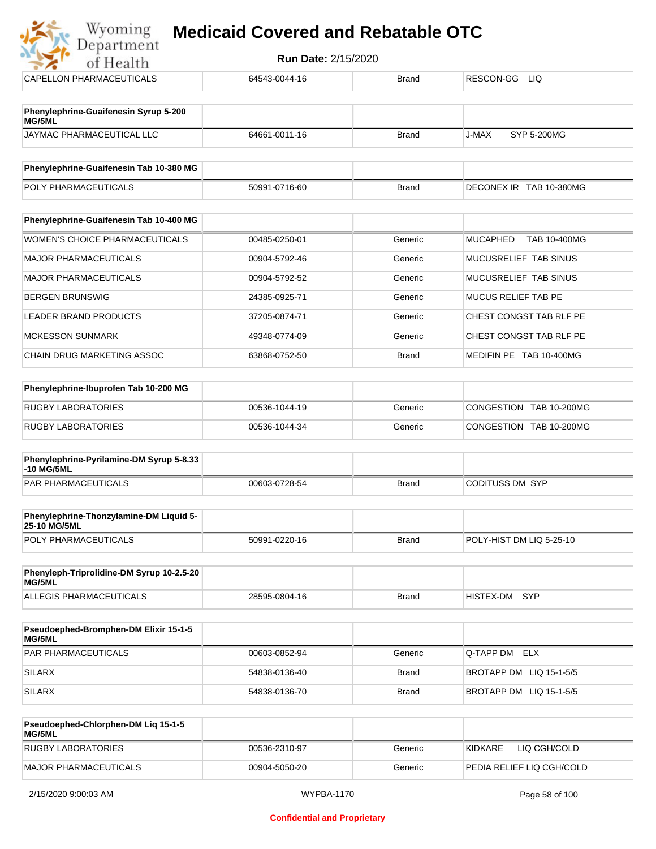## **Myoming Medicaid Covered and Rebatable OTC**

| Department                                             |                            |              |                                 |  |
|--------------------------------------------------------|----------------------------|--------------|---------------------------------|--|
| of Health                                              | <b>Run Date: 2/15/2020</b> |              |                                 |  |
| CAPELLON PHARMACEUTICALS                               | 64543-0044-16              | <b>Brand</b> | RESCON-GG<br>LIQ.               |  |
| Phenylephrine-Guaifenesin Syrup 5-200<br>MG/5ML        |                            |              |                                 |  |
| JAYMAC PHARMACEUTICAL LLC                              | 64661-0011-16              | <b>Brand</b> | J-MAX<br>SYP 5-200MG            |  |
| Phenylephrine-Guaifenesin Tab 10-380 MG                |                            |              |                                 |  |
| POLY PHARMACEUTICALS                                   | 50991-0716-60              | <b>Brand</b> | DECONEX IR TAB 10-380MG         |  |
| Phenylephrine-Guaifenesin Tab 10-400 MG                |                            |              |                                 |  |
| <b>WOMEN'S CHOICE PHARMACEUTICALS</b>                  | 00485-0250-01              | Generic      | <b>MUCAPHED</b><br>TAB 10-400MG |  |
| <b>MAJOR PHARMACEUTICALS</b>                           | 00904-5792-46              | Generic      | MUCUSRELIEF TAB SINUS           |  |
| <b>MAJOR PHARMACEUTICALS</b>                           | 00904-5792-52              | Generic      | MUCUSRELIEF TAB SINUS           |  |
| <b>BERGEN BRUNSWIG</b>                                 | 24385-0925-71              | Generic      | <b>MUCUS RELIEF TAB PE</b>      |  |
| <b>LEADER BRAND PRODUCTS</b>                           | 37205-0874-71              | Generic      | CHEST CONGST TAB RLF PE         |  |
| <b>MCKESSON SUNMARK</b>                                | 49348-0774-09              | Generic      | CHEST CONGST TAB RLF PE         |  |
| CHAIN DRUG MARKETING ASSOC                             | 63868-0752-50              | <b>Brand</b> | MEDIFIN PE TAB 10-400MG         |  |
| Phenylephrine-Ibuprofen Tab 10-200 MG                  |                            |              |                                 |  |
| <b>RUGBY LABORATORIES</b>                              | 00536-1044-19              | Generic      | CONGESTION TAB 10-200MG         |  |
| <b>RUGBY LABORATORIES</b>                              | 00536-1044-34              | Generic      | CONGESTION TAB 10-200MG         |  |
| Phenylephrine-Pyrilamine-DM Syrup 5-8.33<br>-10 MG/5ML |                            |              |                                 |  |
| <b>PAR PHARMACEUTICALS</b>                             | 00603-0728-54              | <b>Brand</b> | <b>CODITUSS DM SYP</b>          |  |

| <b>Phenylephrine-Thonzylamine-DM Liquid 5-</b><br><b>25-10 MG/5ML</b> |               |       |                          |
|-----------------------------------------------------------------------|---------------|-------|--------------------------|
| <b>POLY PHARMACEUTICALS</b>                                           | 50991-0220-16 | Brand | POLY-HIST DM LIQ 5-25-10 |

| Phenyleph-Triprolidine-DM Syrup 10-2.5-20<br>MG/5ML |               |       |               |  |
|-----------------------------------------------------|---------------|-------|---------------|--|
| ALLEGIS PHARMACEUTICALS                             | 28595-0804-16 | Brand | HISTEX-DM SYP |  |

| <b>Pseudoephed-Bromphen-DM Elixir 15-1-5</b><br>MG/5ML |               |              |                         |
|--------------------------------------------------------|---------------|--------------|-------------------------|
| <b>PAR PHARMACEUTICALS</b>                             | 00603-0852-94 | Generic      | Q-TAPP DM ELX           |
| SILARX                                                 | 54838-0136-40 | <b>Brand</b> | BROTAPP DM LIQ 15-1-5/5 |
| <b>SILARX</b>                                          | 54838-0136-70 | <b>Brand</b> | BROTAPP DM LIQ 15-1-5/5 |

| Pseudoephed-Chlorphen-DM Lig 15-1-5<br>MG/5ML |               |         |                           |
|-----------------------------------------------|---------------|---------|---------------------------|
| RUGBY LABORATORIES                            | 00536-2310-97 | Generic | KIDKARE<br>LIQ CGH/COLD   |
| MAJOR PHARMACEUTICALS                         | 00904-5050-20 | Generic | PEDIA RELIEF LIQ CGH/COLD |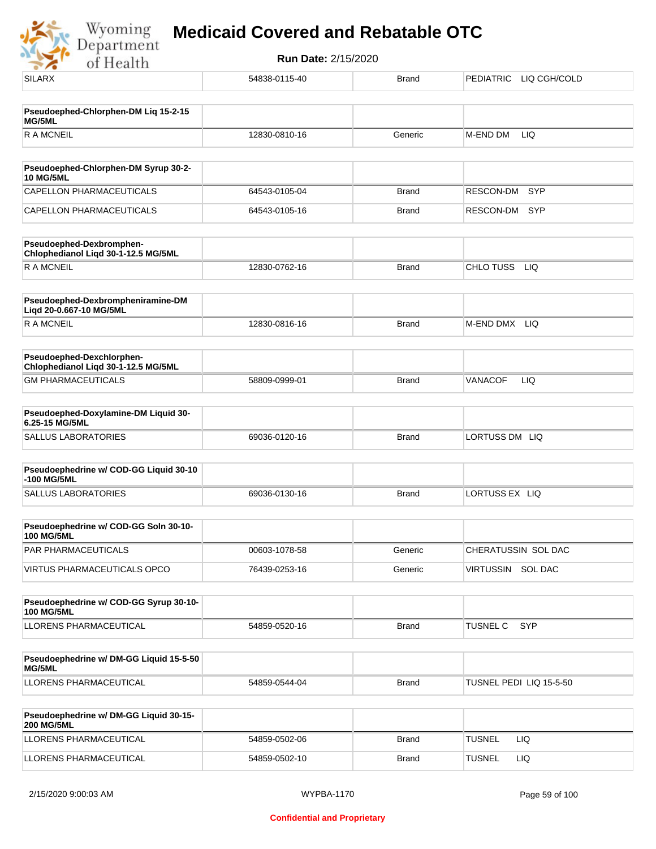

| <b>SILARX</b>                                                    | 54838-0115-40 | <b>Brand</b> | PEDIATRIC LIQ CGH/COLD  |
|------------------------------------------------------------------|---------------|--------------|-------------------------|
| Pseudoephed-Chlorphen-DM Liq 15-2-15<br><b>MG/5ML</b>            |               |              |                         |
| <b>RAMCNEIL</b>                                                  | 12830-0810-16 | Generic      | M-END DM<br>LIQ         |
|                                                                  |               |              |                         |
| Pseudoephed-Chlorphen-DM Syrup 30-2-<br><b>10 MG/5ML</b>         |               |              |                         |
| CAPELLON PHARMACEUTICALS                                         | 64543-0105-04 | <b>Brand</b> | <b>SYP</b><br>RESCON-DM |
| CAPELLON PHARMACEUTICALS                                         | 64543-0105-16 | <b>Brand</b> | RESCON-DM<br>SYP        |
| Pseudoephed-Dexbromphen-<br>Chlophedianol Liqd 30-1-12.5 MG/5ML  |               |              |                         |
| <b>RAMCNEIL</b>                                                  | 12830-0762-16 | <b>Brand</b> | CHLO TUSS<br><b>LIQ</b> |
| Pseudoephed-Dexbrompheniramine-DM<br>Liqd 20-0.667-10 MG/5ML     |               |              |                         |
| <b>RAMCNEIL</b>                                                  | 12830-0816-16 | <b>Brand</b> | M-END DMX LIQ           |
| Pseudoephed-Dexchlorphen-<br>Chlophedianol Liqd 30-1-12.5 MG/5ML |               |              |                         |
| <b>GM PHARMACEUTICALS</b>                                        | 58809-0999-01 | <b>Brand</b> | <b>VANACOF</b><br>LIQ   |
| Pseudoephed-Doxylamine-DM Liquid 30-<br>6.25-15 MG/5ML           |               |              |                         |
| SALLUS LABORATORIES                                              | 69036-0120-16 | <b>Brand</b> | LORTUSS DM LIQ          |
| Pseudoephedrine w/ COD-GG Liquid 30-10<br>-100 MG/5ML            |               |              |                         |
| SALLUS LABORATORIES                                              | 69036-0130-16 | <b>Brand</b> | LORTUSS EX LIQ          |
| Pseudoephedrine w/ COD-GG Soln 30-10-<br><b>100 MG/5ML</b>       |               |              |                         |
| PAR PHARMACEUTICALS                                              | 00603-1078-58 | Generic      | CHERATUSSIN SOL DAC     |
| VIRTUS PHARMACEUTICALS OPCO                                      | 76439-0253-16 | Generic      | VIRTUSSIN SOL DAC       |
| Pseudoephedrine w/ COD-GG Syrup 30-10-<br><b>100 MG/5ML</b>      |               |              |                         |
| LLORENS PHARMACEUTICAL                                           | 54859-0520-16 | <b>Brand</b> | SYP<br><b>TUSNEL C</b>  |
| Pseudoephedrine w/ DM-GG Liquid 15-5-50<br>MG/5ML                |               |              |                         |
| LLORENS PHARMACEUTICAL                                           | 54859-0544-04 | <b>Brand</b> | TUSNEL PEDI LIQ 15-5-50 |
| Pseudoephedrine w/ DM-GG Liquid 30-15-<br><b>200 MG/5ML</b>      |               |              |                         |
| LLORENS PHARMACEUTICAL                                           | 54859-0502-06 | <b>Brand</b> | <b>TUSNEL</b><br>LIQ.   |
| LLORENS PHARMACEUTICAL                                           | 54859-0502-10 | <b>Brand</b> | <b>TUSNEL</b><br>LIQ.   |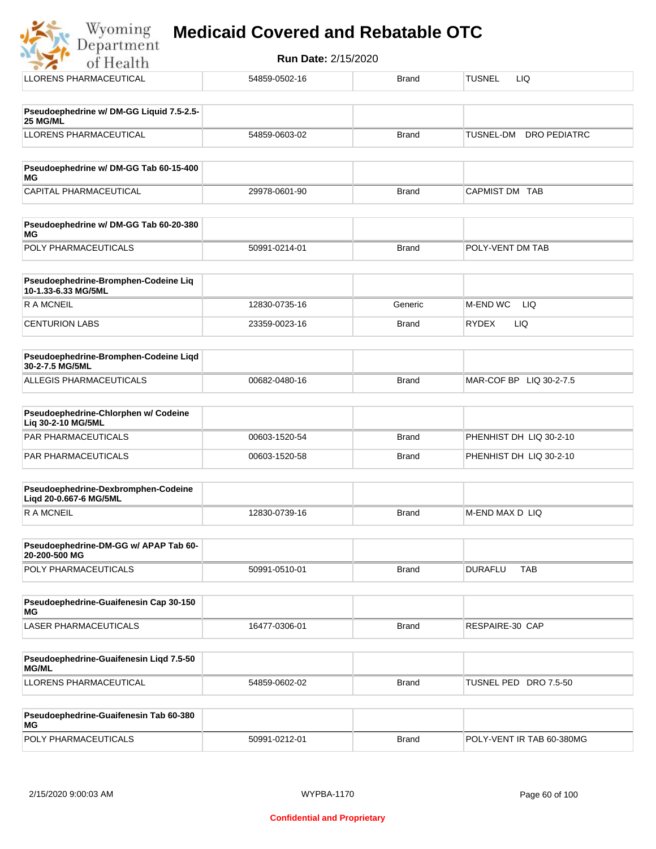|  |  | <b>Medicaid Covered and Rebatable OTC</b> |  |
|--|--|-------------------------------------------|--|
|  |  |                                           |  |

| Wyoming<br>Department<br>of Health                            | <b>Run Date: 2/15/2020</b> |              |                                  |
|---------------------------------------------------------------|----------------------------|--------------|----------------------------------|
| LLORENS PHARMACEUTICAL                                        | 54859-0502-16              | <b>Brand</b> | <b>TUSNEL</b><br>LIQ             |
| Pseudoephedrine w/ DM-GG Liquid 7.5-2.5-<br>25 MG/ML          |                            |              |                                  |
| <b>LLORENS PHARMACEUTICAL</b>                                 | 54859-0603-02              | <b>Brand</b> | <b>DRO PEDIATRC</b><br>TUSNEL-DM |
| Pseudoephedrine w/ DM-GG Tab 60-15-400<br>МG                  |                            |              |                                  |
| CAPITAL PHARMACEUTICAL                                        | 29978-0601-90              | Brand        | CAPMIST DM TAB                   |
| Pseudoephedrine w/ DM-GG Tab 60-20-380<br>МG                  |                            |              |                                  |
| POLY PHARMACEUTICALS                                          | 50991-0214-01              | Brand        | POLY-VENT DM TAB                 |
| Pseudoephedrine-Bromphen-Codeine Liq<br>10-1.33-6.33 MG/5ML   |                            |              |                                  |
| <b>RAMCNEIL</b>                                               | 12830-0735-16              | Generic      | M-END WC<br>LIQ                  |
| <b>CENTURION LABS</b>                                         | 23359-0023-16              | Brand        | <b>RYDEX</b><br>LIQ              |
| Pseudoephedrine-Bromphen-Codeine Liqd<br>30-2-7.5 MG/5ML      |                            |              |                                  |
| <b>ALLEGIS PHARMACEUTICALS</b>                                | 00682-0480-16              | <b>Brand</b> | MAR-COF BP LIQ 30-2-7.5          |
| Pseudoephedrine-Chlorphen w/ Codeine<br>Liq 30-2-10 MG/5ML    |                            |              |                                  |
| <b>PAR PHARMACEUTICALS</b>                                    | 00603-1520-54              | <b>Brand</b> | PHENHIST DH LIQ 30-2-10          |
| PAR PHARMACEUTICALS                                           | 00603-1520-58              | Brand        | PHENHIST DH LIQ 30-2-10          |
| Pseudoephedrine-Dexbromphen-Codeine<br>Liqd 20-0.667-6 MG/5ML |                            |              |                                  |
| <b>RAMCNEIL</b>                                               | 12830-0739-16              | <b>Brand</b> | M-END MAX D LIQ                  |
| Pseudoephedrine-DM-GG w/ APAP Tab 60-<br>20-200-500 MG        |                            |              |                                  |
| POLY PHARMACEUTICALS                                          | 50991-0510-01              | <b>Brand</b> | <b>TAB</b><br><b>DURAFLU</b>     |
| Pseudoephedrine-Guaifenesin Cap 30-150<br>МG                  |                            |              |                                  |
| LASER PHARMACEUTICALS                                         | 16477-0306-01              | <b>Brand</b> | RESPAIRE-30 CAP                  |

| <b>Pseudoephedrine-Guaifenesin Ligd 7.5-50</b><br><b>MG/ML</b> |               |       |                           |
|----------------------------------------------------------------|---------------|-------|---------------------------|
| LLORENS PHARMACEUTICAL                                         | 54859-0602-02 | Brand | 'TUSNEL PED<br>DRO 7.5-50 |

| <b>Pseudoephedrine-Guaifenesin Tab 60-380</b><br>MG |               |       |                           |
|-----------------------------------------------------|---------------|-------|---------------------------|
| <b>POLY PHARMACEUTICALS</b>                         | 50991-0212-01 | Brand | POLY-VENT IR TAB 60-380MG |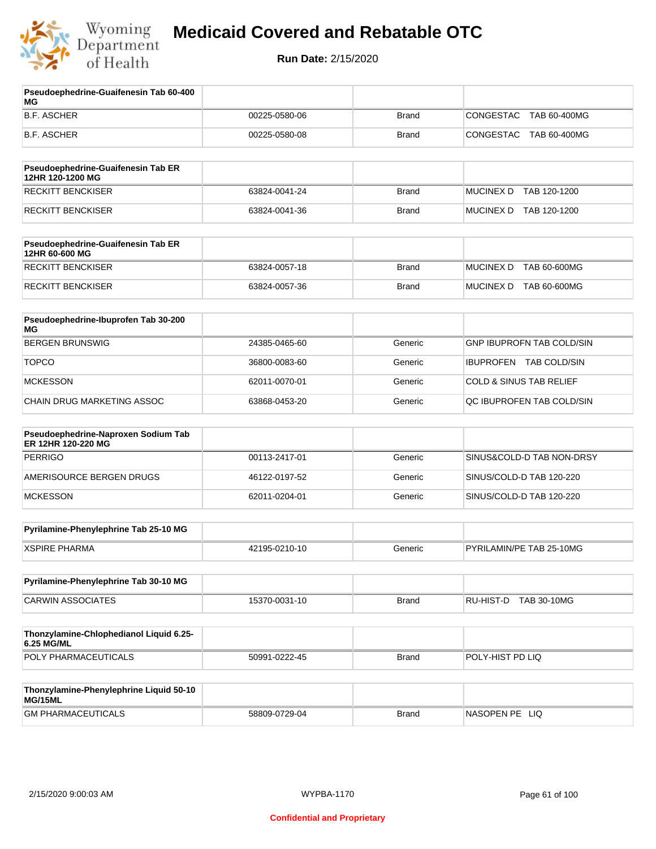

| Pseudoephedrine-Guaifenesin Tab 60-400<br>МG              |               |              |                                    |
|-----------------------------------------------------------|---------------|--------------|------------------------------------|
| <b>B.F. ASCHER</b>                                        | 00225-0580-06 | <b>Brand</b> | CONGESTAC<br>TAB 60-400MG          |
| B.F. ASCHER                                               | 00225-0580-08 | <b>Brand</b> | CONGESTAC<br>TAB 60-400MG          |
| Pseudoephedrine-Guaifenesin Tab ER<br>12HR 120-1200 MG    |               |              |                                    |
| <b>RECKITT BENCKISER</b>                                  | 63824-0041-24 | <b>Brand</b> | MUCINEX D TAB 120-1200             |
| <b>RECKITT BENCKISER</b>                                  | 63824-0041-36 | <b>Brand</b> | MUCINEX D TAB 120-1200             |
| Pseudoephedrine-Guaifenesin Tab ER<br>12HR 60-600 MG      |               |              |                                    |
| <b>RECKITT BENCKISER</b>                                  | 63824-0057-18 | <b>Brand</b> | <b>MUCINEX D</b><br>TAB 60-600MG   |
| RECKITT BENCKISER                                         | 63824-0057-36 | <b>Brand</b> | MUCINEX D TAB 60-600MG             |
| Pseudoephedrine-Ibuprofen Tab 30-200<br>ΜG                |               |              |                                    |
| <b>BERGEN BRUNSWIG</b>                                    | 24385-0465-60 | Generic      | <b>GNP IBUPROFN TAB COLD/SIN</b>   |
| <b>TOPCO</b>                                              | 36800-0083-60 | Generic      | IBUPROFEN TAB COLD/SIN             |
| <b>MCKESSON</b>                                           | 62011-0070-01 | Generic      | <b>COLD &amp; SINUS TAB RELIEF</b> |
| CHAIN DRUG MARKETING ASSOC                                | 63868-0453-20 | Generic      | QC IBUPROFEN TAB COLD/SIN          |
| Pseudoephedrine-Naproxen Sodium Tab<br>ER 12HR 120-220 MG |               |              |                                    |
| <b>PERRIGO</b>                                            | 00113-2417-01 | Generic      | SINUS&COLD-D TAB NON-DRSY          |
| AMERISOURCE BERGEN DRUGS                                  | 46122-0197-52 | Generic      | SINUS/COLD-D TAB 120-220           |
| <b>MCKESSON</b>                                           | 62011-0204-01 | Generic      | SINUS/COLD-D TAB 120-220           |
| Pyrilamine-Phenylephrine Tab 25-10 MG                     |               |              |                                    |
| <b>XSPIRE PHARMA</b>                                      | 42195-0210-10 | Generic      | PYRILAMIN/PE TAB 25-10MG           |
| Pyrilamine-Phenylephrine Tab 30-10 MG                     |               |              |                                    |
| <b>CARWIN ASSOCIATES</b>                                  | 15370-0031-10 | <b>Brand</b> | RU-HIST-D TAB 30-10MG              |
| Thonzylamine-Chlophedianol Liquid 6.25-<br>6.25 MG/ML     |               |              |                                    |
| POLY PHARMACEUTICALS                                      | 50991-0222-45 | <b>Brand</b> | POLY-HIST PD LIQ                   |
| Thonzylamine-Phenylephrine Liquid 50-10<br>MG/15ML        |               |              |                                    |
| <b>GM PHARMACEUTICALS</b>                                 | 58809-0729-04 | <b>Brand</b> | NASOPEN PE LIQ                     |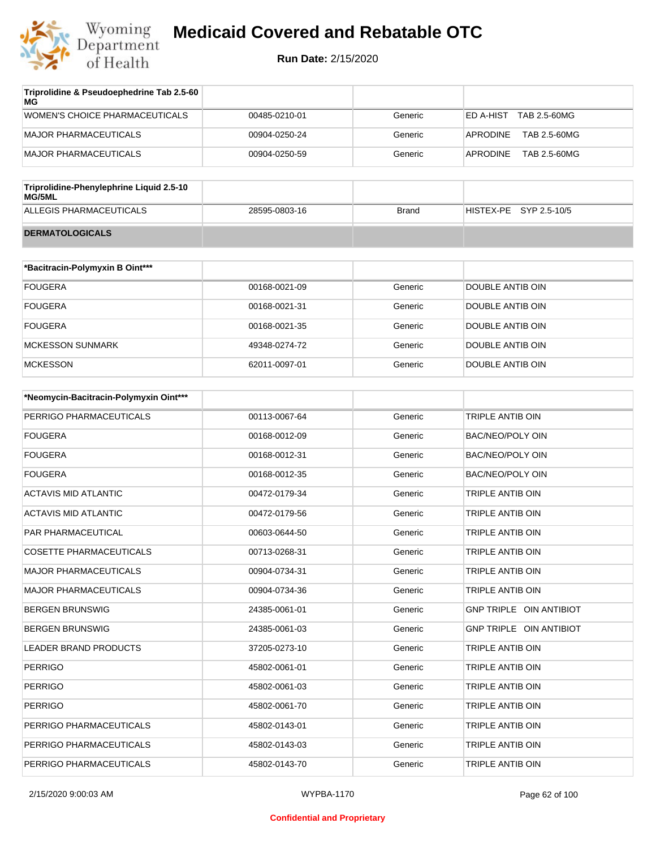

| Triprolidine & Pseudoephedrine Tab 2.5-60<br>MG |               |         |                           |
|-------------------------------------------------|---------------|---------|---------------------------|
| WOMEN'S CHOICE PHARMACEUTICALS                  | 00485-0210-01 | Generic | TAB 2.5-60MG<br>ED A-HIST |
| MAJOR PHARMACEUTICALS                           | 00904-0250-24 | Generic | APRODINE<br>TAB 2.5-60MG  |
| MAJOR PHARMACEUTICALS                           | 00904-0250-59 | Generic | TAB 2.5-60MG<br>APRODINE  |

| Triprolidine-Phenylephrine Liquid 2.5-10<br>MG/5ML |               |       |                        |  |
|----------------------------------------------------|---------------|-------|------------------------|--|
| ALLEGIS PHARMACEUTICALS                            | 28595-0803-16 | Brand | HISTEX-PE SYP 2.5-10/5 |  |
| <b>DERMATOLOGICALS</b>                             |               |       |                        |  |

| *Bacitracin-Polymyxin B Oint*** |               |         |                  |
|---------------------------------|---------------|---------|------------------|
| <b>FOUGERA</b>                  | 00168-0021-09 | Generic | DOUBLE ANTIB OIN |
| <b>FOUGERA</b>                  | 00168-0021-31 | Generic | DOUBLE ANTIB OIN |
| <b>FOUGERA</b>                  | 00168-0021-35 | Generic | DOUBLE ANTIB OIN |
| MCKESSON SUNMARK                | 49348-0274-72 | Generic | DOUBLE ANTIB OIN |
| <b>MCKESSON</b>                 | 62011-0097-01 | Generic | DOUBLE ANTIB OIN |

| *Neomycin-Bacitracin-Polymyxin Oint*** |               |         |                                |
|----------------------------------------|---------------|---------|--------------------------------|
| PERRIGO PHARMACEUTICALS                | 00113-0067-64 | Generic | <b>TRIPLE ANTIB OIN</b>        |
| <b>FOUGERA</b>                         | 00168-0012-09 | Generic | <b>BAC/NEO/POLY OIN</b>        |
| <b>FOUGERA</b>                         | 00168-0012-31 | Generic | <b>BAC/NEO/POLY OIN</b>        |
| <b>FOUGERA</b>                         | 00168-0012-35 | Generic | <b>BAC/NEO/POLY OIN</b>        |
| <b>ACTAVIS MID ATLANTIC</b>            | 00472-0179-34 | Generic | TRIPLE ANTIB OIN               |
| <b>ACTAVIS MID ATLANTIC</b>            | 00472-0179-56 | Generic | TRIPLE ANTIB OIN               |
| <b>PAR PHARMACEUTICAL</b>              | 00603-0644-50 | Generic | TRIPLE ANTIB OIN               |
| <b>COSETTE PHARMACEUTICALS</b>         | 00713-0268-31 | Generic | TRIPLE ANTIB OIN               |
| <b>MAJOR PHARMACEUTICALS</b>           | 00904-0734-31 | Generic | TRIPLE ANTIB OIN               |
| <b>MAJOR PHARMACEUTICALS</b>           | 00904-0734-36 | Generic | TRIPLE ANTIB OIN               |
| <b>BERGEN BRUNSWIG</b>                 | 24385-0061-01 | Generic | <b>GNP TRIPLE OIN ANTIBIOT</b> |
| <b>BERGEN BRUNSWIG</b>                 | 24385-0061-03 | Generic | GNP TRIPLE OIN ANTIBIOT        |
| <b>LEADER BRAND PRODUCTS</b>           | 37205-0273-10 | Generic | TRIPLE ANTIB OIN               |
| <b>PERRIGO</b>                         | 45802-0061-01 | Generic | TRIPLE ANTIB OIN               |
| <b>PERRIGO</b>                         | 45802-0061-03 | Generic | <b>TRIPLE ANTIB OIN</b>        |
| <b>PERRIGO</b>                         | 45802-0061-70 | Generic | TRIPLE ANTIB OIN               |
| PERRIGO PHARMACEUTICALS                | 45802-0143-01 | Generic | <b>TRIPLE ANTIB OIN</b>        |
| PERRIGO PHARMACEUTICALS                | 45802-0143-03 | Generic | TRIPLE ANTIB OIN               |
| PERRIGO PHARMACEUTICALS                | 45802-0143-70 | Generic | TRIPLE ANTIB OIN               |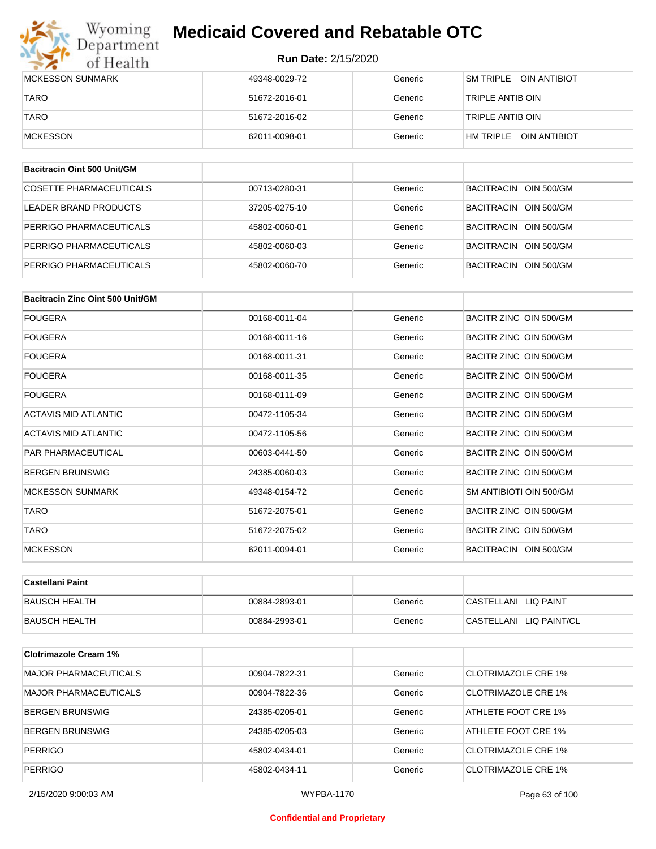## Wyoming<br>Department<br>of Health **Medicaid Covered and Rebatable OTC**

#### **Run Date:** 2/15/2020

| <b>IMCKESSON SUNMARK</b> | 49348-0029-72 | Generic | SM TRIPLE OIN ANTIBIOT    |
|--------------------------|---------------|---------|---------------------------|
| <b>TARO</b>              | 51672-2016-01 | Generic | TRIPLE ANTIB OIN          |
| <b>TARO</b>              | 51672-2016-02 | Generic | TRIPLE ANTIB OIN          |
| <b>IMCKESSON</b>         | 62011-0098-01 | Generic | HM TRIPLE<br>OIN ANTIBIOT |

| Bacitracin Oint 500 Unit/GM |               |         |                       |
|-----------------------------|---------------|---------|-----------------------|
| COSETTE PHARMACEUTICALS     | 00713-0280-31 | Generic | BACITRACIN OIN 500/GM |
| LEADER BRAND PRODUCTS       | 37205-0275-10 | Generic | BACITRACIN OIN 500/GM |
| PERRIGO PHARMACEUTICALS     | 45802-0060-01 | Generic | BACITRACIN OIN 500/GM |
| PERRIGO PHARMACEUTICALS     | 45802-0060-03 | Generic | BACITRACIN OIN 500/GM |
| PERRIGO PHARMACEUTICALS     | 45802-0060-70 | Generic | BACITRACIN OIN 500/GM |

| Bacitracin Zinc Oint 500 Unit/GM |               |         |                         |
|----------------------------------|---------------|---------|-------------------------|
| <b>FOUGERA</b>                   | 00168-0011-04 | Generic | BACITR ZINC OIN 500/GM  |
| FOUGERA                          | 00168-0011-16 | Generic | BACITR ZINC OIN 500/GM  |
| <b>FOUGERA</b>                   | 00168-0011-31 | Generic | BACITR ZINC OIN 500/GM  |
| <b>FOUGERA</b>                   | 00168-0011-35 | Generic | BACITR ZINC OIN 500/GM  |
| <b>FOUGERA</b>                   | 00168-0111-09 | Generic | BACITR ZINC OIN 500/GM  |
| <b>ACTAVIS MID ATLANTIC</b>      | 00472-1105-34 | Generic | BACITR ZINC OIN 500/GM  |
| <b>ACTAVIS MID ATLANTIC</b>      | 00472-1105-56 | Generic | BACITR ZINC OIN 500/GM  |
| <b>PAR PHARMACEUTICAL</b>        | 00603-0441-50 | Generic | BACITR ZINC OIN 500/GM  |
| <b>BERGEN BRUNSWIG</b>           | 24385-0060-03 | Generic | BACITR ZINC OIN 500/GM  |
| <b>MCKESSON SUNMARK</b>          | 49348-0154-72 | Generic | SM ANTIBIOTI OIN 500/GM |
| <b>TARO</b>                      | 51672-2075-01 | Generic | BACITR ZINC OIN 500/GM  |
| <b>TARO</b>                      | 51672-2075-02 | Generic | BACITR ZINC OIN 500/GM  |
| <b>MCKESSON</b>                  | 62011-0094-01 | Generic | BACITRACIN OIN 500/GM   |

| ∣Castellani Paint |               |         |                         |
|-------------------|---------------|---------|-------------------------|
| BAUSCH HEALTH     | 00884-2893-01 | Generic | CASTELLANI LIQ PAINT    |
| BAUSCH HEALTH     | 00884-2993-01 | Generic | CASTELLANI LIQ PAINT/CL |

| <b>Clotrimazole Cream 1%</b> |               |         |                            |
|------------------------------|---------------|---------|----------------------------|
| <b>MAJOR PHARMACEUTICALS</b> | 00904-7822-31 | Generic | <b>CLOTRIMAZOLE CRE 1%</b> |
| <b>MAJOR PHARMACEUTICALS</b> | 00904-7822-36 | Generic | CLOTRIMAZOLE CRE 1%        |
| <b>BERGEN BRUNSWIG</b>       | 24385-0205-01 | Generic | ATHLETE FOOT CRE 1%        |
| BERGEN BRUNSWIG              | 24385-0205-03 | Generic | ATHLETE FOOT CRE 1%        |
| <b>PERRIGO</b>               | 45802-0434-01 | Generic | <b>CLOTRIMAZOLE CRE 1%</b> |
| <b>PERRIGO</b>               | 45802-0434-11 | Generic | <b>CLOTRIMAZOLE CRE 1%</b> |

#### **Confidential and Proprietary**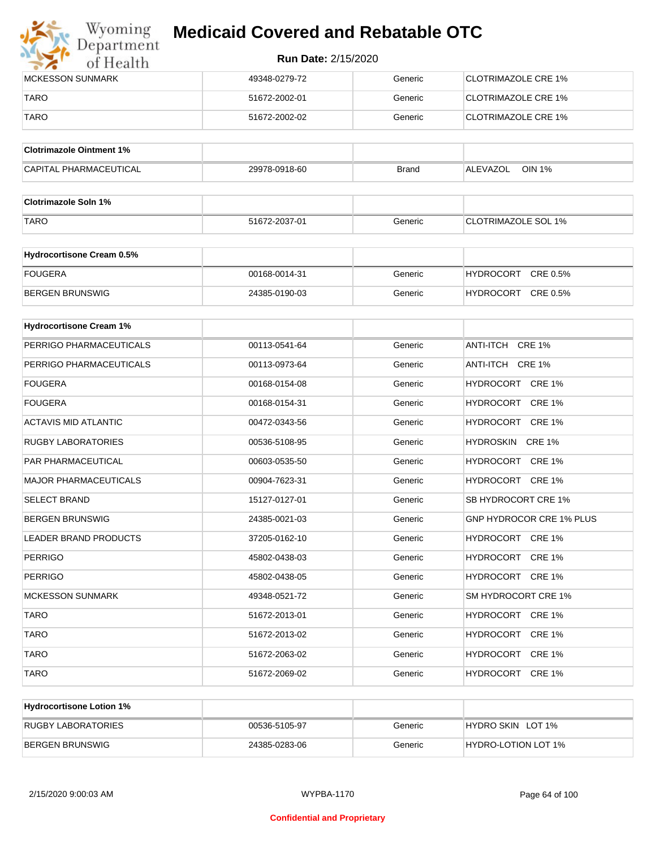

| <b>IMCKESSON SUNMARK</b> | 49348-0279-72 | Generic | <b>CLOTRIMAZOLE CRE 1%</b>  |
|--------------------------|---------------|---------|-----------------------------|
| TARO                     | 51672-2002-01 | Generic | <b>ICLOTRIMAZOLE CRE 1%</b> |
| <b>TARO</b>              | 51672-2002-02 | Generic | CLOTRIMAZOLE CRE 1%         |

| <b>Clotrimazole Ointment 1%</b> |               |              |                           |
|---------------------------------|---------------|--------------|---------------------------|
| <b>CAPITAL PHARMACEUTICAL</b>   | 29978-0918-60 | <b>Brand</b> | <b>OIN 1%</b><br>ALEVAZOL |

| <b>Clotrimazole Soln 1%</b> |               |         |                            |
|-----------------------------|---------------|---------|----------------------------|
| <b>TARO</b>                 | 51672-2037-01 | Generic | <b>CLOTRIMAZOLE SOL 1%</b> |

| Hydrocortisone Cream 0.5% |               |         |                              |
|---------------------------|---------------|---------|------------------------------|
| <b>FOUGERA</b>            | 00168-0014-31 | Generic | CRE 0.5%<br><b>HYDROCORT</b> |
| BERGEN BRUNSWIG           | 24385-0190-03 | Generic | CRE 0.5%<br><b>HYDROCORT</b> |

| <b>Hydrocortisone Cream 1%</b> |               |         |                                 |
|--------------------------------|---------------|---------|---------------------------------|
| PERRIGO PHARMACEUTICALS        | 00113-0541-64 | Generic | ANTI-ITCH CRE 1%                |
| PERRIGO PHARMACEUTICALS        | 00113-0973-64 | Generic | ANTI-ITCH CRE 1%                |
| <b>FOUGERA</b>                 | 00168-0154-08 | Generic | HYDROCORT CRE 1%                |
| <b>FOUGERA</b>                 | 00168-0154-31 | Generic | HYDROCORT CRE 1%                |
| <b>ACTAVIS MID ATLANTIC</b>    | 00472-0343-56 | Generic | HYDROCORT CRE 1%                |
| <b>RUGBY LABORATORIES</b>      | 00536-5108-95 | Generic | HYDROSKIN CRE 1%                |
| <b>PAR PHARMACEUTICAL</b>      | 00603-0535-50 | Generic | HYDROCORT CRE 1%                |
| <b>MAJOR PHARMACEUTICALS</b>   | 00904-7623-31 | Generic | HYDROCORT CRE 1%                |
| <b>SELECT BRAND</b>            | 15127-0127-01 | Generic | SB HYDROCORT CRE 1%             |
| <b>BERGEN BRUNSWIG</b>         | 24385-0021-03 | Generic | <b>GNP HYDROCOR CRE 1% PLUS</b> |
| <b>LEADER BRAND PRODUCTS</b>   | 37205-0162-10 | Generic | HYDROCORT CRE 1%                |
| <b>PERRIGO</b>                 | 45802-0438-03 | Generic | HYDROCORT CRE 1%                |
| <b>PERRIGO</b>                 | 45802-0438-05 | Generic | HYDROCORT CRE 1%                |
| <b>MCKESSON SUNMARK</b>        | 49348-0521-72 | Generic | SM HYDROCORT CRE 1%             |
| <b>TARO</b>                    | 51672-2013-01 | Generic | HYDROCORT CRE 1%                |
| <b>TARO</b>                    | 51672-2013-02 | Generic | HYDROCORT CRE 1%                |
| <b>TARO</b>                    | 51672-2063-02 | Generic | HYDROCORT CRE 1%                |
| <b>TARO</b>                    | 51672-2069-02 | Generic | HYDROCORT CRE 1%                |

| <b>Hydrocortisone Lotion 1%</b> |               |         |                     |
|---------------------------------|---------------|---------|---------------------|
| RUGBY LABORATORIES              | 00536-5105-97 | Generic | HYDRO SKIN LOT 1%   |
| BERGEN BRUNSWIG                 | 24385-0283-06 | Generic | HYDRO-LOTION LOT 1% |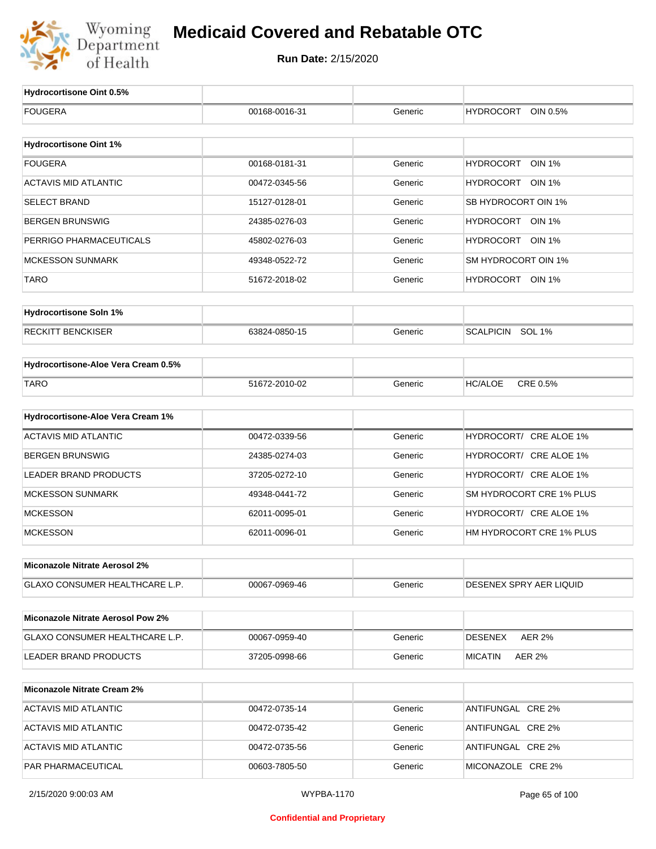

| Hydrocortisone Oint 0.5%                 |               |         |                                   |
|------------------------------------------|---------------|---------|-----------------------------------|
| <b>FOUGERA</b>                           | 00168-0016-31 | Generic | <b>HYDROCORT</b><br>OIN 0.5%      |
|                                          |               |         |                                   |
| <b>Hydrocortisone Oint 1%</b>            |               |         |                                   |
| <b>FOUGERA</b>                           | 00168-0181-31 | Generic | <b>HYDROCORT</b><br><b>OIN 1%</b> |
| <b>ACTAVIS MID ATLANTIC</b>              | 00472-0345-56 | Generic | HYDROCORT OIN 1%                  |
| <b>SELECT BRAND</b>                      | 15127-0128-01 | Generic | SB HYDROCORT OIN 1%               |
| <b>BERGEN BRUNSWIG</b>                   | 24385-0276-03 | Generic | HYDROCORT OIN 1%                  |
| PERRIGO PHARMACEUTICALS                  | 45802-0276-03 | Generic | HYDROCORT OIN 1%                  |
| <b>MCKESSON SUNMARK</b>                  | 49348-0522-72 | Generic | SM HYDROCORT OIN 1%               |
| TARO                                     | 51672-2018-02 | Generic | HYDROCORT OIN 1%                  |
| <b>Hydrocortisone Soln 1%</b>            |               |         |                                   |
|                                          |               |         |                                   |
| <b>RECKITT BENCKISER</b>                 | 63824-0850-15 | Generic | SCALPICIN SOL 1%                  |
| Hydrocortisone-Aloe Vera Cream 0.5%      |               |         |                                   |
| <b>TARO</b>                              | 51672-2010-02 | Generic | CRE 0.5%<br><b>HC/ALOE</b>        |
|                                          |               |         |                                   |
| Hydrocortisone-Aloe Vera Cream 1%        |               |         |                                   |
| <b>ACTAVIS MID ATLANTIC</b>              | 00472-0339-56 | Generic | HYDROCORT/ CRE ALOE 1%            |
| <b>BERGEN BRUNSWIG</b>                   | 24385-0274-03 | Generic | HYDROCORT/ CRE ALOE 1%            |
| <b>LEADER BRAND PRODUCTS</b>             | 37205-0272-10 | Generic | HYDROCORT/ CRE ALOE 1%            |
| <b>MCKESSON SUNMARK</b>                  | 49348-0441-72 | Generic | SM HYDROCORT CRE 1% PLUS          |
| <b>MCKESSON</b>                          | 62011-0095-01 | Generic | HYDROCORT/ CRE ALOE 1%            |
| <b>MCKESSON</b>                          | 62011-0096-01 | Generic | HM HYDROCORT CRE 1% PLUS          |
| Miconazole Nitrate Aerosol 2%            |               |         |                                   |
| <b>GLAXO CONSUMER HEALTHCARE L.P.</b>    | 00067-0969-46 | Generic | DESENEX SPRY AER LIQUID           |
|                                          |               |         |                                   |
| <b>Miconazole Nitrate Aerosol Pow 2%</b> |               |         |                                   |
| GLAXO CONSUMER HEALTHCARE L.P.           | 00067-0959-40 | Generic | <b>AER 2%</b><br><b>DESENEX</b>   |
| <b>LEADER BRAND PRODUCTS</b>             | 37205-0998-66 | Generic | <b>AER 2%</b><br><b>MICATIN</b>   |
| <b>Miconazole Nitrate Cream 2%</b>       |               |         |                                   |
| <b>ACTAVIS MID ATLANTIC</b>              | 00472-0735-14 | Generic | ANTIFUNGAL CRE 2%                 |
| <b>ACTAVIS MID ATLANTIC</b>              | 00472-0735-42 | Generic | ANTIFUNGAL CRE 2%                 |
| <b>ACTAVIS MID ATLANTIC</b>              | 00472-0735-56 | Generic | ANTIFUNGAL CRE 2%                 |
| PAR PHARMACEUTICAL                       | 00603-7805-50 | Generic | MICONAZOLE CRE 2%                 |
|                                          |               |         |                                   |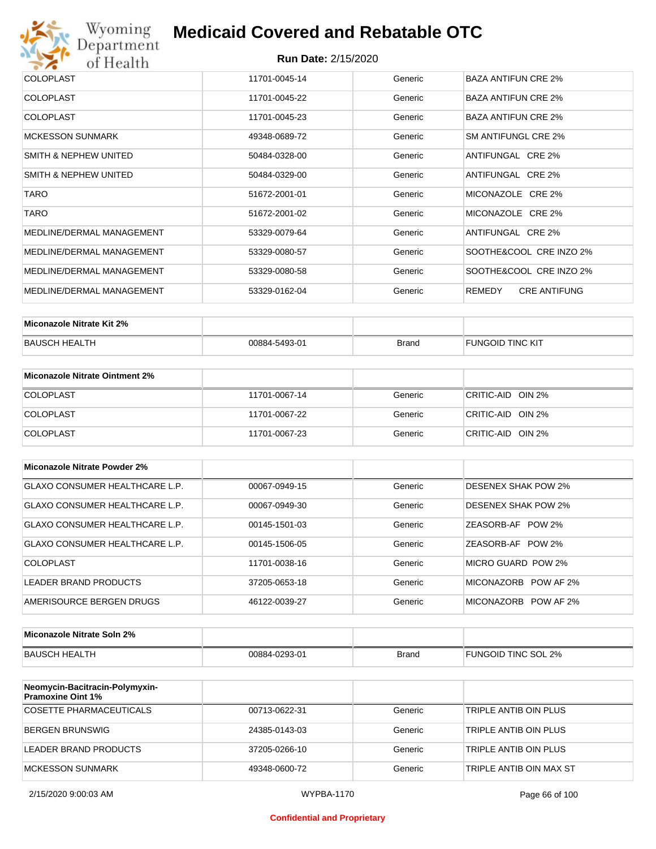

| <b>COLOPLAST</b>          | 11701-0045-14 | Generic | BAZA ANTIFUN CRE 2%           |
|---------------------------|---------------|---------|-------------------------------|
| <b>COLOPLAST</b>          | 11701-0045-22 | Generic | <b>BAZA ANTIFUN CRE 2%</b>    |
| <b>COLOPLAST</b>          | 11701-0045-23 | Generic | <b>BAZA ANTIFUN CRE 2%</b>    |
| <b>MCKESSON SUNMARK</b>   | 49348-0689-72 | Generic | SM ANTIFUNGL CRE 2%           |
| SMITH & NEPHEW UNITED     | 50484-0328-00 | Generic | ANTIFUNGAL CRE 2%             |
| SMITH & NEPHEW UNITED     | 50484-0329-00 | Generic | ANTIFUNGAL CRE 2%             |
| <b>TARO</b>               | 51672-2001-01 | Generic | MICONAZOLE CRE 2%             |
| <b>TARO</b>               | 51672-2001-02 | Generic | MICONAZOLE CRE 2%             |
| MEDLINE/DERMAL MANAGEMENT | 53329-0079-64 | Generic | ANTIFUNGAL CRE 2%             |
| MEDLINE/DERMAL MANAGEMENT | 53329-0080-57 | Generic | SOOTHE&COOL CRE INZO 2%       |
| MEDLINE/DERMAL MANAGEMENT | 53329-0080-58 | Generic | SOOTHE&COOL CRE INZO 2%       |
| MEDLINE/DERMAL MANAGEMENT | 53329-0162-04 | Generic | REMEDY<br><b>CRE ANTIFUNG</b> |

| Miconazole Nitrate Kit 2% |               |       |                         |
|---------------------------|---------------|-------|-------------------------|
| <b>BAUSCH HEALTH</b>      | 00884-5493-01 | Brand | <b>FUNGOID TINC KIT</b> |

| Miconazole Nitrate Ointment 2% |               |         |                   |
|--------------------------------|---------------|---------|-------------------|
| <b>COLOPLAST</b>               | 11701-0067-14 | Generic | CRITIC-AID OIN 2% |
| <b>COLOPLAST</b>               | 11701-0067-22 | Generic | CRITIC-AID OIN 2% |
| <b>COLOPLAST</b>               | 11701-0067-23 | Generic | CRITIC-AID OIN 2% |

| Miconazole Nitrate Powder 2%   |               |         |                            |
|--------------------------------|---------------|---------|----------------------------|
| GLAXO CONSUMER HEALTHCARE L.P. | 00067-0949-15 | Generic | DESENEX SHAK POW 2%        |
| GLAXO CONSUMER HEALTHCARE L.P. | 00067-0949-30 | Generic | <b>DESENEX SHAK POW 2%</b> |
| GLAXO CONSUMER HEALTHCARE L.P. | 00145-1501-03 | Generic | ZEASORB-AF POW 2%          |
| GLAXO CONSUMER HEALTHCARE L.P. | 00145-1506-05 | Generic | ZEASORB-AF POW 2%          |
| COLOPLAST                      | 11701-0038-16 | Generic | MICRO GUARD POW 2%         |
| LEADER BRAND PRODUCTS          | 37205-0653-18 | Generic | MICONAZORB POW AF 2%       |
| AMERISOURCE BERGEN DRUGS       | 46122-0039-27 | Generic | MICONAZORB POW AF 2%       |

| Miconazole Nitrate Soln 2% |               |       |                     |
|----------------------------|---------------|-------|---------------------|
| BAUSCH HEALTH              | 00884-0293-01 | Brand | FUNGOID TINC SOL 2% |

| Neomycin-Bacitracin-Polymyxin-<br><b>Pramoxine Oint 1%</b> |               |         |                         |
|------------------------------------------------------------|---------------|---------|-------------------------|
| <b>COSETTE PHARMACEUTICALS</b>                             | 00713-0622-31 | Generic | TRIPLE ANTIB OIN PLUS   |
| BERGEN BRUNSWIG                                            | 24385-0143-03 | Generic | TRIPLE ANTIB OIN PLUS   |
| LEADER BRAND PRODUCTS                                      | 37205-0266-10 | Generic | TRIPLE ANTIB OIN PLUS   |
| MCKESSON SUNMARK                                           | 49348-0600-72 | Generic | TRIPLE ANTIB OIN MAX ST |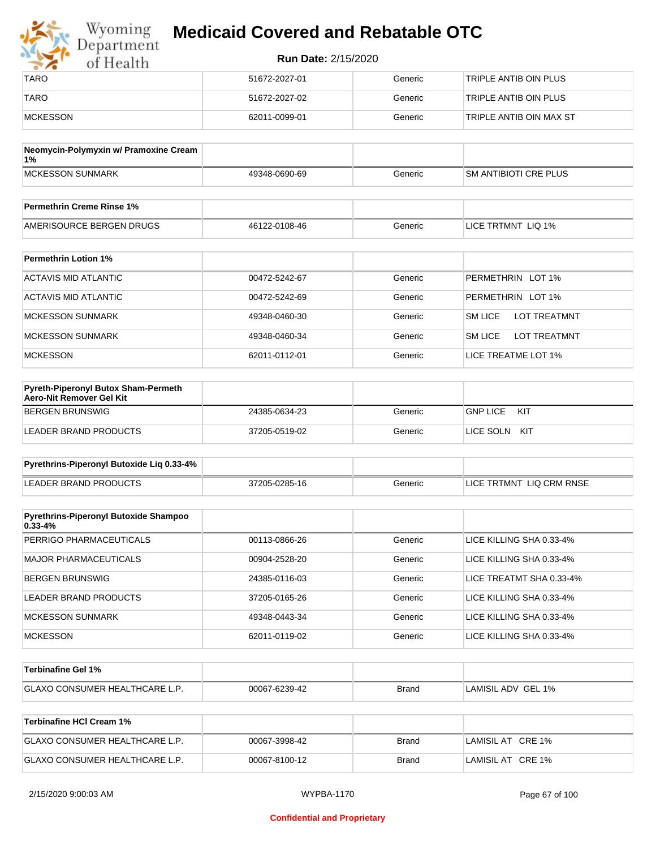| Wyoming<br>Department | <b>Medicaid Covered and Rebatable OTC</b> |         |                         |
|-----------------------|-------------------------------------------|---------|-------------------------|
| of Health             | <b>Run Date: 2/15/2020</b>                |         |                         |
| <b>TARO</b>           | 51672-2027-01                             | Generic | TRIPLE ANTIB OIN PLUS   |
| <b>TARO</b>           | 51672-2027-02                             | Generic | TRIPLE ANTIB OIN PLUS   |
| MCKESSON              | 62011-0099-01                             | Generic | TRIPLE ANTIB OIN MAX ST |

| Neomycin-Polymyxin w/ Pramoxine Cream<br>1% |               |         |                              |
|---------------------------------------------|---------------|---------|------------------------------|
| MCKESSON SUNMARK                            | 49348-0690-69 | Generic | <b>SM ANTIBIOTI CRE PLUS</b> |
|                                             |               |         |                              |
| <b>Permethrin Creme Rinse 1%</b>            |               |         |                              |

| Fermedirin Creme Rinse 170 |               |         |                              |
|----------------------------|---------------|---------|------------------------------|
| AMERISOURCE BERGEN DRUGS   | 46122-0108-46 | Beneric | LIQ 1%<br><b>LICE TRTMNT</b> |

| <b>Permethrin Lotion 1%</b> |               |         |                                       |
|-----------------------------|---------------|---------|---------------------------------------|
| ACTAVIS MID ATLANTIC        | 00472-5242-67 | Generic | PERMETHRIN LOT 1%                     |
| ACTAVIS MID ATLANTIC        | 00472-5242-69 | Generic | PERMETHRIN LOT 1%                     |
| <b>MCKESSON SUNMARK</b>     | 49348-0460-30 | Generic | <b>SM LICE</b><br><b>LOT TREATMNT</b> |
| <b>MCKESSON SUNMARK</b>     | 49348-0460-34 | Generic | <b>SM LICE</b><br><b>LOT TREATMNT</b> |
| <b>MCKESSON</b>             | 62011-0112-01 | Generic | LICE TREATME LOT 1%                   |

| <b>Pyreth-Piperonyl Butox Sham-Permeth</b><br>Aero-Nit Remover Gel Kit |               |         |                        |
|------------------------------------------------------------------------|---------------|---------|------------------------|
| BERGEN BRUNSWIG                                                        | 24385-0634-23 | Generic | <b>GNP LICE</b><br>KIT |
| LEADER BRAND PRODUCTS                                                  | 37205-0519-02 | Generic | LICE SOLN<br>KIT       |

| Pyrethrins-Piperonyl Butoxide Lig 0.33-4% |               |         |                          |
|-------------------------------------------|---------------|---------|--------------------------|
| LEADER BRAND PRODUCTS                     | 37205-0285-16 | Generic | LICE TRTMNT LIQ CRM RNSE |

| <b>Pyrethrins-Piperonyl Butoxide Shampoo</b><br>$0.33 - 4%$ |               |         |                          |
|-------------------------------------------------------------|---------------|---------|--------------------------|
| PERRIGO PHARMACEUTICALS                                     | 00113-0866-26 | Generic | LICE KILLING SHA 0.33-4% |
| MAJOR PHARMACEUTICALS                                       | 00904-2528-20 | Generic | LICE KILLING SHA 0.33-4% |
| BERGEN BRUNSWIG                                             | 24385-0116-03 | Generic | LICE TREATMT SHA 0.33-4% |
| LEADER BRAND PRODUCTS                                       | 37205-0165-26 | Generic | LICE KILLING SHA 0.33-4% |
| MCKESSON SUNMARK                                            | 49348-0443-34 | Generic | LICE KILLING SHA 0.33-4% |
| <b>MCKESSON</b>                                             | 62011-0119-02 | Generic | LICE KILLING SHA 0.33-4% |

| <b>⊺Terbinafine Gel 1%</b>           |               |              |                    |
|--------------------------------------|---------------|--------------|--------------------|
| <b>GLAXO CONSUMER HEALTHCARE L.P</b> | 00067-6239-42 | <b>Brand</b> | LAMISIL ADV GEL 1% |

| Terbinafine HCI Cream 1%              |               |       |                   |
|---------------------------------------|---------------|-------|-------------------|
| <b>GLAXO CONSUMER HEALTHCARE L.P.</b> | 00067-3998-42 | Brand | LAMISIL AT CRE 1% |
| <b>GLAXO CONSUMER HEALTHCARE L.P.</b> | 00067-8100-12 | Brand | LAMISIL AT CRE 1% |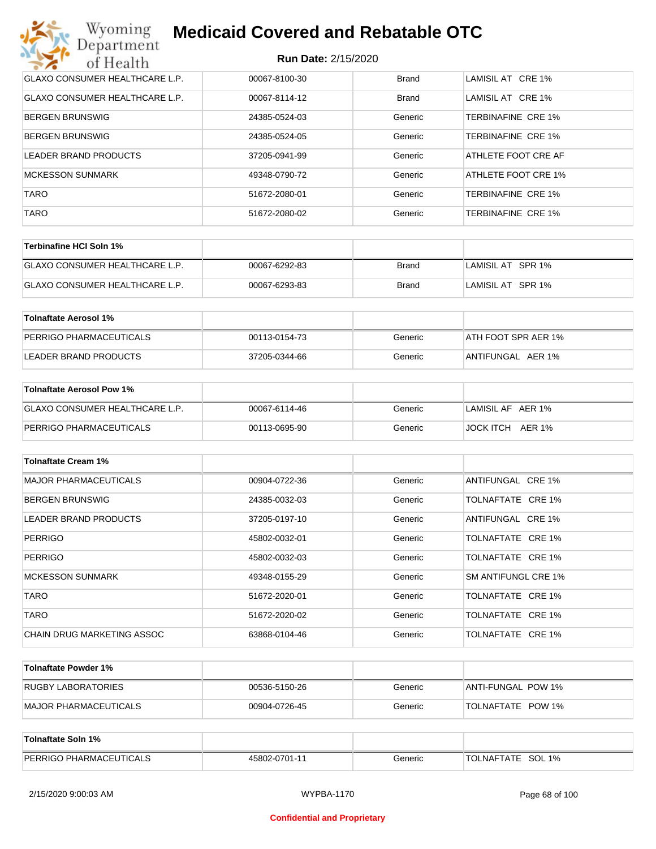| Wyoming<br><b>Medicaid Covered and Rebatable OTC</b><br>Department |                            |              |                           |  |
|--------------------------------------------------------------------|----------------------------|--------------|---------------------------|--|
| of Health                                                          | <b>Run Date: 2/15/2020</b> |              |                           |  |
| <b>GLAXO CONSUMER HEALTHCARE L.P.</b>                              | 00067-8100-30              | <b>Brand</b> | LAMISIL AT CRE 1%         |  |
| <b>GLAXO CONSUMER HEALTHCARE L.P.</b>                              | 00067-8114-12              | Brand        | LAMISIL AT CRE 1%         |  |
| BERGEN BRUNSWIG                                                    | 24385-0524-03              | Generic      | TERBINAFINE CRE 1%        |  |
| <b>BERGEN BRUNSWIG</b>                                             | 24385-0524-05              | Generic      | TERBINAFINE CRE 1%        |  |
| LEADER BRAND PRODUCTS                                              | 37205-0941-99              | Generic      | ATHLETE FOOT CRE AF       |  |
| <b>MCKESSON SUNMARK</b>                                            | 49348-0790-72              | Generic      | ATHLETE FOOT CRE 1%       |  |
| <b>TARO</b>                                                        | 51672-2080-01              | Generic      | TERBINAFINE CRE 1%        |  |
| <b>TARO</b>                                                        | 51672-2080-02              | Generic      | <b>TERBINAFINE CRE 1%</b> |  |

| Terbinafine HCI Soln 1%               |               |       |                   |
|---------------------------------------|---------------|-------|-------------------|
| <b>GLAXO CONSUMER HEALTHCARE L.P.</b> | 00067-6292-83 | Brand | LAMISIL AT SPR 1% |
| <b>GLAXO CONSUMER HEALTHCARE L.P.</b> | 00067-6293-83 | Brand | LAMISIL AT SPR 1% |

| Tolnaftate Aerosol 1%   |               |         |                     |
|-------------------------|---------------|---------|---------------------|
| PERRIGO PHARMACEUTICALS | 00113-0154-73 | Generic | ATH FOOT SPR AER 1% |
| LEADER BRAND PRODUCTS   | 37205-0344-66 | Generic | ANTIFUNGAL AER 1%   |

| Tolnaftate Aerosol Pow 1%      |               |         |                   |
|--------------------------------|---------------|---------|-------------------|
| GLAXO CONSUMER HEALTHCARE L.P. | 00067-6114-46 | Generic | LAMISIL AF AER 1% |
| <b>PERRIGO PHARMACEUTICALS</b> | 00113-0695-90 | Generic | JOCK ITCH AER 1%  |

| <b>Tolnaftate Cream 1%</b>   |               |         |                            |
|------------------------------|---------------|---------|----------------------------|
| <b>MAJOR PHARMACEUTICALS</b> | 00904-0722-36 | Generic | ANTIFUNGAL CRE 1%          |
| <b>BERGEN BRUNSWIG</b>       | 24385-0032-03 | Generic | TOLNAFTATE CRE 1%          |
| LEADER BRAND PRODUCTS        | 37205-0197-10 | Generic | ANTIFUNGAL CRE 1%          |
| <b>PERRIGO</b>               | 45802-0032-01 | Generic | TOLNAFTATE CRE 1%          |
| <b>PERRIGO</b>               | 45802-0032-03 | Generic | TOLNAFTATE CRE 1%          |
| <b>MCKESSON SUNMARK</b>      | 49348-0155-29 | Generic | <b>SM ANTIFUNGL CRE 1%</b> |
| <b>TARO</b>                  | 51672-2020-01 | Generic | TOLNAFTATE CRE 1%          |
| <b>TARO</b>                  | 51672-2020-02 | Generic | TOLNAFTATE CRE 1%          |
| CHAIN DRUG MARKETING ASSOC   | 63868-0104-46 | Generic | TOLNAFTATE CRE 1%          |

| Tolnaftate Powder 1%  |               |         |                     |
|-----------------------|---------------|---------|---------------------|
| RUGBY LABORATORIES    | 00536-5150-26 | Generic | IANTI-FUNGAL POW 1% |
| MAJOR PHARMACEUTICALS | 00904-0726-45 | Generic | TOLNAFTATE POW 1%   |

| Tolnaftate Soln 1%             |               |         |                      |
|--------------------------------|---------------|---------|----------------------|
| <b>PERRIGO PHARMACEUTICALS</b> | 45802-0701-11 | Generic | SOL 1%<br>TOLNAFTATE |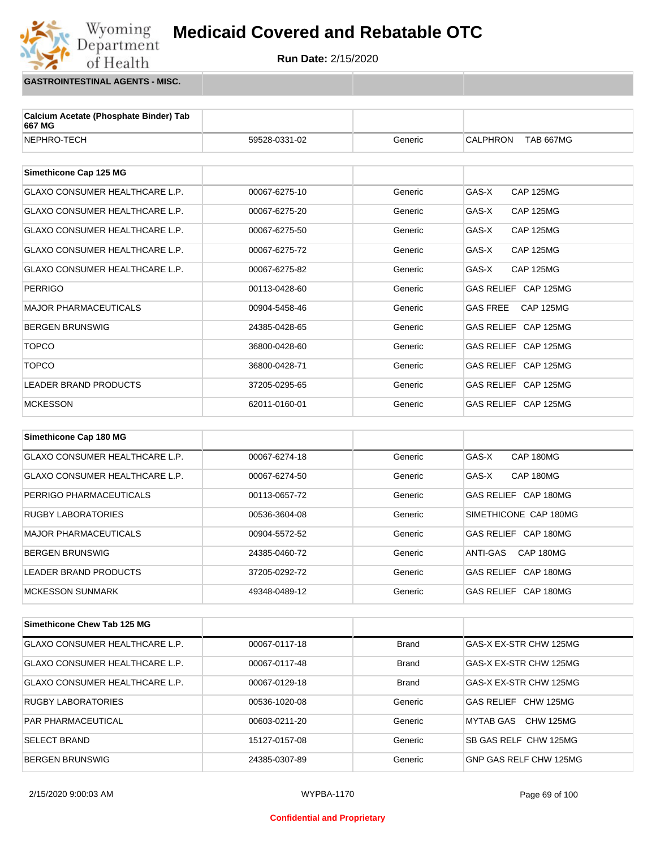**Run Date:** 2/15/2020

**GASTROINTESTINAL AGENTS - MISC.**

Wyoming<br>Department

of Health

| Calcium Acetate (Phosphate Binder) Tab<br>667 MG |               |         |                                     |
|--------------------------------------------------|---------------|---------|-------------------------------------|
| NEPHRO-TECH                                      | 59528-0331-02 | Generic | <b>TAB 667MG</b><br><b>CALPHRON</b> |
|                                                  |               |         |                                     |
| Simethicone Cap 125 MG                           |               |         |                                     |
| GLAXO CONSUMER HEALTHCARE L.P.                   | 00067-6275-10 | Generic | GAS-X<br><b>CAP 125MG</b>           |
| GLAXO CONSUMER HEALTHCARE L.P.                   | 00067-6275-20 | Generic | GAS-X<br><b>CAP 125MG</b>           |
| GLAXO CONSUMER HEALTHCARE L.P.                   | 00067-6275-50 | Generic | GAS-X<br><b>CAP 125MG</b>           |
| GLAXO CONSUMER HEALTHCARE L.P.                   | 00067-6275-72 | Generic | GAS-X<br><b>CAP 125MG</b>           |
| GLAXO CONSUMER HEALTHCARE L.P.                   | 00067-6275-82 | Generic | GAS-X<br><b>CAP 125MG</b>           |
| <b>PERRIGO</b>                                   | 00113-0428-60 | Generic | GAS RELIEF CAP 125MG                |
| <b>MAJOR PHARMACEUTICALS</b>                     | 00904-5458-46 | Generic | <b>GAS FREE</b><br><b>CAP 125MG</b> |
| <b>BERGEN BRUNSWIG</b>                           | 24385-0428-65 | Generic | GAS RELIEF CAP 125MG                |
| <b>TOPCO</b>                                     | 36800-0428-60 | Generic | GAS RELIEF CAP 125MG                |
| <b>TOPCO</b>                                     | 36800-0428-71 | Generic | GAS RELIEF CAP 125MG                |
| <b>LEADER BRAND PRODUCTS</b>                     | 37205-0295-65 | Generic | GAS RELIEF CAP 125MG                |
| <b>MCKESSON</b>                                  | 62011-0160-01 | Generic | GAS RELIEF CAP 125MG                |
|                                                  |               |         |                                     |
| Simethicone Cap 180 MG                           |               |         |                                     |
| GLAXO CONSUMER HEALTHCARE L.P.                   | 00067-6274-18 | Generic | GAS-X<br>CAP 180MG                  |
| GLAXO CONSUMER HEALTHCARE L.P.                   | 00067-6274-50 | Generic | GAS-X<br>CAP 180MG                  |
| PERRIGO PHARMACEUTICALS                          | 00113-0657-72 | Generic | GAS RELIEF CAP 180MG                |
| <b>RUGBY LABORATORIES</b>                        | 00536-3604-08 | Generic | SIMETHICONE CAP 180MG               |
| <b>MAJOR PHARMACEUTICALS</b>                     | 00904-5572-52 | Generic | GAS RELIEF CAP 180MG                |

| IMAJOR PHARMACEUTICALS   | 00904-5572-52 | Generic | GAS RELIEF CAP 180MG  |
|--------------------------|---------------|---------|-----------------------|
| BERGEN BRUNSWIG          | 24385-0460-72 | Generic | CAP 180MG<br>ANTI-GAS |
| LEADER BRAND PRODUCTS    | 37205-0292-72 | Generic | GAS RELIEF CAP 180MG  |
| <b>IMCKESSON SUNMARK</b> | 49348-0489-12 | Generic | GAS RELIEF CAP 180MG  |

| Simethicone Chew Tab 125 MG           |               |              |                        |
|---------------------------------------|---------------|--------------|------------------------|
| <b>GLAXO CONSUMER HEALTHCARE L.P.</b> | 00067-0117-18 | <b>Brand</b> | GAS-X EX-STR CHW 125MG |
| <b>GLAXO CONSUMER HEALTHCARE L.P.</b> | 00067-0117-48 | <b>Brand</b> | GAS-X EX-STR CHW 125MG |
| <b>GLAXO CONSUMER HEALTHCARE L.P.</b> | 00067-0129-18 | <b>Brand</b> | GAS-X EX-STR CHW 125MG |
| <b>RUGBY LABORATORIES</b>             | 00536-1020-08 | Generic      | GAS RELIEF CHW 125MG   |
| <b>PAR PHARMACEUTICAL</b>             | 00603-0211-20 | Generic      | MYTAB GAS<br>CHW 125MG |
| <b>SELECT BRAND</b>                   | 15127-0157-08 | Generic      | SB GAS RELF CHW 125MG  |
| <b>BERGEN BRUNSWIG</b>                | 24385-0307-89 | Generic      | GNP GAS RELF CHW 125MG |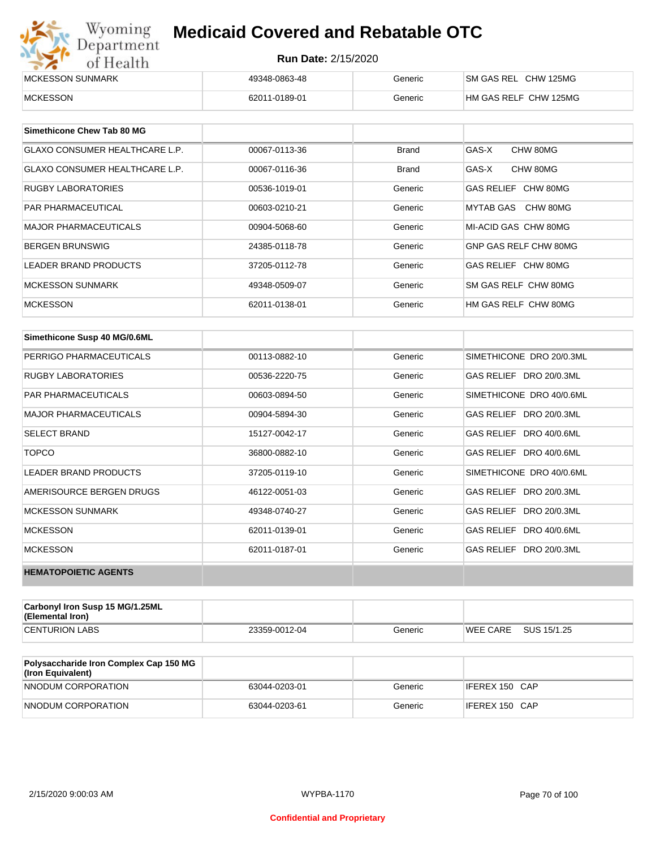| Wyoming<br>Department | <b>Medicaid Covered and Rebatable OTC</b> |         |                       |  |
|-----------------------|-------------------------------------------|---------|-----------------------|--|
| of Health             | <b>Run Date: 2/15/2020</b>                |         |                       |  |
| MCKESSON SUNMARK      | 49348-0863-48                             | Generic | SM GAS REL CHW 125MG  |  |
| <b>MCKESSON</b>       | 62011-0189-01                             | Generic | HM GAS RELF CHW 125MG |  |

| Simethicone Chew Tab 80 MG            |               |              |                       |
|---------------------------------------|---------------|--------------|-----------------------|
| <b>GLAXO CONSUMER HEALTHCARE L.P.</b> | 00067-0113-36 | <b>Brand</b> | GAS-X<br>CHW 80MG     |
| <b>GLAXO CONSUMER HEALTHCARE L.P.</b> | 00067-0116-36 | <b>Brand</b> | GAS-X<br>CHW 80MG     |
| <b>RUGBY LABORATORIES</b>             | 00536-1019-01 | Generic      | GAS RELIEF CHW 80MG   |
| <b>PAR PHARMACEUTICAL</b>             | 00603-0210-21 | Generic      | MYTAB GAS CHW 80MG    |
| <b>MAJOR PHARMACEUTICALS</b>          | 00904-5068-60 | Generic      | MI-ACID GAS CHW 80MG  |
| <b>BERGEN BRUNSWIG</b>                | 24385-0118-78 | Generic      | GNP GAS RELF CHW 80MG |
| <b>LEADER BRAND PRODUCTS</b>          | 37205-0112-78 | Generic      | GAS RELIEF CHW 80MG   |
| MCKESSON SUNMARK                      | 49348-0509-07 | Generic      | SM GAS RELF CHW 80MG  |
| <b>MCKESSON</b>                       | 62011-0138-01 | Generic      | HM GAS RELF CHW 80MG  |

| Simethicone Susp 40 MG/0.6ML |               |         |                          |
|------------------------------|---------------|---------|--------------------------|
| PERRIGO PHARMACEUTICALS      | 00113-0882-10 | Generic | SIMETHICONE DRO 20/0.3ML |
| <b>RUGBY LABORATORIES</b>    | 00536-2220-75 | Generic | GAS RELIEF DRO 20/0.3ML  |
| <b>PAR PHARMACEUTICALS</b>   | 00603-0894-50 | Generic | SIMETHICONE DRO 40/0.6ML |
| <b>MAJOR PHARMACEUTICALS</b> | 00904-5894-30 | Generic | GAS RELIEF DRO 20/0.3ML  |
| <b>SELECT BRAND</b>          | 15127-0042-17 | Generic | GAS RELIEF DRO 40/0.6ML  |
| <b>TOPCO</b>                 | 36800-0882-10 | Generic | GAS RELIEF DRO 40/0.6ML  |
| <b>LEADER BRAND PRODUCTS</b> | 37205-0119-10 | Generic | SIMETHICONE DRO 40/0.6ML |
| AMERISOURCE BERGEN DRUGS     | 46122-0051-03 | Generic | GAS RELIEF DRO 20/0.3ML  |
| <b>MCKESSON SUNMARK</b>      | 49348-0740-27 | Generic | GAS RELIEF DRO 20/0.3ML  |
| <b>MCKESSON</b>              | 62011-0139-01 | Generic | GAS RELIEF DRO 40/0.6ML  |
| <b>MCKESSON</b>              | 62011-0187-01 | Generic | GAS RELIEF DRO 20/0.3ML  |
| <b>HEMATOPOIETIC AGENTS</b>  |               |         |                          |

| <b>Carbonyl Iron Susp 15 MG/1.25ML</b><br>(Elemental Iron) |               |         |          |             |
|------------------------------------------------------------|---------------|---------|----------|-------------|
| <b>CENTURION LABS</b>                                      | 23359-0012-04 | Generic | WEE CARE | SUS 15/1.25 |

| <b>Polysaccharide Iron Complex Cap 150 MG</b><br>(Iron Equivalent) |               |         |                |
|--------------------------------------------------------------------|---------------|---------|----------------|
| NNODUM CORPORATION                                                 | 63044-0203-01 | Generic | IFEREX 150 CAP |
| NNODUM CORPORATION                                                 | 63044-0203-61 | Generic | IFEREX 150 CAP |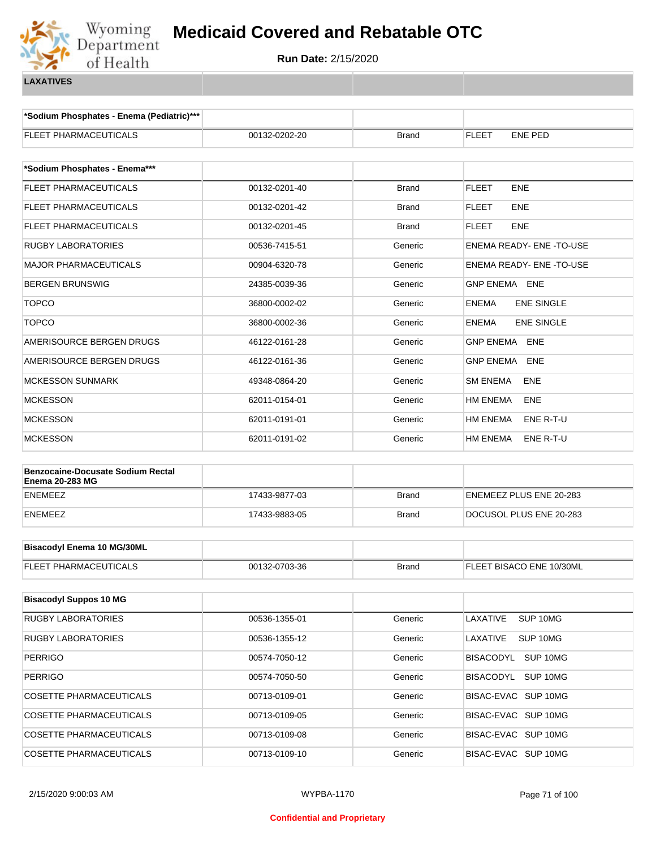

**\*Sodium Phosphates - Enema (Pediatric)\*\*\***

| FLEET PHARMACEUTICALS                                              | 00132-0202-20 | <b>Brand</b> | <b>FLEET</b><br>ENE PED           |  |  |
|--------------------------------------------------------------------|---------------|--------------|-----------------------------------|--|--|
| *Sodium Phosphates - Enema***                                      |               |              |                                   |  |  |
| FLEET PHARMACEUTICALS                                              | 00132-0201-40 | <b>Brand</b> | <b>FLEET</b><br><b>ENE</b>        |  |  |
| FLEET PHARMACEUTICALS                                              | 00132-0201-42 | <b>Brand</b> | FLEET<br><b>ENE</b>               |  |  |
| FLEET PHARMACEUTICALS                                              | 00132-0201-45 | <b>Brand</b> | <b>ENE</b><br><b>FLEET</b>        |  |  |
| <b>RUGBY LABORATORIES</b>                                          | 00536-7415-51 | Generic      | ENEMA READY- ENE-TO-USE           |  |  |
| <b>MAJOR PHARMACEUTICALS</b>                                       | 00904-6320-78 | Generic      | ENEMA READY- ENE -TO-USE          |  |  |
| BERGEN BRUNSWIG                                                    | 24385-0039-36 | Generic      | <b>GNP ENEMA ENE</b>              |  |  |
| <b>TOPCO</b>                                                       | 36800-0002-02 | Generic      | <b>ENEMA</b><br><b>ENE SINGLE</b> |  |  |
| <b>TOPCO</b>                                                       | 36800-0002-36 | Generic      | <b>ENE SINGLE</b><br><b>ENEMA</b> |  |  |
| AMERISOURCE BERGEN DRUGS                                           | 46122-0161-28 | Generic      | <b>GNP ENEMA ENE</b>              |  |  |
| AMERISOURCE BERGEN DRUGS                                           | 46122-0161-36 | Generic      | GNP ENEMA<br><b>ENE</b>           |  |  |
| <b>MCKESSON SUNMARK</b>                                            | 49348-0864-20 | Generic      | <b>SM ENEMA</b><br>ENE            |  |  |
| <b>MCKESSON</b>                                                    | 62011-0154-01 | Generic      | HM ENEMA<br>ENE                   |  |  |
| <b>MCKESSON</b>                                                    | 62011-0191-01 | Generic      | HM ENEMA<br>ENE R-T-U             |  |  |
| <b>MCKESSON</b>                                                    | 62011-0191-02 | Generic      | HM ENEMA<br>ENE R-T-U             |  |  |
| <b>Benzocaine-Docusate Sodium Rectal</b><br><b>Enema 20-283 MG</b> |               |              |                                   |  |  |
| ENEMEEZ                                                            | 17433-9877-03 | <b>Brand</b> | ENEMEEZ PLUS ENE 20-283           |  |  |
| ENEMEEZ                                                            | 17433-9883-05 | <b>Brand</b> | DOCUSOL PLUS ENE 20-283           |  |  |
|                                                                    |               |              |                                   |  |  |
| <b>Bisacodyl Enema 10 MG/30ML</b>                                  |               |              |                                   |  |  |
| FLEET PHARMACEUTICALS                                              | 00132-0703-36 | <b>Brand</b> | FLEET BISACO ENE 10/30ML          |  |  |
| <b>Bisacodyl Suppos 10 MG</b>                                      |               |              |                                   |  |  |
| RUGBY LABORATORIES                                                 | 00536-1355-01 | Generic      | SUP 10MG<br>LAXATIVE              |  |  |
| RUGBY LABORATORIES                                                 | 00536-1355-12 | Generic      | LAXATIVE<br>SUP <sub>10MG</sub>   |  |  |
| <b>PERRIGO</b>                                                     | 00574-7050-12 | Generic      | BISACODYL SUP 10MG                |  |  |
| <b>PERRIGO</b>                                                     | 00574-7050-50 | Generic      | BISACODYL SUP 10MG                |  |  |
| COSETTE PHARMACEUTICALS                                            | 00713-0109-01 | Generic      | BISAC-EVAC SUP 10MG               |  |  |
| <b>COSETTE PHARMACEUTICALS</b>                                     | 00713-0109-05 | Generic      | BISAC-EVAC SUP 10MG               |  |  |
| <b>COSETTE PHARMACEUTICALS</b>                                     | 00713-0109-08 | Generic      | BISAC-EVAC SUP 10MG               |  |  |
| COSETTE PHARMACEUTICALS                                            | 00713-0109-10 | Generic      | BISAC-EVAC SUP 10MG               |  |  |
|                                                                    |               |              |                                   |  |  |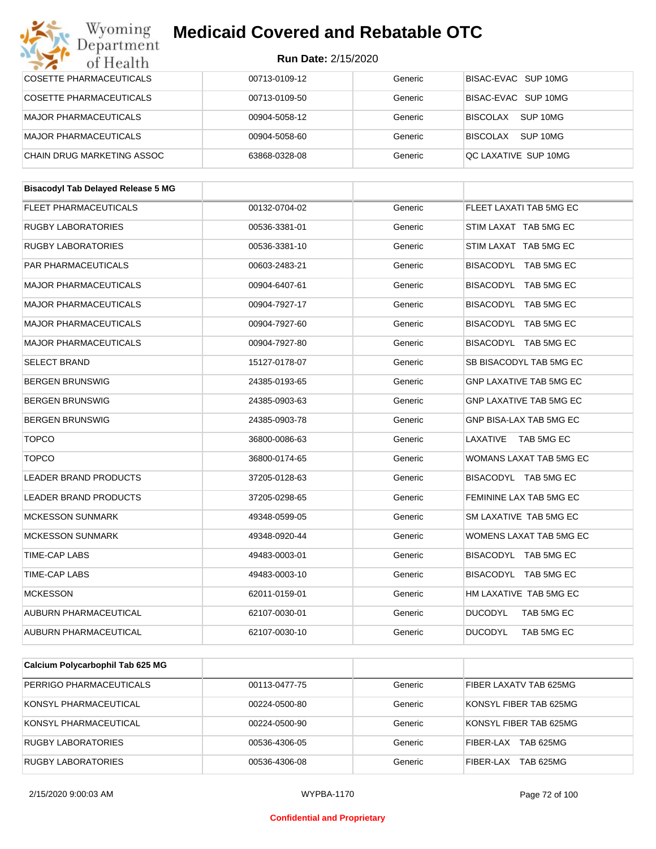#### Wyoming<br>Department **Medicaid Covered and Rebatable OTC**

#### **Run Date:** 2/15/2020

| $\sim$ $\sim$<br>от пеани                 |               |         |                                |
|-------------------------------------------|---------------|---------|--------------------------------|
| <b>COSETTE PHARMACEUTICALS</b>            | 00713-0109-12 | Generic | BISAC-EVAC SUP 10MG            |
| COSETTE PHARMACEUTICALS                   | 00713-0109-50 | Generic | BISAC-EVAC SUP 10MG            |
| <b>MAJOR PHARMACEUTICALS</b>              | 00904-5058-12 | Generic | BISCOLAX SUP 10MG              |
| <b>MAJOR PHARMACEUTICALS</b>              | 00904-5058-60 | Generic | BISCOLAX SUP 10MG              |
| CHAIN DRUG MARKETING ASSOC                | 63868-0328-08 | Generic | QC LAXATIVE SUP 10MG           |
|                                           |               |         |                                |
| <b>Bisacodyl Tab Delayed Release 5 MG</b> |               |         |                                |
| <b>FLEET PHARMACEUTICALS</b>              | 00132-0704-02 | Generic | FLEET LAXATI TAB 5MG EC        |
| RUGBY LABORATORIES                        | 00536-3381-01 | Generic | STIM LAXAT TAB 5MG EC          |
| RUGBY LABORATORIES                        | 00536-3381-10 | Generic | STIM LAXAT TAB 5MG EC          |
| PAR PHARMACEUTICALS                       | 00603-2483-21 | Generic | BISACODYL TAB 5MG EC           |
| <b>MAJOR PHARMACEUTICALS</b>              | 00904-6407-61 | Generic | BISACODYL TAB 5MG EC           |
| <b>MAJOR PHARMACEUTICALS</b>              | 00904-7927-17 | Generic | BISACODYL TAB 5MG EC           |
| <b>MAJOR PHARMACEUTICALS</b>              | 00904-7927-60 | Generic | BISACODYL TAB 5MG EC           |
| <b>MAJOR PHARMACEUTICALS</b>              | 00904-7927-80 | Generic | BISACODYL TAB 5MG EC           |
| <b>SELECT BRAND</b>                       | 15127-0178-07 | Generic | SB BISACODYL TAB 5MG EC        |
| <b>BERGEN BRUNSWIG</b>                    | 24385-0193-65 | Generic | <b>GNP LAXATIVE TAB 5MG EC</b> |
| <b>BERGEN BRUNSWIG</b>                    | 24385-0903-63 | Generic | <b>GNP LAXATIVE TAB 5MG EC</b> |
| <b>BERGEN BRUNSWIG</b>                    | 24385-0903-78 | Generic | GNP BISA-LAX TAB 5MG EC        |
| <b>TOPCO</b>                              | 36800-0086-63 | Generic | LAXATIVE TAB 5MG EC            |
| <b>TOPCO</b>                              | 36800-0174-65 | Generic | WOMANS LAXAT TAB 5MG EC        |
| <b>LEADER BRAND PRODUCTS</b>              | 37205-0128-63 | Generic | BISACODYL TAB 5MG EC           |
| <b>LEADER BRAND PRODUCTS</b>              | 37205-0298-65 | Generic | FEMININE LAX TAB 5MG EC        |
| <b>MCKESSON SUNMARK</b>                   | 49348-0599-05 | Generic | SM LAXATIVE TAB 5MG EC         |
| <b>MCKESSON SUNMARK</b>                   | 49348-0920-44 | Generic | WOMENS LAXAT TAB 5MG EC        |
| TIME-CAP LABS                             | 49483-0003-01 | Generic | BISACODYL TAB 5MG EC           |
| TIME-CAP LABS                             | 49483-0003-10 | Generic | BISACODYL TAB 5MG EC           |
| <b>MCKESSON</b>                           | 62011-0159-01 | Generic | HM LAXATIVE TAB 5MG EC         |
| AUBURN PHARMACEUTICAL                     | 62107-0030-01 | Generic | <b>DUCODYL</b><br>TAB 5MG EC   |
| AUBURN PHARMACEUTICAL                     | 62107-0030-10 | Generic | <b>DUCODYL</b><br>TAB 5MG EC   |
|                                           |               |         |                                |
| Calcium Polycarbophil Tab 625 MG          |               |         |                                |
| PERRIGO PHARMACEUTICALS                   | 00113-0477-75 | Generic | FIBER LAXATV TAB 625MG         |
| KONSYL PHARMACEUTICAL                     | 00224-0500-80 | Generic | KONSYL FIBER TAB 625MG         |

KONSYL PHARMACEUTICAL **1999** 00224-0500-90 Generic KONSYL FIBER TAB 625MG RUGBY LABORATORIES 
and the october 100536-4306-05 (Seneric FIBER-LAX TAB 625MG RUGBY LABORATORIES 00536-4306-08 Generic FIBER-LAX TAB 625MG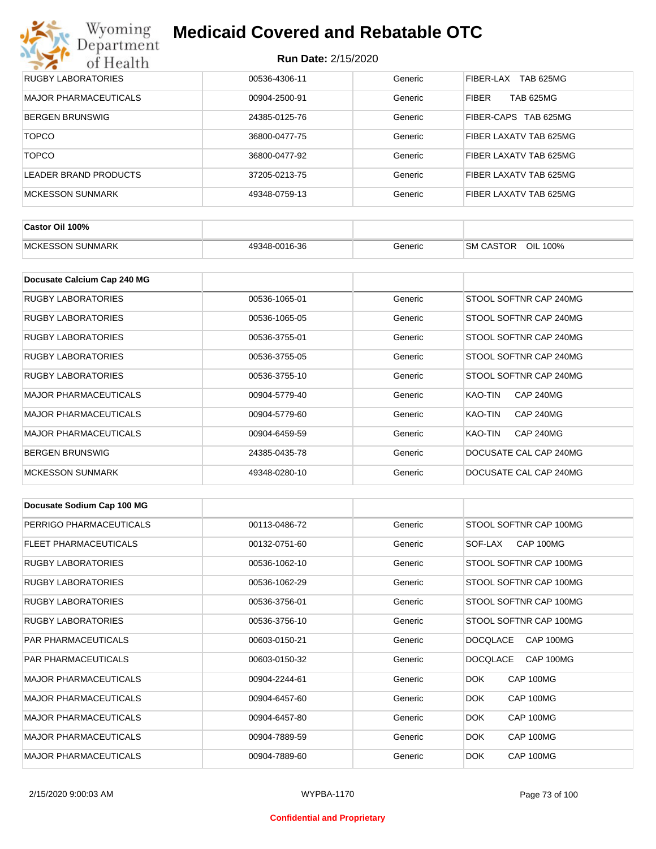| <b>RUGBY LABORATORIES</b> | 00536-4306-11 | Generic | TAB 625MG<br>FIBER-LAX           |
|---------------------------|---------------|---------|----------------------------------|
| MAJOR PHARMACEUTICALS     | 00904-2500-91 | Generic | <b>TAB 625MG</b><br><b>FIBER</b> |
| BERGEN BRUNSWIG           | 24385-0125-76 | Generic | FIBER-CAPS TAB 625MG             |
| <b>TOPCO</b>              | 36800-0477-75 | Generic | FIBER LAXATV TAB 625MG           |
| <b>TOPCO</b>              | 36800-0477-92 | Generic | FIBER LAXATV TAB 625MG           |
| LEADER BRAND PRODUCTS     | 37205-0213-75 | Generic | FIBER LAXATV TAB 625MG           |
| MCKESSON SUNMARK          | 49348-0759-13 | Generic | FIBER LAXATV TAB 625MG           |

| Castor Oil 100%         |               |         |                                 |
|-------------------------|---------------|---------|---------------------------------|
| <b>MCKESSON SUNMARK</b> | 49348-0016-36 | Beneric | OIL<br><b>SM CASTOR</b><br>100% |

| Docusate Calcium Cap 240 MG  |               |         |                             |
|------------------------------|---------------|---------|-----------------------------|
| <b>RUGBY LABORATORIES</b>    | 00536-1065-01 | Generic | STOOL SOFTNR CAP 240MG      |
| <b>RUGBY LABORATORIES</b>    | 00536-1065-05 | Generic | STOOL SOFTNR CAP 240MG      |
| <b>RUGBY LABORATORIES</b>    | 00536-3755-01 | Generic | STOOL SOFTNR CAP 240MG      |
| <b>RUGBY LABORATORIES</b>    | 00536-3755-05 | Generic | STOOL SOFTNR CAP 240MG      |
| RUGBY LABORATORIES           | 00536-3755-10 | Generic | STOOL SOFTNR CAP 240MG      |
| <b>MAJOR PHARMACEUTICALS</b> | 00904-5779-40 | Generic | <b>CAP 240MG</b><br>KAO-TIN |
| <b>MAJOR PHARMACEUTICALS</b> | 00904-5779-60 | Generic | <b>CAP 240MG</b><br>KAO-TIN |
| <b>MAJOR PHARMACEUTICALS</b> | 00904-6459-59 | Generic | <b>CAP 240MG</b><br>KAO-TIN |
| <b>BERGEN BRUNSWIG</b>       | 24385-0435-78 | Generic | DOCUSATE CAL CAP 240MG      |
| <b>MCKESSON SUNMARK</b>      | 49348-0280-10 | Generic | DOCUSATE CAL CAP 240MG      |

| Docusate Sodium Cap 100 MG   |               |         |                              |
|------------------------------|---------------|---------|------------------------------|
| PERRIGO PHARMACEUTICALS      | 00113-0486-72 | Generic | STOOL SOFTNR CAP 100MG       |
| FLEET PHARMACEUTICALS        | 00132-0751-60 | Generic | CAP 100MG<br>SOF-LAX         |
| <b>RUGBY LABORATORIES</b>    | 00536-1062-10 | Generic | STOOL SOFTNR CAP 100MG       |
| <b>RUGBY LABORATORIES</b>    | 00536-1062-29 | Generic | STOOL SOFTNR CAP 100MG       |
| <b>RUGBY LABORATORIES</b>    | 00536-3756-01 | Generic | STOOL SOFTNR CAP 100MG       |
| <b>RUGBY LABORATORIES</b>    | 00536-3756-10 | Generic | STOOL SOFTNR CAP 100MG       |
| <b>PAR PHARMACEUTICALS</b>   | 00603-0150-21 | Generic | CAP 100MG<br><b>DOCQLACE</b> |
| <b>PAR PHARMACEUTICALS</b>   | 00603-0150-32 | Generic | <b>DOCQLACE</b><br>CAP 100MG |
| <b>MAJOR PHARMACEUTICALS</b> | 00904-2244-61 | Generic | DOK.<br>CAP 100MG            |
| <b>MAJOR PHARMACEUTICALS</b> | 00904-6457-60 | Generic | <b>DOK</b><br>CAP 100MG      |
| <b>MAJOR PHARMACEUTICALS</b> | 00904-6457-80 | Generic | DOK.<br>CAP 100MG            |
| <b>MAJOR PHARMACEUTICALS</b> | 00904-7889-59 | Generic | <b>DOK</b><br>CAP 100MG      |
| <b>MAJOR PHARMACEUTICALS</b> | 00904-7889-60 | Generic | DOK.<br>CAP 100MG            |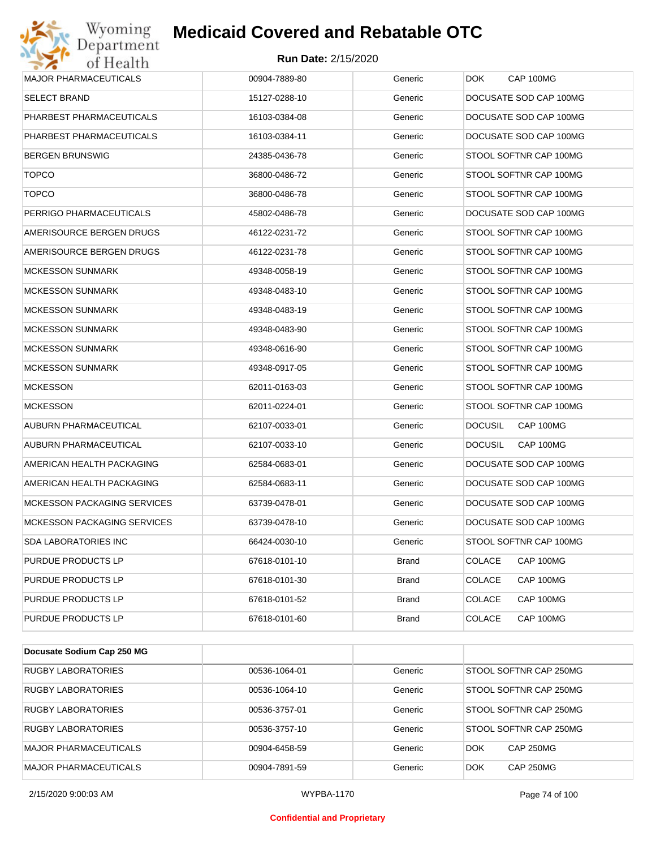

| Wyoming<br>Jepartment              | <b>Medicaid Covered and Rebatable OTC</b> |              |                             |
|------------------------------------|-------------------------------------------|--------------|-----------------------------|
| of Health                          | <b>Run Date: 2/15/2020</b>                |              |                             |
| <b>MAJOR PHARMACEUTICALS</b>       | 00904-7889-80                             | Generic      | <b>DOK</b><br>CAP 100MG     |
| <b>SELECT BRAND</b>                | 15127-0288-10                             | Generic      | DOCUSATE SOD CAP 100MG      |
| PHARBEST PHARMACEUTICALS           | 16103-0384-08                             | Generic      | DOCUSATE SOD CAP 100MG      |
| PHARBEST PHARMACEUTICALS           | 16103-0384-11                             | Generic      | DOCUSATE SOD CAP 100MG      |
| <b>BERGEN BRUNSWIG</b>             | 24385-0436-78                             | Generic      | STOOL SOFTNR CAP 100MG      |
| <b>TOPCO</b>                       | 36800-0486-72                             | Generic      | STOOL SOFTNR CAP 100MG      |
| <b>TOPCO</b>                       | 36800-0486-78                             | Generic      | STOOL SOFTNR CAP 100MG      |
| PERRIGO PHARMACEUTICALS            | 45802-0486-78                             | Generic      | DOCUSATE SOD CAP 100MG      |
| AMERISOURCE BERGEN DRUGS           | 46122-0231-72                             | Generic      | STOOL SOFTNR CAP 100MG      |
| AMERISOURCE BERGEN DRUGS           | 46122-0231-78                             | Generic      | STOOL SOFTNR CAP 100MG      |
| <b>MCKESSON SUNMARK</b>            | 49348-0058-19                             | Generic      | STOOL SOFTNR CAP 100MG      |
| <b>MCKESSON SUNMARK</b>            | 49348-0483-10                             | Generic      | STOOL SOFTNR CAP 100MG      |
| <b>MCKESSON SUNMARK</b>            | 49348-0483-19                             | Generic      | STOOL SOFTNR CAP 100MG      |
| <b>MCKESSON SUNMARK</b>            | 49348-0483-90                             | Generic      | STOOL SOFTNR CAP 100MG      |
| <b>MCKESSON SUNMARK</b>            | 49348-0616-90                             | Generic      | STOOL SOFTNR CAP 100MG      |
| <b>MCKESSON SUNMARK</b>            | 49348-0917-05                             | Generic      | STOOL SOFTNR CAP 100MG      |
| <b>MCKESSON</b>                    | 62011-0163-03                             | Generic      | STOOL SOFTNR CAP 100MG      |
| <b>MCKESSON</b>                    | 62011-0224-01                             | Generic      | STOOL SOFTNR CAP 100MG      |
| AUBURN PHARMACEUTICAL              | 62107-0033-01                             | Generic      | <b>DOCUSIL</b><br>CAP 100MG |
| AUBURN PHARMACEUTICAL              | 62107-0033-10                             | Generic      | <b>DOCUSIL</b><br>CAP 100MG |
| AMERICAN HEALTH PACKAGING          | 62584-0683-01                             | Generic      | DOCUSATE SOD CAP 100MG      |
| AMERICAN HEALTH PACKAGING          | 62584-0683-11                             | Generic      | DOCUSATE SOD CAP 100MG      |
| <b>MCKESSON PACKAGING SERVICES</b> | 63739-0478-01                             | Generic      | DOCUSATE SOD CAP 100MG      |
| <b>MCKESSON PACKAGING SERVICES</b> | 63739-0478-10                             | Generic      | DOCUSATE SOD CAP 100MG      |
| SDA LABORATORIES INC               | 66424-0030-10                             | Generic      | STOOL SOFTNR CAP 100MG      |
| PURDUE PRODUCTS LP                 | 67618-0101-10                             | Brand        | CAP 100MG<br><b>COLACE</b>  |
| PURDUE PRODUCTS LP                 | 67618-0101-30                             | <b>Brand</b> | <b>COLACE</b><br>CAP 100MG  |
| PURDUE PRODUCTS LP                 | 67618-0101-52                             | <b>Brand</b> | <b>COLACE</b><br>CAP 100MG  |
| PURDUE PRODUCTS LP                 | 67618-0101-60                             | <b>Brand</b> | <b>COLACE</b><br>CAP 100MG  |

| Docusate Sodium Cap 250 MG   |               |         |                                |
|------------------------------|---------------|---------|--------------------------------|
| <b>RUGBY LABORATORIES</b>    | 00536-1064-01 | Generic | STOOL SOFTNR CAP 250MG         |
| <b>RUGBY LABORATORIES</b>    | 00536-1064-10 | Generic | STOOL SOFTNR CAP 250MG         |
| <b>RUGBY LABORATORIES</b>    | 00536-3757-01 | Generic | STOOL SOFTNR CAP 250MG         |
| <b>RUGBY LABORATORIES</b>    | 00536-3757-10 | Generic | STOOL SOFTNR CAP 250MG         |
| <b>MAJOR PHARMACEUTICALS</b> | 00904-6458-59 | Generic | <b>CAP 250MG</b><br><b>DOK</b> |
| <b>MAJOR PHARMACEUTICALS</b> | 00904-7891-59 | Generic | <b>DOK</b><br><b>CAP 250MG</b> |

2/15/2020 9:00:03 AM WYPBA-1170 Page 74 of 100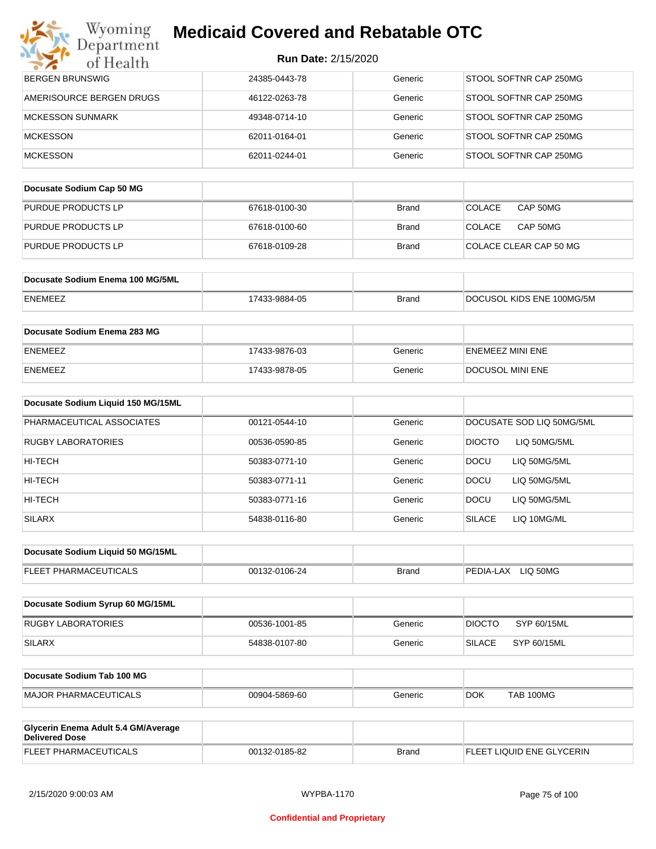| Wyoming<br>Department                                        | <b>Medicaid Covered and Rebatable OTC</b> |              |                               |
|--------------------------------------------------------------|-------------------------------------------|--------------|-------------------------------|
| of Health                                                    | <b>Run Date: 2/15/2020</b>                |              |                               |
| <b>BERGEN BRUNSWIG</b>                                       | 24385-0443-78                             | Generic      | STOOL SOFTNR CAP 250MG        |
| AMERISOURCE BERGEN DRUGS                                     | 46122-0263-78                             | Generic      | STOOL SOFTNR CAP 250MG        |
| <b>MCKESSON SUNMARK</b>                                      | 49348-0714-10                             | Generic      | STOOL SOFTNR CAP 250MG        |
| <b>MCKESSON</b>                                              | 62011-0164-01                             | Generic      | STOOL SOFTNR CAP 250MG        |
| <b>MCKESSON</b>                                              | 62011-0244-01                             | Generic      | STOOL SOFTNR CAP 250MG        |
| Docusate Sodium Cap 50 MG                                    |                                           |              |                               |
| PURDUE PRODUCTS LP                                           | 67618-0100-30                             | <b>Brand</b> | <b>COLACE</b><br>CAP 50MG     |
| PURDUE PRODUCTS LP                                           | 67618-0100-60                             | <b>Brand</b> | <b>COLACE</b><br>CAP 50MG     |
| PURDUE PRODUCTS LP                                           | 67618-0109-28                             | <b>Brand</b> | COLACE CLEAR CAP 50 MG        |
|                                                              |                                           |              |                               |
| Docusate Sodium Enema 100 MG/5ML                             |                                           |              |                               |
| <b>ENEMEEZ</b>                                               | 17433-9884-05                             | <b>Brand</b> | DOCUSOL KIDS ENE 100MG/5M     |
| Docusate Sodium Enema 283 MG                                 |                                           |              |                               |
| ENEMEEZ                                                      | 17433-9876-03                             | Generic      | ENEMEEZ MINI ENE              |
| <b>ENEMEEZ</b>                                               | 17433-9878-05                             | Generic      | DOCUSOL MINI ENE              |
| Docusate Sodium Liquid 150 MG/15ML                           |                                           |              |                               |
| PHARMACEUTICAL ASSOCIATES                                    | 00121-0544-10                             | Generic      | DOCUSATE SOD LIQ 50MG/5ML     |
| <b>RUGBY LABORATORIES</b>                                    | 00536-0590-85                             | Generic      | <b>DIOCTO</b><br>LIQ 50MG/5ML |
| HI-TECH                                                      | 50383-0771-10                             | Generic      | <b>DOCU</b><br>LIQ 50MG/5ML   |
| HI-TECH                                                      | 50383-0771-11                             | Generic      | <b>DOCU</b><br>LIQ 50MG/5ML   |
| HI-TECH                                                      | 50383-0771-16                             | Generic      | DOCU<br>LIQ 50MG/5ML          |
| <b>SILARX</b>                                                | 54838-0116-80                             | Generic      | <b>SILACE</b><br>LIQ 10MG/ML  |
| Docusate Sodium Liquid 50 MG/15ML                            |                                           |              |                               |
| FLEET PHARMACEUTICALS                                        | 00132-0106-24                             | <b>Brand</b> | PEDIA-LAX LIQ 50MG            |
|                                                              |                                           |              |                               |
| Docusate Sodium Syrup 60 MG/15ML                             |                                           |              |                               |
| <b>RUGBY LABORATORIES</b>                                    | 00536-1001-85                             | Generic      | <b>DIOCTO</b><br>SYP 60/15ML  |
| <b>SILARX</b>                                                | 54838-0107-80                             | Generic      | <b>SILACE</b><br>SYP 60/15ML  |
| Docusate Sodium Tab 100 MG                                   |                                           |              |                               |
| <b>MAJOR PHARMACEUTICALS</b>                                 | 00904-5869-60                             | Generic      | DOK.<br>TAB 100MG             |
|                                                              |                                           |              |                               |
| Glycerin Enema Adult 5.4 GM/Average<br><b>Delivered Dose</b> |                                           |              |                               |

| Deliv       |             |       |                            |
|-------------|-------------|-------|----------------------------|
| i El P<br>╌ | or oo<br>າດ | Brand | ∶ERIN<br>זוו ור<br>FNF<br> |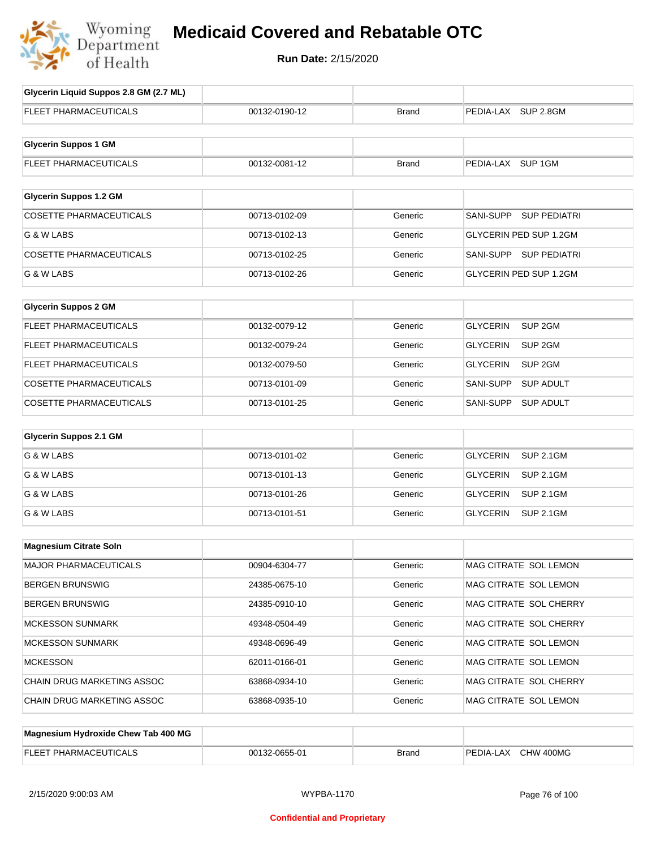

**Run Date:** 2/15/2020

| Glycerin Liquid Suppos 2.8 GM (2.7 ML) |               |              |                                       |
|----------------------------------------|---------------|--------------|---------------------------------------|
| <b>FLEET PHARMACEUTICALS</b>           | 00132-0190-12 | <b>Brand</b> | PEDIA-LAX SUP 2.8GM                   |
| <b>Glycerin Suppos 1 GM</b>            |               |              |                                       |
| FLEET PHARMACEUTICALS                  | 00132-0081-12 | <b>Brand</b> | PEDIA-LAX SUP 1GM                     |
| <b>Glycerin Suppos 1.2 GM</b>          |               |              |                                       |
| <b>COSETTE PHARMACEUTICALS</b>         | 00713-0102-09 | Generic      | SANI-SUPP<br><b>SUP PEDIATRI</b>      |
| G & W LABS                             | 00713-0102-13 | Generic      | GLYCERIN PED SUP 1.2GM                |
| <b>COSETTE PHARMACEUTICALS</b>         | 00713-0102-25 | Generic      | SANI-SUPP SUP PEDIATRI                |
| G & W LABS                             | 00713-0102-26 | Generic      | GLYCERIN PED SUP 1.2GM                |
| <b>Glycerin Suppos 2 GM</b>            |               |              |                                       |
| FLEET PHARMACEUTICALS                  | 00132-0079-12 | Generic      | SUP <sub>2GM</sub><br><b>GLYCERIN</b> |
| FLEET PHARMACEUTICALS                  | 00132-0079-24 | Generic      | <b>GLYCERIN</b><br>SUP <sub>2GM</sub> |
| FLEET PHARMACEUTICALS                  | 00132-0079-50 | Generic      | <b>GLYCERIN</b><br>SUP <sub>2GM</sub> |
| <b>COSETTE PHARMACEUTICALS</b>         | 00713-0101-09 | Generic      | SANI-SUPP<br><b>SUP ADULT</b>         |
| COSETTE PHARMACEUTICALS                | 00713-0101-25 | Generic      | SANI-SUPP<br><b>SUP ADULT</b>         |
| <b>Glycerin Suppos 2.1 GM</b>          |               |              |                                       |
| G & W LABS                             | 00713-0101-02 | Generic      | <b>GLYCERIN</b><br><b>SUP 2.1GM</b>   |
| G & W LABS                             | 00713-0101-13 | Generic      | <b>GLYCERIN</b><br><b>SUP 2.1GM</b>   |
| G & W LABS                             | 00713-0101-26 | Generic      | <b>GLYCERIN</b><br><b>SUP 2.1GM</b>   |
| G & W LABS                             | 00713-0101-51 | Generic      | <b>GLYCERIN</b><br><b>SUP 2.1GM</b>   |
| <b>Magnesium Citrate Soln</b>          |               |              |                                       |
|                                        | 00904-6304-77 |              |                                       |
| MAJOR PHARMACEUTICALS                  |               | Generic      | MAG CITRATE SOL LEMON                 |
| <b>BERGEN BRUNSWIG</b>                 | 24385-0675-10 | Generic      | MAG CITRATE SOL LEMON                 |
| <b>BERGEN BRUNSWIG</b>                 | 24385-0910-10 | Generic      | MAG CITRATE SOL CHERRY                |
| MCKESSON SUNMARK                       | 49348-0504-49 | Generic      | MAG CITRATE SOL CHERRY                |
| MCKESSON SUNMARK                       | 49348-0696-49 | Generic      | MAG CITRATE SOL LEMON                 |
| <b>MCKESSON</b>                        | 62011-0166-01 | Generic      | MAG CITRATE SOL LEMON                 |
| CHAIN DRUG MARKETING ASSOC             | 63868-0934-10 | Generic      | MAG CITRATE SOL CHERRY                |
| CHAIN DRUG MARKETING ASSOC             | 63868-0935-10 | Generic      | MAG CITRATE SOL LEMON                 |
| Magnesium Hydroxide Chew Tab 400 MG    |               |              |                                       |

| ELEE.<br>ШC<br>$\Delta$<br>PHAR<br><b>AIVI</b><br>--- | 201<br>$\cdots$ $\cdots$<br>,,,<br>ט-ככסי | Brang | ' 400MG<br>$\sim$<br>DГ<br>״ י-µ∪∟<br>.A A<br>пv. |
|-------------------------------------------------------|-------------------------------------------|-------|---------------------------------------------------|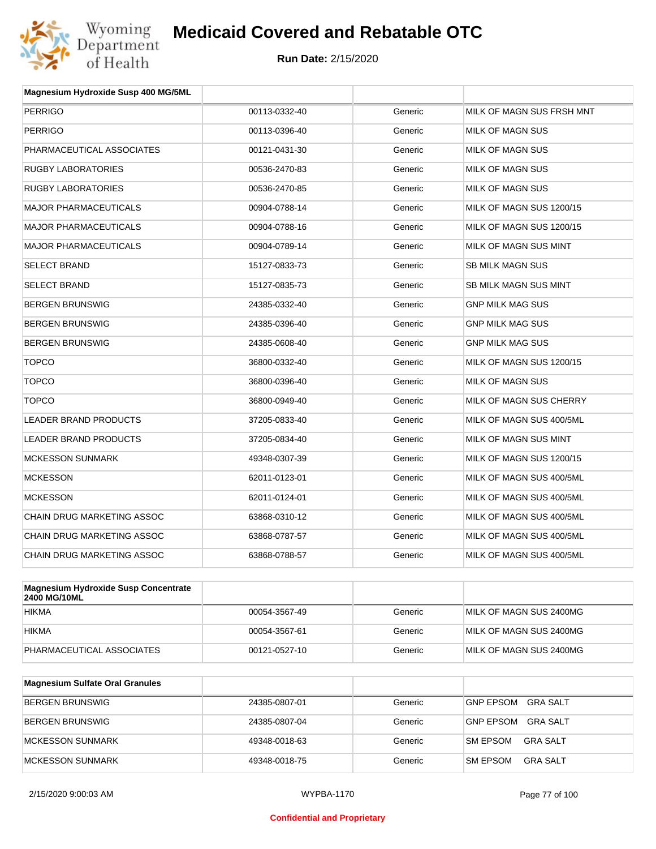

| Magnesium Hydroxide Susp 400 MG/5ML         |               |         |                           |
|---------------------------------------------|---------------|---------|---------------------------|
| <b>PERRIGO</b>                              | 00113-0332-40 | Generic | MILK OF MAGN SUS FRSH MNT |
| <b>PERRIGO</b>                              | 00113-0396-40 | Generic | <b>MILK OF MAGN SUS</b>   |
| PHARMACEUTICAL ASSOCIATES                   | 00121-0431-30 | Generic | MILK OF MAGN SUS          |
| <b>RUGBY LABORATORIES</b>                   | 00536-2470-83 | Generic | <b>MILK OF MAGN SUS</b>   |
| <b>RUGBY LABORATORIES</b>                   | 00536-2470-85 | Generic | MILK OF MAGN SUS          |
| <b>MAJOR PHARMACEUTICALS</b>                | 00904-0788-14 | Generic | MILK OF MAGN SUS 1200/15  |
| <b>MAJOR PHARMACEUTICALS</b>                | 00904-0788-16 | Generic | MILK OF MAGN SUS 1200/15  |
| <b>MAJOR PHARMACEUTICALS</b>                | 00904-0789-14 | Generic | MILK OF MAGN SUS MINT     |
| <b>SELECT BRAND</b>                         | 15127-0833-73 | Generic | <b>SB MILK MAGN SUS</b>   |
| <b>SELECT BRAND</b>                         | 15127-0835-73 | Generic | SB MILK MAGN SUS MINT     |
| <b>BERGEN BRUNSWIG</b>                      | 24385-0332-40 | Generic | <b>GNP MILK MAG SUS</b>   |
| <b>BERGEN BRUNSWIG</b>                      | 24385-0396-40 | Generic | <b>GNP MILK MAG SUS</b>   |
| <b>BERGEN BRUNSWIG</b>                      | 24385-0608-40 | Generic | <b>GNP MILK MAG SUS</b>   |
| <b>TOPCO</b>                                | 36800-0332-40 | Generic | MILK OF MAGN SUS 1200/15  |
| <b>TOPCO</b>                                | 36800-0396-40 | Generic | MILK OF MAGN SUS          |
| <b>TOPCO</b>                                | 36800-0949-40 | Generic | MILK OF MAGN SUS CHERRY   |
| LEADER BRAND PRODUCTS                       | 37205-0833-40 | Generic | MILK OF MAGN SUS 400/5ML  |
| <b>LEADER BRAND PRODUCTS</b>                | 37205-0834-40 | Generic | MILK OF MAGN SUS MINT     |
| <b>MCKESSON SUNMARK</b>                     | 49348-0307-39 | Generic | MILK OF MAGN SUS 1200/15  |
| <b>MCKESSON</b>                             | 62011-0123-01 | Generic | MILK OF MAGN SUS 400/5ML  |
| <b>MCKESSON</b>                             | 62011-0124-01 | Generic | MILK OF MAGN SUS 400/5ML  |
| CHAIN DRUG MARKETING ASSOC                  | 63868-0310-12 | Generic | MILK OF MAGN SUS 400/5ML  |
| CHAIN DRUG MARKETING ASSOC                  | 63868-0787-57 | Generic | MILK OF MAGN SUS 400/5ML  |
| CHAIN DRUG MARKETING ASSOC                  | 63868-0788-57 | Generic | MILK OF MAGN SUS 400/5ML  |
|                                             |               |         |                           |
| <b>Magnesium Hydroxide Susp Concentrate</b> |               |         |                           |

| $\mu$ in agriesium rivaled xide suspective internate<br><b>2400 MG/10ML</b> |               |         |                         |
|-----------------------------------------------------------------------------|---------------|---------|-------------------------|
| <b>HIKMA</b>                                                                | 00054-3567-49 | Generic | MILK OF MAGN SUS 2400MG |
| <b>HIKMA</b>                                                                | 00054-3567-61 | Generic | MILK OF MAGN SUS 2400MG |
| PHARMACEUTICAL ASSOCIATES                                                   | 00121-0527-10 | Generic | MILK OF MAGN SUS 2400MG |

| Magnesium Sulfate Oral Granules |               |         |                                    |
|---------------------------------|---------------|---------|------------------------------------|
| <b>BERGEN BRUNSWIG</b>          | 24385-0807-01 | Generic | GNP EPSOM<br>GRA SALT              |
| BERGEN BRUNSWIG                 | 24385-0807-04 | Generic | GRA SALT<br><b>GNP EPSOM</b>       |
| <b>IMCKESSON SUNMARK</b>        | 49348-0018-63 | Generic | <b>SM EPSOM</b><br>GRA SALT        |
| MCKESSON SUNMARK                | 49348-0018-75 | Generic | <b>SM EPSOM</b><br><b>GRA SALT</b> |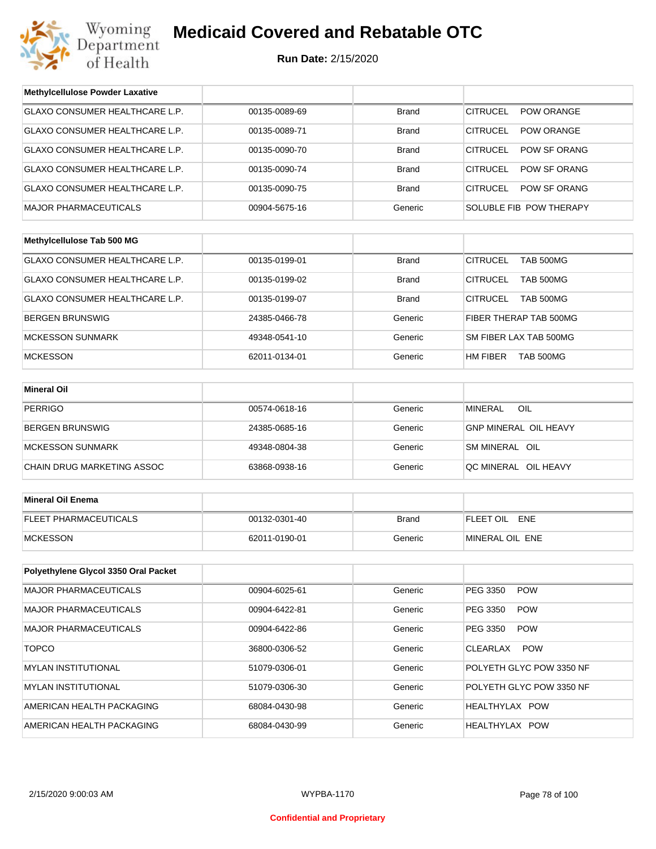

# **Medicaid Covered and Rebatable OTC**

**Run Date:** 2/15/2020

| <b>Methylcellulose Powder Laxative</b> |               |              |                                      |  |
|----------------------------------------|---------------|--------------|--------------------------------------|--|
| <b>GLAXO CONSUMER HEALTHCARE L.P.</b>  | 00135-0089-69 | <b>Brand</b> | <b>CITRUCEL</b><br><b>POW ORANGE</b> |  |
| GLAXO CONSUMER HEALTHCARE L.P.         | 00135-0089-71 | Brand        | <b>CITRUCEL</b><br><b>POW ORANGE</b> |  |
| <b>GLAXO CONSUMER HEALTHCARE L.P.</b>  | 00135-0090-70 | <b>Brand</b> | <b>CITRUCEL</b><br>POW SF ORANG      |  |
| GLAXO CONSUMER HEALTHCARE L.P.         | 00135-0090-74 | Brand        | <b>CITRUCEL</b><br>POW SF ORANG      |  |
| GLAXO CONSUMER HEALTHCARE L.P.         | 00135-0090-75 | <b>Brand</b> | <b>CITRUCEL</b><br>POW SF ORANG      |  |
| <b>MAJOR PHARMACEUTICALS</b>           | 00904-5675-16 | Generic      | SOLUBLE FIB POW THERAPY              |  |
|                                        |               |              |                                      |  |
| Methylcellulose Tab 500 MG             |               |              |                                      |  |
| GLAXO CONSUMER HEALTHCARE L.P.         | 00135-0199-01 | <b>Brand</b> | <b>CITRUCEL</b><br><b>TAB 500MG</b>  |  |
| GLAXO CONSUMER HEALTHCARE L.P.         | 00135-0199-02 | Brand        | <b>CITRUCEL</b><br>TAB 500MG         |  |
| GLAXO CONSUMER HEALTHCARE L.P.         | 00135-0199-07 | <b>Brand</b> | <b>CITRUCEL</b><br><b>TAB 500MG</b>  |  |
| BERGEN BRUNSWIG                        | 24385-0466-78 | Generic      | FIBER THERAP TAB 500MG               |  |
| <b>MCKESSON SUNMARK</b>                | 49348-0541-10 | Generic      | SM FIBER LAX TAB 500MG               |  |
| <b>MCKESSON</b>                        | 62011-0134-01 | Generic      | HM FIBER<br><b>TAB 500MG</b>         |  |
|                                        |               |              |                                      |  |
| <b>Mineral Oil</b>                     |               |              |                                      |  |
| PERRIGO                                | 00574-0618-16 | Generic      | OIL<br><b>MINERAL</b>                |  |
| <b>BERGEN BRUNSWIG</b>                 | 24385-0685-16 | Generic      | <b>GNP MINERAL OIL HEAVY</b>         |  |
| <b>MCKESSON SUNMARK</b>                | 49348-0804-38 | Generic      | SM MINERAL OIL                       |  |
| CHAIN DRUG MARKETING ASSOC             | 63868-0938-16 | Generic      | QC MINERAL OIL HEAVY                 |  |
|                                        |               |              |                                      |  |
| <b>Mineral Oil Enema</b>               |               |              |                                      |  |
| FLEET PHARMACEUTICALS                  | 00132-0301-40 | <b>Brand</b> | FLEET OIL ENE                        |  |
| <b>MCKESSON</b>                        | 62011-0190-01 | Generic      | MINERAL OIL ENE                      |  |
|                                        |               |              |                                      |  |
| Polyethylene Glycol 3350 Oral Packet   |               |              |                                      |  |
| MAJOR PHARMACEUTICALS                  | 00904-6025-61 | Generic      | PEG 3350<br><b>POW</b>               |  |
| MAJOR PHARMACEUTICALS                  | 00904-6422-81 | Generic      | PEG 3350<br><b>POW</b>               |  |
| <b>MAJOR PHARMACEUTICALS</b>           | 00904-6422-86 | Generic      | PEG 3350<br><b>POW</b>               |  |
| <b>TOPCO</b>                           | 36800-0306-52 | Generic      | <b>POW</b><br><b>CLEARLAX</b>        |  |
| MYLAN INSTITUTIONAL                    | 51079-0306-01 | Generic      | POLYETH GLYC POW 3350 NF             |  |
| <b>MYLAN INSTITUTIONAL</b>             | 51079-0306-30 | Generic      | POLYETH GLYC POW 3350 NF             |  |
| AMERICAN HEALTH PACKAGING              | 68084-0430-98 | Generic      | HEALTHYLAX POW                       |  |
| AMERICAN HEALTH PACKAGING              | 68084-0430-99 | Generic      | HEALTHYLAX POW                       |  |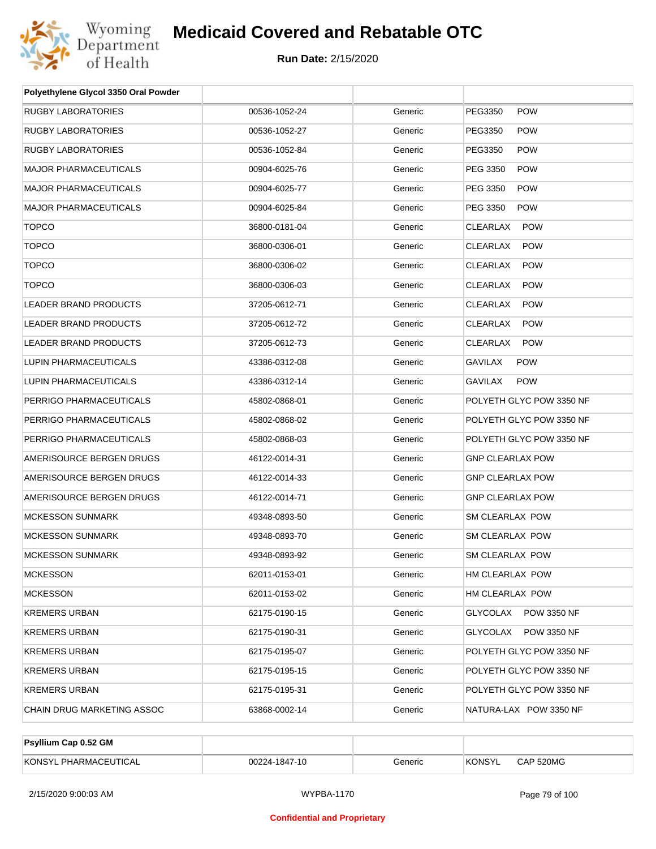

| Polyethylene Glycol 3350 Oral Powder |               |         |                                |
|--------------------------------------|---------------|---------|--------------------------------|
| <b>RUGBY LABORATORIES</b>            | 00536-1052-24 | Generic | PEG3350<br><b>POW</b>          |
| RUGBY LABORATORIES                   | 00536-1052-27 | Generic | PEG3350<br><b>POW</b>          |
| RUGBY LABORATORIES                   | 00536-1052-84 | Generic | PEG3350<br><b>POW</b>          |
| <b>MAJOR PHARMACEUTICALS</b>         | 00904-6025-76 | Generic | PEG 3350<br><b>POW</b>         |
| <b>MAJOR PHARMACEUTICALS</b>         | 00904-6025-77 | Generic | PEG 3350<br><b>POW</b>         |
| <b>MAJOR PHARMACEUTICALS</b>         | 00904-6025-84 | Generic | PEG 3350<br><b>POW</b>         |
| <b>TOPCO</b>                         | 36800-0181-04 | Generic | <b>CLEARLAX</b><br><b>POW</b>  |
| <b>TOPCO</b>                         | 36800-0306-01 | Generic | <b>CLEARLAX</b><br><b>POW</b>  |
| <b>TOPCO</b>                         | 36800-0306-02 | Generic | <b>CLEARLAX</b><br><b>POW</b>  |
| <b>TOPCO</b>                         | 36800-0306-03 | Generic | <b>CLEARLAX</b><br><b>POW</b>  |
| <b>LEADER BRAND PRODUCTS</b>         | 37205-0612-71 | Generic | <b>CLEARLAX</b><br><b>POW</b>  |
| LEADER BRAND PRODUCTS                | 37205-0612-72 | Generic | <b>CLEARLAX</b><br><b>POW</b>  |
| <b>LEADER BRAND PRODUCTS</b>         | 37205-0612-73 | Generic | <b>CLEARLAX</b><br><b>POW</b>  |
| <b>LUPIN PHARMACEUTICALS</b>         | 43386-0312-08 | Generic | <b>GAVILAX</b><br><b>POW</b>   |
| LUPIN PHARMACEUTICALS                | 43386-0312-14 | Generic | <b>GAVILAX</b><br><b>POW</b>   |
| PERRIGO PHARMACEUTICALS              | 45802-0868-01 | Generic | POLYETH GLYC POW 3350 NF       |
| PERRIGO PHARMACEUTICALS              | 45802-0868-02 | Generic | POLYETH GLYC POW 3350 NF       |
| PERRIGO PHARMACEUTICALS              | 45802-0868-03 | Generic | POLYETH GLYC POW 3350 NF       |
| AMERISOURCE BERGEN DRUGS             | 46122-0014-31 | Generic | <b>GNP CLEARLAX POW</b>        |
| AMERISOURCE BERGEN DRUGS             | 46122-0014-33 | Generic | <b>GNP CLEARLAX POW</b>        |
| AMERISOURCE BERGEN DRUGS             | 46122-0014-71 | Generic | <b>GNP CLEARLAX POW</b>        |
| <b>MCKESSON SUNMARK</b>              | 49348-0893-50 | Generic | <b>SM CLEARLAX POW</b>         |
| <b>MCKESSON SUNMARK</b>              | 49348-0893-70 | Generic | SM CLEARLAX POW                |
| <b>MCKESSON SUNMARK</b>              | 49348-0893-92 | Generic | SM CLEARLAX POW                |
| MCKESSON                             | 62011-0153-01 | Generic | HM CLEARLAX POW                |
| <b>MCKESSON</b>                      | 62011-0153-02 | Generic | HM CLEARLAX POW                |
| KREMERS URBAN                        | 62175-0190-15 | Generic | GLYCOLAX<br><b>POW 3350 NF</b> |
| KREMERS URBAN                        | 62175-0190-31 | Generic | GLYCOLAX<br><b>POW 3350 NF</b> |
| KREMERS URBAN                        | 62175-0195-07 | Generic | POLYETH GLYC POW 3350 NF       |
| KREMERS URBAN                        | 62175-0195-15 | Generic | POLYETH GLYC POW 3350 NF       |
| KREMERS URBAN                        | 62175-0195-31 | Generic | POLYETH GLYC POW 3350 NF       |
| CHAIN DRUG MARKETING ASSOC           | 63868-0002-14 | Generic | NATURA-LAX POW 3350 NF         |

| Psyllium Cap 0.52 GM  |               |         |               |           |
|-----------------------|---------------|---------|---------------|-----------|
| KONSYL PHARMACEUTICAL | 00224-1847-10 | Generic | <b>KONSYL</b> | CAP 520MG |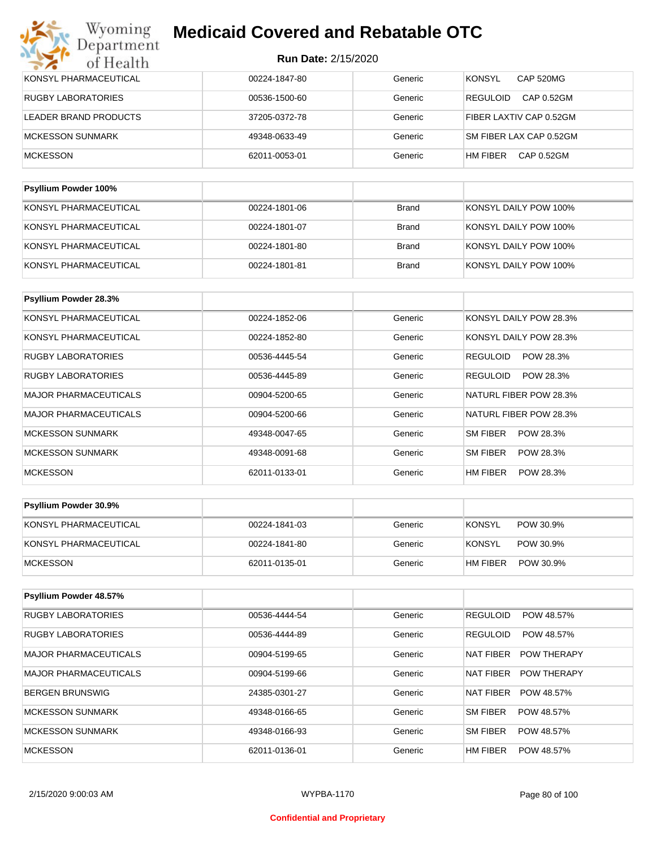## **Run Date:** 2/15/2020

| KONSYL PHARMACEUTICAL     | 00224-1847-80 | Generic      | <b>CAP 520MG</b><br><b>KONSYL</b> |
|---------------------------|---------------|--------------|-----------------------------------|
| <b>RUGBY LABORATORIES</b> | 00536-1500-60 | Generic      | CAP 0.52GM<br><b>REGULOID</b>     |
| LEADER BRAND PRODUCTS     | 37205-0372-78 | Generic      | FIBER LAXTIV CAP 0.52GM           |
| <b>MCKESSON SUNMARK</b>   | 49348-0633-49 | Generic      | SM FIBER LAX CAP 0.52GM           |
| <b>MCKESSON</b>           | 62011-0053-01 | Generic      | CAP 0.52GM<br>HM FIBER            |
|                           |               |              |                                   |
| Psyllium Powder 100%      |               |              |                                   |
| KONSYL PHARMACEUTICAL     | 00224-1801-06 | Brand        | KONSYL DAILY POW 100%             |
| KONSYL PHARMACEUTICAL     | 00224-1801-07 | <b>Brand</b> | KONSYL DAILY POW 100%             |
| KONSYL PHARMACEUTICAL     | 00224-1801-80 | <b>Brand</b> | KONSYL DAILY POW 100%             |

KONSYL PHARMACEUTICAL **1990** 00224-1801-81 Brand KONSYL DAILY POW 100%

| <b>Psyllium Powder 28.3%</b> |               |         |                              |
|------------------------------|---------------|---------|------------------------------|
| KONSYL PHARMACEUTICAL        | 00224-1852-06 | Generic | KONSYL DAILY POW 28.3%       |
| KONSYL PHARMACEUTICAL        | 00224-1852-80 | Generic | KONSYL DAILY POW 28.3%       |
| <b>RUGBY LABORATORIES</b>    | 00536-4445-54 | Generic | POW 28.3%<br><b>REGULOID</b> |
| <b>RUGBY LABORATORIES</b>    | 00536-4445-89 | Generic | REGULOID<br>POW 28.3%        |
| <b>MAJOR PHARMACEUTICALS</b> | 00904-5200-65 | Generic | NATURL FIBER POW 28.3%       |
| <b>MAJOR PHARMACEUTICALS</b> | 00904-5200-66 | Generic | NATURL FIBER POW 28.3%       |
| <b>MCKESSON SUNMARK</b>      | 49348-0047-65 | Generic | SM FIBER<br>POW 28.3%        |
| <b>MCKESSON SUNMARK</b>      | 49348-0091-68 | Generic | <b>SM FIBER</b><br>POW 28.3% |
| <b>MCKESSON</b>              | 62011-0133-01 | Generic | HM FIBER<br>POW 28.3%        |

| <b>Psyllium Powder 30.9%</b> |               |         |                            |
|------------------------------|---------------|---------|----------------------------|
| KONSYL PHARMACEUTICAL        | 00224-1841-03 | Generic | <b>KONSYL</b><br>POW 30.9% |
| KONSYL PHARMACEUTICAL        | 00224-1841-80 | Generic | KONSYL<br>POW 30.9%        |
| MCKESSON                     | 62011-0135-01 | Generic | HM FIBER<br>POW 30.9%      |

| Psyllium Powder 48.57%       |               |         |                                 |
|------------------------------|---------------|---------|---------------------------------|
| <b>RUGBY LABORATORIES</b>    | 00536-4444-54 | Generic | <b>REGULOID</b><br>POW 48.57%   |
| <b>RUGBY LABORATORIES</b>    | 00536-4444-89 | Generic | <b>REGULOID</b><br>POW 48.57%   |
| MAJOR PHARMACEUTICALS        | 00904-5199-65 | Generic | <b>POW THERAPY</b><br>NAT FIBER |
| <b>MAJOR PHARMACEUTICALS</b> | 00904-5199-66 | Generic | NAT FIBER<br><b>POW THERAPY</b> |
| BERGEN BRUNSWIG              | 24385-0301-27 | Generic | <b>NAT FIBER</b><br>POW 48.57%  |
| MCKESSON SUNMARK             | 49348-0166-65 | Generic | <b>SM FIBER</b><br>POW 48.57%   |
| MCKESSON SUNMARK             | 49348-0166-93 | Generic | <b>SM FIBER</b><br>POW 48.57%   |
| <b>MCKESSON</b>              | 62011-0136-01 | Generic | HM FIBER<br>POW 48.57%          |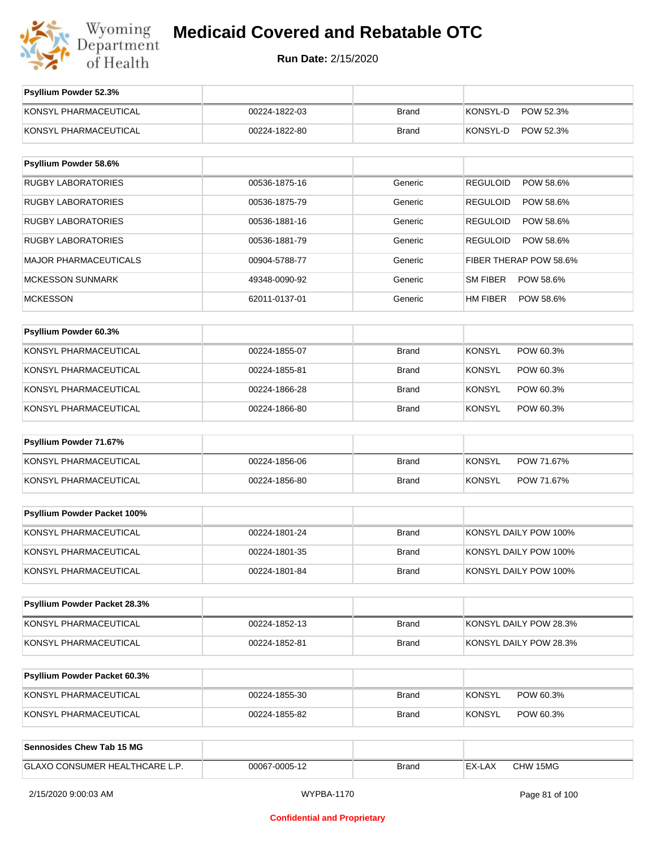

| Psyllium Powder 52.3%               |               |              |                              |
|-------------------------------------|---------------|--------------|------------------------------|
| KONSYL PHARMACEUTICAL               | 00224-1822-03 | <b>Brand</b> | KONSYL-D<br>POW 52.3%        |
| KONSYL PHARMACEUTICAL               | 00224-1822-80 | <b>Brand</b> | KONSYL-D<br>POW 52.3%        |
|                                     |               |              |                              |
| Psyllium Powder 58.6%               |               |              |                              |
| <b>RUGBY LABORATORIES</b>           | 00536-1875-16 | Generic      | <b>REGULOID</b><br>POW 58.6% |
| <b>RUGBY LABORATORIES</b>           | 00536-1875-79 | Generic      | POW 58.6%<br><b>REGULOID</b> |
| <b>RUGBY LABORATORIES</b>           | 00536-1881-16 | Generic      | <b>REGULOID</b><br>POW 58.6% |
| <b>RUGBY LABORATORIES</b>           | 00536-1881-79 | Generic      | <b>REGULOID</b><br>POW 58.6% |
| <b>MAJOR PHARMACEUTICALS</b>        | 00904-5788-77 | Generic      | FIBER THERAP POW 58.6%       |
| <b>MCKESSON SUNMARK</b>             | 49348-0090-92 | Generic      | <b>SM FIBER</b><br>POW 58.6% |
| <b>MCKESSON</b>                     | 62011-0137-01 | Generic      | HM FIBER<br>POW 58.6%        |
|                                     |               |              |                              |
| Psyllium Powder 60.3%               |               |              |                              |
| KONSYL PHARMACEUTICAL               | 00224-1855-07 | <b>Brand</b> | <b>KONSYL</b><br>POW 60.3%   |
| KONSYL PHARMACEUTICAL               | 00224-1855-81 | <b>Brand</b> | <b>KONSYL</b><br>POW 60.3%   |
| KONSYL PHARMACEUTICAL               | 00224-1866-28 | <b>Brand</b> | <b>KONSYL</b><br>POW 60.3%   |
| KONSYL PHARMACEUTICAL               | 00224-1866-80 | <b>Brand</b> | <b>KONSYL</b><br>POW 60.3%   |
| Psyllium Powder 71.67%              |               |              |                              |
| KONSYL PHARMACEUTICAL               | 00224-1856-06 | <b>Brand</b> | <b>KONSYL</b><br>POW 71.67%  |
| KONSYL PHARMACEUTICAL               | 00224-1856-80 | <b>Brand</b> | <b>KONSYL</b><br>POW 71.67%  |
|                                     |               |              |                              |
| Psyllium Powder Packet 100%         |               |              |                              |
| KONSYL PHARMACEUTICAL               | 00224-1801-24 | <b>Brand</b> | KONSYL DAILY POW 100%        |
| KONSYL PHARMACEUTICAL               | 00224-1801-35 | <b>Brand</b> | KONSYL DAILY POW 100%        |
| KONSYL PHARMACEUTICAL               | 00224-1801-84 | <b>Brand</b> | KONSYL DAILY POW 100%        |
|                                     |               |              |                              |
| Psyllium Powder Packet 28.3%        |               |              |                              |
| KONSYL PHARMACEUTICAL               | 00224-1852-13 | <b>Brand</b> | KONSYL DAILY POW 28.3%       |
| KONSYL PHARMACEUTICAL               | 00224-1852-81 | <b>Brand</b> | KONSYL DAILY POW 28.3%       |
|                                     |               |              |                              |
| <b>Psyllium Powder Packet 60.3%</b> |               |              |                              |
| KONSYL PHARMACEUTICAL               | 00224-1855-30 | <b>Brand</b> | <b>KONSYL</b><br>POW 60.3%   |
| KONSYL PHARMACEUTICAL               | 00224-1855-82 | <b>Brand</b> | <b>KONSYL</b><br>POW 60.3%   |
|                                     |               |              |                              |
| <b>Sennosides Chew Tab 15 MG</b>    |               |              |                              |
| GLAXO CONSUMER HEALTHCARE L.P.      | 00067-0005-12 | <b>Brand</b> | EX-LAX<br>CHW 15MG           |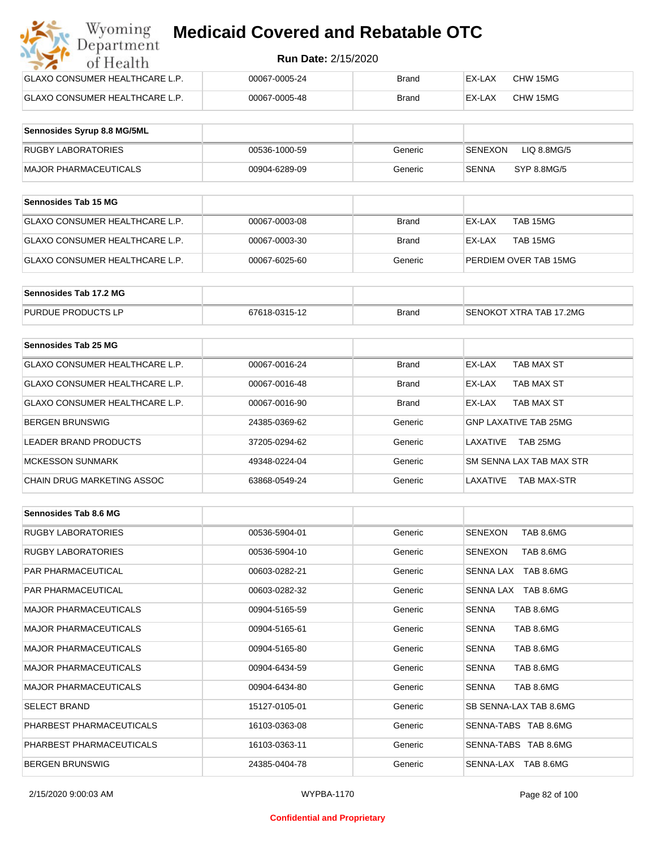| Wyoming<br><b>Medicaid Covered and Rebatable OTC</b><br>Department |                            |              |        |          |  |  |
|--------------------------------------------------------------------|----------------------------|--------------|--------|----------|--|--|
| of Health                                                          | <b>Run Date: 2/15/2020</b> |              |        |          |  |  |
| <b>GLAXO CONSUMER HEALTHCARE L.P.</b>                              | 00067-0005-24              | Brand        | EX-LAX | CHW 15MG |  |  |
| GLAXO CONSUMER HEALTHCARE L.P.                                     | 00067-0005-48              | <b>Brand</b> | EX-LAX | CHW 15MG |  |  |

| Sennosides Syrup 8.8 MG/5ML |               |         |                                |
|-----------------------------|---------------|---------|--------------------------------|
| <b>RUGBY LABORATORIES</b>   | 00536-1000-59 | Generic | LIQ 8.8MG/5<br><b>ISENEXON</b> |
| MAJOR PHARMACEUTICALS       | 00904-6289-09 | Generic | SYP 8.8MG/5<br>SENNA           |

| <b>Sennosides Tab 15 MG</b>    |               |         |                       |
|--------------------------------|---------------|---------|-----------------------|
| GLAXO CONSUMER HEALTHCARE L.P. | 00067-0003-08 | Brand   | TAB 15MG<br>EX-LAX    |
| GLAXO CONSUMER HEALTHCARE L.P. | 00067-0003-30 | Brand   | TAB 15MG<br>EX-LAX    |
| GLAXO CONSUMER HEALTHCARE L.P. | 00067-6025-60 | Generic | PERDIEM OVER TAB 15MG |

| Sennosides Tab 17.2 MG    |               |              |                         |
|---------------------------|---------------|--------------|-------------------------|
| <b>PURDUE PRODUCTS LP</b> | 67618-0315-12 | <b>Brand</b> | SENOKOT XTRA TAB 17.2MG |

| Sennosides Tab 25 MG           |               |              |                                |
|--------------------------------|---------------|--------------|--------------------------------|
| GLAXO CONSUMER HEALTHCARE L.P. | 00067-0016-24 | <b>Brand</b> | EX-LAX<br>TAB MAX ST           |
| GLAXO CONSUMER HEALTHCARE L.P. | 00067-0016-48 | <b>Brand</b> | TAB MAX ST<br>EX-LAX           |
| GLAXO CONSUMER HEALTHCARE L.P. | 00067-0016-90 | <b>Brand</b> | TAB MAX ST<br>EX-LAX           |
| <b>BERGEN BRUNSWIG</b>         | 24385-0369-62 | Generic      | <b>GNP LAXATIVE TAB 25MG</b>   |
| LEADER BRAND PRODUCTS          | 37205-0294-62 | Generic      | TAB 25MG<br>I AXATIVF          |
| <b>MCKESSON SUNMARK</b>        | 49348-0224-04 | Generic      | SM SENNA LAX TAB MAX STR       |
| CHAIN DRUG MARKETING ASSOC     | 63868-0549-24 | Generic      | LAXATIVE<br><b>TAB MAX-STR</b> |

| Sennosides Tab 8.6 MG        |               |         |                             |
|------------------------------|---------------|---------|-----------------------------|
| <b>RUGBY LABORATORIES</b>    | 00536-5904-01 | Generic | <b>SENEXON</b><br>TAB 8.6MG |
| <b>RUGBY LABORATORIES</b>    | 00536-5904-10 | Generic | SENEXON<br>TAB 8.6MG        |
| <b>PAR PHARMACEUTICAL</b>    | 00603-0282-21 | Generic | SENNA LAX TAB 8.6MG         |
| PAR PHARMACEUTICAL           | 00603-0282-32 | Generic | SENNA LAX TAB 8.6MG         |
| <b>MAJOR PHARMACEUTICALS</b> | 00904-5165-59 | Generic | <b>SENNA</b><br>TAB 8.6MG   |
| <b>MAJOR PHARMACEUTICALS</b> | 00904-5165-61 | Generic | TAB 8.6MG<br><b>SENNA</b>   |
| <b>MAJOR PHARMACEUTICALS</b> | 00904-5165-80 | Generic | TAB 8.6MG<br><b>SENNA</b>   |
| <b>MAJOR PHARMACEUTICALS</b> | 00904-6434-59 | Generic | <b>SENNA</b><br>TAB 8.6MG   |
| <b>MAJOR PHARMACEUTICALS</b> | 00904-6434-80 | Generic | <b>SENNA</b><br>TAB 8.6MG   |
| <b>SELECT BRAND</b>          | 15127-0105-01 | Generic | SB SENNA-LAX TAB 8.6MG      |
| PHARBEST PHARMACEUTICALS     | 16103-0363-08 | Generic | SENNA-TABS TAB 8.6MG        |
| PHARBEST PHARMACEUTICALS     | 16103-0363-11 | Generic | SENNA-TABS TAB 8.6MG        |
| <b>BERGEN BRUNSWIG</b>       | 24385-0404-78 | Generic | SENNA-LAX TAB 8.6MG         |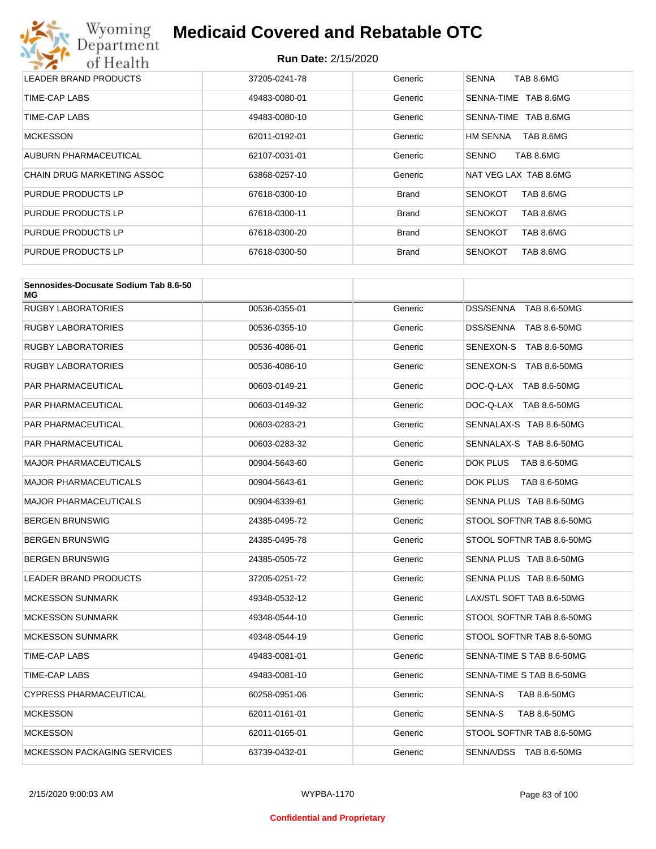

| LEADER BRAND PRODUCTS             | 37205-0241-78 | Generic      | <b>SENNA</b><br>TAB 8.6MG   |
|-----------------------------------|---------------|--------------|-----------------------------|
| TIME-CAP LABS                     | 49483-0080-01 | Generic      | TAB 8.6MG<br>SENNA-TIME     |
| TIME-CAP LABS                     | 49483-0080-10 | Generic      | TAB 8.6MG<br>SENNA-TIME     |
| <b>MCKESSON</b>                   | 62011-0192-01 | Generic      | TAB 8.6MG<br>HM SENNA       |
| AUBURN PHARMACEUTICAL             | 62107-0031-01 | Generic      | <b>SENNO</b><br>TAB 8.6MG   |
| <b>CHAIN DRUG MARKETING ASSOC</b> | 63868-0257-10 | Generic      | NAT VEG LAX TAB 8.6MG       |
| PURDUE PRODUCTS LP                | 67618-0300-10 | <b>Brand</b> | TAB 8.6MG<br><b>SENOKOT</b> |
| PURDUE PRODUCTS LP                | 67618-0300-11 | <b>Brand</b> | <b>SENOKOT</b><br>TAB 8.6MG |
| PURDUE PRODUCTS LP                | 67618-0300-20 | <b>Brand</b> | TAB 8.6MG<br><b>SENOKOT</b> |
| PURDUE PRODUCTS LP                | 67618-0300-50 | <b>Brand</b> | <b>SENOKOT</b><br>TAB 8.6MG |

| Sennosides-Docusate Sodium Tab 8.6-50<br>МG |               |         |                                |
|---------------------------------------------|---------------|---------|--------------------------------|
| RUGBY LABORATORIES                          | 00536-0355-01 | Generic | DSS/SENNA TAB 8.6-50MG         |
| RUGBY LABORATORIES                          | 00536-0355-10 | Generic | DSS/SENNA TAB 8.6-50MG         |
| RUGBY LABORATORIES                          | 00536-4086-01 | Generic | SENEXON-S TAB 8.6-50MG         |
| RUGBY LABORATORIES                          | 00536-4086-10 | Generic | SENEXON-S TAB 8.6-50MG         |
| PAR PHARMACEUTICAL                          | 00603-0149-21 | Generic | DOC-Q-LAX TAB 8.6-50MG         |
| PAR PHARMACEUTICAL                          | 00603-0149-32 | Generic | DOC-Q-LAX TAB 8.6-50MG         |
| PAR PHARMACEUTICAL                          | 00603-0283-21 | Generic | SENNALAX-S TAB 8.6-50MG        |
| PAR PHARMACEUTICAL                          | 00603-0283-32 | Generic | SENNALAX-S TAB 8.6-50MG        |
| MAJOR PHARMACEUTICALS                       | 00904-5643-60 | Generic | DOK PLUS<br>TAB 8.6-50MG       |
| <b>MAJOR PHARMACEUTICALS</b>                | 00904-5643-61 | Generic | DOK PLUS<br>TAB 8.6-50MG       |
| <b>MAJOR PHARMACEUTICALS</b>                | 00904-6339-61 | Generic | SENNA PLUS TAB 8.6-50MG        |
| BERGEN BRUNSWIG                             | 24385-0495-72 | Generic | STOOL SOFTNR TAB 8.6-50MG      |
| BERGEN BRUNSWIG                             | 24385-0495-78 | Generic | STOOL SOFTNR TAB 8.6-50MG      |
| BERGEN BRUNSWIG                             | 24385-0505-72 | Generic | SENNA PLUS TAB 8.6-50MG        |
| <b>LEADER BRAND PRODUCTS</b>                | 37205-0251-72 | Generic | SENNA PLUS TAB 8.6-50MG        |
| <b>MCKESSON SUNMARK</b>                     | 49348-0532-12 | Generic | LAX/STL SOFT TAB 8.6-50MG      |
| <b>MCKESSON SUNMARK</b>                     | 49348-0544-10 | Generic | STOOL SOFTNR TAB 8.6-50MG      |
| <b>MCKESSON SUNMARK</b>                     | 49348-0544-19 | Generic | STOOL SOFTNR TAB 8.6-50MG      |
| TIME-CAP LABS                               | 49483-0081-01 | Generic | SENNA-TIME S TAB 8.6-50MG      |
| TIME-CAP LABS                               | 49483-0081-10 | Generic | SENNA-TIME S TAB 8.6-50MG      |
| CYPRESS PHARMACEUTICAL                      | 60258-0951-06 | Generic | <b>SENNA-S</b><br>TAB 8.6-50MG |
| <b>MCKESSON</b>                             | 62011-0161-01 | Generic | SENNA-S<br>TAB 8.6-50MG        |
| <b>MCKESSON</b>                             | 62011-0165-01 | Generic | STOOL SOFTNR TAB 8.6-50MG      |
| <b>MCKESSON PACKAGING SERVICES</b>          | 63739-0432-01 | Generic | SENNA/DSS TAB 8.6-50MG         |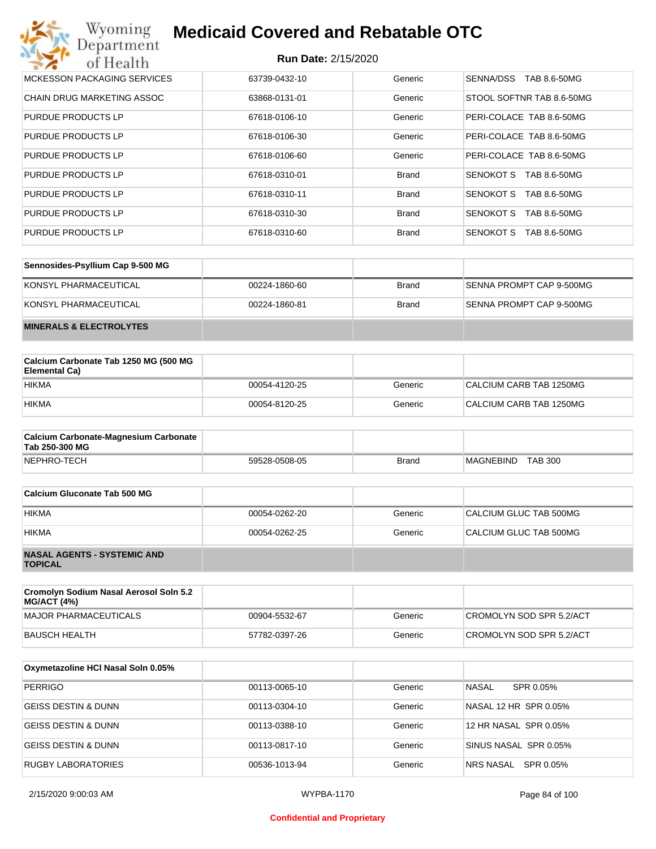| Wyoming<br><b>Medicaid Covered and Rebatable OTC</b><br>Department |                            |              |                                  |  |
|--------------------------------------------------------------------|----------------------------|--------------|----------------------------------|--|
| of Health                                                          | <b>Run Date: 2/15/2020</b> |              |                                  |  |
| MCKESSON PACKAGING SERVICES                                        | 63739-0432-10              | Generic      | SENNA/DSS<br>TAB 8.6-50MG        |  |
| <b>CHAIN DRUG MARKETING ASSOC</b>                                  | 63868-0131-01              | Generic      | STOOL SOFTNR TAB 8.6-50MG        |  |
| PURDUE PRODUCTS LP                                                 | 67618-0106-10              | Generic      | PERI-COLACE TAB 8.6-50MG         |  |
| PURDUE PRODUCTS LP                                                 | 67618-0106-30              | Generic      | PERI-COLACE TAB 8.6-50MG         |  |
| PURDUE PRODUCTS LP                                                 | 67618-0106-60              | Generic      | PERI-COLACE TAB 8.6-50MG         |  |
| PURDUE PRODUCTS LP                                                 | 67618-0310-01              | <b>Brand</b> | <b>SENOKOT S</b><br>TAB 8.6-50MG |  |
| PURDUE PRODUCTS LP                                                 | 67618-0310-11              | <b>Brand</b> | <b>SENOKOT S</b><br>TAB 8.6-50MG |  |
| PURDUE PRODUCTS LP                                                 | 67618-0310-30              | <b>Brand</b> | <b>SENOKOT S</b><br>TAB 8.6-50MG |  |
| PURDUE PRODUCTS LP                                                 | 67618-0310-60              | <b>Brand</b> | SENOKOT S<br>TAB 8.6-50MG        |  |

| Sennosides-Psyllium Cap 9-500 MG   |               |       |                          |
|------------------------------------|---------------|-------|--------------------------|
| KONSYL PHARMACEUTICAL              | 00224-1860-60 | Brand | SENNA PROMPT CAP 9-500MG |
| KONSYL PHARMACEUTICAL              | 00224-1860-81 | Brand | SENNA PROMPT CAP 9-500MG |
| <b>MINERALS &amp; ELECTROLYTES</b> |               |       |                          |

| Calcium Carbonate Tab 1250 MG (500 MG<br>Elemental Ca) |               |         |                         |
|--------------------------------------------------------|---------------|---------|-------------------------|
| <b>HIKMA</b>                                           | 00054-4120-25 | Generic | CALCIUM CARB TAB 1250MG |
| <b>HIKMA</b>                                           | 00054-8120-25 | Generic | CALCIUM CARB TAB 1250MG |

| <b>Calcium Carbonate-Magnesium Carbonate</b><br>Tab 250-300 MG |               |              |                                    |
|----------------------------------------------------------------|---------------|--------------|------------------------------------|
| NEPHRO-TECH                                                    | 59528-0508-05 | <b>Brand</b> | <b>TAB 300</b><br><b>MAGNEBIND</b> |

| Calcium Gluconate Tab 500 MG                         |               |         |                        |
|------------------------------------------------------|---------------|---------|------------------------|
| <b>HIKMA</b>                                         | 00054-0262-20 | Generic | CALCIUM GLUC TAB 500MG |
| <b>HIKMA</b>                                         | 00054-0262-25 | Generic | CALCIUM GLUC TAB 500MG |
| <b>NASAL AGENTS - SYSTEMIC AND</b><br><b>TOPICAL</b> |               |         |                        |

| Cromolyn Sodium Nasal Aerosol Soln 5.2<br><b>MG/ACT (4%)</b> |               |         |                          |
|--------------------------------------------------------------|---------------|---------|--------------------------|
| MAJOR PHARMACEUTICALS                                        | 00904-5532-67 | Generic | CROMOLYN SOD SPR 5.2/ACT |
| BAUSCH HEALTH                                                | 57782-0397-26 | Generic | CROMOLYN SOD SPR 5.2/ACT |

| Oxymetazoline HCI Nasal Soln 0.05% |               |         |                        |
|------------------------------------|---------------|---------|------------------------|
| <b>PERRIGO</b>                     | 00113-0065-10 | Generic | NASAL<br>SPR 0.05%     |
| <b>GEISS DESTIN &amp; DUNN</b>     | 00113-0304-10 | Generic | NASAL 12 HR SPR 0.05%  |
| GEISS DESTIN & DUNN                | 00113-0388-10 | Generic | 12 HR NASAL SPR 0.05%  |
| <b>GEISS DESTIN &amp; DUNN</b>     | 00113-0817-10 | Generic | SINUS NASAL SPR 0.05%  |
| <b>RUGBY LABORATORIES</b>          | 00536-1013-94 | Generic | SPR 0.05%<br>NRS NASAL |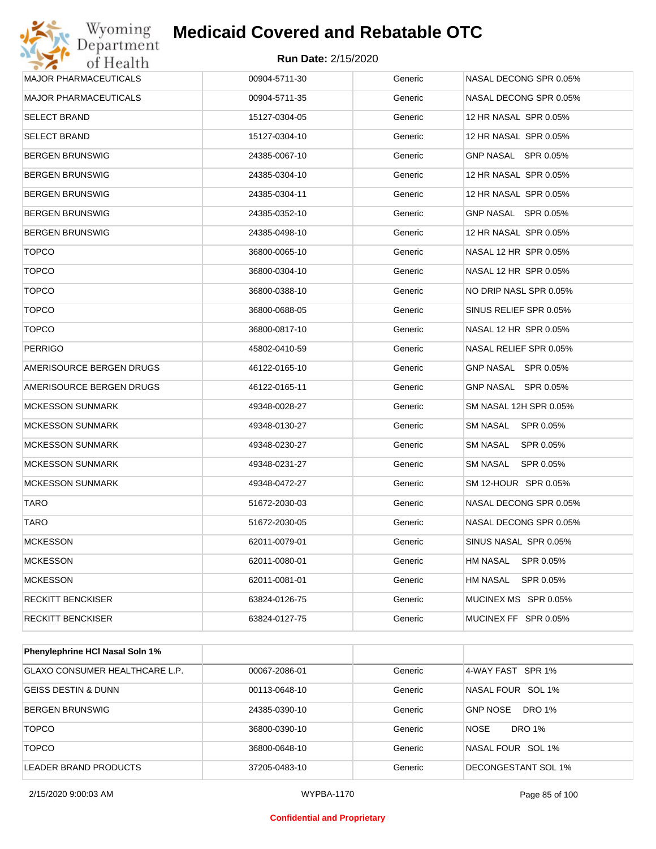## **Run Date:** 2/15/2020

| Wyoming<br>Department           | <b>Medicaid Covered and Rebatable OTC</b> |         |                        |
|---------------------------------|-------------------------------------------|---------|------------------------|
| of Health                       | <b>Run Date: 2/15/2020</b>                |         |                        |
| <b>MAJOR PHARMACEUTICALS</b>    | 00904-5711-30                             | Generic | NASAL DECONG SPR 0.05% |
| <b>MAJOR PHARMACEUTICALS</b>    | 00904-5711-35                             | Generic | NASAL DECONG SPR 0.05% |
| <b>SELECT BRAND</b>             | 15127-0304-05                             | Generic | 12 HR NASAL SPR 0.05%  |
| <b>SELECT BRAND</b>             | 15127-0304-10                             | Generic | 12 HR NASAL SPR 0.05%  |
| <b>BERGEN BRUNSWIG</b>          | 24385-0067-10                             | Generic | GNP NASAL SPR 0.05%    |
| <b>BERGEN BRUNSWIG</b>          | 24385-0304-10                             | Generic | 12 HR NASAL SPR 0.05%  |
| <b>BERGEN BRUNSWIG</b>          | 24385-0304-11                             | Generic | 12 HR NASAL SPR 0.05%  |
| <b>BERGEN BRUNSWIG</b>          | 24385-0352-10                             | Generic | GNP NASAL SPR 0.05%    |
| <b>BERGEN BRUNSWIG</b>          | 24385-0498-10                             | Generic | 12 HR NASAL SPR 0.05%  |
| <b>TOPCO</b>                    | 36800-0065-10                             | Generic | NASAL 12 HR SPR 0.05%  |
| <b>TOPCO</b>                    | 36800-0304-10                             | Generic | NASAL 12 HR SPR 0.05%  |
| <b>TOPCO</b>                    | 36800-0388-10                             | Generic | NO DRIP NASL SPR 0.05% |
| <b>TOPCO</b>                    | 36800-0688-05                             | Generic | SINUS RELIEF SPR 0.05% |
| <b>TOPCO</b>                    | 36800-0817-10                             | Generic | NASAL 12 HR SPR 0.05%  |
| <b>PERRIGO</b>                  | 45802-0410-59                             | Generic | NASAL RELIEF SPR 0.05% |
| AMERISOURCE BERGEN DRUGS        | 46122-0165-10                             | Generic | GNP NASAL SPR 0.05%    |
| AMERISOURCE BERGEN DRUGS        | 46122-0165-11                             | Generic | GNP NASAL SPR 0.05%    |
| <b>MCKESSON SUNMARK</b>         | 49348-0028-27                             | Generic | SM NASAL 12H SPR 0.05% |
| <b>MCKESSON SUNMARK</b>         | 49348-0130-27                             | Generic | SM NASAL<br>SPR 0.05%  |
| <b>MCKESSON SUNMARK</b>         | 49348-0230-27                             | Generic | SM NASAL<br>SPR 0.05%  |
| <b>MCKESSON SUNMARK</b>         | 49348-0231-27                             | Generic | SM NASAL<br>SPR 0.05%  |
| <b>MCKESSON SUNMARK</b>         | 49348-0472-27                             | Generic | SM 12-HOUR SPR 0.05%   |
| TARO                            | 51672-2030-03                             | Generic | NASAL DECONG SPR 0.05% |
| <b>TARO</b>                     | 51672-2030-05                             | Generic | NASAL DECONG SPR 0.05% |
| <b>MCKESSON</b>                 | 62011-0079-01                             | Generic | SINUS NASAL SPR 0.05%  |
| <b>MCKESSON</b>                 | 62011-0080-01                             | Generic | HM NASAL<br>SPR 0.05%  |
| <b>MCKESSON</b>                 | 62011-0081-01                             | Generic | HM NASAL<br>SPR 0.05%  |
| <b>RECKITT BENCKISER</b>        | 63824-0126-75                             | Generic | MUCINEX MS SPR 0.05%   |
| <b>RECKITT BENCKISER</b>        | 63824-0127-75                             | Generic | MUCINEX FF SPR 0.05%   |
| Phenylephrine HCI Nasal Soln 1% |                                           |         |                        |
|                                 |                                           |         |                        |

| GLAXO CONSUMER HEALTHCARE L.P. | 00067-2086-01 | Generic | 4-WAY FAST SPR 1%                |
|--------------------------------|---------------|---------|----------------------------------|
| GEISS DESTIN & DUNN            | 00113-0648-10 | Generic | NASAL FOUR SOL 1%                |
| <b>BERGEN BRUNSWIG</b>         | 24385-0390-10 | Generic | <b>GNP NOSE</b><br><b>DRO 1%</b> |
| <b>TOPCO</b>                   | 36800-0390-10 | Generic | <b>NOSE</b><br>DRO 1%            |
| <b>TOPCO</b>                   | 36800-0648-10 | Generic | NASAL FOUR SOL 1%                |
| LEADER BRAND PRODUCTS          | 37205-0483-10 | Generic | DECONGESTANT SOL 1%              |

2/15/2020 9:00:03 AM WYPBA-1170 Page 85 of 100

#### **Confidential and Proprietary**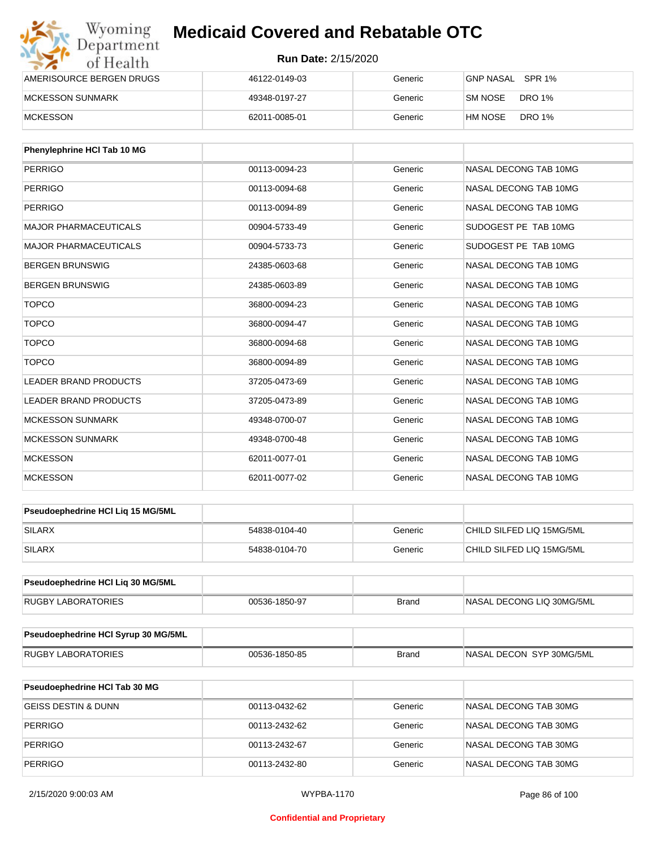| Wyoming<br>Department    | <b>Medicaid Covered and Rebatable OTC</b><br><b>Run Date: 2/15/2020</b> |         |                          |  |
|--------------------------|-------------------------------------------------------------------------|---------|--------------------------|--|
| of Health                |                                                                         |         |                          |  |
| AMERISOURCE BERGEN DRUGS | 46122-0149-03                                                           | Generic | GNP NASAL SPR 1%         |  |
| <b>MCKESSON SUNMARK</b>  | 49348-0197-27                                                           | Generic | DRO 1%<br>SM NOSE        |  |
| <b>MCKESSON</b>          | 62011-0085-01                                                           | Generic | <b>DRO 1%</b><br>HM NOSE |  |

| <b>Phenylephrine HCI Tab 10 MG</b> |               |         |                       |
|------------------------------------|---------------|---------|-----------------------|
| <b>PERRIGO</b>                     | 00113-0094-23 | Generic | NASAL DECONG TAB 10MG |
| PERRIGO                            | 00113-0094-68 | Generic | NASAL DECONG TAB 10MG |
| <b>PERRIGO</b>                     | 00113-0094-89 | Generic | NASAL DECONG TAB 10MG |
| <b>MAJOR PHARMACEUTICALS</b>       | 00904-5733-49 | Generic | SUDOGEST PE TAB 10MG  |
| <b>MAJOR PHARMACEUTICALS</b>       | 00904-5733-73 | Generic | SUDOGEST PE TAB 10MG  |
| <b>BERGEN BRUNSWIG</b>             | 24385-0603-68 | Generic | NASAL DECONG TAB 10MG |
| <b>BERGEN BRUNSWIG</b>             | 24385-0603-89 | Generic | NASAL DECONG TAB 10MG |
| <b>TOPCO</b>                       | 36800-0094-23 | Generic | NASAL DECONG TAB 10MG |
| <b>TOPCO</b>                       | 36800-0094-47 | Generic | NASAL DECONG TAB 10MG |
| <b>TOPCO</b>                       | 36800-0094-68 | Generic | NASAL DECONG TAB 10MG |
| <b>TOPCO</b>                       | 36800-0094-89 | Generic | NASAL DECONG TAB 10MG |
| <b>LEADER BRAND PRODUCTS</b>       | 37205-0473-69 | Generic | NASAL DECONG TAB 10MG |
| <b>LEADER BRAND PRODUCTS</b>       | 37205-0473-89 | Generic | NASAL DECONG TAB 10MG |
| <b>MCKESSON SUNMARK</b>            | 49348-0700-07 | Generic | NASAL DECONG TAB 10MG |
| <b>MCKESSON SUNMARK</b>            | 49348-0700-48 | Generic | NASAL DECONG TAB 10MG |
| <b>MCKESSON</b>                    | 62011-0077-01 | Generic | NASAL DECONG TAB 10MG |
| <b>MCKESSON</b>                    | 62011-0077-02 | Generic | NASAL DECONG TAB 10MG |

| <b>Pseudoephedrine HCI Lig 15 MG/5ML</b> |               |         |                           |
|------------------------------------------|---------------|---------|---------------------------|
| SILARX                                   | 54838-0104-40 | Generic | CHILD SILFED LIQ 15MG/5ML |
| SILARX                                   | 54838-0104-70 | Generic | CHILD SILFED LIQ 15MG/5ML |

| <b>Pseudoephedrine HCI Lig 30 MG/5ML</b> |               |       |                            |
|------------------------------------------|---------------|-------|----------------------------|
| <b>RUGBY LABORATORIES</b>                | 00536-1850-97 | Brand | INASAL DECONG LIQ 30MG/5ML |

| <b>Pseudoephedrine HCI Syrup 30 MG/5ML</b> |               |       |                          |
|--------------------------------------------|---------------|-------|--------------------------|
| RUGBY LABORATORIES                         | 00536-1850-85 | Brand | NASAL DECON SYP 30MG/5ML |

| <b>Pseudoephedrine HCI Tab 30 MG</b> |               |         |                       |
|--------------------------------------|---------------|---------|-----------------------|
| <b>GEISS DESTIN &amp; DUNN</b>       | 00113-0432-62 | Generic | NASAL DECONG TAB 30MG |
| <b>PERRIGO</b>                       | 00113-2432-62 | Generic | NASAL DECONG TAB 30MG |
| <b>PERRIGO</b>                       | 00113-2432-67 | Generic | NASAL DECONG TAB 30MG |
| <b>PERRIGO</b>                       | 00113-2432-80 | Generic | NASAL DECONG TAB 30MG |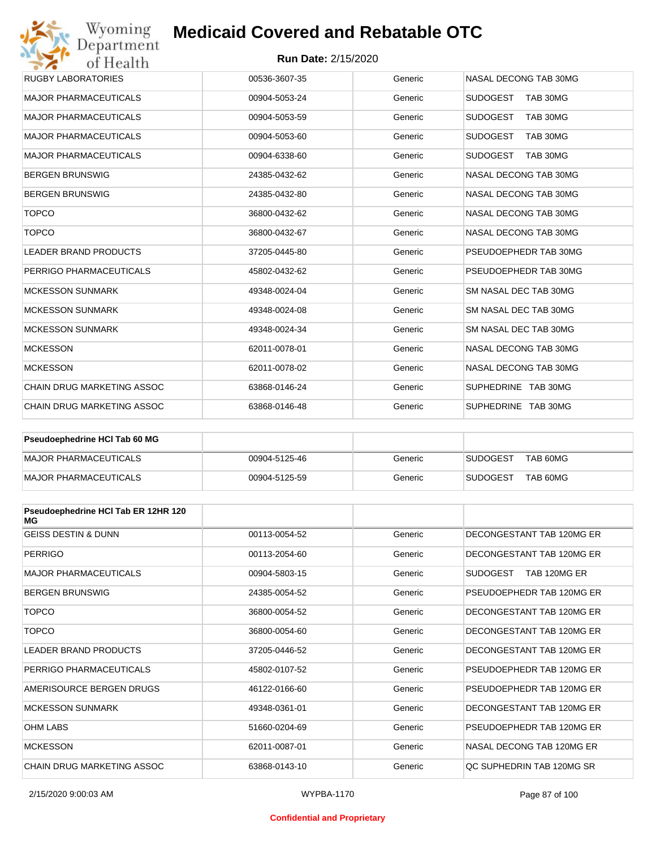## **Run Date:** 2/15/2020

| Wyoming<br>Department             | <b>Medicaid Covered and Rebatable OTC</b> |         |                             |  |  |
|-----------------------------------|-------------------------------------------|---------|-----------------------------|--|--|
| of Health                         | <b>Run Date: 2/15/2020</b>                |         |                             |  |  |
| <b>RUGBY LABORATORIES</b>         | 00536-3607-35                             | Generic | NASAL DECONG TAB 30MG       |  |  |
| <b>MAJOR PHARMACEUTICALS</b>      | 00904-5053-24                             | Generic | <b>SUDOGEST</b><br>TAB 30MG |  |  |
| <b>MAJOR PHARMACEUTICALS</b>      | 00904-5053-59                             | Generic | <b>SUDOGEST</b><br>TAB 30MG |  |  |
| <b>MAJOR PHARMACEUTICALS</b>      | 00904-5053-60                             | Generic | <b>SUDOGEST</b><br>TAB 30MG |  |  |
| <b>MAJOR PHARMACEUTICALS</b>      | 00904-6338-60                             | Generic | <b>SUDOGEST</b><br>TAB 30MG |  |  |
| <b>BERGEN BRUNSWIG</b>            | 24385-0432-62                             | Generic | NASAL DECONG TAB 30MG       |  |  |
| <b>BERGEN BRUNSWIG</b>            | 24385-0432-80                             | Generic | NASAL DECONG TAB 30MG       |  |  |
| <b>TOPCO</b>                      | 36800-0432-62                             | Generic | NASAL DECONG TAB 30MG       |  |  |
| <b>TOPCO</b>                      | 36800-0432-67                             | Generic | NASAL DECONG TAB 30MG       |  |  |
| <b>LEADER BRAND PRODUCTS</b>      | 37205-0445-80                             | Generic | PSEUDOEPHEDR TAB 30MG       |  |  |
| PERRIGO PHARMACEUTICALS           | 45802-0432-62                             | Generic | PSEUDOEPHEDR TAB 30MG       |  |  |
| <b>MCKESSON SUNMARK</b>           | 49348-0024-04                             | Generic | SM NASAL DEC TAB 30MG       |  |  |
| <b>MCKESSON SUNMARK</b>           | 49348-0024-08                             | Generic | SM NASAL DEC TAB 30MG       |  |  |
| <b>MCKESSON SUNMARK</b>           | 49348-0024-34                             | Generic | SM NASAL DEC TAB 30MG       |  |  |
| <b>MCKESSON</b>                   | 62011-0078-01                             | Generic | NASAL DECONG TAB 30MG       |  |  |
| <b>MCKESSON</b>                   | 62011-0078-02                             | Generic | NASAL DECONG TAB 30MG       |  |  |
| <b>CHAIN DRUG MARKETING ASSOC</b> | 63868-0146-24                             | Generic | SUPHEDRINE TAB 30MG         |  |  |
| <b>CHAIN DRUG MARKETING ASSOC</b> | 63868-0146-48                             | Generic | SUPHEDRINE TAB 30MG         |  |  |

| Pseudoephedrine HCI Tab 60 MG |               |         |                             |
|-------------------------------|---------------|---------|-----------------------------|
| <b>IMAJOR PHARMACEUTICALS</b> | 00904-5125-46 | Generic | TAB 60MG<br><b>SUDOGEST</b> |
| MAJOR PHARMACEUTICALS         | 00904-5125-59 | Generic | TAB 60MG<br><b>SUDOGEST</b> |

| Pseudoephedrine HCI Tab ER 12HR 120<br>MG |               |         |                           |
|-------------------------------------------|---------------|---------|---------------------------|
| <b>GEISS DESTIN &amp; DUNN</b>            | 00113-0054-52 | Generic | DECONGESTANT TAB 120MG ER |
| <b>PERRIGO</b>                            | 00113-2054-60 | Generic | DECONGESTANT TAB 120MG ER |
| <b>MAJOR PHARMACEUTICALS</b>              | 00904-5803-15 | Generic | SUDOGEST<br>TAB 120MG ER  |
| <b>BERGEN BRUNSWIG</b>                    | 24385-0054-52 | Generic | PSEUDOEPHEDR TAB 120MG ER |
| <b>TOPCO</b>                              | 36800-0054-52 | Generic | DECONGESTANT TAB 120MG ER |
| <b>TOPCO</b>                              | 36800-0054-60 | Generic | DECONGESTANT TAB 120MG ER |
| <b>LEADER BRAND PRODUCTS</b>              | 37205-0446-52 | Generic | DECONGESTANT TAB 120MG ER |
| PERRIGO PHARMACEUTICALS                   | 45802-0107-52 | Generic | PSEUDOEPHEDR TAB 120MG ER |
| AMERISOURCE BERGEN DRUGS                  | 46122-0166-60 | Generic | PSEUDOFPHEDR TAB 120MG FR |
| <b>MCKESSON SUNMARK</b>                   | 49348-0361-01 | Generic | DECONGESTANT TAB 120MG ER |
| <b>OHM LABS</b>                           | 51660-0204-69 | Generic | PSEUDOEPHEDR TAB 120MG ER |
| <b>MCKESSON</b>                           | 62011-0087-01 | Generic | NASAL DECONG TAB 120MG ER |
| CHAIN DRUG MARKETING ASSOC                | 63868-0143-10 | Generic | OC SUPHEDRIN TAB 120MG SR |

#### **Confidential and Proprietary**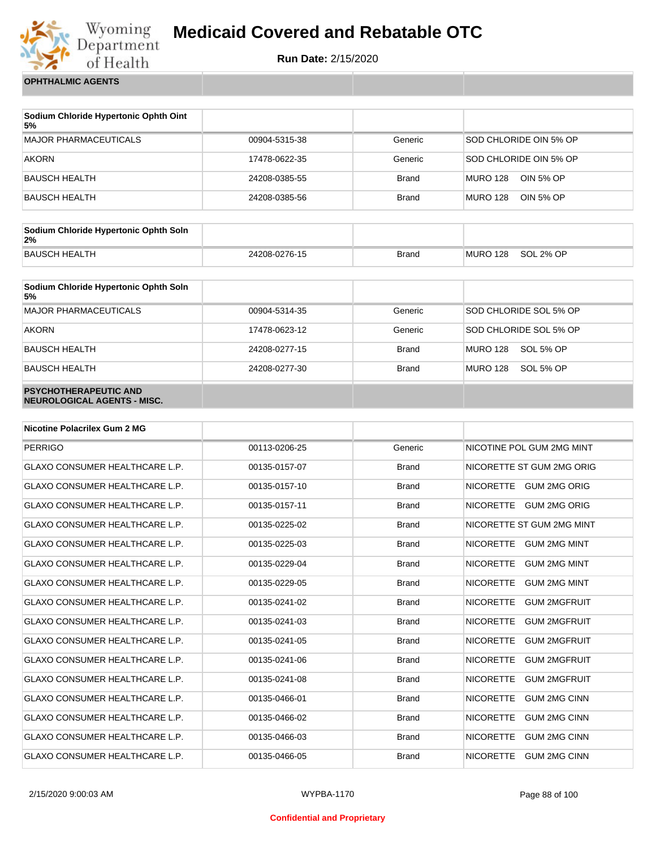

**Run Date:** 2/15/2020

**OPHTHALMIC AGENTS**

| Sodium Chloride Hypertonic Ophth Oint<br>5% |               |              |                              |
|---------------------------------------------|---------------|--------------|------------------------------|
| MAJOR PHARMACEUTICALS                       | 00904-5315-38 | Generic      | SOD CHLORIDE OIN 5% OP       |
| <b>AKORN</b>                                | 17478-0622-35 | Generic      | SOD CHLORIDE OIN 5% OP       |
| BAUSCH HEALTH                               | 24208-0385-55 | <b>Brand</b> | MURO 128<br>OIN 5% OP        |
| BAUSCH HEALTH                               | 24208-0385-56 | <b>Brand</b> | OIN 5% OP<br><b>MURO 128</b> |

| Sodium Chloride Hypertonic Ophth Soln<br>2% |               |              |          |           |
|---------------------------------------------|---------------|--------------|----------|-----------|
| <b>BAUSCH HEALTH</b>                        | 24208-0276-15 | <b>Brand</b> | MURO 128 | SOL 2% OP |

| Sodium Chloride Hypertonic Ophth Soln<br>5%                 |               |              |                        |
|-------------------------------------------------------------|---------------|--------------|------------------------|
| <b>MAJOR PHARMACEUTICALS</b>                                | 00904-5314-35 | Generic      | SOD CHLORIDE SOL 5% OP |
| <b>AKORN</b>                                                | 17478-0623-12 | Generic      | SOD CHLORIDE SOL 5% OP |
| <b>BAUSCH HEALTH</b>                                        | 24208-0277-15 | <b>Brand</b> | MURO 128<br>SOL 5% OP  |
| <b>BAUSCH HEALTH</b>                                        | 24208-0277-30 | <b>Brand</b> | MURO 128<br>SOL 5% OP  |
| <b>PSYCHOTHERAPEUTIC AND</b><br>NEUROLOGICAL AGENTS - MISC. |               |              |                        |

| <b>Nicotine Polacrilex Gum 2 MG</b>   |               |              |                                         |
|---------------------------------------|---------------|--------------|-----------------------------------------|
| <b>PERRIGO</b>                        | 00113-0206-25 | Generic      | NICOTINE POL GUM 2MG MINT               |
| <b>GLAXO CONSUMER HEALTHCARE L.P.</b> | 00135-0157-07 | <b>Brand</b> | NICORETTE ST GUM 2MG ORIG               |
| <b>GLAXO CONSUMER HEALTHCARE L.P.</b> | 00135-0157-10 | <b>Brand</b> | <b>NICORETTE</b><br><b>GUM 2MG ORIG</b> |
| <b>GLAXO CONSUMER HEALTHCARE L.P.</b> | 00135-0157-11 | <b>Brand</b> | NICORETTE GUM 2MG ORIG                  |
| <b>GLAXO CONSUMER HEALTHCARE L.P.</b> | 00135-0225-02 | <b>Brand</b> | NICORETTE ST GUM 2MG MINT               |
| <b>GLAXO CONSUMER HEALTHCARE L.P.</b> | 00135-0225-03 | <b>Brand</b> | <b>NICORETTE</b><br><b>GUM 2MG MINT</b> |
| <b>GLAXO CONSUMER HEALTHCARE L.P.</b> | 00135-0229-04 | <b>Brand</b> | <b>NICORETTE</b><br><b>GUM 2MG MINT</b> |
| <b>GLAXO CONSUMER HEALTHCARE L.P.</b> | 00135-0229-05 | <b>Brand</b> | <b>NICORETTE</b><br><b>GUM 2MG MINT</b> |
| <b>GLAXO CONSUMER HEALTHCARE L.P.</b> | 00135-0241-02 | <b>Brand</b> | <b>NICORETTE</b><br><b>GUM 2MGFRUIT</b> |
| <b>GLAXO CONSUMER HEALTHCARE L.P.</b> | 00135-0241-03 | <b>Brand</b> | <b>NICORETTE</b><br><b>GUM 2MGFRUIT</b> |
| GLAXO CONSUMER HEALTHCARE L.P.        | 00135-0241-05 | <b>Brand</b> | <b>NICORETTE</b><br><b>GUM 2MGFRUIT</b> |
| <b>GLAXO CONSUMER HEALTHCARE L.P.</b> | 00135-0241-06 | <b>Brand</b> | <b>NICORETTE</b><br><b>GUM 2MGFRUIT</b> |
| <b>GLAXO CONSUMER HEALTHCARE L.P.</b> | 00135-0241-08 | <b>Brand</b> | <b>NICORETTE</b><br><b>GUM 2MGFRUIT</b> |
| <b>GLAXO CONSUMER HEALTHCARE L.P.</b> | 00135-0466-01 | <b>Brand</b> | <b>NICORETTE</b><br><b>GUM 2MG CINN</b> |
| <b>GLAXO CONSUMER HEALTHCARE L.P.</b> | 00135-0466-02 | <b>Brand</b> | <b>NICORETTE</b><br><b>GUM 2MG CINN</b> |
| <b>GLAXO CONSUMER HEALTHCARE L.P.</b> | 00135-0466-03 | <b>Brand</b> | <b>NICORETTE</b><br><b>GUM 2MG CINN</b> |
| <b>GLAXO CONSUMER HEALTHCARE L.P.</b> | 00135-0466-05 | <b>Brand</b> | <b>GUM 2MG CINN</b><br><b>NICORETTE</b> |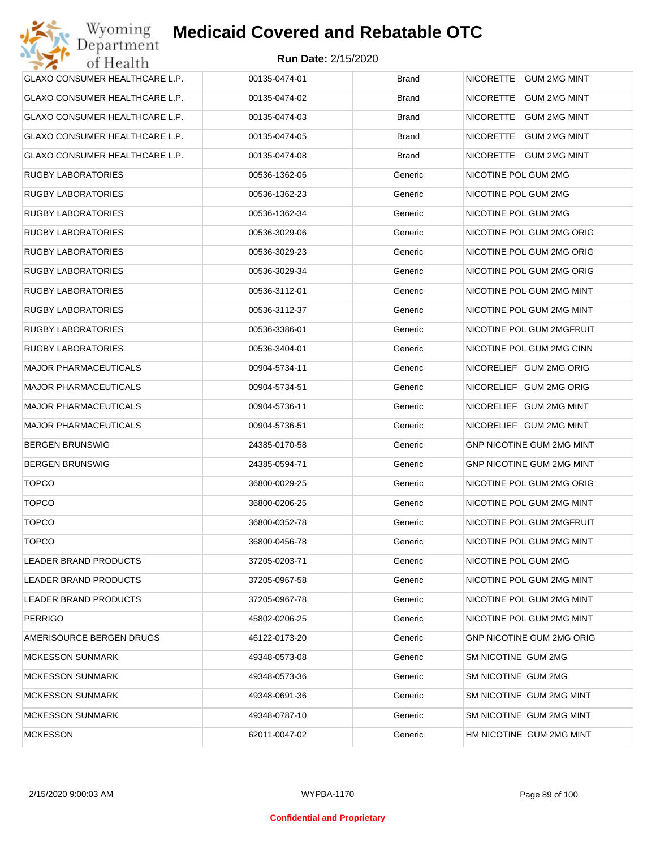| GLAXO CONSUMER HEALTHCARE L.P. | 00135-0474-01 | <b>Brand</b> | NICORETTE GUM 2MG MINT           |
|--------------------------------|---------------|--------------|----------------------------------|
| GLAXO CONSUMER HEALTHCARE L.P. | 00135-0474-02 | <b>Brand</b> | NICORETTE GUM 2MG MINT           |
| GLAXO CONSUMER HEALTHCARE L.P. | 00135-0474-03 | <b>Brand</b> | NICORETTE GUM 2MG MINT           |
| GLAXO CONSUMER HEALTHCARE L.P. | 00135-0474-05 | <b>Brand</b> | NICORETTE GUM 2MG MINT           |
| GLAXO CONSUMER HEALTHCARE L.P. | 00135-0474-08 | <b>Brand</b> | NICORETTE GUM 2MG MINT           |
| <b>RUGBY LABORATORIES</b>      | 00536-1362-06 | Generic      | NICOTINE POL GUM 2MG             |
| <b>RUGBY LABORATORIES</b>      | 00536-1362-23 | Generic      | NICOTINE POL GUM 2MG             |
| <b>RUGBY LABORATORIES</b>      | 00536-1362-34 | Generic      | NICOTINE POL GUM 2MG             |
| <b>RUGBY LABORATORIES</b>      | 00536-3029-06 | Generic      | NICOTINE POL GUM 2MG ORIG        |
| <b>RUGBY LABORATORIES</b>      | 00536-3029-23 | Generic      | NICOTINE POL GUM 2MG ORIG        |
| <b>RUGBY LABORATORIES</b>      | 00536-3029-34 | Generic      | NICOTINE POL GUM 2MG ORIG        |
| <b>RUGBY LABORATORIES</b>      | 00536-3112-01 | Generic      | NICOTINE POL GUM 2MG MINT        |
| <b>RUGBY LABORATORIES</b>      | 00536-3112-37 | Generic      | NICOTINE POL GUM 2MG MINT        |
| <b>RUGBY LABORATORIES</b>      | 00536-3386-01 | Generic      | NICOTINE POL GUM 2MGFRUIT        |
| <b>RUGBY LABORATORIES</b>      | 00536-3404-01 | Generic      | NICOTINE POL GUM 2MG CINN        |
| <b>MAJOR PHARMACEUTICALS</b>   | 00904-5734-11 | Generic      | NICORELIEF GUM 2MG ORIG          |
| <b>MAJOR PHARMACEUTICALS</b>   | 00904-5734-51 | Generic      | NICORELIEF GUM 2MG ORIG          |
| <b>MAJOR PHARMACEUTICALS</b>   | 00904-5736-11 | Generic      | NICORELIEF GUM 2MG MINT          |
| <b>MAJOR PHARMACEUTICALS</b>   | 00904-5736-51 | Generic      | NICORELIEF GUM 2MG MINT          |
| <b>BERGEN BRUNSWIG</b>         | 24385-0170-58 | Generic      | GNP NICOTINE GUM 2MG MINT        |
| <b>BERGEN BRUNSWIG</b>         | 24385-0594-71 | Generic      | GNP NICOTINE GUM 2MG MINT        |
| <b>TOPCO</b>                   | 36800-0029-25 | Generic      | NICOTINE POL GUM 2MG ORIG        |
| <b>TOPCO</b>                   | 36800-0206-25 | Generic      | NICOTINE POL GUM 2MG MINT        |
| <b>TOPCO</b>                   | 36800-0352-78 | Generic      | NICOTINE POL GUM 2MGFRUIT        |
| <b>TOPCO</b>                   | 36800-0456-78 | Generic      | NICOTINE POL GUM 2MG MINT        |
| LEADER BRAND PRODUCTS          | 37205-0203-71 | Generic      | NICOTINE POL GUM 2MG             |
| LEADER BRAND PRODUCTS          | 37205-0967-58 | Generic      | NICOTINE POL GUM 2MG MINT        |
| LEADER BRAND PRODUCTS          | 37205-0967-78 | Generic      | NICOTINE POL GUM 2MG MINT        |
| <b>PERRIGO</b>                 | 45802-0206-25 | Generic      | NICOTINE POL GUM 2MG MINT        |
| AMERISOURCE BERGEN DRUGS       | 46122-0173-20 | Generic      | <b>GNP NICOTINE GUM 2MG ORIG</b> |
| <b>MCKESSON SUNMARK</b>        | 49348-0573-08 | Generic      | SM NICOTINE GUM 2MG              |
| <b>MCKESSON SUNMARK</b>        | 49348-0573-36 | Generic      | SM NICOTINE GUM 2MG              |
| <b>MCKESSON SUNMARK</b>        | 49348-0691-36 | Generic      | SM NICOTINE GUM 2MG MINT         |
| <b>MCKESSON SUNMARK</b>        | 49348-0787-10 | Generic      | SM NICOTINE GUM 2MG MINT         |
| <b>MCKESSON</b>                | 62011-0047-02 | Generic      | HM NICOTINE GUM 2MG MINT         |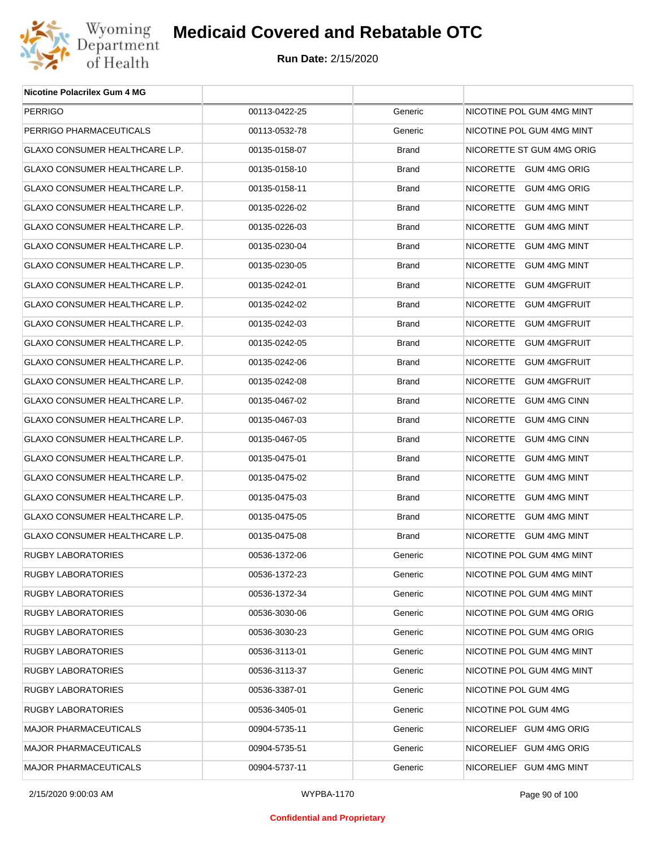

| <b>Nicotine Polacrilex Gum 4 MG</b>   |               |              |                           |
|---------------------------------------|---------------|--------------|---------------------------|
| <b>PERRIGO</b>                        | 00113-0422-25 | Generic      | NICOTINE POL GUM 4MG MINT |
| PERRIGO PHARMACEUTICALS               | 00113-0532-78 | Generic      | NICOTINE POL GUM 4MG MINT |
| GLAXO CONSUMER HEALTHCARE L.P.        | 00135-0158-07 | <b>Brand</b> | NICORETTE ST GUM 4MG ORIG |
| GLAXO CONSUMER HEALTHCARE L.P.        | 00135-0158-10 | <b>Brand</b> | NICORETTE GUM 4MG ORIG    |
| GLAXO CONSUMER HEALTHCARE L.P.        | 00135-0158-11 | <b>Brand</b> | NICORETTE GUM 4MG ORIG    |
| GLAXO CONSUMER HEALTHCARE L.P.        | 00135-0226-02 | <b>Brand</b> | NICORETTE GUM 4MG MINT    |
| GLAXO CONSUMER HEALTHCARE L.P.        | 00135-0226-03 | <b>Brand</b> | NICORETTE GUM 4MG MINT    |
| GLAXO CONSUMER HEALTHCARE L.P.        | 00135-0230-04 | <b>Brand</b> | NICORETTE GUM 4MG MINT    |
| GLAXO CONSUMER HEALTHCARE L.P.        | 00135-0230-05 | <b>Brand</b> | NICORETTE GUM 4MG MINT    |
| GLAXO CONSUMER HEALTHCARE L.P.        | 00135-0242-01 | <b>Brand</b> | NICORETTE GUM 4MGFRUIT    |
| GLAXO CONSUMER HEALTHCARE L.P.        | 00135-0242-02 | <b>Brand</b> | NICORETTE GUM 4MGFRUIT    |
| GLAXO CONSUMER HEALTHCARE L.P.        | 00135-0242-03 | <b>Brand</b> | NICORETTE GUM 4MGFRUIT    |
| GLAXO CONSUMER HEALTHCARE L.P.        | 00135-0242-05 | <b>Brand</b> | NICORETTE GUM 4MGFRUIT    |
| GLAXO CONSUMER HEALTHCARE L.P.        | 00135-0242-06 | <b>Brand</b> | NICORETTE GUM 4MGFRUIT    |
| GLAXO CONSUMER HEALTHCARE L.P.        | 00135-0242-08 | <b>Brand</b> | NICORETTE GUM 4MGFRUIT    |
| GLAXO CONSUMER HEALTHCARE L.P.        | 00135-0467-02 | <b>Brand</b> | NICORETTE GUM 4MG CINN    |
| GLAXO CONSUMER HEALTHCARE L.P.        | 00135-0467-03 | <b>Brand</b> | NICORETTE GUM 4MG CINN    |
| GLAXO CONSUMER HEALTHCARE L.P.        | 00135-0467-05 | <b>Brand</b> | NICORETTE GUM 4MG CINN    |
| GLAXO CONSUMER HEALTHCARE L.P.        | 00135-0475-01 | <b>Brand</b> | NICORETTE GUM 4MG MINT    |
| GLAXO CONSUMER HEALTHCARE L.P.        | 00135-0475-02 | <b>Brand</b> | NICORETTE GUM 4MG MINT    |
| GLAXO CONSUMER HEALTHCARE L.P.        | 00135-0475-03 | <b>Brand</b> | NICORETTE GUM 4MG MINT    |
| <b>GLAXO CONSUMER HEALTHCARE L.P.</b> | 00135-0475-05 | <b>Brand</b> | NICORETTE GUM 4MG MINT    |
| GLAXO CONSUMER HEALTHCARE L.P.        | 00135-0475-08 | <b>Brand</b> | NICORETTE GUM 4MG MINT    |
| RUGBY LABORATORIES                    | 00536-1372-06 | Generic      | NICOTINE POL GUM 4MG MINT |
| RUGBY LABORATORIES                    | 00536-1372-23 | Generic      | NICOTINE POL GUM 4MG MINT |
| RUGBY LABORATORIES                    | 00536-1372-34 | Generic      | NICOTINE POL GUM 4MG MINT |
| RUGBY LABORATORIES                    | 00536-3030-06 | Generic      | NICOTINE POL GUM 4MG ORIG |
| RUGBY LABORATORIES                    | 00536-3030-23 | Generic      | NICOTINE POL GUM 4MG ORIG |
| RUGBY LABORATORIES                    | 00536-3113-01 | Generic      | NICOTINE POL GUM 4MG MINT |
| RUGBY LABORATORIES                    | 00536-3113-37 | Generic      | NICOTINE POL GUM 4MG MINT |
| RUGBY LABORATORIES                    | 00536-3387-01 | Generic      | NICOTINE POL GUM 4MG      |
| RUGBY LABORATORIES                    | 00536-3405-01 | Generic      | NICOTINE POL GUM 4MG      |
| <b>MAJOR PHARMACEUTICALS</b>          | 00904-5735-11 | Generic      | NICORELIEF GUM 4MG ORIG   |
| <b>MAJOR PHARMACEUTICALS</b>          | 00904-5735-51 | Generic      | NICORELIEF GUM 4MG ORIG   |
| MAJOR PHARMACEUTICALS                 | 00904-5737-11 | Generic      | NICORELIEF GUM 4MG MINT   |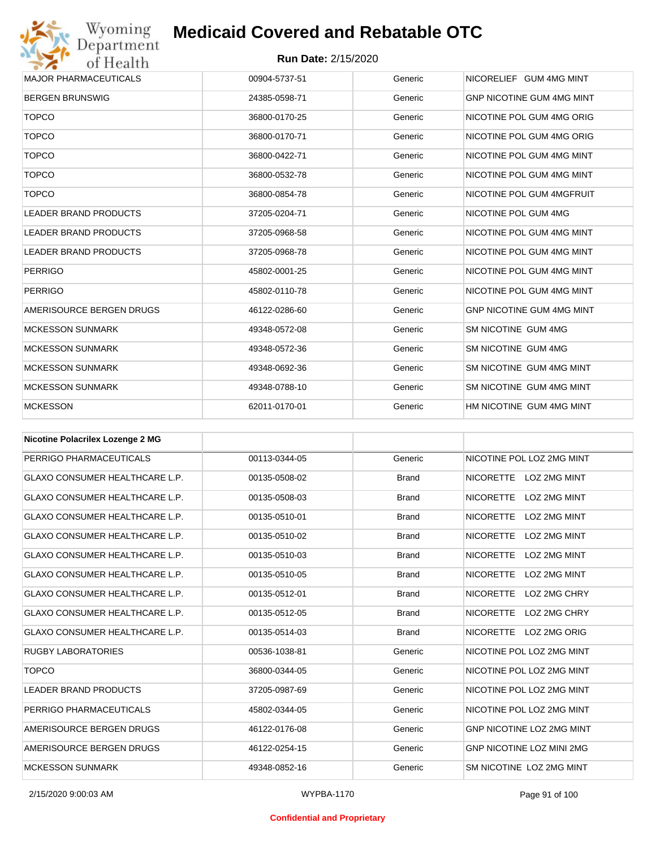

| <b>MAJOR PHARMACEUTICALS</b> | 00904-5737-51 | Generic | NICORELIEF GUM 4MG MINT          |
|------------------------------|---------------|---------|----------------------------------|
| <b>BERGEN BRUNSWIG</b>       | 24385-0598-71 | Generic | <b>GNP NICOTINE GUM 4MG MINT</b> |
| <b>TOPCO</b>                 | 36800-0170-25 | Generic | NICOTINE POL GUM 4MG ORIG        |
| <b>TOPCO</b>                 | 36800-0170-71 | Generic | NICOTINE POL GUM 4MG ORIG        |
| <b>TOPCO</b>                 | 36800-0422-71 | Generic | NICOTINE POL GUM 4MG MINT        |
| <b>TOPCO</b>                 | 36800-0532-78 | Generic | NICOTINE POL GUM 4MG MINT        |
| <b>TOPCO</b>                 | 36800-0854-78 | Generic | NICOTINE POL GUM 4MGFRUIT        |
| <b>LEADER BRAND PRODUCTS</b> | 37205-0204-71 | Generic | NICOTINE POL GUM 4MG             |
| <b>LEADER BRAND PRODUCTS</b> | 37205-0968-58 | Generic | NICOTINE POL GUM 4MG MINT        |
| <b>LEADER BRAND PRODUCTS</b> | 37205-0968-78 | Generic | NICOTINE POL GUM 4MG MINT        |
| <b>PERRIGO</b>               | 45802-0001-25 | Generic | NICOTINE POL GUM 4MG MINT        |
| <b>PERRIGO</b>               | 45802-0110-78 | Generic | NICOTINE POL GUM 4MG MINT        |
| AMERISOURCE BERGEN DRUGS     | 46122-0286-60 | Generic | <b>GNP NICOTINE GUM 4MG MINT</b> |
| <b>MCKESSON SUNMARK</b>      | 49348-0572-08 | Generic | SM NICOTINE GUM 4MG              |
| <b>MCKESSON SUNMARK</b>      | 49348-0572-36 | Generic | SM NICOTINE GUM 4MG              |
| <b>MCKESSON SUNMARK</b>      | 49348-0692-36 | Generic | SM NICOTINE GUM 4MG MINT         |
| <b>MCKESSON SUNMARK</b>      | 49348-0788-10 | Generic | SM NICOTINE GUM 4MG MINT         |
| <b>MCKESSON</b>              | 62011-0170-01 | Generic | HM NICOTINE GUM 4MG MINT         |

| <b>Nicotine Polacrilex Lozenge 2 MG</b> |               |              |                                         |
|-----------------------------------------|---------------|--------------|-----------------------------------------|
| PERRIGO PHARMACEUTICALS                 | 00113-0344-05 | Generic      | NICOTINE POL LOZ 2MG MINT               |
| <b>GLAXO CONSUMER HEALTHCARE L.P.</b>   | 00135-0508-02 | <b>Brand</b> | NICORETTE LOZ 2MG MINT                  |
| <b>GLAXO CONSUMER HEALTHCARE L.P.</b>   | 00135-0508-03 | <b>Brand</b> | LOZ 2MG MINT<br><b>NICORETTE</b>        |
| <b>GLAXO CONSUMER HEALTHCARE L.P.</b>   | 00135-0510-01 | <b>Brand</b> | <b>NICORETTE</b><br>LOZ 2MG MINT        |
| <b>GLAXO CONSUMER HEALTHCARE L.P.</b>   | 00135-0510-02 | <b>Brand</b> | <b>NICORETTE</b><br><b>LOZ 2MG MINT</b> |
| <b>GLAXO CONSUMER HEALTHCARE L.P.</b>   | 00135-0510-03 | <b>Brand</b> | <b>NICORETTE</b><br>LOZ 2MG MINT        |
| <b>GLAXO CONSUMER HEALTHCARE L.P.</b>   | 00135-0510-05 | <b>Brand</b> | <b>NICORETTE</b><br>LOZ 2MG MINT        |
| <b>GLAXO CONSUMER HEALTHCARE L.P.</b>   | 00135-0512-01 | <b>Brand</b> | <b>NICORETTE</b><br>LOZ 2MG CHRY        |
| <b>GLAXO CONSUMER HEALTHCARE L.P.</b>   | 00135-0512-05 | <b>Brand</b> | <b>NICORETTE</b><br>LOZ 2MG CHRY        |
| <b>GLAXO CONSUMER HEALTHCARE L.P.</b>   | 00135-0514-03 | <b>Brand</b> | NICORETTE LOZ 2MG ORIG                  |
| <b>RUGBY LABORATORIES</b>               | 00536-1038-81 | Generic      | NICOTINE POL LOZ 2MG MINT               |
| <b>TOPCO</b>                            | 36800-0344-05 | Generic      | NICOTINE POL LOZ 2MG MINT               |
| <b>LEADER BRAND PRODUCTS</b>            | 37205-0987-69 | Generic      | NICOTINE POL LOZ 2MG MINT               |
| PERRIGO PHARMACEUTICALS                 | 45802-0344-05 | Generic      | NICOTINE POL LOZ 2MG MINT               |
| AMERISOURCE BERGEN DRUGS                | 46122-0176-08 | Generic      | <b>GNP NICOTINE LOZ 2MG MINT</b>        |
| AMERISOURCE BERGEN DRUGS                | 46122-0254-15 | Generic      | <b>GNP NICOTINE LOZ MINI 2MG</b>        |
| <b>MCKESSON SUNMARK</b>                 | 49348-0852-16 | Generic      | SM NICOTINE LOZ 2MG MINT                |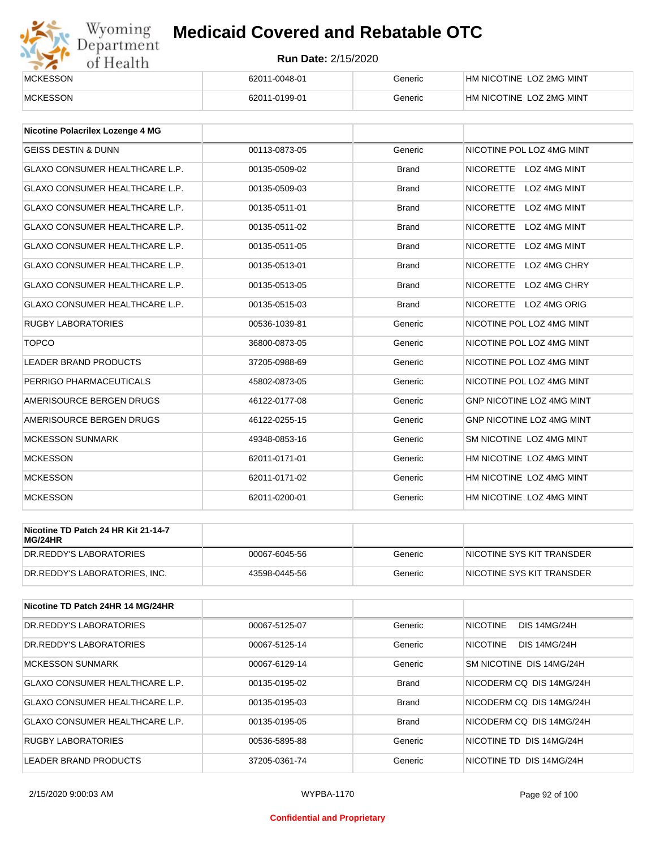# Wyoming<br>Department<br>of Health

# **Medicaid Covered and Rebatable OTC**

| <b>MCKESSON</b> | 62011-0048-01 | Generic | HM NICOTINE LOZ 2MG MINT |
|-----------------|---------------|---------|--------------------------|
| <b>MCKESSON</b> | 62011-0199-01 | Generic | HM NICOTINE LOZ 2MG MINT |

| <b>Nicotine Polacrilex Lozenge 4 MG</b> |               |              |                                         |
|-----------------------------------------|---------------|--------------|-----------------------------------------|
| <b>GEISS DESTIN &amp; DUNN</b>          | 00113-0873-05 | Generic      | NICOTINE POL LOZ 4MG MINT               |
| <b>GLAXO CONSUMER HEALTHCARE L.P.</b>   | 00135-0509-02 | <b>Brand</b> | NICORETTE LOZ 4MG MINT                  |
| <b>GLAXO CONSUMER HEALTHCARE L.P.</b>   | 00135-0509-03 | <b>Brand</b> | <b>NICORETTE</b><br>LOZ 4MG MINT        |
| <b>GLAXO CONSUMER HEALTHCARE L.P.</b>   | 00135-0511-01 | <b>Brand</b> | <b>NICORETTE</b><br><b>LOZ 4MG MINT</b> |
| <b>GLAXO CONSUMER HEALTHCARE L.P.</b>   | 00135-0511-02 | <b>Brand</b> | <b>NICORETTE</b><br>LOZ 4MG MINT        |
| <b>GLAXO CONSUMER HEALTHCARE L.P.</b>   | 00135-0511-05 | <b>Brand</b> | <b>NICORETTE</b><br><b>LOZ 4MG MINT</b> |
| <b>GLAXO CONSUMER HEALTHCARE L.P.</b>   | 00135-0513-01 | <b>Brand</b> | <b>NICORETTE</b><br>LOZ 4MG CHRY        |
| <b>GLAXO CONSUMER HEALTHCARE L.P.</b>   | 00135-0513-05 | <b>Brand</b> | <b>NICORETTE</b><br>LOZ 4MG CHRY        |
| <b>GLAXO CONSUMER HEALTHCARE L.P.</b>   | 00135-0515-03 | <b>Brand</b> | NICORETTE LOZ 4MG ORIG                  |
| <b>RUGBY LABORATORIES</b>               | 00536-1039-81 | Generic      | NICOTINE POL LOZ 4MG MINT               |
| <b>TOPCO</b>                            | 36800-0873-05 | Generic      | NICOTINE POL LOZ 4MG MINT               |
| <b>LEADER BRAND PRODUCTS</b>            | 37205-0988-69 | Generic      | NICOTINE POL LOZ 4MG MINT               |
| PERRIGO PHARMACEUTICALS                 | 45802-0873-05 | Generic      | NICOTINE POL LOZ 4MG MINT               |
| AMERISOURCE BERGEN DRUGS                | 46122-0177-08 | Generic      | GNP NICOTINE LOZ 4MG MINT               |
| AMERISOURCE BERGEN DRUGS                | 46122-0255-15 | Generic      | GNP NICOTINE LOZ 4MG MINT               |
| <b>MCKESSON SUNMARK</b>                 | 49348-0853-16 | Generic      | SM NICOTINE LOZ 4MG MINT                |
| <b>MCKESSON</b>                         | 62011-0171-01 | Generic      | HM NICOTINE LOZ 4MG MINT                |
| <b>MCKESSON</b>                         | 62011-0171-02 | Generic      | HM NICOTINE LOZ 4MG MINT                |
| <b>MCKESSON</b>                         | 62011-0200-01 | Generic      | HM NICOTINE LOZ 4MG MINT                |

| Nicotine TD Patch 24 HR Kit 21-14-7<br>MG/24HR |               |         |                            |
|------------------------------------------------|---------------|---------|----------------------------|
| IDR.REDDY'S LABORATORIES                       | 00067-6045-56 | Generic | INICOTINE SYS KIT TRANSDER |
| DR.REDDY'S LABORATORIES. INC.                  | 43598-0445-56 | Generic | INICOTINE SYS KIT TRANSDER |

| Nicotine TD Patch 24HR 14 MG/24HR     |               |              |                                        |
|---------------------------------------|---------------|--------------|----------------------------------------|
| DR. REDDY'S LABORATORIES              | 00067-5125-07 | Generic      | <b>NICOTINE</b><br><b>DIS 14MG/24H</b> |
| DR. REDDY'S LABORATORIES              | 00067-5125-14 | Generic      | <b>NICOTINE</b><br><b>DIS 14MG/24H</b> |
| <b>MCKESSON SUNMARK</b>               | 00067-6129-14 | Generic      | SM NICOTINE DIS 14MG/24H               |
| <b>GLAXO CONSUMER HEALTHCARE L.P.</b> | 00135-0195-02 | <b>Brand</b> | NICODERM CO DIS 14MG/24H               |
| <b>GLAXO CONSUMER HEALTHCARE L.P.</b> | 00135-0195-03 | <b>Brand</b> | NICODERM CO DIS 14MG/24H               |
| <b>GLAXO CONSUMER HEALTHCARE L.P.</b> | 00135-0195-05 | <b>Brand</b> | NICODERM CO DIS 14MG/24H               |
| RUGBY LABORATORIES                    | 00536-5895-88 | Generic      | NICOTINE TD DIS 14MG/24H               |
| <b>LEADER BRAND PRODUCTS</b>          | 37205-0361-74 | Generic      | NICOTINE TD DIS 14MG/24H               |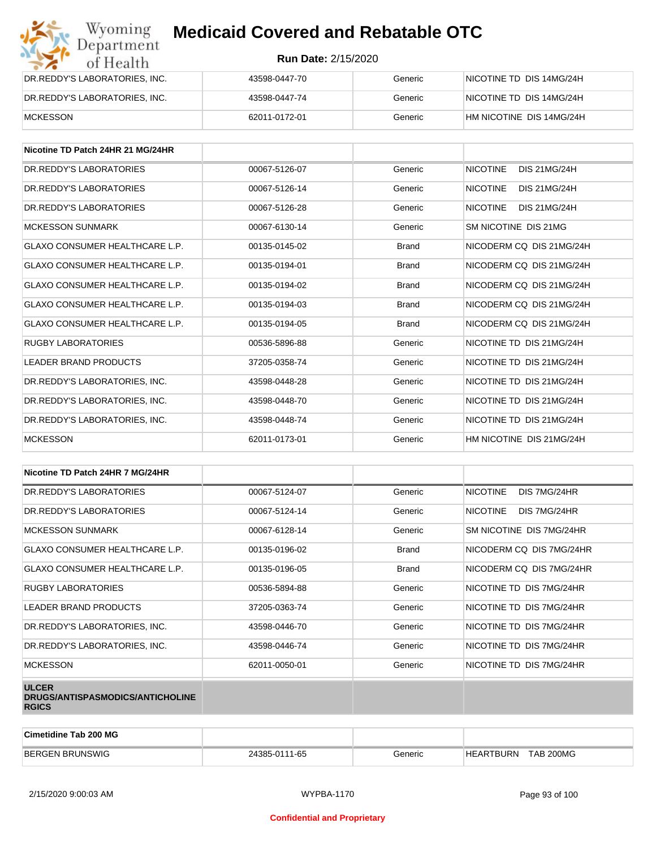| Wyoming<br>Department         | <b>Medicaid Covered and Rebatable OTC</b> |         |                          |  |  |
|-------------------------------|-------------------------------------------|---------|--------------------------|--|--|
| of Health                     | <b>Run Date: 2/15/2020</b>                |         |                          |  |  |
| DR.REDDY'S LABORATORIES, INC. | 43598-0447-70                             | Generic | NICOTINE TD DIS 14MG/24H |  |  |
| DR.REDDY'S LABORATORIES, INC. | 43598-0447-74                             | Generic | NICOTINE TD DIS 14MG/24H |  |  |
| <b>MCKESSON</b>               | 62011-0172-01                             | Generic | HM NICOTINE DIS 14MG/24H |  |  |

| Nicotine TD Patch 24HR 21 MG/24HR     |               |              |                                        |
|---------------------------------------|---------------|--------------|----------------------------------------|
| DR. REDDY'S LABORATORIES              | 00067-5126-07 | Generic      | <b>NICOTINE</b><br><b>DIS 21MG/24H</b> |
| DR.REDDY'S LABORATORIES               | 00067-5126-14 | Generic      | <b>NICOTINE</b><br><b>DIS 21MG/24H</b> |
| DR.REDDY'S LABORATORIES               | 00067-5126-28 | Generic      | <b>NICOTINE</b><br><b>DIS 21MG/24H</b> |
| <b>MCKESSON SUNMARK</b>               | 00067-6130-14 | Generic      | SM NICOTINE DIS 21MG                   |
| <b>GLAXO CONSUMER HEALTHCARE L.P.</b> | 00135-0145-02 | <b>Brand</b> | NICODERM CO DIS 21MG/24H               |
| <b>GLAXO CONSUMER HEALTHCARE L.P.</b> | 00135-0194-01 | <b>Brand</b> | NICODERM CO DIS 21MG/24H               |
| <b>GLAXO CONSUMER HEALTHCARE L.P.</b> | 00135-0194-02 | <b>Brand</b> | NICODERM CO DIS 21MG/24H               |
| <b>GLAXO CONSUMER HEALTHCARE L.P.</b> | 00135-0194-03 | <b>Brand</b> | NICODERM CO DIS 21MG/24H               |
| <b>GLAXO CONSUMER HEALTHCARE L.P.</b> | 00135-0194-05 | <b>Brand</b> | NICODERM CO DIS 21MG/24H               |
| <b>RUGBY LABORATORIES</b>             | 00536-5896-88 | Generic      | NICOTINE TD DIS 21MG/24H               |
| LEADER BRAND PRODUCTS                 | 37205-0358-74 | Generic      | NICOTINE TD DIS 21MG/24H               |
| DR.REDDY'S LABORATORIES, INC.         | 43598-0448-28 | Generic      | NICOTINE TD DIS 21MG/24H               |
| DR.REDDY'S LABORATORIES, INC.         | 43598-0448-70 | Generic      | NICOTINE TD DIS 21MG/24H               |
| DR.REDDY'S LABORATORIES, INC.         | 43598-0448-74 | Generic      | NICOTINE TD DIS 21MG/24H               |
| <b>MCKESSON</b>                       | 62011-0173-01 | Generic      | HM NICOTINE DIS 21MG/24H               |

| Nicotine TD Patch 24HR 7 MG/24HR                                 |               |              |                                 |
|------------------------------------------------------------------|---------------|--------------|---------------------------------|
| DR. REDDY'S LABORATORIES                                         | 00067-5124-07 | Generic      | DIS 7MG/24HR<br><b>NICOTINE</b> |
| DR. REDDY'S LABORATORIES                                         | 00067-5124-14 | Generic      | <b>NICOTINE</b><br>DIS 7MG/24HR |
| <b>MCKESSON SUNMARK</b>                                          | 00067-6128-14 | Generic      | SM NICOTINE DIS 7MG/24HR        |
| <b>GLAXO CONSUMER HEALTHCARE L.P.</b>                            | 00135-0196-02 | <b>Brand</b> | NICODERM CQ DIS 7MG/24HR        |
| GLAXO CONSUMER HEALTHCARE L.P.                                   | 00135-0196-05 | <b>Brand</b> | NICODERM CO DIS 7MG/24HR        |
| <b>RUGBY LABORATORIES</b>                                        | 00536-5894-88 | Generic      | NICOTINE TD DIS 7MG/24HR        |
| LEADER BRAND PRODUCTS                                            | 37205-0363-74 | Generic      | NICOTINE TD DIS 7MG/24HR        |
| DR.REDDY'S LABORATORIES, INC.                                    | 43598-0446-70 | Generic      | NICOTINE TD DIS 7MG/24HR        |
| DR.REDDY'S LABORATORIES, INC.                                    | 43598-0446-74 | Generic      | NICOTINE TD DIS 7MG/24HR        |
| <b>MCKESSON</b>                                                  | 62011-0050-01 | Generic      | NICOTINE TD DIS 7MG/24HR        |
| <b>ULCER</b><br>DRUGS/ANTISPASMODICS/ANTICHOLINE<br><b>RGICS</b> |               |              |                                 |

| <b>Cimetidine Tab 200 MG</b> |               |         |                                    |  |
|------------------------------|---------------|---------|------------------------------------|--|
| <b>BERGEN</b><br>! BRUNSWIG  | 24385-0111-65 | ∃eneric | <b>TAB 200MG</b><br>:ARTBURN<br>HE |  |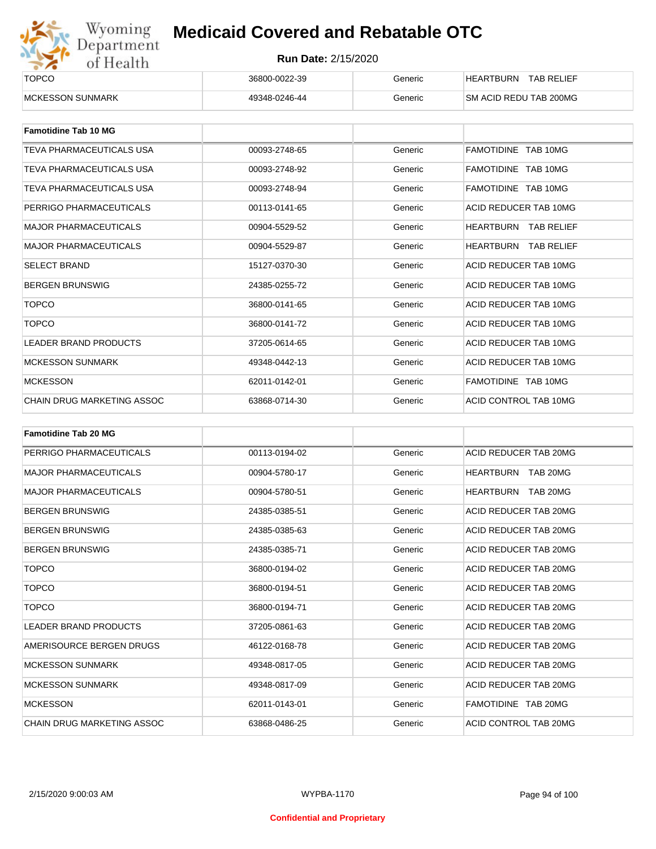

| <b>TOPCO</b>             | 36800-0022-39 | Generic | <b>TAB RELIEF</b><br><b>HEARTBURN</b> |  |
|--------------------------|---------------|---------|---------------------------------------|--|
| <b>IMCKESSON SUNMARK</b> | 49348-0246-44 | Generic | SM ACID REDU TAB 200MG                |  |

| <b>Famotidine Tab 10 MG</b>  |               |         |                             |
|------------------------------|---------------|---------|-----------------------------|
| TEVA PHARMACEUTICALS USA     | 00093-2748-65 | Generic | FAMOTIDINE TAB 10MG         |
| TEVA PHARMACEUTICALS USA     | 00093-2748-92 | Generic | FAMOTIDINE TAB 10MG         |
| TEVA PHARMACEUTICALS USA     | 00093-2748-94 | Generic | FAMOTIDINE TAB 10MG         |
| PERRIGO PHARMACEUTICALS      | 00113-0141-65 | Generic | ACID REDUCER TAB 10MG       |
| <b>MAJOR PHARMACEUTICALS</b> | 00904-5529-52 | Generic | <b>HEARTBURN TAB RELIEF</b> |
| <b>MAJOR PHARMACEUTICALS</b> | 00904-5529-87 | Generic | <b>HEARTBURN TAB RELIEF</b> |
| <b>SELECT BRAND</b>          | 15127-0370-30 | Generic | ACID REDUCER TAB 10MG       |
| <b>BERGEN BRUNSWIG</b>       | 24385-0255-72 | Generic | ACID REDUCER TAB 10MG       |
| <b>TOPCO</b>                 | 36800-0141-65 | Generic | ACID REDUCER TAB 10MG       |
| <b>TOPCO</b>                 | 36800-0141-72 | Generic | ACID REDUCER TAB 10MG       |
| <b>LEADER BRAND PRODUCTS</b> | 37205-0614-65 | Generic | ACID REDUCER TAB 10MG       |
| <b>MCKESSON SUNMARK</b>      | 49348-0442-13 | Generic | ACID REDUCER TAB 10MG       |
| <b>MCKESSON</b>              | 62011-0142-01 | Generic | FAMOTIDINE TAB 10MG         |
| CHAIN DRUG MARKETING ASSOC   | 63868-0714-30 | Generic | ACID CONTROL TAB 10MG       |

| <b>Famotidine Tab 20 MG</b>       |               |         |                       |
|-----------------------------------|---------------|---------|-----------------------|
| PERRIGO PHARMACEUTICALS           | 00113-0194-02 | Generic | ACID REDUCER TAB 20MG |
| <b>MAJOR PHARMACEUTICALS</b>      | 00904-5780-17 | Generic | HEARTBURN<br>TAB 20MG |
| <b>MAJOR PHARMACEUTICALS</b>      | 00904-5780-51 | Generic | HEARTBURN<br>TAB 20MG |
| <b>BERGEN BRUNSWIG</b>            | 24385-0385-51 | Generic | ACID REDUCER TAB 20MG |
| <b>BERGEN BRUNSWIG</b>            | 24385-0385-63 | Generic | ACID REDUCER TAB 20MG |
| <b>BERGEN BRUNSWIG</b>            | 24385-0385-71 | Generic | ACID REDUCER TAB 20MG |
| <b>TOPCO</b>                      | 36800-0194-02 | Generic | ACID REDUCER TAB 20MG |
| <b>TOPCO</b>                      | 36800-0194-51 | Generic | ACID REDUCER TAB 20MG |
| <b>TOPCO</b>                      | 36800-0194-71 | Generic | ACID REDUCER TAB 20MG |
| <b>LEADER BRAND PRODUCTS</b>      | 37205-0861-63 | Generic | ACID REDUCER TAB 20MG |
| AMERISOURCE BERGEN DRUGS          | 46122-0168-78 | Generic | ACID REDUCER TAB 20MG |
| <b>MCKESSON SUNMARK</b>           | 49348-0817-05 | Generic | ACID REDUCER TAB 20MG |
| <b>MCKESSON SUNMARK</b>           | 49348-0817-09 | Generic | ACID REDUCER TAB 20MG |
| <b>MCKESSON</b>                   | 62011-0143-01 | Generic | FAMOTIDINE TAB 20MG   |
| <b>CHAIN DRUG MARKETING ASSOC</b> | 63868-0486-25 | Generic | ACID CONTROL TAB 20MG |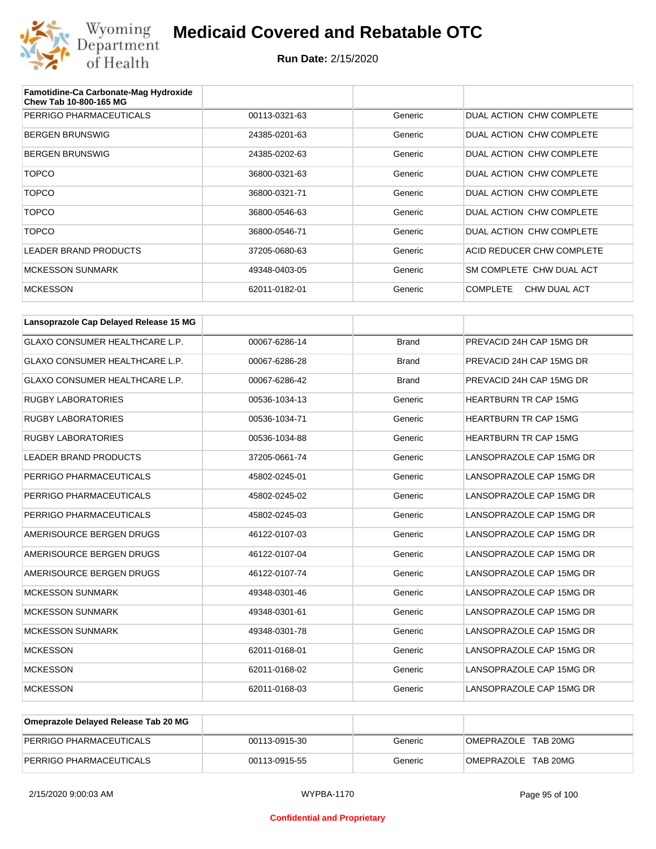

| Famotidine-Ca Carbonate-Mag Hydroxide<br>Chew Tab 10-800-165 MG |               |         |                                 |
|-----------------------------------------------------------------|---------------|---------|---------------------------------|
| PERRIGO PHARMACEUTICALS                                         | 00113-0321-63 | Generic | DUAL ACTION CHW COMPLETE        |
| <b>BERGEN BRUNSWIG</b>                                          | 24385-0201-63 | Generic | DUAL ACTION CHW COMPLETE        |
| <b>BERGEN BRUNSWIG</b>                                          | 24385-0202-63 | Generic | DUAL ACTION CHW COMPLETE        |
| <b>TOPCO</b>                                                    | 36800-0321-63 | Generic | DUAL ACTION CHW COMPLETE        |
| <b>TOPCO</b>                                                    | 36800-0321-71 | Generic | DUAL ACTION CHW COMPLETE        |
| <b>TOPCO</b>                                                    | 36800-0546-63 | Generic | DUAL ACTION CHW COMPLETE        |
| <b>TOPCO</b>                                                    | 36800-0546-71 | Generic | DUAL ACTION CHW COMPLETE        |
| LEADER BRAND PRODUCTS                                           | 37205-0680-63 | Generic | ACID REDUCER CHW COMPLETE       |
| <b>MCKESSON SUNMARK</b>                                         | 49348-0403-05 | Generic | SM COMPLETE CHW DUAL ACT        |
| <b>MCKESSON</b>                                                 | 62011-0182-01 | Generic | <b>COMPLETE</b><br>CHW DUAL ACT |

| Lansoprazole Cap Delayed Release 15 MG |               |              |                              |
|----------------------------------------|---------------|--------------|------------------------------|
| <b>GLAXO CONSUMER HEALTHCARE L.P.</b>  | 00067-6286-14 | <b>Brand</b> | PREVACID 24H CAP 15MG DR     |
| GLAXO CONSUMER HEALTHCARE L.P.         | 00067-6286-28 | <b>Brand</b> | PREVACID 24H CAP 15MG DR     |
| <b>GLAXO CONSUMER HEALTHCARE L.P.</b>  | 00067-6286-42 | <b>Brand</b> | PREVACID 24H CAP 15MG DR     |
| <b>RUGBY LABORATORIES</b>              | 00536-1034-13 | Generic      | <b>HEARTBURN TR CAP 15MG</b> |
| <b>RUGBY LABORATORIES</b>              | 00536-1034-71 | Generic      | <b>HEARTBURN TR CAP 15MG</b> |
| <b>RUGBY LABORATORIES</b>              | 00536-1034-88 | Generic      | <b>HEARTBURN TR CAP 15MG</b> |
| <b>LEADER BRAND PRODUCTS</b>           | 37205-0661-74 | Generic      | LANSOPRAZOLE CAP 15MG DR     |
| PERRIGO PHARMACEUTICALS                | 45802-0245-01 | Generic      | LANSOPRAZOLE CAP 15MG DR     |
| PERRIGO PHARMACEUTICALS                | 45802-0245-02 | Generic      | LANSOPRAZOLE CAP 15MG DR     |
| PERRIGO PHARMACEUTICALS                | 45802-0245-03 | Generic      | LANSOPRAZOLE CAP 15MG DR     |
| AMERISOURCE BERGEN DRUGS               | 46122-0107-03 | Generic      | LANSOPRAZOLE CAP 15MG DR     |
| AMERISOURCE BERGEN DRUGS               | 46122-0107-04 | Generic      | LANSOPRAZOLE CAP 15MG DR     |
| AMERISOURCE BERGEN DRUGS               | 46122-0107-74 | Generic      | LANSOPRAZOLE CAP 15MG DR     |
| <b>MCKESSON SUNMARK</b>                | 49348-0301-46 | Generic      | LANSOPRAZOLE CAP 15MG DR     |
| <b>MCKESSON SUNMARK</b>                | 49348-0301-61 | Generic      | LANSOPRAZOLE CAP 15MG DR     |
| <b>MCKESSON SUNMARK</b>                | 49348-0301-78 | Generic      | LANSOPRAZOLE CAP 15MG DR     |
| <b>MCKESSON</b>                        | 62011-0168-01 | Generic      | LANSOPRAZOLE CAP 15MG DR     |
| <b>MCKESSON</b>                        | 62011-0168-02 | Generic      | LANSOPRAZOLE CAP 15MG DR     |
| <b>MCKESSON</b>                        | 62011-0168-03 | Generic      | LANSOPRAZOLE CAP 15MG DR     |

| Omeprazole Delayed Release Tab 20 MG |               |         |                     |
|--------------------------------------|---------------|---------|---------------------|
| PERRIGO PHARMACEUTICALS              | 00113-0915-30 | Generic | OMEPRAZOLE TAB 20MG |
| PERRIGO PHARMACEUTICALS              | 00113-0915-55 | Generic | OMEPRAZOLE TAB 20MG |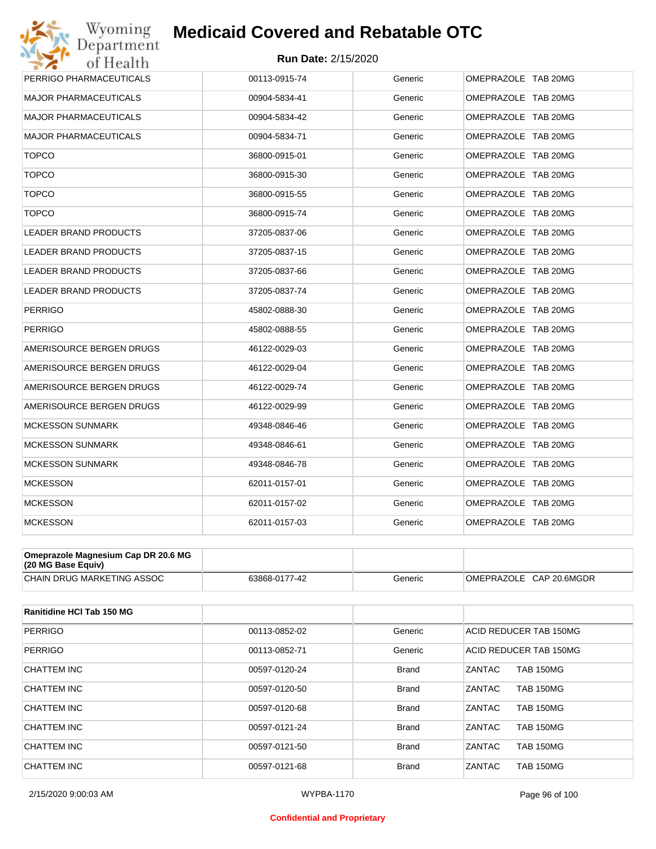

| Wyoming                             | <b>Medicaid Covered and Rebatable OTC</b> |         |                     |
|-------------------------------------|-------------------------------------------|---------|---------------------|
| Department<br>of Health             | <b>Run Date: 2/15/2020</b>                |         |                     |
| PERRIGO PHARMACEUTICALS             | 00113-0915-74                             | Generic | OMEPRAZOLE TAB 20MG |
| MAJOR PHARMACEUTICALS               | 00904-5834-41                             | Generic | OMEPRAZOLE TAB 20MG |
| <b>MAJOR PHARMACEUTICALS</b>        | 00904-5834-42                             | Generic | OMEPRAZOLE TAB 20MG |
| <b>MAJOR PHARMACEUTICALS</b>        | 00904-5834-71                             | Generic | OMEPRAZOLE TAB 20MG |
| <b>TOPCO</b>                        | 36800-0915-01                             | Generic | OMEPRAZOLE TAB 20MG |
| <b>TOPCO</b>                        | 36800-0915-30                             | Generic | OMEPRAZOLE TAB 20MG |
| <b>TOPCO</b>                        | 36800-0915-55                             | Generic | OMEPRAZOLE TAB 20MG |
| <b>TOPCO</b>                        | 36800-0915-74                             | Generic | OMEPRAZOLE TAB 20MG |
| <b>LEADER BRAND PRODUCTS</b>        | 37205-0837-06                             | Generic | OMEPRAZOLE TAB 20MG |
| LEADER BRAND PRODUCTS               | 37205-0837-15                             | Generic | OMEPRAZOLE TAB 20MG |
| LEADER BRAND PRODUCTS               | 37205-0837-66                             | Generic | OMEPRAZOLE TAB 20MG |
| LEADER BRAND PRODUCTS               | 37205-0837-74                             | Generic | OMEPRAZOLE TAB 20MG |
| <b>PERRIGO</b>                      | 45802-0888-30                             | Generic | OMEPRAZOLE TAB 20MG |
| <b>PERRIGO</b>                      | 45802-0888-55                             | Generic | OMEPRAZOLE TAB 20MG |
| AMERISOURCE BERGEN DRUGS            | 46122-0029-03                             | Generic | OMEPRAZOLE TAB 20MG |
| AMERISOURCE BERGEN DRUGS            | 46122-0029-04                             | Generic | OMEPRAZOLE TAB 20MG |
| AMERISOURCE BERGEN DRUGS            | 46122-0029-74                             | Generic | OMEPRAZOLE TAB 20MG |
| AMERISOURCE BERGEN DRUGS            | 46122-0029-99                             | Generic | OMEPRAZOLE TAB 20MG |
| <b>MCKESSON SUNMARK</b>             | 49348-0846-46                             | Generic | OMEPRAZOLE TAB 20MG |
| <b>MCKESSON SUNMARK</b>             | 49348-0846-61                             | Generic | OMEPRAZOLE TAB 20MG |
| <b>MCKESSON SUNMARK</b>             | 49348-0846-78                             | Generic | OMEPRAZOLE TAB 20MG |
| <b>MCKESSON</b>                     | 62011-0157-01                             | Generic | OMEPRAZOLE TAB 20MG |
| <b>MCKESSON</b>                     | 62011-0157-02                             | Generic | OMEPRAZOLE TAB 20MG |
| <b>MCKESSON</b>                     | 62011-0157-03                             | Generic | OMEPRAZOLE TAB 20MG |
| Omeprazole Magnesium Cap DR 20.6 MG |                                           |         |                     |

| $(20 \text{ MG Base}$ Equiv)      |               |         |                            |
|-----------------------------------|---------------|---------|----------------------------|
| <b>CHAIN DRUG MARKETING ASSOC</b> | 63868-0177-42 | Generic | OMEPRAZOLE<br>CAP 20.6MGDR |

| Ranitidine HCI Tab 150 MG |               |              |                                   |
|---------------------------|---------------|--------------|-----------------------------------|
| <b>PERRIGO</b>            | 00113-0852-02 | Generic      | ACID REDUCER TAB 150MG            |
| <b>PERRIGO</b>            | 00113-0852-71 | Generic      | ACID REDUCER TAB 150MG            |
| CHATTEM INC               | 00597-0120-24 | <b>Brand</b> | <b>TAB 150MG</b><br>ZANTAC        |
| <b>CHATTEM INC</b>        | 00597-0120-50 | <b>Brand</b> | ZANTAC<br><b>TAB 150MG</b>        |
| CHATTEM INC               | 00597-0120-68 | <b>Brand</b> | ZANTAC<br><b>TAB 150MG</b>        |
| CHATTEM INC               | 00597-0121-24 | <b>Brand</b> | ZANTAC<br><b>TAB 150MG</b>        |
| CHATTEM INC               | 00597-0121-50 | <b>Brand</b> | <b>ZANTAC</b><br><b>TAB 150MG</b> |
| CHATTEM INC               | 00597-0121-68 | <b>Brand</b> | ZANTAC<br><b>TAB 150MG</b>        |

#### **Confidential and Proprietary**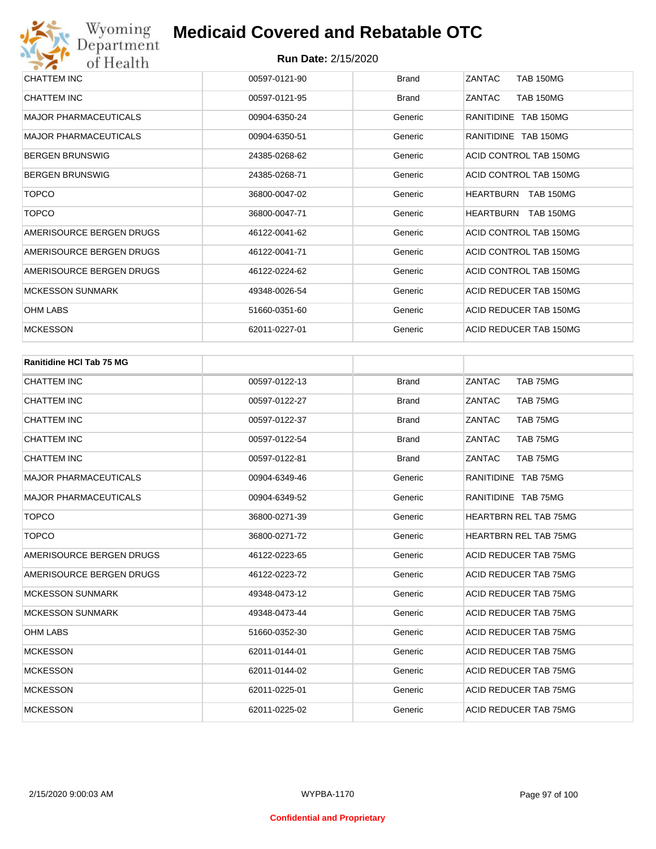| CHATTEM INC                  | 00597-0121-90 | <b>Brand</b> | ZANTAC<br><b>TAB 150MG</b>        |
|------------------------------|---------------|--------------|-----------------------------------|
| <b>CHATTEM INC</b>           | 00597-0121-95 | <b>Brand</b> | <b>TAB 150MG</b><br><b>ZANTAC</b> |
| <b>MAJOR PHARMACEUTICALS</b> | 00904-6350-24 | Generic      | RANITIDINE TAB 150MG              |
| <b>MAJOR PHARMACEUTICALS</b> | 00904-6350-51 | Generic      | RANITIDINE TAB 150MG              |
| <b>BERGEN BRUNSWIG</b>       | 24385-0268-62 | Generic      | ACID CONTROL TAB 150MG            |
| <b>BERGEN BRUNSWIG</b>       | 24385-0268-71 | Generic      | ACID CONTROL TAB 150MG            |
| <b>TOPCO</b>                 | 36800-0047-02 | Generic      | HEARTBURN<br><b>TAB 150MG</b>     |
| <b>TOPCO</b>                 | 36800-0047-71 | Generic      | HEARTBURN<br><b>TAB 150MG</b>     |
| AMERISOURCE BERGEN DRUGS     | 46122-0041-62 | Generic      | ACID CONTROL TAB 150MG            |
| AMERISOURCE BERGEN DRUGS     | 46122-0041-71 | Generic      | ACID CONTROL TAB 150MG            |
| AMERISOURCE BERGEN DRUGS     | 46122-0224-62 | Generic      | ACID CONTROL TAB 150MG            |
| <b>MCKESSON SUNMARK</b>      | 49348-0026-54 | Generic      | ACID REDUCER TAB 150MG            |
| <b>OHM LABS</b>              | 51660-0351-60 | Generic      | ACID REDUCER TAB 150MG            |
| <b>MCKESSON</b>              | 62011-0227-01 | Generic      | ACID REDUCER TAB 150MG            |

| <b>Ranitidine HCI Tab 75 MG</b> |               |              |                              |
|---------------------------------|---------------|--------------|------------------------------|
| <b>CHATTEM INC</b>              | 00597-0122-13 | <b>Brand</b> | TAB 75MG<br>ZANTAC           |
| <b>CHATTEM INC</b>              | 00597-0122-27 | <b>Brand</b> | ZANTAC<br>TAB 75MG           |
| <b>CHATTEM INC</b>              | 00597-0122-37 | <b>Brand</b> | ZANTAC<br>TAB 75MG           |
| <b>CHATTEM INC</b>              | 00597-0122-54 | <b>Brand</b> | ZANTAC<br>TAB 75MG           |
| <b>CHATTEM INC</b>              | 00597-0122-81 | <b>Brand</b> | ZANTAC<br>TAB 75MG           |
| <b>MAJOR PHARMACEUTICALS</b>    | 00904-6349-46 | Generic      | RANITIDINE TAB 75MG          |
| <b>MAJOR PHARMACEUTICALS</b>    | 00904-6349-52 | Generic      | RANITIDINE TAB 75MG          |
| <b>TOPCO</b>                    | 36800-0271-39 | Generic      | <b>HEARTBRN REL TAB 75MG</b> |
| <b>TOPCO</b>                    | 36800-0271-72 | Generic      | <b>HEARTBRN REL TAB 75MG</b> |
| AMERISOURCE BERGEN DRUGS        | 46122-0223-65 | Generic      | ACID REDUCER TAB 75MG        |
| AMERISOURCE BERGEN DRUGS        | 46122-0223-72 | Generic      | ACID REDUCER TAB 75MG        |
| <b>MCKESSON SUNMARK</b>         | 49348-0473-12 | Generic      | ACID REDUCER TAB 75MG        |
| <b>MCKESSON SUNMARK</b>         | 49348-0473-44 | Generic      | ACID REDUCER TAB 75MG        |
| <b>OHM LABS</b>                 | 51660-0352-30 | Generic      | ACID REDUCER TAB 75MG        |
| <b>MCKESSON</b>                 | 62011-0144-01 | Generic      | ACID REDUCER TAB 75MG        |
| <b>MCKESSON</b>                 | 62011-0144-02 | Generic      | ACID REDUCER TAB 75MG        |
| <b>MCKESSON</b>                 | 62011-0225-01 | Generic      | ACID REDUCER TAB 75MG        |
| <b>MCKESSON</b>                 | 62011-0225-02 | Generic      | ACID REDUCER TAB 75MG        |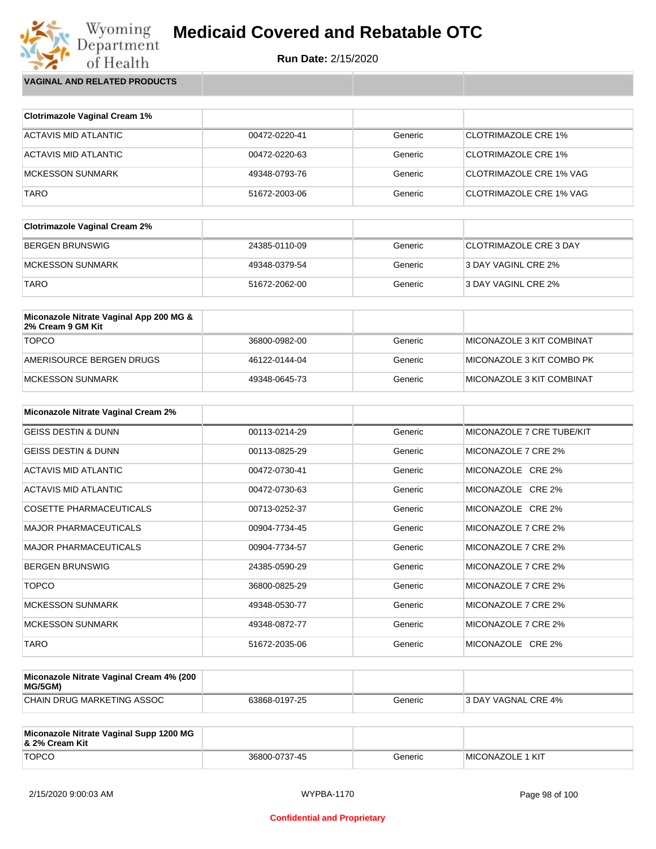**Run Date:** 2/15/2020

Wyoming<br>Department<br>of Health **VAGINAL AND RELATED PRODUCTS**

| <b>Clotrimazole Vaginal Cream 1%</b> |               |         |                                |
|--------------------------------------|---------------|---------|--------------------------------|
| ACTAVIS MID ATLANTIC                 | 00472-0220-41 | Generic | <b>CLOTRIMAZOLE CRE 1%</b>     |
| ACTAVIS MID ATLANTIC                 | 00472-0220-63 | Generic | <b>CLOTRIMAZOLE CRE 1%</b>     |
| MCKESSON SUNMARK                     | 49348-0793-76 | Generic | CLOTRIMAZOLE CRE 1% VAG        |
| TARO                                 | 51672-2003-06 | Generic | <b>CLOTRIMAZOLE CRE 1% VAG</b> |

| <b>Clotrimazole Vaginal Cream 2%</b> |               |         |                        |
|--------------------------------------|---------------|---------|------------------------|
| <b>BERGEN BRUNSWIG</b>               | 24385-0110-09 | Generic | CLOTRIMAZOLE CRE 3 DAY |
| MCKESSON SUNMARK                     | 49348-0379-54 | Generic | 3 DAY VAGINL CRE 2%    |
| <b>TARO</b>                          | 51672-2062-00 | Generic | 3 DAY VAGINL CRE 2%    |

| Miconazole Nitrate Vaginal App 200 MG &<br>2% Cream 9 GM Kit |               |         |                           |
|--------------------------------------------------------------|---------------|---------|---------------------------|
| <b>TOPCO</b>                                                 | 36800-0982-00 | Generic | MICONAZOLE 3 KIT COMBINAT |
| AMERISOURCE BERGEN DRUGS                                     | 46122-0144-04 | Generic | MICONAZOLE 3 KIT COMBO PK |
| MCKESSON SUNMARK                                             | 49348-0645-73 | Generic | MICONAZOLE 3 KIT COMBINAT |

| <b>Miconazole Nitrate Vaginal Cream 2%</b> |               |         |                           |
|--------------------------------------------|---------------|---------|---------------------------|
| <b>GEISS DESTIN &amp; DUNN</b>             | 00113-0214-29 | Generic | MICONAZOLE 7 CRE TUBE/KIT |
| <b>GEISS DESTIN &amp; DUNN</b>             | 00113-0825-29 | Generic | MICONAZOLE 7 CRE 2%       |
| ACTAVIS MID ATLANTIC                       | 00472-0730-41 | Generic | MICONAZOLE CRE 2%         |
| ACTAVIS MID ATLANTIC                       | 00472-0730-63 | Generic | MICONAZOLE CRE 2%         |
| <b>COSETTE PHARMACEUTICALS</b>             | 00713-0252-37 | Generic | MICONAZOLE CRE 2%         |
| <b>MAJOR PHARMACEUTICALS</b>               | 00904-7734-45 | Generic | MICONAZOLE 7 CRE 2%       |
| <b>MAJOR PHARMACEUTICALS</b>               | 00904-7734-57 | Generic | MICONAZOLE 7 CRE 2%       |
| <b>BERGEN BRUNSWIG</b>                     | 24385-0590-29 | Generic | MICONAZOLE 7 CRE 2%       |
| <b>TOPCO</b>                               | 36800-0825-29 | Generic | MICONAZOLE 7 CRE 2%       |
| <b>MCKESSON SUNMARK</b>                    | 49348-0530-77 | Generic | MICONAZOLE 7 CRE 2%       |
| <b>MCKESSON SUNMARK</b>                    | 49348-0872-77 | Generic | MICONAZOLE 7 CRE 2%       |
| <b>TARO</b>                                | 51672-2035-06 | Generic | MICONAZOLE CRE 2%         |

| Miconazole Nitrate Vaginal Cream 4% (200<br>MG/5GM) |               |         |                            |
|-----------------------------------------------------|---------------|---------|----------------------------|
| CHAIN DRUG MARKETING ASSOC                          | 63868-0197-25 | Generic | <b>3 DAY VAGNAL CRE 4%</b> |

| Miconazole Nitrate Vaginal Supp 1200 MG<br>8. 2% Cream Kit |               |         |                         |
|------------------------------------------------------------|---------------|---------|-------------------------|
| <b>TOPCO</b>                                               | 36800-0737-45 | Generic | <b>MICONAZOLE 1 KIT</b> |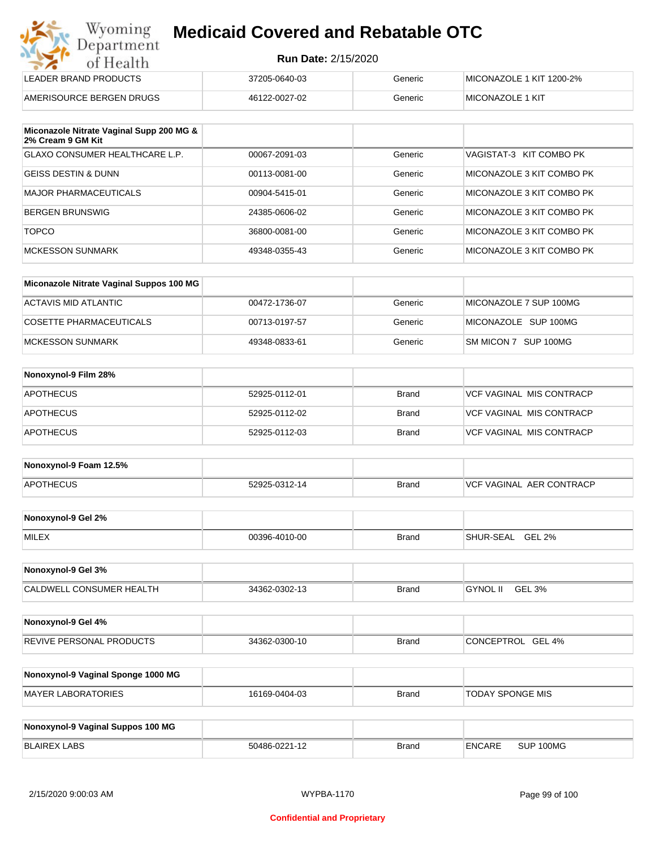|  |  | <b>Medicaid Covered and Rebatable OTC</b> |  |
|--|--|-------------------------------------------|--|
|  |  |                                           |  |

| <b>Run Date: 2/15/2020</b> |  |
|----------------------------|--|
|----------------------------|--|

| Wyoming<br>Department    | <b>Medicaid Covered and Rebatable OTC</b> |         |                          |  |
|--------------------------|-------------------------------------------|---------|--------------------------|--|
| of Health                | <b>Run Date: 2/15/2020</b>                |         |                          |  |
| LEADER BRAND PRODUCTS    | 37205-0640-03                             | Generic | MICONAZOLE 1 KIT 1200-2% |  |
| AMERISOURCE BERGEN DRUGS | 46122-0027-02                             | Generic | MICONAZOLE 1 KIT         |  |

| Miconazole Nitrate Vaginal Supp 200 MG &<br>2% Cream 9 GM Kit |               |         |                           |
|---------------------------------------------------------------|---------------|---------|---------------------------|
| <b>GLAXO CONSUMER HEALTHCARE L.P.</b>                         | 00067-2091-03 | Generic | VAGISTAT-3 KIT COMBO PK   |
| <b>GEISS DESTIN &amp; DUNN</b>                                | 00113-0081-00 | Generic | MICONAZOLE 3 KIT COMBO PK |
| MAJOR PHARMACEUTICALS                                         | 00904-5415-01 | Generic | MICONAZOLE 3 KIT COMBO PK |
| BERGEN BRUNSWIG                                               | 24385-0606-02 | Generic | MICONAZOLE 3 KIT COMBO PK |
| <b>TOPCO</b>                                                  | 36800-0081-00 | Generic | MICONAZOLE 3 KIT COMBO PK |
| MCKESSON SUNMARK                                              | 49348-0355-43 | Generic | MICONAZOLE 3 KIT COMBO PK |

| Miconazole Nitrate Vaginal Suppos 100 MG |               |         |                        |
|------------------------------------------|---------------|---------|------------------------|
| ACTAVIS MID ATLANTIC                     | 00472-1736-07 | Generic | MICONAZOLE 7 SUP 100MG |
| COSETTE PHARMACEUTICALS                  | 00713-0197-57 | Generic | MICONAZOLE SUP 100MG   |
| MCKESSON SUNMARK                         | 49348-0833-61 | Generic | SM MICON 7 SUP 100MG   |

| Nonoxynol-9 Film 28% |               |              |                                 |
|----------------------|---------------|--------------|---------------------------------|
| <b>APOTHECUS</b>     | 52925-0112-01 | <b>Brand</b> | <b>VCF VAGINAL MIS CONTRACP</b> |
| <b>APOTHECUS</b>     | 52925-0112-02 | <b>Brand</b> | <b>VCF VAGINAL MIS CONTRACP</b> |
| <b>APOTHECUS</b>     | 52925-0112-03 | <b>Brand</b> | <b>VCF VAGINAL MIS CONTRACP</b> |

| Nonoxynol-9 Foam 12.5% |               |              |                               |
|------------------------|---------------|--------------|-------------------------------|
| <b>APOTHECUS</b>       | 52925-0312-14 | <b>Brand</b> | . AER CONTRACP<br>VCF VAGINAL |

| Nonoxynol-9 Gel 2% |               |       |                                   |
|--------------------|---------------|-------|-----------------------------------|
| <b>MILEX</b>       | 00396-4010-00 | Brand | <b>GEL 2%</b><br><b>SHUR-SEAL</b> |

| Nonoxynol-9 Gel 3%       |               |              |                    |
|--------------------------|---------------|--------------|--------------------|
| CALDWELL CONSUMER HEALTH | 34362-0302-13 | <b>Brand</b> | GEL 3%<br>GYNOL II |

| Nonoxynol-9 Gel 4%              |               |              |                   |
|---------------------------------|---------------|--------------|-------------------|
| <b>REVIVE PERSONAL PRODUCTS</b> | 34362-0300-10 | <b>Brand</b> | CONCEPTROL GEL 4% |

| Nonoxynol-9 Vaginal Sponge 1000 MG |               |       |                  |
|------------------------------------|---------------|-------|------------------|
| MAYER LABORATORIES                 | 16169-0404-03 | Brand | TODAY SPONGE MIS |

| Nonoxynol-9 Vaginal Suppos 100 MG |               |              |               |           |
|-----------------------------------|---------------|--------------|---------------|-----------|
| BLAIREX LABS                      | 50486-0221-12 | <b>Brand</b> | <b>ENCARE</b> | SUP 100MG |